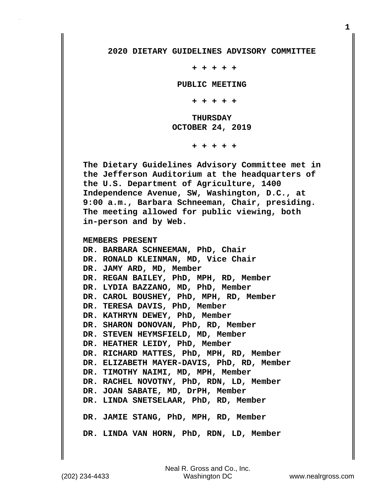## **2020 DIETARY GUIDELINES ADVISORY COMMITTEE**

 **+ + + + +**

 **PUBLIC MEETING**

 **+ + + + +**

 **THURSDAY OCTOBER 24, 2019**

 **+ + + + +**

**The Dietary Guidelines Advisory Committee met in the Jefferson Auditorium at the headquarters of the U.S. Department of Agriculture, 1400 Independence Avenue, SW, Washington, D.C., at 9:00 a.m., Barbara Schneeman, Chair, presiding. The meeting allowed for public viewing, both in-person and by Web.**

**MEMBERS PRESENT DR. BARBARA SCHNEEMAN, PhD, Chair DR. RONALD KLEINMAN, MD, Vice Chair DR. JAMY ARD, MD, Member DR. REGAN BAILEY, PhD, MPH, RD, Member DR. LYDIA BAZZANO, MD, PhD, Member DR. CAROL BOUSHEY, PhD, MPH, RD, Member DR. TERESA DAVIS, PhD, Member DR. KATHRYN DEWEY, PhD, Member DR. SHARON DONOVAN, PhD, RD, Member DR. STEVEN HEYMSFIELD, MD, Member DR. HEATHER LEIDY, PhD, Member DR. RICHARD MATTES, PhD, MPH, RD, Member DR. ELIZABETH MAYER-DAVIS, PhD, RD, Member DR. TIMOTHY NAIMI, MD, MPH, Member DR. RACHEL NOVOTNY, PhD, RDN, LD, Member DR. JOAN SABATE, MD, DrPH, Member DR. LINDA SNETSELAAR, PhD, RD, Member DR. JAMIE STANG, PhD, MPH, RD, Member DR. LINDA VAN HORN, PhD, RDN, LD, Member**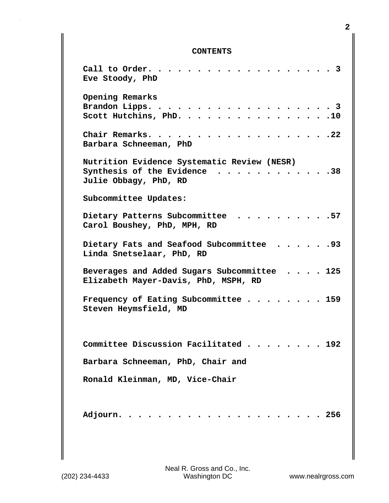## **CONTENTS**

| Call to Order.<br>. 3<br>Eve Stoody, PhD                                                                 |
|----------------------------------------------------------------------------------------------------------|
| Opening Remarks<br>Brandon Lipps.<br>. 3<br>Scott Hutchins, PhD. 10                                      |
| $\cdots$ 22<br>Chair Remarks.<br>Barbara Schneeman, PhD                                                  |
| Nutrition Evidence Systematic Review (NESR)<br>Synthesis of the Evidence<br>.38<br>Julie Obbagy, PhD, RD |
| Subcommittee Updates:                                                                                    |
| Dietary Patterns Subcommittee<br>.57<br>Carol Boushey, PhD, MPH, RD                                      |
| Dietary Fats and Seafood Subcommittee<br>$\cdot$ $\cdot$ $.93$<br>Linda Snetselaar, PhD, RD              |
| Beverages and Added Sugars Subcommittee 125<br>Elizabeth Mayer-Davis, PhD, MSPH, RD                      |
| Frequency of Eating Subcommittee<br>$\ldots$ . 159<br>Steven Heymsfield, MD                              |
| Committee Discussion Facilitated<br>192                                                                  |
| Barbara Schneeman, PhD, Chair and                                                                        |
| Ronald Kleinman, MD, Vice-Chair                                                                          |
| Adjourn.<br>. 256                                                                                        |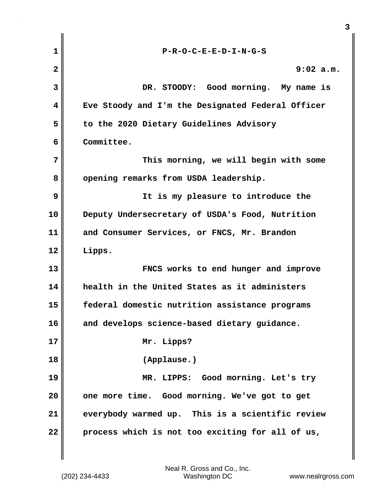| $\mathbf{1}$   | $P-R-O-C-E-E-D-I-N-G-S$                           |
|----------------|---------------------------------------------------|
| $\overline{2}$ | $9:02$ a.m.                                       |
| 3              | DR. STOODY: Good morning. My name is              |
| 4              | Eve Stoody and I'm the Designated Federal Officer |
| 5              | to the 2020 Dietary Guidelines Advisory           |
| 6              | Committee.                                        |
| 7              | This morning, we will begin with some             |
| 8              | opening remarks from USDA leadership.             |
| 9              | It is my pleasure to introduce the                |
| 10             | Deputy Undersecretary of USDA's Food, Nutrition   |
| 11             | and Consumer Services, or FNCS, Mr. Brandon       |
| 12             | Lipps.                                            |
| 13             | FNCS works to end hunger and improve              |
| 14             | health in the United States as it administers     |
| 15             | federal domestic nutrition assistance programs    |
| 16             | and develops science-based dietary guidance.      |
| 17             | Mr. Lipps?                                        |
| 18             | (Applause.)                                       |
| 19             | MR. LIPPS: Good morning. Let's try                |
| 20             | one more time. Good morning. We've got to get     |
| 21             | everybody warmed up. This is a scientific review  |
| 22             | process which is not too exciting for all of us,  |

**3**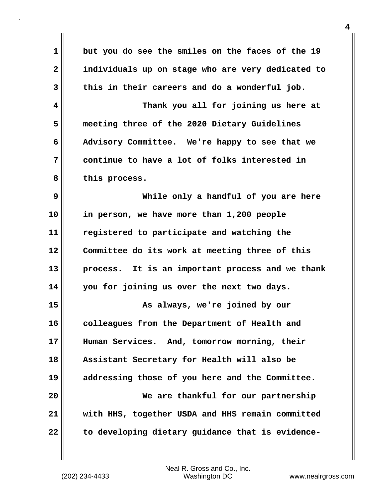**1 but you do see the smiles on the faces of the 19 2 individuals up on stage who are very dedicated to 3 this in their careers and do a wonderful job. 4 Thank you all for joining us here at 5 meeting three of the 2020 Dietary Guidelines 6 Advisory Committee. We're happy to see that we 7 continue to have a lot of folks interested in 8 this process. 9 While only a handful of you are here 10 in person, we have more than 1,200 people 11 registered to participate and watching the 12 Committee do its work at meeting three of this 13 process. It is an important process and we thank 14 you for joining us over the next two days. 15 As always, we're joined by our 16 colleagues from the Department of Health and 17 Human Services. And, tomorrow morning, their 18 Assistant Secretary for Health will also be 19 addressing those of you here and the Committee. 20 We are thankful for our partnership 21 with HHS, together USDA and HHS remain committed 22 to developing dietary guidance that is evidence-** **4**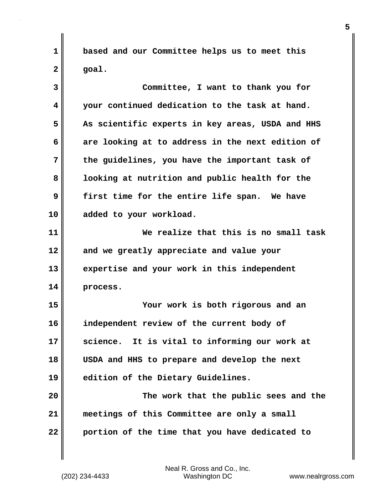**1 based and our Committee helps us to meet this**  $2 \parallel$  goal.

| 3  | Committee, I want to thank you for               |
|----|--------------------------------------------------|
| 4  | your continued dedication to the task at hand.   |
| 5  | As scientific experts in key areas, USDA and HHS |
| 6  | are looking at to address in the next edition of |
| 7  | the guidelines, you have the important task of   |
| 8  | looking at nutrition and public health for the   |
| 9  | first time for the entire life span. We have     |
| 10 | added to your workload.                          |
| 11 | We realize that this is no small task            |
| 12 | and we greatly appreciate and value your         |
| 13 | expertise and your work in this independent      |
| 14 | process.                                         |
| 15 | Your work is both rigorous and an                |
| 16 | independent review of the current body of        |
| 17 | science. It is vital to informing our work at    |
| 18 | USDA and HHS to prepare and develop the next     |
| 19 | edition of the Dietary Guidelines.               |
| 20 | The work that the public sees and the            |
| 21 | meetings of this Committee are only a small      |
| 22 | portion of the time that you have dedicated to   |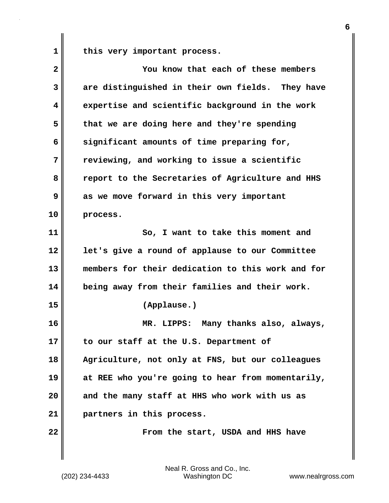**1 this very important process.**

| $\overline{2}$          | You know that each of these members               |
|-------------------------|---------------------------------------------------|
| 3                       | are distinguished in their own fields. They have  |
| $\overline{\mathbf{4}}$ | expertise and scientific background in the work   |
| 5                       | that we are doing here and they're spending       |
| 6                       | significant amounts of time preparing for,        |
| 7                       | reviewing, and working to issue a scientific      |
| 8                       | report to the Secretaries of Agriculture and HHS  |
| 9                       | as we move forward in this very important         |
| 10                      | process.                                          |
| 11                      | So, I want to take this moment and                |
| 12                      | let's give a round of applause to our Committee   |
| 13                      | members for their dedication to this work and for |
| 14                      | being away from their families and their work.    |
| 15                      | (Applause.)                                       |
| 16                      | MR. LIPPS: Many thanks also, always,              |
| 17                      | to our staff at the U.S. Department of            |
| 18                      | Agriculture, not only at FNS, but our colleagues  |
| 19                      | at REE who you're going to hear from momentarily, |
| 20                      | and the many staff at HHS who work with us as     |
| 21                      | partners in this process.                         |
| 22                      | From the start, USDA and HHS have                 |
|                         |                                                   |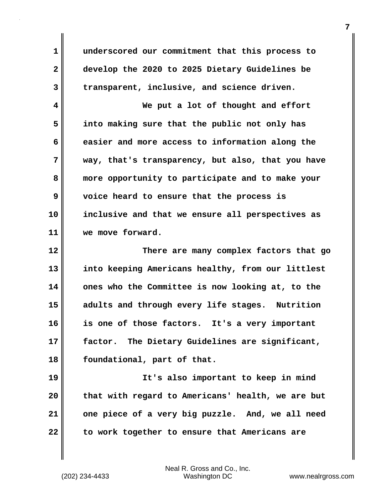**1 underscored our commitment that this process to 2 develop the 2020 to 2025 Dietary Guidelines be 3 transparent, inclusive, and science driven.**

**4 We put a lot of thought and effort 5 into making sure that the public not only has 6 easier and more access to information along the 7 way, that's transparency, but also, that you have 8 more opportunity to participate and to make your 9 voice heard to ensure that the process is 10 inclusive and that we ensure all perspectives as 11 we move forward.**

**12 There are many complex factors that go 13 into keeping Americans healthy, from our littlest 14 ones who the Committee is now looking at, to the 15 adults and through every life stages. Nutrition 16 is one of those factors. It's a very important 17 factor. The Dietary Guidelines are significant, 18 foundational, part of that.**

**19 It's also important to keep in mind 20 that with regard to Americans' health, we are but 21 one piece of a very big puzzle. And, we all need 22 to work together to ensure that Americans are**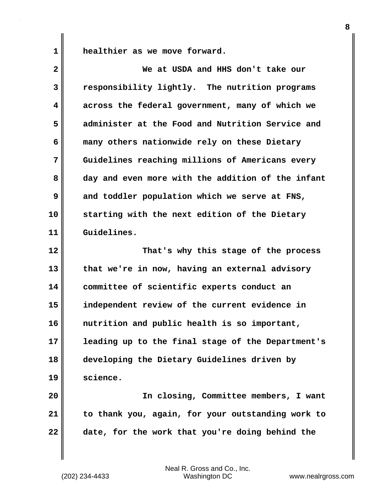**1 healthier as we move forward.**

| $\overline{2}$ | We at USDA and HHS don't take our                 |
|----------------|---------------------------------------------------|
| 3              | responsibility lightly. The nutrition programs    |
| 4              | across the federal government, many of which we   |
| 5              | administer at the Food and Nutrition Service and  |
| 6              | many others nationwide rely on these Dietary      |
| 7              | Guidelines reaching millions of Americans every   |
| 8              | day and even more with the addition of the infant |
| 9              | and toddler population which we serve at FNS,     |
| 10             | starting with the next edition of the Dietary     |
| 11             | Guidelines.                                       |
| 12             | That's why this stage of the process              |
| 13             | that we're in now, having an external advisory    |
| 14             | committee of scientific experts conduct an        |
| 15             | independent review of the current evidence in     |
| 16             | nutrition and public health is so important,      |
| 17             | leading up to the final stage of the Department's |
| 18             | developing the Dietary Guidelines driven by       |
| 19             | science.                                          |
| 20             | In closing, Committee members, I want             |
| 21             | to thank you, again, for your outstanding work to |
| 22             | date, for the work that you're doing behind the   |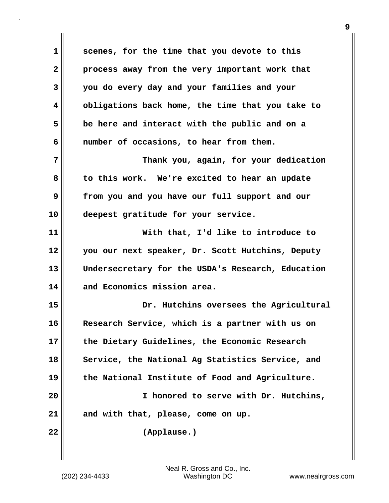**1 scenes, for the time that you devote to this 2 process away from the very important work that 3 you do every day and your families and your 4 obligations back home, the time that you take to 5 be here and interact with the public and on a 6 number of occasions, to hear from them. 7 Thank you, again, for your dedication 8 to this work. We're excited to hear an update 9 from you and you have our full support and our 10 deepest gratitude for your service. 11 With that, I'd like to introduce to 12 you our next speaker, Dr. Scott Hutchins, Deputy 13 Undersecretary for the USDA's Research, Education 14 and Economics mission area. 15 Dr. Hutchins oversees the Agricultural 16 Research Service, which is a partner with us on 17 the Dietary Guidelines, the Economic Research** 18 Service, the National Ag Statistics Service, and **19 the National Institute of Food and Agriculture. 20 I honored to serve with Dr. Hutchins, 21 and with that, please, come on up. 22 (Applause.)**

(202) 234-4433 Washington DC www.nealrgross.com Neal R. Gross and Co., Inc.

**9**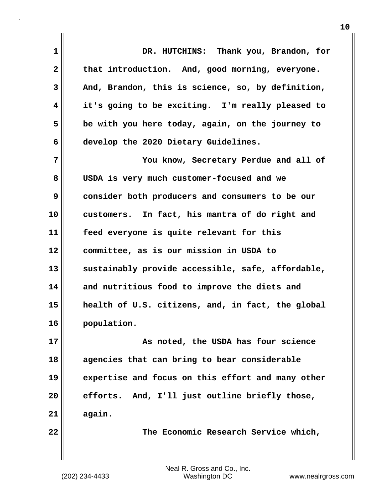**1 DR. HUTCHINS: Thank you, Brandon, for** 2 that introduction. And, good morning, everyone. **3 And, Brandon, this is science, so, by definition, 4 it's going to be exciting. I'm really pleased to 5 be with you here today, again, on the journey to 6 develop the 2020 Dietary Guidelines. 7 You know, Secretary Perdue and all of 8 USDA is very much customer-focused and we 9 consider both producers and consumers to be our 10 customers. In fact, his mantra of do right and 11 feed everyone is quite relevant for this 12 committee, as is our mission in USDA to 13 sustainably provide accessible, safe, affordable, 14 and nutritious food to improve the diets and 15 health of U.S. citizens, and, in fact, the global 16 population. 17 As noted, the USDA has four science 18 agencies that can bring to bear considerable 19 expertise and focus on this effort and many other 20 efforts. And, I'll just outline briefly those, 21 again. 22 The Economic Research Service which,**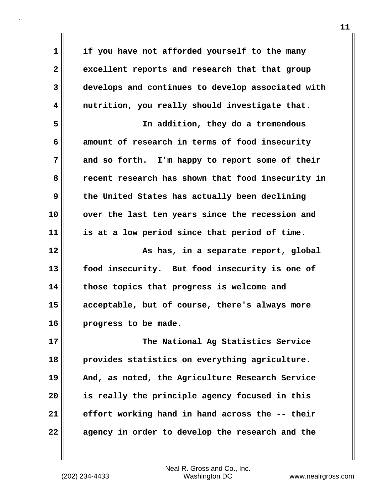**1 if you have not afforded yourself to the many 2 excellent reports and research that that group 3 develops and continues to develop associated with 4 nutrition, you really should investigate that. 5 In addition, they do a tremendous 6 amount of research in terms of food insecurity 7 and so forth. I'm happy to report some of their 8 recent research has shown that food insecurity in 9 the United States has actually been declining 10 over the last ten years since the recession and 11 is at a low period since that period of time. 12 As has, in a separate report, global 13 food insecurity. But food insecurity is one of 14 those topics that progress is welcome and 15 acceptable, but of course, there's always more 16 progress to be made. 17 The National Ag Statistics Service 18 provides statistics on everything agriculture. 19 And, as noted, the Agriculture Research Service 20 is really the principle agency focused in this 21 effort working hand in hand across the -- their 22 agency in order to develop the research and the**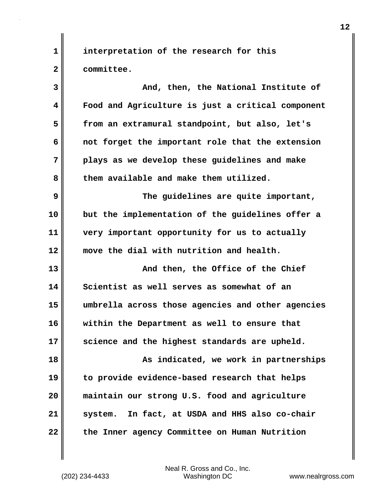**1 interpretation of the research for this 2 committee.**

**3 And, then, the National Institute of 4 Food and Agriculture is just a critical component 5 from an extramural standpoint, but also, let's 6 not forget the important role that the extension 7 plays as we develop these guidelines and make 8 them available and make them utilized. 9 The guidelines are quite important, 10 but the implementation of the guidelines offer a 11 very important opportunity for us to actually 12 move the dial with nutrition and health. 13** And then, the Office of the Chief **14 Scientist as well serves as somewhat of an 15 umbrella across those agencies and other agencies 16 within the Department as well to ensure that 17 science and the highest standards are upheld. 18 As indicated, we work in partnerships 19 to provide evidence-based research that helps 20 maintain our strong U.S. food and agriculture 21 system. In fact, at USDA and HHS also co-chair 22 the Inner agency Committee on Human Nutrition**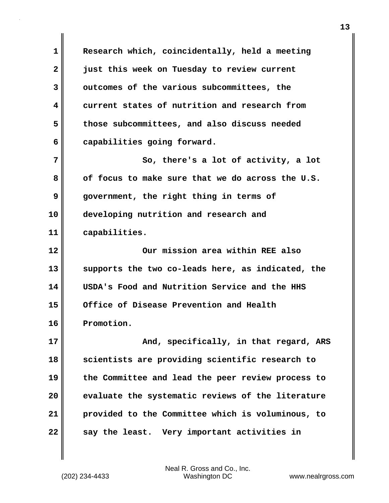**1 Research which, coincidentally, held a meeting 2 just this week on Tuesday to review current 3 outcomes of the various subcommittees, the 4 current states of nutrition and research from 5 those subcommittees, and also discuss needed 6 capabilities going forward. 7** So, there's a lot of activity, a lot **8 of focus to make sure that we do across the U.S. 9 government, the right thing in terms of 10 developing nutrition and research and 11 capabilities. 12 Our mission area within REE also 13 supports the two co-leads here, as indicated, the 14 USDA's Food and Nutrition Service and the HHS 15 Office of Disease Prevention and Health 16 Promotion. 17 And, specifically, in that regard, ARS 18 scientists are providing scientific research to 19 the Committee and lead the peer review process to 20 evaluate the systematic reviews of the literature 21 provided to the Committee which is voluminous, to** 22 say the least. Very important activities in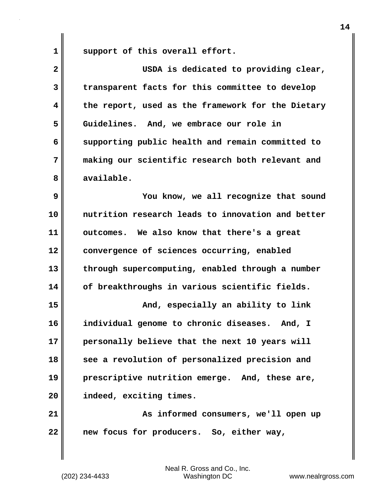1 support of this overall effort.

| $\overline{\mathbf{2}}$ | USDA is dedicated to providing clear,             |
|-------------------------|---------------------------------------------------|
| 3                       | transparent facts for this committee to develop   |
| 4                       | the report, used as the framework for the Dietary |
| 5                       | Guidelines. And, we embrace our role in           |
| 6                       | supporting public health and remain committed to  |
| 7                       | making our scientific research both relevant and  |
| 8                       | available.                                        |
| 9                       | You know, we all recognize that sound             |
| 10                      | nutrition research leads to innovation and better |
| 11                      | outcomes. We also know that there's a great       |
| 12                      | convergence of sciences occurring, enabled        |
| 13                      | through supercomputing, enabled through a number  |
| 14                      | of breakthroughs in various scientific fields.    |
| 15                      | And, especially an ability to link                |
| 16                      | individual genome to chronic diseases. And, I     |
| 17                      | personally believe that the next 10 years will    |
| 18                      | see a revolution of personalized precision and    |
| 19                      | prescriptive nutrition emerge. And, these are,    |
| 20                      | indeed, exciting times.                           |
| 21                      | As informed consumers, we'll open up              |
| 22                      | new focus for producers. So, either way,          |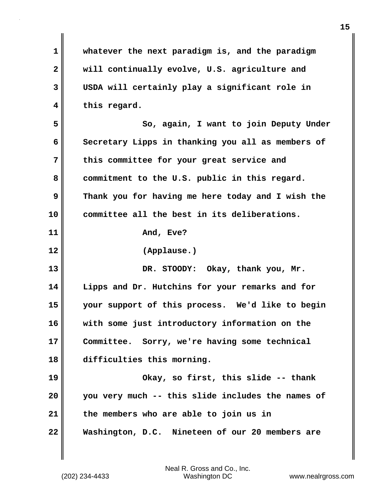| 1              | whatever the next paradigm is, and the paradigm   |
|----------------|---------------------------------------------------|
| $\mathbf{2}$   | will continually evolve, U.S. agriculture and     |
| 3              | USDA will certainly play a significant role in    |
| 4              | this regard.                                      |
| 5              | So, again, I want to join Deputy Under            |
| 6              | Secretary Lipps in thanking you all as members of |
| 7              | this committee for your great service and         |
| 8              | commitment to the U.S. public in this regard.     |
| 9              | Thank you for having me here today and I wish the |
| 10             | committee all the best in its deliberations.      |
| 11             | And, Eve?                                         |
| 12             | (Applause.)                                       |
|                |                                                   |
|                | DR. STOODY: Okay, thank you, Mr.                  |
| 13<br>14       | Lipps and Dr. Hutchins for your remarks and for   |
| 15             | your support of this process. We'd like to begin  |
|                | with some just introductory information on the    |
|                | Committee. Sorry, we're having some technical     |
| 16<br>17<br>18 | difficulties this morning.                        |
| 19             | Okay, so first, this slide -- thank               |
| 20             | you very much -- this slide includes the names of |
| 21             | the members who are able to join us in            |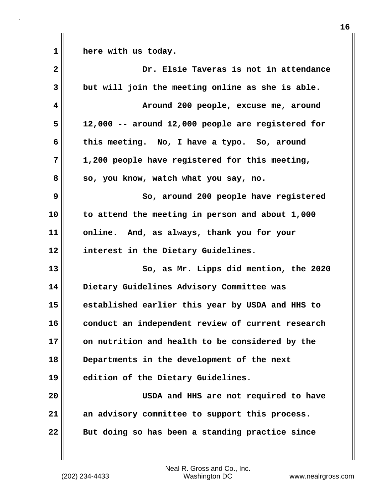**1 here with us today. 2 Dr. Elsie Taveras is not in attendance 3 but will join the meeting online as she is able. 4 Around 200 people, excuse me, around 5 12,000 -- around 12,000 people are registered for 6 this meeting. No, I have a typo. So, around 7 1,200 people have registered for this meeting,** 8 so, you know, watch what you say, no. **9 So, around 200 people have registered 10 to attend the meeting in person and about 1,000 11 online. And, as always, thank you for your 12 interest in the Dietary Guidelines. 13 So, as Mr. Lipps did mention, the 2020 14 Dietary Guidelines Advisory Committee was 15 established earlier this year by USDA and HHS to 16 conduct an independent review of current research 17 on nutrition and health to be considered by the 18 Departments in the development of the next 19 edition of the Dietary Guidelines. 20 USDA and HHS are not required to have 21 an advisory committee to support this process. 22 But doing so has been a standing practice since**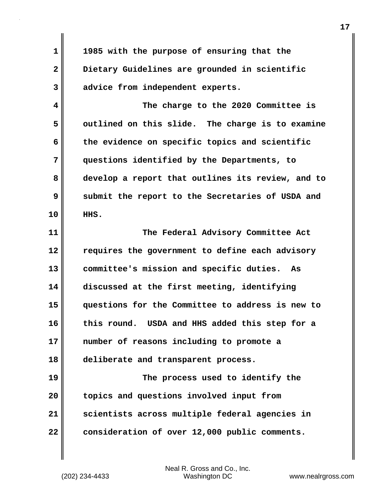**1 1985 with the purpose of ensuring that the 2 Dietary Guidelines are grounded in scientific 3 advice from independent experts.**

**4 The charge to the 2020 Committee is 5 outlined on this slide. The charge is to examine 6 the evidence on specific topics and scientific 7 questions identified by the Departments, to 8 develop a report that outlines its review, and to 9 submit the report to the Secretaries of USDA and 10 HHS.**

**11 The Federal Advisory Committee Act 12 requires the government to define each advisory 13 committee's mission and specific duties. As 14 discussed at the first meeting, identifying 15 questions for the Committee to address is new to 16 this round. USDA and HHS added this step for a 17 number of reasons including to promote a 18 deliberate and transparent process.**

**19 The process used to identify the 20 topics and questions involved input from 21 scientists across multiple federal agencies in 22 consideration of over 12,000 public comments.**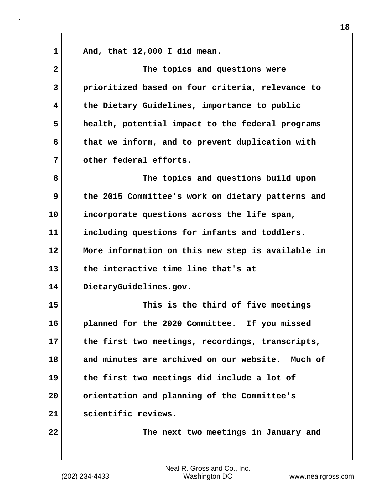$1 \parallel$  And, that 12,000 I did mean.

| $\overline{2}$ | The topics and questions were                     |
|----------------|---------------------------------------------------|
| 3              | prioritized based on four criteria, relevance to  |
| 4              | the Dietary Guidelines, importance to public      |
| 5              | health, potential impact to the federal programs  |
| 6              | that we inform, and to prevent duplication with   |
| 7              | other federal efforts.                            |
| 8              | The topics and questions build upon               |
| 9              | the 2015 Committee's work on dietary patterns and |
| 10             | incorporate questions across the life span,       |
| 11             | including questions for infants and toddlers.     |
| 12             | More information on this new step is available in |
| 13             | the interactive time line that's at               |
| 14             | DietaryGuidelines.gov.                            |
| 15             | This is the third of five meetings                |
| 16             | planned for the 2020 Committee. If you missed     |
| 17             | the first two meetings, recordings, transcripts,  |
| 18             | and minutes are archived on our website. Much of  |
| 19             | the first two meetings did include a lot of       |
| 20             | orientation and planning of the Committee's       |
| 21             | scientific reviews.                               |
| 22             | The next two meetings in January and              |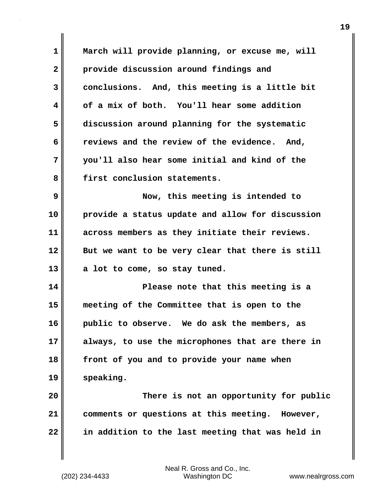**1 March will provide planning, or excuse me, will 2 provide discussion around findings and 3 conclusions. And, this meeting is a little bit 4 of a mix of both. You'll hear some addition 5 discussion around planning for the systematic 6 reviews and the review of the evidence. And, 7 you'll also hear some initial and kind of the 8 first conclusion statements. 9 Now, this meeting is intended to 10 provide a status update and allow for discussion 11 across members as they initiate their reviews. 12 But we want to be very clear that there is still 13 a lot to come, so stay tuned. 14 Please note that this meeting is a 15 meeting of the Committee that is open to the 16 public to observe. We do ask the members, as 17 always, to use the microphones that are there in 18 front of you and to provide your name when 19 speaking. 20 There is not an opportunity for public 21 comments or questions at this meeting. However, 22 in addition to the last meeting that was held in**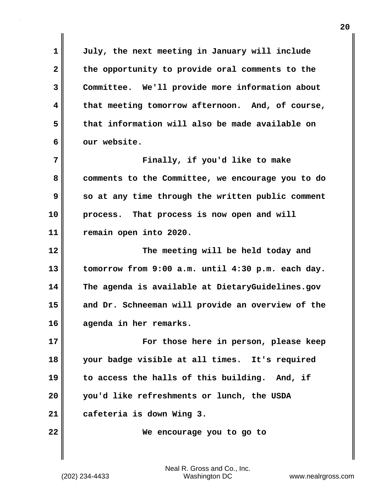**1 July, the next meeting in January will include 2 the opportunity to provide oral comments to the 3 Committee. We'll provide more information about 4 that meeting tomorrow afternoon. And, of course, 5 that information will also be made available on 6 our website. 7 Finally, if you'd like to make 8 comments to the Committee, we encourage you to do 9** so at any time through the written public comment **10 process. That process is now open and will 11 remain open into 2020. 12 The meeting will be held today and 13 tomorrow from 9:00 a.m. until 4:30 p.m. each day. 14 The agenda is available at DietaryGuidelines.gov 15 and Dr. Schneeman will provide an overview of the 16 agenda in her remarks. 17 For those here in person, please keep 18 your badge visible at all times. It's required 19 to access the halls of this building. And, if 20 you'd like refreshments or lunch, the USDA 21 cafeteria is down Wing 3. 22 We encourage you to go to**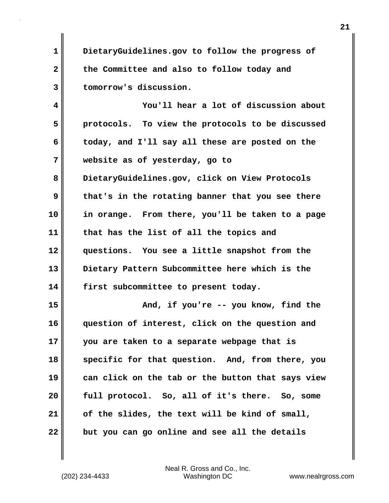**1 DietaryGuidelines.gov to follow the progress of 2 the Committee and also to follow today and 3 tomorrow's discussion.**

**4 You'll hear a lot of discussion about 5 protocols. To view the protocols to be discussed 6 today, and I'll say all these are posted on the 7 website as of yesterday, go to 8 DietaryGuidelines.gov, click on View Protocols 9 that's in the rotating banner that you see there 10 in orange. From there, you'll be taken to a page 11 that has the list of all the topics and 12 questions. You see a little snapshot from the 13 Dietary Pattern Subcommittee here which is the 14 first subcommittee to present today. 15 And, if you're -- you know, find the 16 question of interest, click on the question and 17 you are taken to a separate webpage that is 18 specific for that question. And, from there, you 19 can click on the tab or the button that says view 20 full protocol. So, all of it's there. So, some**

**21 of the slides, the text will be kind of small,**

**22 but you can go online and see all the details**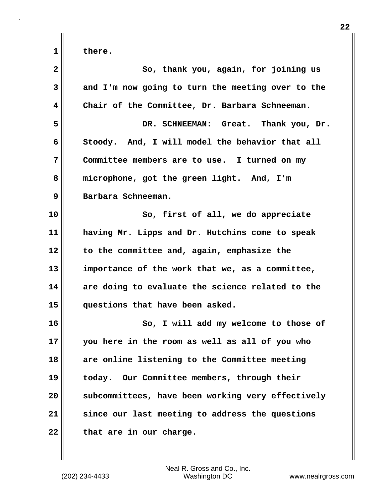| $\overline{\mathbf{2}}$ | So, thank you, again, for joining us              |
|-------------------------|---------------------------------------------------|
| 3                       | and I'm now going to turn the meeting over to the |
| 4                       | Chair of the Committee, Dr. Barbara Schneeman.    |
| 5                       | DR. SCHNEEMAN: Great. Thank you, Dr.              |
| 6                       | Stoody. And, I will model the behavior that all   |
| 7                       | Committee members are to use. I turned on my      |
| 8                       | microphone, got the green light. And, I'm         |
| 9                       | Barbara Schneeman.                                |
| 10                      | So, first of all, we do appreciate                |
| 11                      | having Mr. Lipps and Dr. Hutchins come to speak   |
| 12                      | to the committee and, again, emphasize the        |
| 13                      | importance of the work that we, as a committee,   |
| 14                      | are doing to evaluate the science related to the  |
| 15                      | questions that have been asked.                   |
| 16                      | So, I will add my welcome to those of             |
| 17                      | you here in the room as well as all of you who    |
| 18                      | are online listening to the Committee meeting     |
| 19                      | today. Our Committee members, through their       |
| 20                      | subcommittees, have been working very effectively |
| 21                      | since our last meeting to address the questions   |
| 22                      | that are in our charge.                           |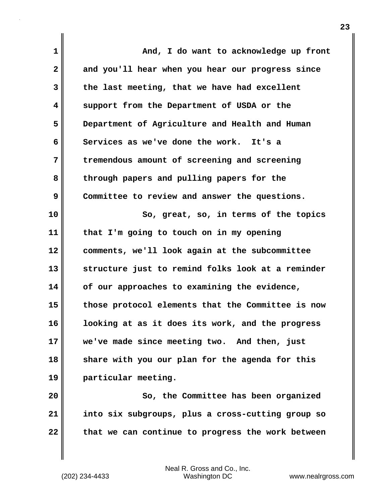| 1            | And, I do want to acknowledge up front            |
|--------------|---------------------------------------------------|
| $\mathbf{2}$ | and you'll hear when you hear our progress since  |
| 3            | the last meeting, that we have had excellent      |
| 4            | support from the Department of USDA or the        |
| 5            | Department of Agriculture and Health and Human    |
| 6            | Services as we've done the work. It's a           |
| 7            | tremendous amount of screening and screening      |
| 8            | through papers and pulling papers for the         |
| 9            | Committee to review and answer the questions.     |
| 10           | So, great, so, in terms of the topics             |
| 11           | that I'm going to touch on in my opening          |
| 12           | comments, we'll look again at the subcommittee    |
| 13           | structure just to remind folks look at a reminder |
| 14           | of our approaches to examining the evidence,      |
| 15           | those protocol elements that the Committee is now |
| 16           | looking at as it does its work, and the progress  |
| 17           | we've made since meeting two. And then, just      |
| 18           | share with you our plan for the agenda for this   |
| 19           | particular meeting.                               |
| 20           | So, the Committee has been organized              |
| 21           | into six subgroups, plus a cross-cutting group so |
| 22           | that we can continue to progress the work between |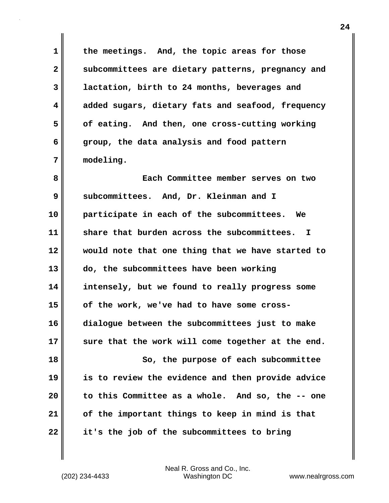**1 the meetings. And, the topic areas for those 2 subcommittees are dietary patterns, pregnancy and 3 lactation, birth to 24 months, beverages and 4 added sugars, dietary fats and seafood, frequency 5 of eating. And then, one cross-cutting working 6 group, the data analysis and food pattern 7 modeling.**

**8 Each Committee member serves on two 9 subcommittees. And, Dr. Kleinman and I 10 participate in each of the subcommittees. We 11 share that burden across the subcommittees. I 12 would note that one thing that we have started to 13 do, the subcommittees have been working 14 intensely, but we found to really progress some 15 of the work, we've had to have some cross-16 dialogue between the subcommittees just to make 17 sure that the work will come together at the end. 18 So, the purpose of each subcommittee 19 is to review the evidence and then provide advice 20 to this Committee as a whole. And so, the -- one 21 of the important things to keep in mind is that 22 it's the job of the subcommittees to bring**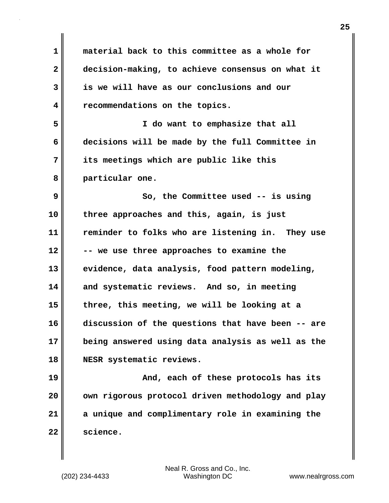| 1            | material back to this committee as a whole for    |
|--------------|---------------------------------------------------|
| $\mathbf{2}$ | decision-making, to achieve consensus on what it  |
| 3            | is we will have as our conclusions and our        |
| 4            | recommendations on the topics.                    |
| 5            | I do want to emphasize that all                   |
| 6            | decisions will be made by the full Committee in   |
| 7            | its meetings which are public like this           |
| 8            | particular one.                                   |
| 9            | So, the Committee used -- is using                |
| 10           | three approaches and this, again, is just         |
| 11           | reminder to folks who are listening in. They use  |
| 12           | -- we use three approaches to examine the         |
| 13           | evidence, data analysis, food pattern modeling,   |
| 14           | and systematic reviews. And so, in meeting        |
| 15           | three, this meeting, we will be looking at a      |
| 16           | discussion of the questions that have been -- are |
| 17           | being answered using data analysis as well as the |
| 18           | NESR systematic reviews.                          |
| 19           | And, each of these protocols has its              |
| 20           | own rigorous protocol driven methodology and play |
| 21           | a unique and complimentary role in examining the  |
| 22           | science.                                          |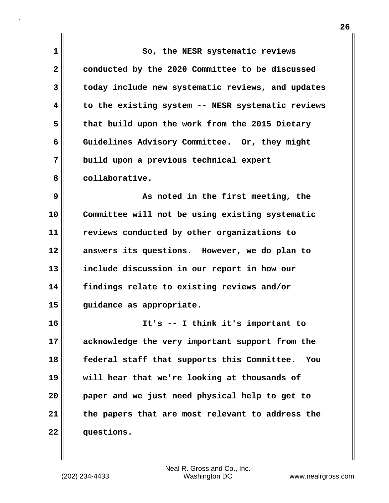| 1            | So, the NESR systematic reviews                    |
|--------------|----------------------------------------------------|
| $\mathbf{2}$ | conducted by the 2020 Committee to be discussed    |
| 3            | today include new systematic reviews, and updates  |
| 4            | to the existing system -- NESR systematic reviews  |
| 5            | that build upon the work from the 2015 Dietary     |
| 6            | Guidelines Advisory Committee. Or, they might      |
| 7            | build upon a previous technical expert             |
| 8            | collaborative.                                     |
| 9            | As noted in the first meeting, the                 |
| 10           | Committee will not be using existing systematic    |
| 11           | reviews conducted by other organizations to        |
| 12           | answers its questions. However, we do plan to      |
| 13           | include discussion in our report in how our        |
| 14           | findings relate to existing reviews and/or         |
| 15           | guidance as appropriate.                           |
| 16           | It's -- I think it's important to                  |
| 17           | acknowledge the very important support from the    |
| 18           | federal staff that supports this Committee.<br>You |
| 19           | will hear that we're looking at thousands of       |
| 20           | paper and we just need physical help to get to     |
| 21           | the papers that are most relevant to address the   |
| 22           | questions.                                         |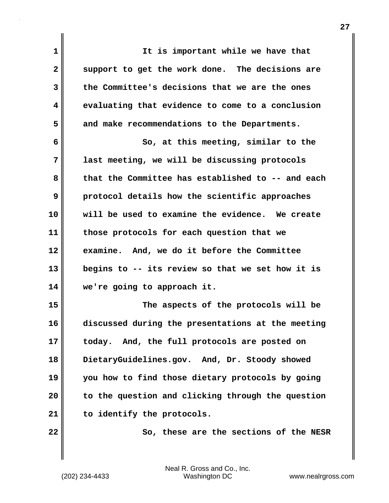| 1            | It is important while we have that                |
|--------------|---------------------------------------------------|
| $\mathbf{2}$ | support to get the work done. The decisions are   |
| 3            | the Committee's decisions that we are the ones    |
| 4            | evaluating that evidence to come to a conclusion  |
| 5            | and make recommendations to the Departments.      |
| 6            | So, at this meeting, similar to the               |
| 7            | last meeting, we will be discussing protocols     |
| 8            | that the Committee has established to -- and each |
| 9            | protocol details how the scientific approaches    |
| 10           | will be used to examine the evidence. We create   |
| 11           | those protocols for each question that we         |
| 12           | examine. And, we do it before the Committee       |
| 13           | begins to -- its review so that we set how it is  |
| 14           | we're going to approach it.                       |
| 15           | The aspects of the protocols will be              |
| 16           | discussed during the presentations at the meeting |
| 17           | today. And, the full protocols are posted on      |
| 18           | DietaryGuidelines.gov. And, Dr. Stoody showed     |
| 19           | you how to find those dietary protocols by going  |
| 20           | to the question and clicking through the question |
| 21           | to identify the protocols.                        |
| 22           | So, these are the sections of the NESR            |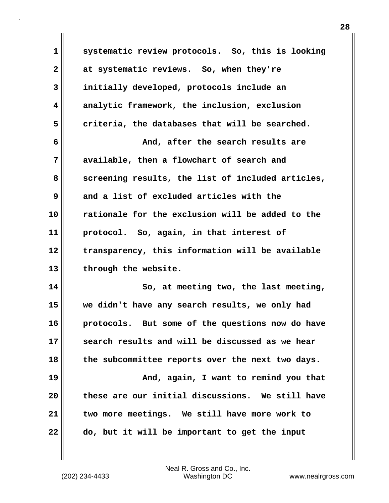| $\mathbf 1$             | systematic review protocols. So, this is looking  |
|-------------------------|---------------------------------------------------|
| $\overline{\mathbf{2}}$ | at systematic reviews. So, when they're           |
| 3                       | initially developed, protocols include an         |
| 4                       | analytic framework, the inclusion, exclusion      |
| 5                       | criteria, the databases that will be searched.    |
| 6                       | And, after the search results are                 |
| 7                       | available, then a flowchart of search and         |
| 8                       | screening results, the list of included articles, |
| 9                       | and a list of excluded articles with the          |
| 10                      | rationale for the exclusion will be added to the  |
| 11                      | protocol. So, again, in that interest of          |
| 12                      | transparency, this information will be available  |
| 13                      | through the website.                              |
| 14                      | So, at meeting two, the last meeting,             |
| 15                      | we didn't have any search results, we only had    |
| 16                      | protocols. But some of the questions now do have  |
| 17                      | search results and will be discussed as we hear   |
| 18                      | the subcommittee reports over the next two days.  |
| 19                      | And, again, I want to remind you that             |
| 20                      | these are our initial discussions. We still have  |
| 21                      | two more meetings. We still have more work to     |
| 22                      | do, but it will be important to get the input     |

(202) 234-4433 Washington DC www.nealrgross.com Neal R. Gross and Co., Inc.

 $\mathbf l$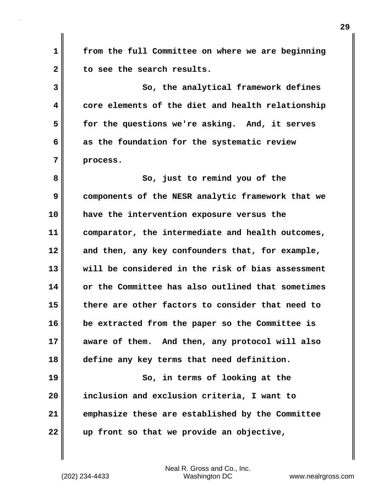**1 from the full Committee on where we are beginning 2 to see the search results.**

**3 So, the analytical framework defines 4 core elements of the diet and health relationship 5 for the questions we're asking. And, it serves 6 as the foundation for the systematic review 7 process.**

**8** So, just to remind you of the **9 components of the NESR analytic framework that we 10 have the intervention exposure versus the 11 comparator, the intermediate and health outcomes, 12 and then, any key confounders that, for example, 13 will be considered in the risk of bias assessment 14 or the Committee has also outlined that sometimes 15 there are other factors to consider that need to 16 be extracted from the paper so the Committee is 17 aware of them. And then, any protocol will also 18 define any key terms that need definition. 19 So, in terms of looking at the 20 inclusion and exclusion criteria, I want to 21 emphasize these are established by the Committee**

**22 up front so that we provide an objective,**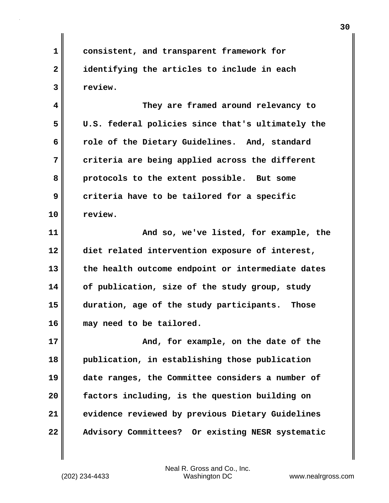**1 consistent, and transparent framework for 2 identifying the articles to include in each 3 review.**

**4 They are framed around relevancy to 5 U.S. federal policies since that's ultimately the 6 role of the Dietary Guidelines. And, standard 7 criteria are being applied across the different 8 protocols to the extent possible. But some 9 criteria have to be tailored for a specific 10 review.**

**11 And so, we've listed, for example, the 12 diet related intervention exposure of interest, 13 the health outcome endpoint or intermediate dates 14 of publication, size of the study group, study 15 duration, age of the study participants. Those 16 may need to be tailored.**

**17 And, for example, on the date of the 18 publication, in establishing those publication 19 date ranges, the Committee considers a number of 20 factors including, is the question building on 21 evidence reviewed by previous Dietary Guidelines 22 Advisory Committees? Or existing NESR systematic**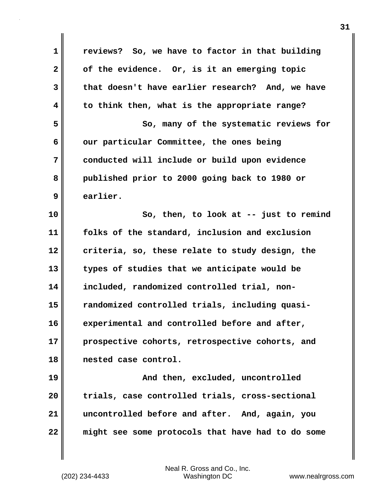| $\mathbf 1$  | reviews? So, we have to factor in that building   |
|--------------|---------------------------------------------------|
| $\mathbf{2}$ | of the evidence. Or, is it an emerging topic      |
| 3            | that doesn't have earlier research? And, we have  |
| 4            | to think then, what is the appropriate range?     |
| 5            | So, many of the systematic reviews for            |
| 6            | our particular Committee, the ones being          |
| 7            | conducted will include or build upon evidence     |
| 8            | published prior to 2000 going back to 1980 or     |
| 9            | earlier.                                          |
| 10           | So, then, to look at -- just to remind            |
| 11           | folks of the standard, inclusion and exclusion    |
| 12           | criteria, so, these relate to study design, the   |
| 13           | types of studies that we anticipate would be      |
| 14           | included, randomized controlled trial, non-       |
| 15           | randomized controlled trials, including quasi-    |
| 16           | experimental and controlled before and after,     |
| 17           | prospective cohorts, retrospective cohorts, and   |
| 18           | nested case control.                              |
| 19           | And then, excluded, uncontrolled                  |
| 20           | trials, case controlled trials, cross-sectional   |
| 21           | uncontrolled before and after. And, again, you    |
| 22           | might see some protocols that have had to do some |

 $\mathbf{l}$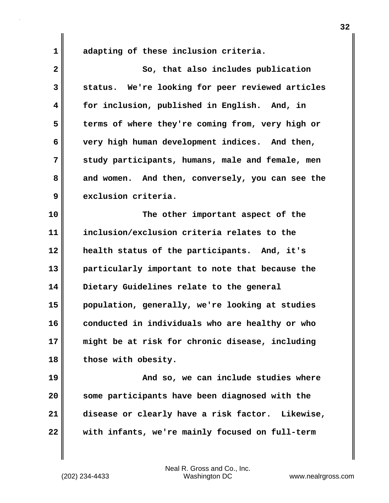**1 adapting of these inclusion criteria. 2** So, that also includes publication **3 status. We're looking for peer reviewed articles 4 for inclusion, published in English. And, in 5 terms of where they're coming from, very high or 6 very high human development indices. And then, 7 study participants, humans, male and female, men 8 and women. And then, conversely, you can see the 9 exclusion criteria. 10 The other important aspect of the**

**11 inclusion/exclusion criteria relates to the 12 health status of the participants. And, it's 13 particularly important to note that because the 14 Dietary Guidelines relate to the general 15 population, generally, we're looking at studies 16 conducted in individuals who are healthy or who 17 might be at risk for chronic disease, including 18 those with obesity.**

**19 And so, we can include studies where 20 some participants have been diagnosed with the 21 disease or clearly have a risk factor. Likewise, 22 with infants, we're mainly focused on full-term**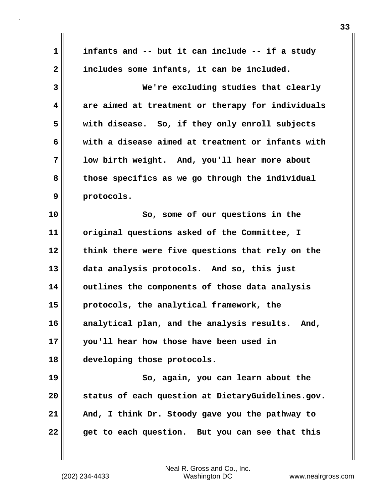| $\mathbf 1$  | infants and -- but it can include -- if a study    |
|--------------|----------------------------------------------------|
| $\mathbf{2}$ | includes some infants, it can be included.         |
| 3            | We're excluding studies that clearly               |
| 4            | are aimed at treatment or therapy for individuals  |
| 5            | with disease. So, if they only enroll subjects     |
| 6            | with a disease aimed at treatment or infants with  |
| 7            | low birth weight. And, you'll hear more about      |
| 8            | those specifics as we go through the individual    |
| 9            | protocols.                                         |
| 10           | So, some of our questions in the                   |
| 11           | original questions asked of the Committee, I       |
| 12           | think there were five questions that rely on the   |
| 13           | data analysis protocols. And so, this just         |
| 14           | outlines the components of those data analysis     |
| 15           | protocols, the analytical framework, the           |
| 16           | analytical plan, and the analysis results.<br>And, |
| 17           | you'll hear how those have been used in            |
| 18           | developing those protocols.                        |
| 19           | So, again, you can learn about the                 |
| 20           | status of each question at DietaryGuidelines.gov.  |
| 21           | And, I think Dr. Stoody gave you the pathway to    |
| 22           | get to each question. But you can see that this    |

(202) 234-4433 Washington DC www.nealrgross.com Neal R. Gross and Co., Inc.

 $\mathbf{l}$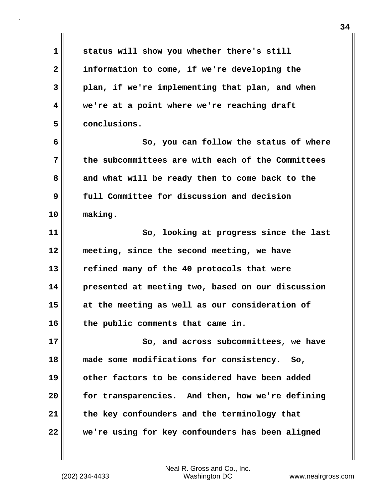**1 status will show you whether there's still 2 information to come, if we're developing the 3 plan, if we're implementing that plan, and when 4 we're at a point where we're reaching draft 5 conclusions. 6 So, you can follow the status of where 7 the subcommittees are with each of the Committees 8 and what will be ready then to come back to the 9 full Committee for discussion and decision 10 making. 11 So, looking at progress since the last 12 meeting, since the second meeting, we have 13 refined many of the 40 protocols that were 14 presented at meeting two, based on our discussion 15 at the meeting as well as our consideration of 16 the public comments that came in. 17** So, and across subcommittees, we have **18 made some modifications for consistency. So, 19 other factors to be considered have been added 20 for transparencies. And then, how we're defining 21 the key confounders and the terminology that 22 we're using for key confounders has been aligned**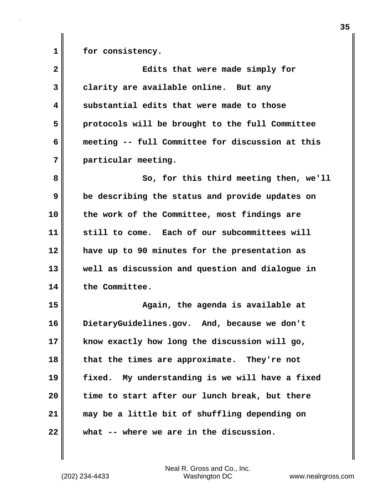1 for consistency.

| $\overline{\mathbf{2}}$ | Edits that were made simply for                  |
|-------------------------|--------------------------------------------------|
| 3                       | clarity are available online. But any            |
| 4                       | substantial edits that were made to those        |
| 5                       | protocols will be brought to the full Committee  |
| 6                       | meeting -- full Committee for discussion at this |
| 7                       | particular meeting.                              |
| 8                       | So, for this third meeting then, we'll           |
| 9                       | be describing the status and provide updates on  |
| 10                      | the work of the Committee, most findings are     |
| 11                      | still to come. Each of our subcommittees will    |
| 12                      | have up to 90 minutes for the presentation as    |
| 13                      | well as discussion and question and dialogue in  |
| 14                      | the Committee.                                   |
| 15                      | Again, the agenda is available at                |
| 16                      | DietaryGuidelines.gov. And, because we don't     |
| 17                      | know exactly how long the discussion will go,    |
| 18                      | that the times are approximate. They're not      |
| 19                      | fixed. My understanding is we will have a fixed  |
| 20                      | time to start after our lunch break, but there   |
| 21                      | may be a little bit of shuffling depending on    |
| 22                      | what -- where we are in the discussion.          |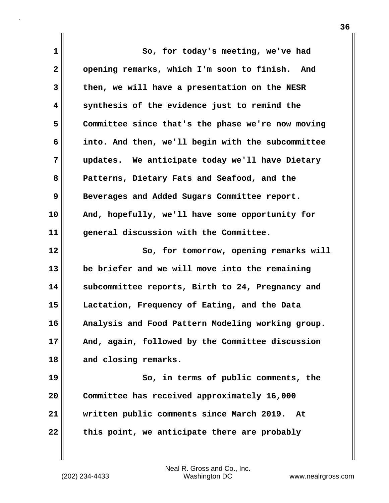| 1            | So, for today's meeting, we've had                |
|--------------|---------------------------------------------------|
| $\mathbf{2}$ | opening remarks, which I'm soon to finish. And    |
| 3            | then, we will have a presentation on the NESR     |
| 4            | synthesis of the evidence just to remind the      |
| 5            | Committee since that's the phase we're now moving |
| 6            | into. And then, we'll begin with the subcommittee |
| 7            | updates. We anticipate today we'll have Dietary   |
| 8            | Patterns, Dietary Fats and Seafood, and the       |
| 9            | Beverages and Added Sugars Committee report.      |
| 10           | And, hopefully, we'll have some opportunity for   |
| 11           | general discussion with the Committee.            |
| 12           | So, for tomorrow, opening remarks will            |
| 13           | be briefer and we will move into the remaining    |
| 14           |                                                   |
|              | subcommittee reports, Birth to 24, Pregnancy and  |
| 15           | Lactation, Frequency of Eating, and the Data      |
| 16           | Analysis and Food Pattern Modeling working group. |
| 17           | And, again, followed by the Committee discussion  |
| 18           | and closing remarks.                              |
| 19           | So, in terms of public comments, the              |
| 20           | Committee has received approximately 16,000       |
| 21           | written public comments since March 2019.<br>At   |

(202) 234-4433 Washington DC www.nealrgross.com Neal R. Gross and Co., Inc.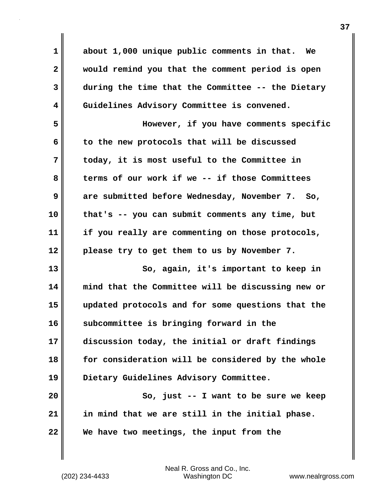| 1            | about 1,000 unique public comments in that. We    |
|--------------|---------------------------------------------------|
| $\mathbf{2}$ | would remind you that the comment period is open  |
| 3            | during the time that the Committee -- the Dietary |
| 4            | Guidelines Advisory Committee is convened.        |
| 5            | However, if you have comments specific            |
| 6            | to the new protocols that will be discussed       |
| 7            | today, it is most useful to the Committee in      |
| 8            | terms of our work if we -- if those Committees    |
| 9            | are submitted before Wednesday, November 7. So,   |
| 10           | that's -- you can submit comments any time, but   |
| 11           | if you really are commenting on those protocols,  |
| 12           | please try to get them to us by November 7.       |
| 13           | So, again, it's important to keep in              |
| 14           | mind that the Committee will be discussing new or |
| 15           | updated protocols and for some questions that the |
| 16           | subcommittee is bringing forward in the           |
| 17           | discussion today, the initial or draft findings   |
| 18           | for consideration will be considered by the whole |
| 19           | Dietary Guidelines Advisory Committee.            |
| 20           | So, just -- I want to be sure we keep             |
| 21           | in mind that we are still in the initial phase.   |
| 22           | We have two meetings, the input from the          |

 $\mathbf{I}$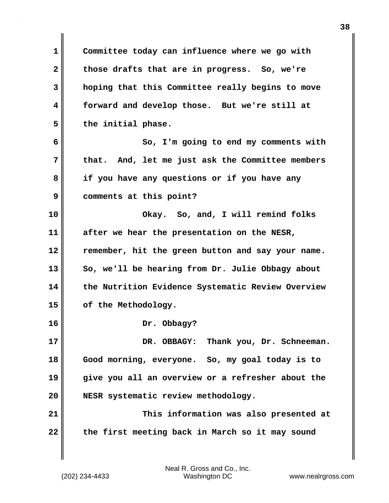**1 Committee today can influence where we go with 2 those drafts that are in progress. So, we're 3 hoping that this Committee really begins to move 4 forward and develop those. But we're still at 5 the initial phase. 6 So, I'm going to end my comments with 7 that. And, let me just ask the Committee members 8 if you have any questions or if you have any 9 comments at this point? 10 Okay. So, and, I will remind folks 11 after we hear the presentation on the NESR, 12 remember, hit the green button and say your name.**  13 So, we'll be hearing from Dr. Julie Obbagy about **14 the Nutrition Evidence Systematic Review Overview 15 of the Methodology. 16 Dr. Obbagy? 17 DR. OBBAGY: Thank you, Dr. Schneeman. 18 Good morning, everyone. So, my goal today is to 19 give you all an overview or a refresher about the 20 NESR systematic review methodology. 21 This information was also presented at 22 the first meeting back in March so it may sound**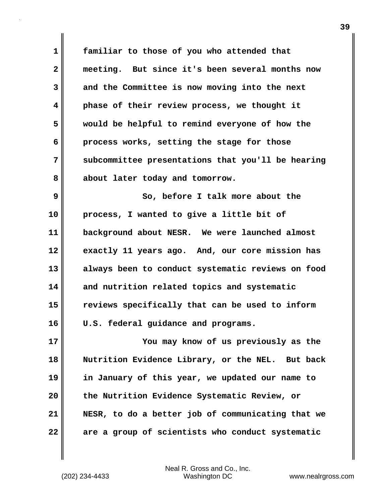**1 familiar to those of you who attended that 2 meeting. But since it's been several months now 3 and the Committee is now moving into the next 4 phase of their review process, we thought it 5 would be helpful to remind everyone of how the 6 process works, setting the stage for those 7 subcommittee presentations that you'll be hearing 8 about later today and tomorrow. 9** So, before I talk more about the **10 process, I wanted to give a little bit of 11 background about NESR. We were launched almost 12 exactly 11 years ago. And, our core mission has 13 always been to conduct systematic reviews on food 14 and nutrition related topics and systematic 15 reviews specifically that can be used to inform 16 U.S. federal guidance and programs. 17 You may know of us previously as the 18 Nutrition Evidence Library, or the NEL. But back 19 in January of this year, we updated our name to 20 the Nutrition Evidence Systematic Review, or 21 NESR, to do a better job of communicating that we 22 are a group of scientists who conduct systematic**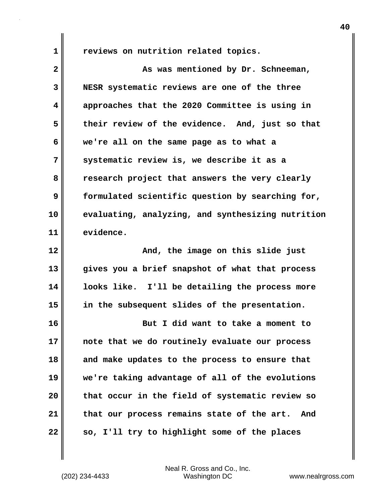**1 reviews on nutrition related topics.**

| $\mathbf{2}$ | As was mentioned by Dr. Schneeman,                |
|--------------|---------------------------------------------------|
| 3            | NESR systematic reviews are one of the three      |
| 4            | approaches that the 2020 Committee is using in    |
| 5            | their review of the evidence. And, just so that   |
| 6            | we're all on the same page as to what a           |
| 7            | systematic review is, we describe it as a         |
| 8            | research project that answers the very clearly    |
| 9            | formulated scientific question by searching for,  |
| 10           | evaluating, analyzing, and synthesizing nutrition |
| 11           | evidence.                                         |
| 12           | And, the image on this slide just                 |
| 13           | gives you a brief snapshot of what that process   |
| 14           | looks like. I'll be detailing the process more    |
| 15           | in the subsequent slides of the presentation.     |
| 16           | But I did want to take a moment to                |
| 17           | note that we do routinely evaluate our process    |
| 18           | and make updates to the process to ensure that    |
| 19           | we're taking advantage of all of the evolutions   |
| 20           | that occur in the field of systematic review so   |
| 21           | that our process remains state of the art.<br>And |
| 22           | so, I'll try to highlight some of the places      |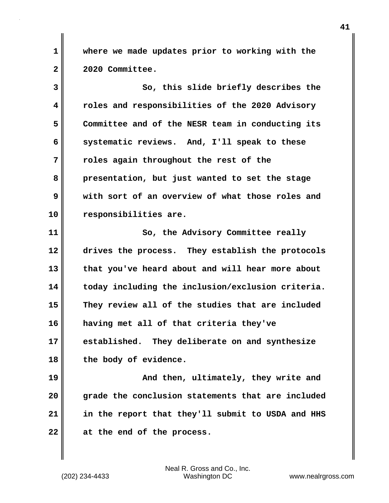**1 where we made updates prior to working with the 2 2020 Committee.**

**3 So, this slide briefly describes the 4 roles and responsibilities of the 2020 Advisory 5 Committee and of the NESR team in conducting its 6 systematic reviews. And, I'll speak to these 7 roles again throughout the rest of the 8 presentation, but just wanted to set the stage 9 with sort of an overview of what those roles and 10 responsibilities are. 11** So, the Advisory Committee really **12 drives the process. They establish the protocols 13 that you've heard about and will hear more about 14 today including the inclusion/exclusion criteria. 15 They review all of the studies that are included**

**17 established. They deliberate on and synthesize 18 the body of evidence.**

**16 having met all of that criteria they've**

**19 And then, ultimately, they write and 20 grade the conclusion statements that are included 21 in the report that they'll submit to USDA and HHS 22 at the end of the process.**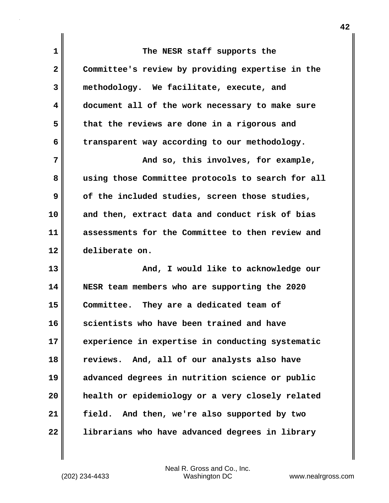**1 The NESR staff supports the 2 Committee's review by providing expertise in the 3 methodology. We facilitate, execute, and 4 document all of the work necessary to make sure 5 that the reviews are done in a rigorous and 6 transparent way according to our methodology. 7 And so, this involves, for example, 8 using those Committee protocols to search for all 9 of the included studies, screen those studies, 10 and then, extract data and conduct risk of bias 11 assessments for the Committee to then review and 12 deliberate on. 13 And, I would like to acknowledge our 14 NESR team members who are supporting the 2020 15 Committee. They are a dedicated team of 16 scientists who have been trained and have 17 experience in expertise in conducting systematic 18 reviews. And, all of our analysts also have 19 advanced degrees in nutrition science or public 20 health or epidemiology or a very closely related 21 field. And then, we're also supported by two 22 librarians who have advanced degrees in library**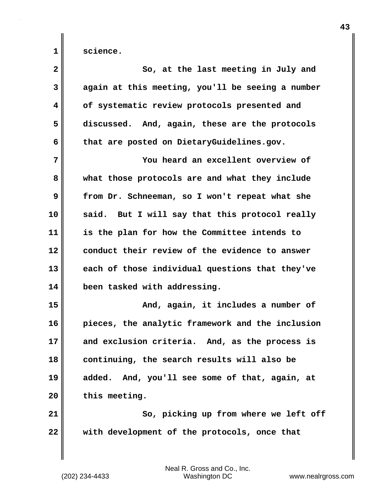**1 science.**

| $\overline{\mathbf{2}}$ | So, at the last meeting in July and              |
|-------------------------|--------------------------------------------------|
| 3                       | again at this meeting, you'll be seeing a number |
| 4                       | of systematic review protocols presented and     |
| 5                       | discussed. And, again, these are the protocols   |
| 6                       | that are posted on DietaryGuidelines.gov.        |
| 7                       | You heard an excellent overview of               |
| 8                       | what those protocols are and what they include   |
| 9                       | from Dr. Schneeman, so I won't repeat what she   |
| 10                      | said. But I will say that this protocol really   |
| 11                      | is the plan for how the Committee intends to     |
| 12                      | conduct their review of the evidence to answer   |
| 13                      | each of those individual questions that they've  |
| 14                      | been tasked with addressing.                     |
| 15                      | And, again, it includes a number of              |
| 16                      | pieces, the analytic framework and the inclusion |
| 17                      | and exclusion criteria. And, as the process is   |
| 18                      | continuing, the search results will also be      |
| 19                      | added. And, you'll see some of that, again, at   |
| 20                      | this meeting.                                    |
| 21                      | So, picking up from where we left off            |
| 22                      | with development of the protocols, once that     |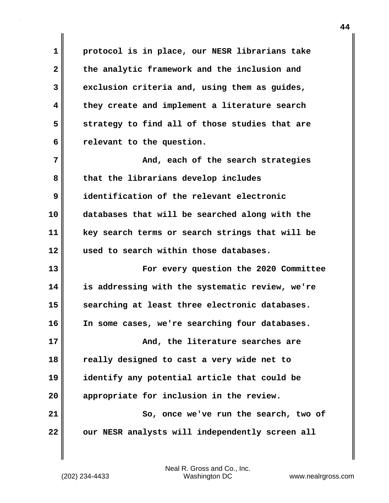**1 protocol is in place, our NESR librarians take 2 the analytic framework and the inclusion and 3 exclusion criteria and, using them as guides, 4 they create and implement a literature search 5 strategy to find all of those studies that are 6 relevant to the question. 7 And, each of the search strategies 8 that the librarians develop includes 9 identification of the relevant electronic 10 databases that will be searched along with the 11 key search terms or search strings that will be 12 used to search within those databases. 13 For every question the 2020 Committee 14 is addressing with the systematic review, we're 15 searching at least three electronic databases. 16 In some cases, we're searching four databases. 17 And, the literature searches are 18 really designed to cast a very wide net to 19 identify any potential article that could be**

**21 So, once we've run the search, two of** 22 **our NESR analysts will independently screen all** 

**20 appropriate for inclusion in the review.**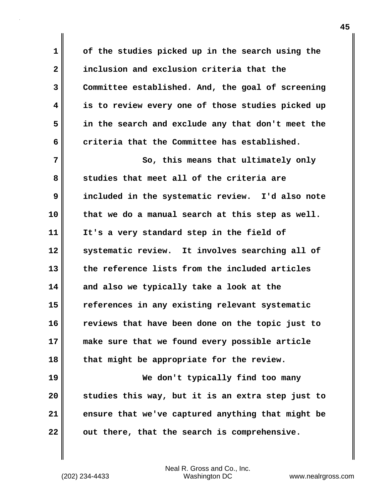**1 of the studies picked up in the search using the 2 inclusion and exclusion criteria that the 3 Committee established. And, the goal of screening 4 is to review every one of those studies picked up 5 in the search and exclude any that don't meet the 6 criteria that the Committee has established.**

**7** So, this means that ultimately only **8 studies that meet all of the criteria are 9 included in the systematic review. I'd also note 10 that we do a manual search at this step as well. 11 It's a very standard step in the field of 12 systematic review. It involves searching all of 13 the reference lists from the included articles 14 and also we typically take a look at the 15 references in any existing relevant systematic 16 reviews that have been done on the topic just to 17 make sure that we found every possible article 18 that might be appropriate for the review.**

**19 We don't typically find too many 20 studies this way, but it is an extra step just to 21 ensure that we've captured anything that might be 22 out there, that the search is comprehensive.**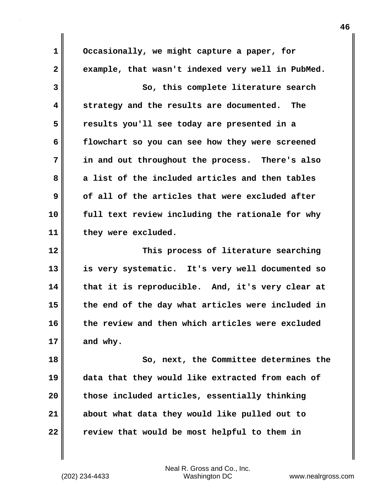**1 Occasionally, we might capture a paper, for 2 example, that wasn't indexed very well in PubMed. 3 So, this complete literature search 4 strategy and the results are documented. The 5 results you'll see today are presented in a 6 flowchart so you can see how they were screened 7 in and out throughout the process. There's also 8 a list of the included articles and then tables 9 of all of the articles that were excluded after 10 full text review including the rationale for why 11 they were excluded. 12 This process of literature searching 13 is very systematic. It's very well documented so 14 that it is reproducible. And, it's very clear at 15 the end of the day what articles were included in 16 the review and then which articles were excluded 17 and why. 18 So, next, the Committee determines the 19 data that they would like extracted from each of 20 those included articles, essentially thinking 21 about what data they would like pulled out to 22 review that would be most helpful to them in**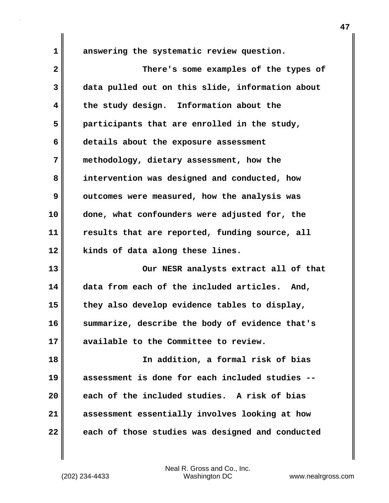**1 answering the systematic review question.**

**2 There's some examples of the types of 3 data pulled out on this slide, information about 4 the study design. Information about the 5 participants that are enrolled in the study, 6 details about the exposure assessment 7 methodology, dietary assessment, how the 8 intervention was designed and conducted, how 9 outcomes were measured, how the analysis was 10 done, what confounders were adjusted for, the 11 results that are reported, funding source, all 12 kinds of data along these lines. 13 Our NESR analysts extract all of that 14 data from each of the included articles. And, 15 they also develop evidence tables to display, 16 summarize, describe the body of evidence that's 17 available to the Committee to review. 18 In addition, a formal risk of bias 19 assessment is done for each included studies -- 20 each of the included studies. A risk of bias 21 assessment essentially involves looking at how 22 each of those studies was designed and conducted**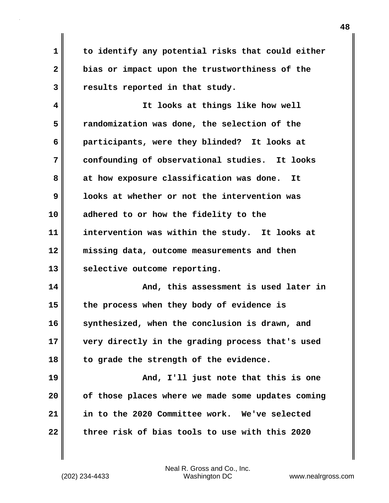**1 to identify any potential risks that could either 2 bias or impact upon the trustworthiness of the 3 results reported in that study.**

**4 It looks at things like how well 5 randomization was done, the selection of the 6 participants, were they blinded? It looks at 7 confounding of observational studies. It looks 8 at how exposure classification was done. It 9 looks at whether or not the intervention was 10 adhered to or how the fidelity to the 11 intervention was within the study. It looks at 12 missing data, outcome measurements and then 13 selective outcome reporting.**

**14 And, this assessment is used later in 15 the process when they body of evidence is 16 synthesized, when the conclusion is drawn, and 17 very directly in the grading process that's used 18 to grade the strength of the evidence.**

**19 And, I'll just note that this is one 20 of those places where we made some updates coming 21 in to the 2020 Committee work. We've selected 22 three risk of bias tools to use with this 2020**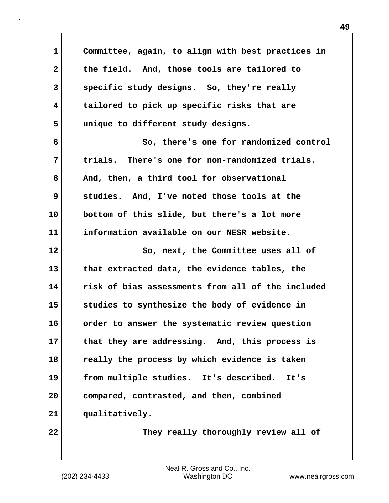**1 Committee, again, to align with best practices in 2 the field. And, those tools are tailored to 3 specific study designs. So, they're really 4 tailored to pick up specific risks that are 5 unique to different study designs. 6 So, there's one for randomized control 7 trials. There's one for non-randomized trials.**  8 And, then, a third tool for observational **9 studies. And, I've noted those tools at the 10 bottom of this slide, but there's a lot more 11 information available on our NESR website. 12** So, next, the Committee uses all of **13 that extracted data, the evidence tables, the 14 risk of bias assessments from all of the included 15 studies to synthesize the body of evidence in 16 order to answer the systematic review question 17 that they are addressing. And, this process is 18 really the process by which evidence is taken 19 from multiple studies. It's described. It's 20 compared, contrasted, and then, combined 21 qualitatively. 22** Ney really thoroughly review all of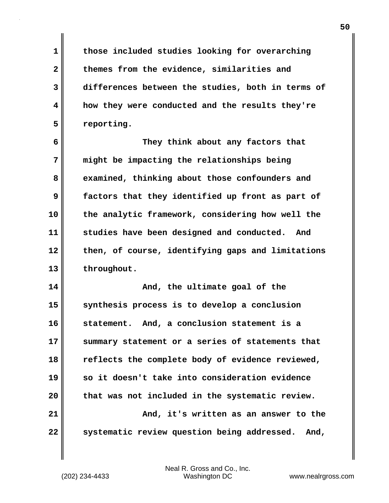**1 those included studies looking for overarching 2 themes from the evidence, similarities and 3 differences between the studies, both in terms of 4 how they were conducted and the results they're 5 reporting.**

**6 They think about any factors that 7 might be impacting the relationships being 8 examined, thinking about those confounders and 9 factors that they identified up front as part of 10 the analytic framework, considering how well the 11 studies have been designed and conducted. And 12 then, of course, identifying gaps and limitations 13 throughout.**

**14 And, the ultimate goal of the 15 synthesis process is to develop a conclusion 16 statement. And, a conclusion statement is a 17 summary statement or a series of statements that 18 reflects the complete body of evidence reviewed, 19 so it doesn't take into consideration evidence 20 that was not included in the systematic review. 21 And, it's written as an answer to the 22** systematic review question being addressed. And,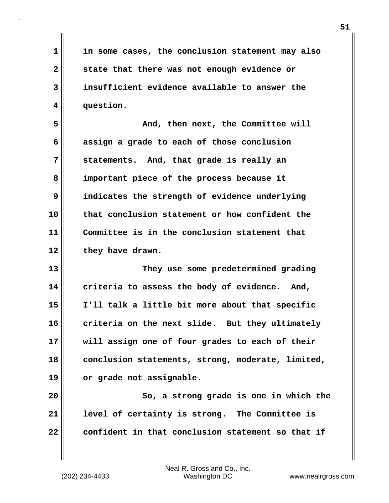**1 in some cases, the conclusion statement may also 2 state that there was not enough evidence or 3 insufficient evidence available to answer the 4 question.**

**5 And, then next, the Committee will 6 assign a grade to each of those conclusion 7 statements. And, that grade is really an 8 important piece of the process because it 9 indicates the strength of evidence underlying 10 that conclusion statement or how confident the 11 Committee is in the conclusion statement that** 12 they have drawn.

**13 They use some predetermined grading 14 criteria to assess the body of evidence. And, 15 I'll talk a little bit more about that specific 16 criteria on the next slide. But they ultimately 17 will assign one of four grades to each of their 18 conclusion statements, strong, moderate, limited, 19 or grade not assignable.**

**20 So, a strong grade is one in which the 21 level of certainty is strong. The Committee is 22 confident in that conclusion statement so that if**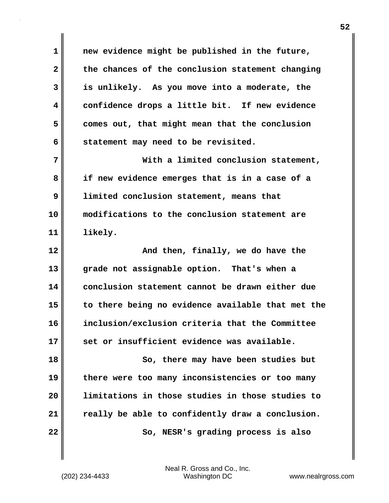**1 new evidence might be published in the future, 2 the chances of the conclusion statement changing 3 is unlikely. As you move into a moderate, the 4 confidence drops a little bit. If new evidence 5 comes out, that might mean that the conclusion 6 statement may need to be revisited. 7 With a limited conclusion statement, 8 if new evidence emerges that is in a case of a 9 limited conclusion statement, means that 10 modifications to the conclusion statement are 11 likely. 12 And then, finally, we do have the 13 grade not assignable option. That's when a 14 conclusion statement cannot be drawn either due 15 to there being no evidence available that met the**

**16 inclusion/exclusion criteria that the Committee 17 set or insufficient evidence was available.**

**18 So, there may have been studies but 19 there were too many inconsistencies or too many 20 limitations in those studies in those studies to 21 really be able to confidently draw a conclusion.** 22 **So, NESR's grading process is also**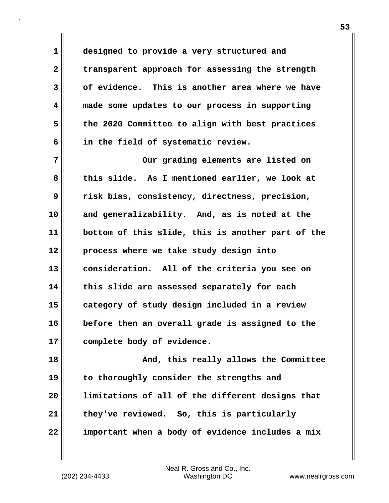**1 designed to provide a very structured and 2 transparent approach for assessing the strength 3 of evidence. This is another area where we have 4 made some updates to our process in supporting 5 the 2020 Committee to align with best practices 6 in the field of systematic review.**

**7** Our grading elements are listed on **8 this slide. As I mentioned earlier, we look at 9 risk bias, consistency, directness, precision, 10 and generalizability. And, as is noted at the 11 bottom of this slide, this is another part of the 12 process where we take study design into 13 consideration. All of the criteria you see on 14 this slide are assessed separately for each 15 category of study design included in a review 16 before then an overall grade is assigned to the 17 complete body of evidence.**

**18 And, this really allows the Committee 19 to thoroughly consider the strengths and 20 limitations of all of the different designs that 21 they've reviewed. So, this is particularly 22 important when a body of evidence includes a mix**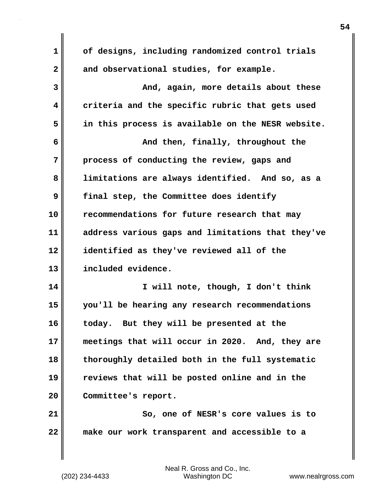| $\mathbf{1}$ | of designs, including randomized control trials   |
|--------------|---------------------------------------------------|
| $\mathbf{2}$ | and observational studies, for example.           |
| 3            | And, again, more details about these              |
| 4            | criteria and the specific rubric that gets used   |
| 5            | in this process is available on the NESR website. |
| 6            | And then, finally, throughout the                 |
| 7            | process of conducting the review, gaps and        |
| 8            | limitations are always identified. And so, as a   |
| 9            | final step, the Committee does identify           |
| 10           | recommendations for future research that may      |
| 11           | address various gaps and limitations that they've |
| 12           | identified as they've reviewed all of the         |
| 13           | included evidence.                                |
| 14           | I will note, though, I don't think                |
| 15           | you'll be hearing any research recommendations    |
| 16           | But they will be presented at the<br>today.       |
| 17           | meetings that will occur in 2020. And, they are   |
| 18           | thoroughly detailed both in the full systematic   |
| 19           | reviews that will be posted online and in the     |
| 20           | Committee's report.                               |
| 21           | So, one of NESR's core values is to               |
| 22           | make our work transparent and accessible to a     |
|              |                                                   |

 $\mathbf{l}$ 

**54**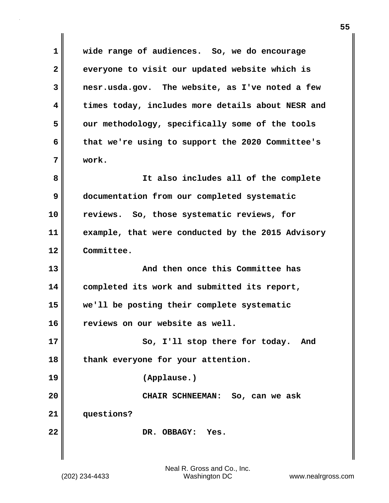**1 wide range of audiences. So, we do encourage 2 everyone to visit our updated website which is 3 nesr.usda.gov. The website, as I've noted a few 4 times today, includes more details about NESR and** 5 our methodology, specifically some of the tools **6 that we're using to support the 2020 Committee's 7 work. 8 It also includes all of the complete 9 documentation from our completed systematic 10 reviews. So, those systematic reviews, for 11 example, that were conducted by the 2015 Advisory 12 Committee. 13 And then once this Committee has 14 completed its work and submitted its report, 15 we'll be posting their complete systematic 16 reviews on our website as well. 17** So, I'll stop there for today. And **18 thank everyone for your attention. 19 (Applause.) 20 CHAIR SCHNEEMAN: So, can we ask 21 questions? 22 DR. OBBAGY: Yes.**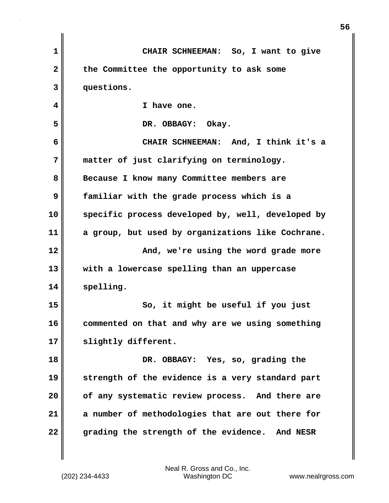| $\mathbf{1}$ | CHAIR SCHNEEMAN: So, I want to give               |
|--------------|---------------------------------------------------|
| $\mathbf{2}$ | the Committee the opportunity to ask some         |
| 3            | questions.                                        |
| 4            | I have one.                                       |
| 5            | DR. OBBAGY: Okay.                                 |
| 6            | CHAIR SCHNEEMAN: And, I think it's a              |
| 7            | matter of just clarifying on terminology.         |
| 8            | Because I know many Committee members are         |
| 9            | familiar with the grade process which is a        |
| 10           | specific process developed by, well, developed by |
| 11           | a group, but used by organizations like Cochrane. |
| 12           | And, we're using the word grade more              |
| 13           | with a lowercase spelling than an uppercase       |
| 14           | spelling.                                         |
| 15           | So, it might be useful if you just                |
| 16           | commented on that and why are we using something  |
| 17           | slightly different.                               |
| 18           | DR. OBBAGY: Yes, so, grading the                  |
| 19           | strength of the evidence is a very standard part  |
| 20           | of any systematic review process. And there are   |
| 21           | a number of methodologies that are out there for  |
| 22           | grading the strength of the evidence. And NESR    |
|              |                                                   |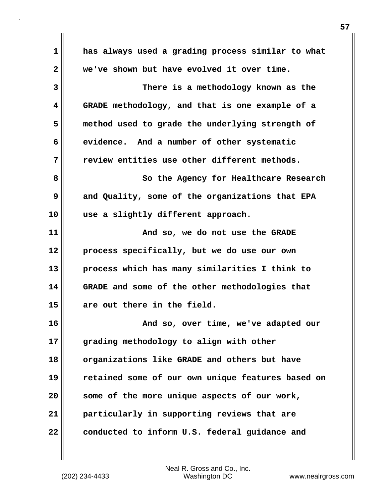**1 has always used a grading process similar to what 2 we've shown but have evolved it over time. 3 There is a methodology known as the 4 GRADE methodology, and that is one example of a 5 method used to grade the underlying strength of 6 evidence. And a number of other systematic 7 review entities use other different methods. 8 So the Agency for Healthcare Research 9 and Quality, some of the organizations that EPA 10 use a slightly different approach. 11 And so, we do not use the GRADE 12 process specifically, but we do use our own 13 process which has many similarities I think to 14 GRADE and some of the other methodologies that 15 are out there in the field. 16 And so, over time, we've adapted our 17 grading methodology to align with other 18 organizations like GRADE and others but have 19 retained some of our own unique features based on 20 some of the more unique aspects of our work, 21 particularly in supporting reviews that are 22 conducted to inform U.S. federal guidance and**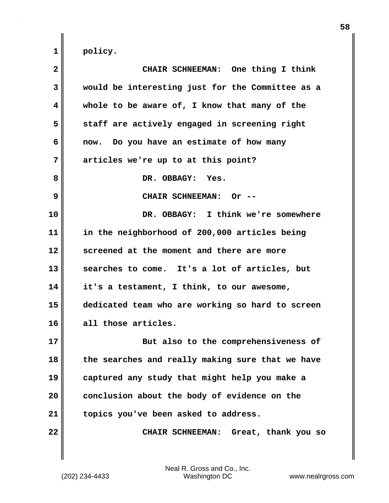| $\mathbf{2}$ | CHAIR SCHNEEMAN: One thing I think               |
|--------------|--------------------------------------------------|
| 3            | would be interesting just for the Committee as a |
| 4            | whole to be aware of, I know that many of the    |
| 5            | staff are actively engaged in screening right    |
| 6            | now. Do you have an estimate of how many         |
| 7            | articles we're up to at this point?              |
| 8            | DR. OBBAGY: Yes.                                 |
| 9            | CHAIR SCHNEEMAN: Or --                           |
| 10           | DR. OBBAGY: I think we're somewhere              |
| 11           | in the neighborhood of 200,000 articles being    |
| 12           | screened at the moment and there are more        |
| 13           | searches to come. It's a lot of articles, but    |
| 14           | it's a testament, I think, to our awesome,       |
| 15           | dedicated team who are working so hard to screen |
| 16           | all those articles.                              |
| 17           | But also to the comprehensiveness of             |
| 18           | the searches and really making sure that we have |
| 19           | captured any study that might help you make a    |
| 20           | conclusion about the body of evidence on the     |
| 21           | topics you've been asked to address.             |
| 22           | CHAIR SCHNEEMAN: Great, thank you so             |
|              |                                                  |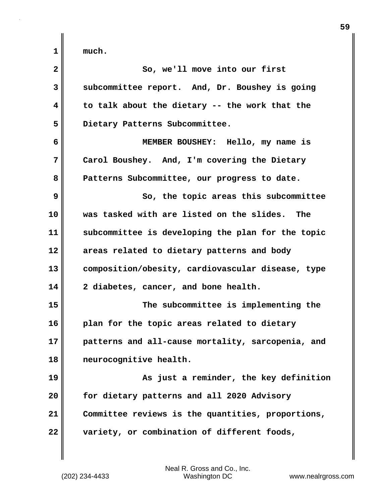| 1  | much.                                             |
|----|---------------------------------------------------|
| 2  | So, we'll move into our first                     |
| 3  | subcommittee report. And, Dr. Boushey is going    |
| 4  | to talk about the dietary -- the work that the    |
| 5  | Dietary Patterns Subcommittee.                    |
| 6  | MEMBER BOUSHEY: Hello, my name is                 |
| 7  | Carol Boushey. And, I'm covering the Dietary      |
| 8  | Patterns Subcommittee, our progress to date.      |
| 9  | So, the topic areas this subcommittee             |
| 10 | was tasked with are listed on the slides. The     |
| 11 | subcommittee is developing the plan for the topic |
| 12 | areas related to dietary patterns and body        |
| 13 | composition/obesity, cardiovascular disease, type |
| 14 | 2 diabetes, cancer, and bone health.              |
| 15 | The subcommittee is implementing the              |
| 16 | plan for the topic areas related to dietary       |
| 17 | patterns and all-cause mortality, sarcopenia, and |
| 18 | neurocognitive health.                            |
| 19 | As just a reminder, the key definition            |
| 20 | for dietary patterns and all 2020 Advisory        |
| 21 | Committee reviews is the quantities, proportions, |
| 22 | variety, or combination of different foods,       |

 $\mathbf{I}$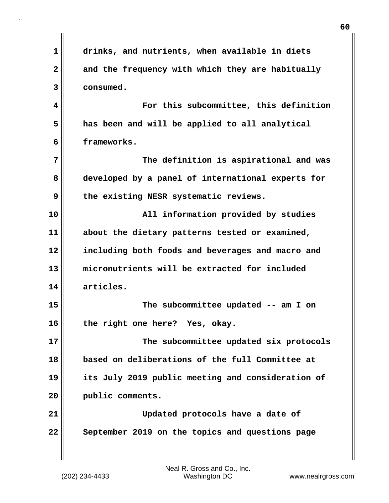| $\mathbf{1}$ | drinks, and nutrients, when available in diets    |
|--------------|---------------------------------------------------|
| 2            | and the frequency with which they are habitually  |
| 3            | consumed.                                         |
| 4            | For this subcommittee, this definition            |
| 5            | has been and will be applied to all analytical    |
| 6            | frameworks.                                       |
| 7            | The definition is aspirational and was            |
| 8            | developed by a panel of international experts for |
| 9            | the existing NESR systematic reviews.             |
| 10           | All information provided by studies               |
| 11           | about the dietary patterns tested or examined,    |
| 12           | including both foods and beverages and macro and  |
| 13           | micronutrients will be extracted for included     |
| 14           | articles.                                         |
| 15           | The subcommittee updated -- am I on               |
| 16           | the right one here? Yes, okay.                    |
| 17           | The subcommittee updated six protocols            |
| 18           | based on deliberations of the full Committee at   |
| 19           | its July 2019 public meeting and consideration of |
| 20           | public comments.                                  |
| 21           | Updated protocols have a date of                  |
| 22           | September 2019 on the topics and questions page   |
|              |                                                   |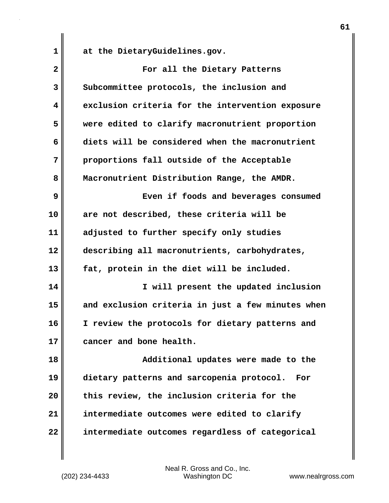**1 at the DietaryGuidelines.gov.**

| $\overline{\mathbf{2}}$ | For all the Dietary Patterns                      |
|-------------------------|---------------------------------------------------|
| 3                       | Subcommittee protocols, the inclusion and         |
| 4                       | exclusion criteria for the intervention exposure  |
| 5                       | were edited to clarify macronutrient proportion   |
| 6                       | diets will be considered when the macronutrient   |
| 7                       | proportions fall outside of the Acceptable        |
| 8                       | Macronutrient Distribution Range, the AMDR.       |
| 9                       | Even if foods and beverages consumed              |
| 10                      | are not described, these criteria will be         |
| 11                      | adjusted to further specify only studies          |
| 12                      | describing all macronutrients, carbohydrates,     |
| 13                      | fat, protein in the diet will be included.        |
| 14                      | I will present the updated inclusion              |
| 15                      | and exclusion criteria in just a few minutes when |
| 16                      | I review the protocols for dietary patterns and   |
| 17                      | cancer and bone health.                           |
| 18                      | Additional updates were made to the               |
| 19                      | dietary patterns and sarcopenia protocol.<br>For  |
| 20                      | this review, the inclusion criteria for the       |
| 21                      | intermediate outcomes were edited to clarify      |
| 22                      | intermediate outcomes regardless of categorical   |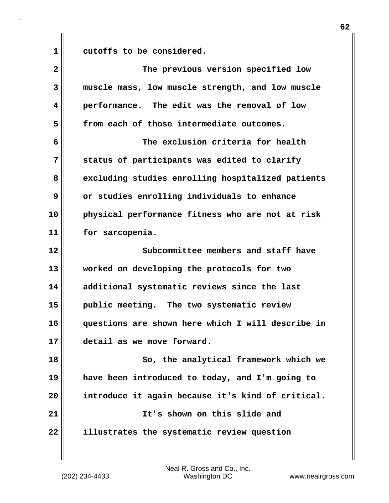1 cutoffs to be considered.

| $\mathbf{2}$            | The previous version specified low                |
|-------------------------|---------------------------------------------------|
| 3                       | muscle mass, low muscle strength, and low muscle  |
| $\overline{\mathbf{4}}$ | performance. The edit was the removal of low      |
| 5                       | from each of those intermediate outcomes.         |
| 6                       | The exclusion criteria for health                 |
| 7                       | status of participants was edited to clarify      |
| 8                       | excluding studies enrolling hospitalized patients |
| 9                       | or studies enrolling individuals to enhance       |
| 10                      | physical performance fitness who are not at risk  |
| 11                      | for sarcopenia.                                   |
| 12                      | Subcommittee members and staff have               |
| 13                      | worked on developing the protocols for two        |
| 14                      | additional systematic reviews since the last      |
| 15                      | public meeting. The two systematic review         |
| 16                      | questions are shown here which I will describe in |
| 17                      | detail as we move forward.                        |
| 18                      | So, the analytical framework which we             |
| 19                      | have been introduced to today, and I'm going to   |
| 20                      | introduce it again because it's kind of critical. |
| 21                      | It's shown on this slide and                      |
| 22                      | illustrates the systematic review question        |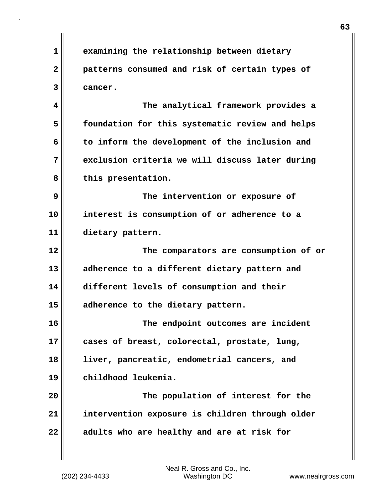**1 examining the relationship between dietary 2 patterns consumed and risk of certain types of 3 cancer. 4 The analytical framework provides a 5 foundation for this systematic review and helps 6 to inform the development of the inclusion and 7 exclusion criteria we will discuss later during 8 this presentation. 9 The intervention or exposure of 10 interest is consumption of or adherence to a 11 dietary pattern. 12 The comparators are consumption of or 13 adherence to a different dietary pattern and 14 different levels of consumption and their 15 adherence to the dietary pattern. 16 The endpoint outcomes are incident 17 cases of breast, colorectal, prostate, lung, 18 liver, pancreatic, endometrial cancers, and 19 childhood leukemia. 20 The population of interest for the 21 intervention exposure is children through older 22 adults who are healthy and are at risk for**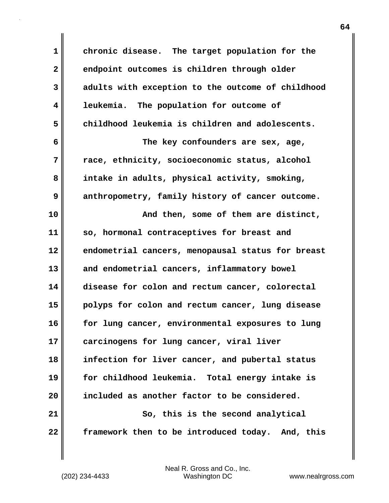**1 chronic disease. The target population for the 2 endpoint outcomes is children through older 3 adults with exception to the outcome of childhood 4 leukemia. The population for outcome of 5 childhood leukemia is children and adolescents. 6 The key confounders are sex, age, 7 race, ethnicity, socioeconomic status, alcohol 8 intake in adults, physical activity, smoking, 9 anthropometry, family history of cancer outcome. 10 And then, some of them are distinct, 11 so, hormonal contraceptives for breast and 12 endometrial cancers, menopausal status for breast 13 and endometrial cancers, inflammatory bowel 14 disease for colon and rectum cancer, colorectal 15 polyps for colon and rectum cancer, lung disease 16 for lung cancer, environmental exposures to lung 17 carcinogens for lung cancer, viral liver 18 infection for liver cancer, and pubertal status 19 for childhood leukemia. Total energy intake is 20 included as another factor to be considered. 21** So, this is the second analytical **22 framework then to be introduced today. And, this**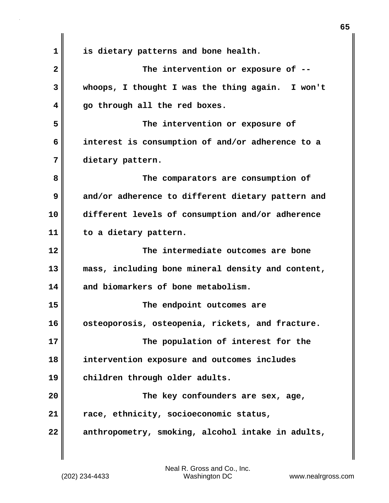**1 is dietary patterns and bone health. 2 The intervention or exposure of -- 3 whoops, I thought I was the thing again. I won't 4 go through all the red boxes. 5 The intervention or exposure of 6 interest is consumption of and/or adherence to a 7 dietary pattern. 8 The comparators are consumption of 9 and/or adherence to different dietary pattern and 10 different levels of consumption and/or adherence 11 to a dietary pattern. 12 The intermediate outcomes are bone 13 mass, including bone mineral density and content, 14 and biomarkers of bone metabolism. 15 The endpoint outcomes are 16 osteoporosis, osteopenia, rickets, and fracture. 17 The population of interest for the 18 intervention exposure and outcomes includes 19 children through older adults. 20 The key confounders are sex, age, 21 race, ethnicity, socioeconomic status, 22 anthropometry, smoking, alcohol intake in adults,**

(202) 234-4433 Washington DC www.nealrgross.com Neal R. Gross and Co., Inc.

**65**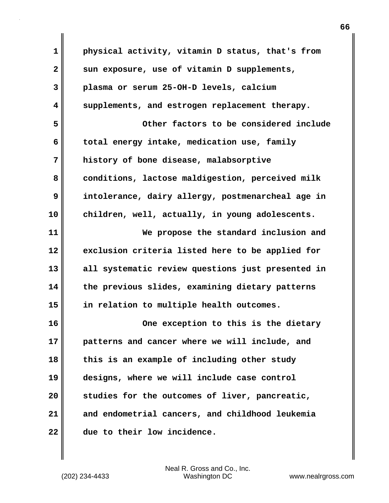| 1            | physical activity, vitamin D status, that's from  |
|--------------|---------------------------------------------------|
| $\mathbf{2}$ | sun exposure, use of vitamin D supplements,       |
| 3            | plasma or serum 25-OH-D levels, calcium           |
| 4            | supplements, and estrogen replacement therapy.    |
| 5            | Other factors to be considered include            |
| 6            | total energy intake, medication use, family       |
| 7            | history of bone disease, malabsorptive            |
| 8            | conditions, lactose maldigestion, perceived milk  |
| 9            | intolerance, dairy allergy, postmenarcheal age in |
| 10           | children, well, actually, in young adolescents.   |
| 11           | We propose the standard inclusion and             |
| 12           | exclusion criteria listed here to be applied for  |
| 13           | all systematic review questions just presented in |
| 14           | the previous slides, examining dietary patterns   |
| 15           | in relation to multiple health outcomes.          |
| 16           | One exception to this is the dietary              |
| 17           | patterns and cancer where we will include, and    |
| 18           | this is an example of including other study       |
| 19           | designs, where we will include case control       |
| 20           | studies for the outcomes of liver, pancreatic,    |
| 21           | and endometrial cancers, and childhood leukemia   |
| 22           | due to their low incidence.                       |

 $\mathbf{I}$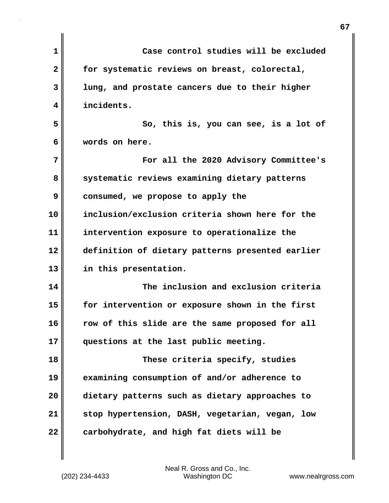| 1            | Case control studies will be excluded            |
|--------------|--------------------------------------------------|
| $\mathbf{2}$ | for systematic reviews on breast, colorectal,    |
| 3            | lung, and prostate cancers due to their higher   |
| 4            | incidents.                                       |
| 5            | So, this is, you can see, is a lot of            |
| 6            | words on here.                                   |
| 7            | For all the 2020 Advisory Committee's            |
| 8            | systematic reviews examining dietary patterns    |
| 9            | consumed, we propose to apply the                |
| 10           | inclusion/exclusion criteria shown here for the  |
| 11           | intervention exposure to operationalize the      |
| 12           | definition of dietary patterns presented earlier |
| 13           | in this presentation.                            |
| 14           | The inclusion and exclusion criteria             |
| 15           | for intervention or exposure shown in the first  |
| 16           | row of this slide are the same proposed for all  |
| 17           | questions at the last public meeting.            |
| 18           | These criteria specify, studies                  |
| 19           | examining consumption of and/or adherence to     |
| 20           | dietary patterns such as dietary approaches to   |
| 21           | stop hypertension, DASH, vegetarian, vegan, low  |
| 22           | carbohydrate, and high fat diets will be         |
|              |                                                  |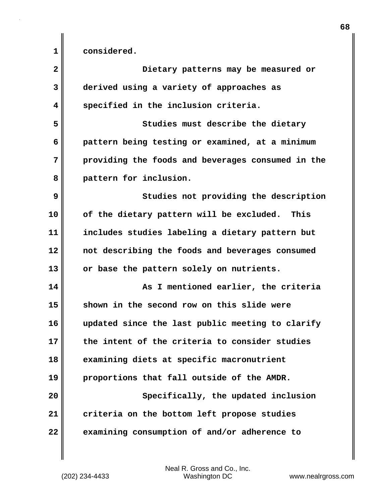1 **considered.** 

| $\overline{\mathbf{2}}$ | Dietary patterns may be measured or               |
|-------------------------|---------------------------------------------------|
| 3                       | derived using a variety of approaches as          |
| 4                       | specified in the inclusion criteria.              |
| 5                       | Studies must describe the dietary                 |
| 6                       | pattern being testing or examined, at a minimum   |
| 7                       | providing the foods and beverages consumed in the |
| 8                       | pattern for inclusion.                            |
| 9                       | Studies not providing the description             |
| 10                      | of the dietary pattern will be excluded.<br>This  |
| 11                      | includes studies labeling a dietary pattern but   |
| 12                      | not describing the foods and beverages consumed   |
| 13                      | or base the pattern solely on nutrients.          |
| 14                      | As I mentioned earlier, the criteria              |
| 15                      | shown in the second row on this slide were        |
| 16                      | updated since the last public meeting to clarify  |
| 17                      | the intent of the criteria to consider studies    |
| 18                      | examining diets at specific macronutrient         |
| 19                      | proportions that fall outside of the AMDR.        |
| 20                      | Specifically, the updated inclusion               |
| 21                      | criteria on the bottom left propose studies       |
| 22                      | examining consumption of and/or adherence to      |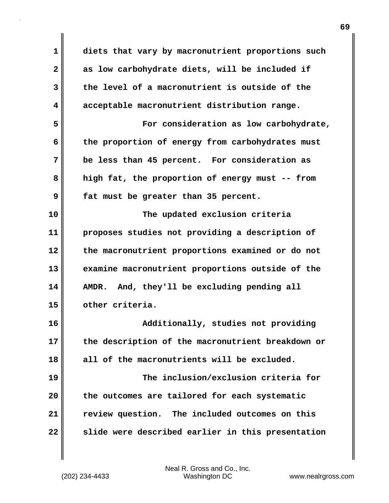**1 diets that vary by macronutrient proportions such 2 as low carbohydrate diets, will be included if 3 the level of a macronutrient is outside of the 4 acceptable macronutrient distribution range. 5 For consideration as low carbohydrate,** 6 || the proportion of energy from carbohydrates must **7 be less than 45 percent. For consideration as 8 high fat, the proportion of energy must -- from 9 fat must be greater than 35 percent. 10 The updated exclusion criteria 11 proposes studies not providing a description of 12 the macronutrient proportions examined or do not 13 examine macronutrient proportions outside of the 14 AMDR. And, they'll be excluding pending all 15 other criteria. 16 Additionally, studies not providing 17 the description of the macronutrient breakdown or 18 all of the macronutrients will be excluded. 19 The inclusion/exclusion criteria for 20 the outcomes are tailored for each systematic 21 review question. The included outcomes on this 22 slide were described earlier in this presentation**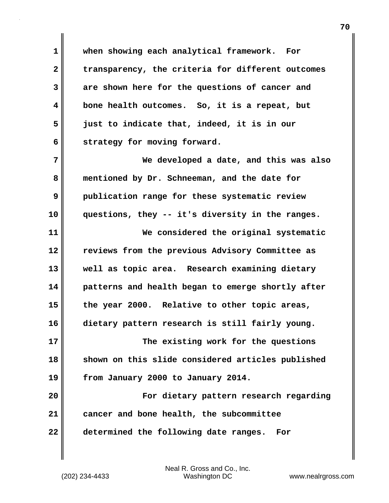**1 when showing each analytical framework. For 2 transparency, the criteria for different outcomes 3 are shown here for the questions of cancer and 4 bone health outcomes. So, it is a repeat, but 5 just to indicate that, indeed, it is in our 6 strategy for moving forward.**

**7 We developed a date, and this was also 8 mentioned by Dr. Schneeman, and the date for 9 publication range for these systematic review 10 questions, they -- it's diversity in the ranges. 11 We considered the original systematic 12 reviews from the previous Advisory Committee as**

**13 well as topic area. Research examining dietary 14 patterns and health began to emerge shortly after 15 the year 2000. Relative to other topic areas, 16 dietary pattern research is still fairly young.**

**17 The existing work for the questions 18 shown on this slide considered articles published 19 from January 2000 to January 2014.**

**20 For dietary pattern research regarding 21 cancer and bone health, the subcommittee 22 determined the following date ranges. For**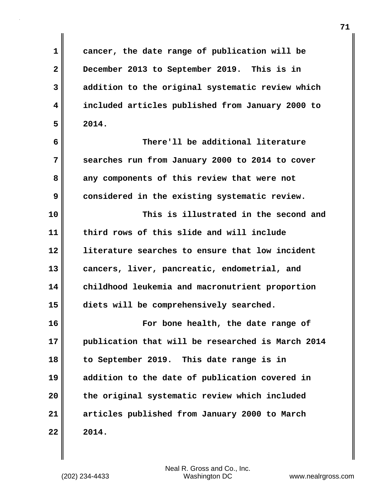**1 cancer, the date range of publication will be 2 December 2013 to September 2019. This is in 3 addition to the original systematic review which 4 included articles published from January 2000 to 5 2014.**

**6 There'll be additional literature 7 searches run from January 2000 to 2014 to cover 8 any components of this review that were not 9 considered in the existing systematic review.**

**10 This is illustrated in the second and 11 third rows of this slide and will include 12 literature searches to ensure that low incident 13 cancers, liver, pancreatic, endometrial, and 14 childhood leukemia and macronutrient proportion 15 diets will be comprehensively searched.**

**16 For bone health, the date range of 17 publication that will be researched is March 2014 18 to September 2019. This date range is in 19 addition to the date of publication covered in 20 the original systematic review which included 21 articles published from January 2000 to March**  $22$  |  $2014$ .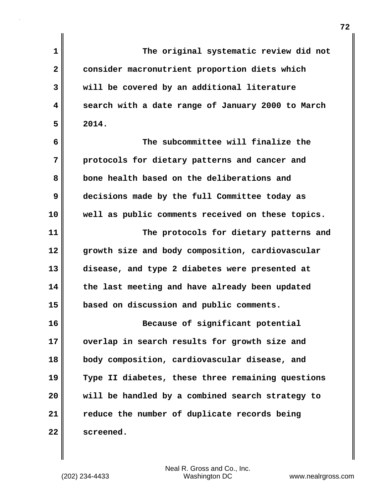| $\mathbf{1}$ | The original systematic review did not            |
|--------------|---------------------------------------------------|
| $\mathbf{2}$ | consider macronutrient proportion diets which     |
| 3            | will be covered by an additional literature       |
| 4            | search with a date range of January 2000 to March |
| 5            | 2014.                                             |
| 6            | The subcommittee will finalize the                |
| 7            | protocols for dietary patterns and cancer and     |
| 8            | bone health based on the deliberations and        |
| 9            | decisions made by the full Committee today as     |
| 10           | well as public comments received on these topics. |
| 11           | The protocols for dietary patterns and            |
| 12           | growth size and body composition, cardiovascular  |
| 13           | disease, and type 2 diabetes were presented at    |
| 14           | the last meeting and have already been updated    |
| 15           | based on discussion and public comments.          |
| 16           | Because of significant potential                  |
| 17           | overlap in search results for growth size and     |
| 18           | body composition, cardiovascular disease, and     |
| 19           | Type II diabetes, these three remaining questions |
| 20           | will be handled by a combined search strategy to  |
| 21           | reduce the number of duplicate records being      |
| 22           | screened.                                         |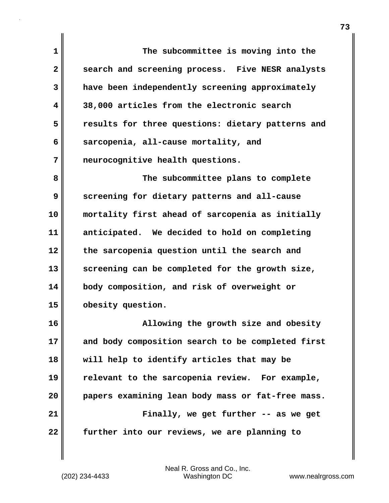**1 The subcommittee is moving into the 2 search and screening process. Five NESR analysts 3 have been independently screening approximately 4 38,000 articles from the electronic search 5 results for three questions: dietary patterns and 6 sarcopenia, all-cause mortality, and 7 neurocognitive health questions. 8 The subcommittee plans to complete 9 screening for dietary patterns and all-cause 10 mortality first ahead of sarcopenia as initially 11 anticipated. We decided to hold on completing 12 the sarcopenia question until the search and 13 screening can be completed for the growth size, 14 body composition, and risk of overweight or 15 obesity question. 16 Allowing the growth size and obesity 17 and body composition search to be completed first 18 will help to identify articles that may be 19 relevant to the sarcopenia review. For example, 20 papers examining lean body mass or fat-free mass. 21 Finally, we get further -- as we get 22 further into our reviews, we are planning to**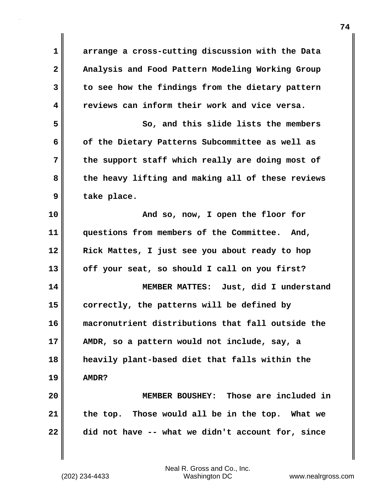**1 arrange a cross-cutting discussion with the Data 2 Analysis and Food Pattern Modeling Working Group 3 to see how the findings from the dietary pattern 4 reviews can inform their work and vice versa. 5 So, and this slide lists the members 6 of the Dietary Patterns Subcommittee as well as 7 the support staff which really are doing most of 8 the heavy lifting and making all of these reviews 9 take place. 10 And so, now, I open the floor for 11 questions from members of the Committee. And, 12 Rick Mattes, I just see you about ready to hop 13 off your seat, so should I call on you first? 14 MEMBER MATTES: Just, did I understand 15 correctly, the patterns will be defined by 16 macronutrient distributions that fall outside the 17 AMDR, so a pattern would not include, say, a 18 heavily plant-based diet that falls within the 19 AMDR? 20 MEMBER BOUSHEY: Those are included in 21 the top. Those would all be in the top. What we 22 did not have -- what we didn't account for, since**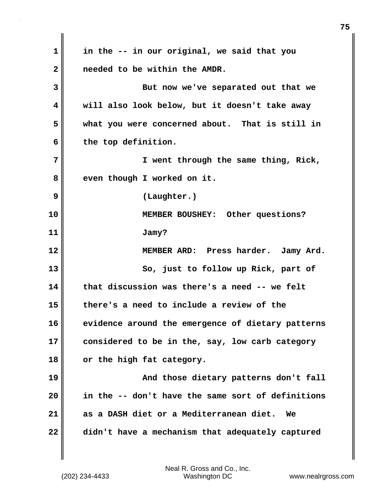| 1            | in the -- in our original, we said that you       |
|--------------|---------------------------------------------------|
| $\mathbf{2}$ | needed to be within the AMDR.                     |
| 3            | But now we've separated out that we               |
| 4            | will also look below, but it doesn't take away    |
| 5            | what you were concerned about. That is still in   |
| 6            | the top definition.                               |
| 7            | I went through the same thing, Rick,              |
| 8            | even though I worked on it.                       |
| 9            | (Laughter.)                                       |
| 10           | MEMBER BOUSHEY: Other questions?                  |
| 11           | Jamy?                                             |
| 12           | MEMBER ARD: Press harder. Jamy Ard.               |
| 13           | So, just to follow up Rick, part of               |
| 14           | that discussion was there's a need -- we felt     |
| 15           | there's a need to include a review of the         |
| 16           | evidence around the emergence of dietary patterns |
| 17           | considered to be in the, say, low carb category   |
| 18           | or the high fat category.                         |
| 19           | And those dietary patterns don't fall             |
| 20           | in the -- don't have the same sort of definitions |
| 21           | as a DASH diet or a Mediterranean diet.<br>We     |
| 22           | didn't have a mechanism that adequately captured  |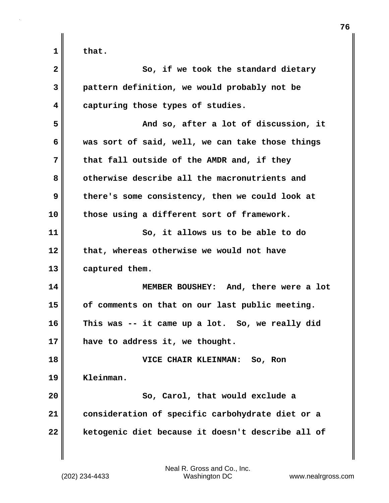| that.                                             |
|---------------------------------------------------|
| So, if we took the standard dietary               |
| pattern definition, we would probably not be      |
| capturing those types of studies.                 |
| And so, after a lot of discussion, it             |
| was sort of said, well, we can take those things  |
| that fall outside of the AMDR and, if they        |
| otherwise describe all the macronutrients and     |
| there's some consistency, then we could look at   |
| those using a different sort of framework.        |
| So, it allows us to be able to do                 |
| that, whereas otherwise we would not have         |
| captured them.                                    |
| MEMBER BOUSHEY: And, there were a lot             |
| of comments on that on our last public meeting.   |
| This was -- it came up a lot. So, we really did   |
| have to address it, we thought.                   |
| VICE CHAIR KLEINMAN: So, Ron                      |
| Kleinman.                                         |
| So, Carol, that would exclude a                   |
| consideration of specific carbohydrate diet or a  |
| ketogenic diet because it doesn't describe all of |
|                                                   |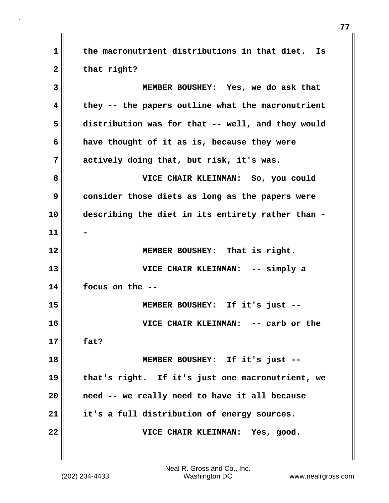**1 the macronutrient distributions in that diet. Is** 2 **that right?** 

**3 MEMBER BOUSHEY: Yes, we do ask that 4 they -- the papers outline what the macronutrient 5 distribution was for that -- well, and they would 6 have thought of it as is, because they were 7 actively doing that, but risk, it's was. 8 VICE CHAIR KLEINMAN: So, you could 9 consider those diets as long as the papers were 10 describing the diet in its entirety rather than - 11 - 12 MEMBER BOUSHEY: That is right. 13 VICE CHAIR KLEINMAN: -- simply a 14 focus on the -- 15 MEMBER BOUSHEY: If it's just -- 16 VICE CHAIR KLEINMAN: -- carb or the 17 fat? 18 MEMBER BOUSHEY: If it's just -- 19 that's right. If it's just one macronutrient, we 20 need -- we really need to have it all because 21 it's a full distribution of energy sources. 22 VICE CHAIR KLEINMAN: Yes, good.**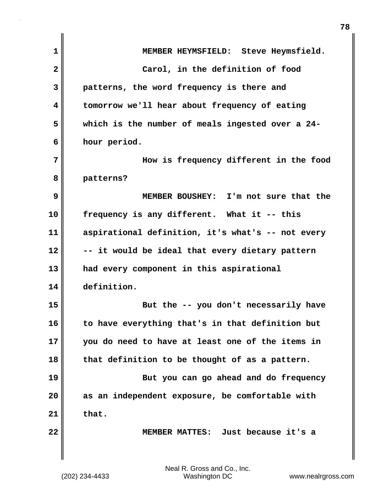| $\mathbf 1$ | MEMBER HEYMSFIELD: Steve Heymsfield.              |
|-------------|---------------------------------------------------|
| 2           | Carol, in the definition of food                  |
| 3           | patterns, the word frequency is there and         |
| 4           | tomorrow we'll hear about frequency of eating     |
| 5           | which is the number of meals ingested over a 24-  |
| 6           | hour period.                                      |
| 7           | How is frequency different in the food            |
| 8           | patterns?                                         |
| 9           | MEMBER BOUSHEY: I'm not sure that the             |
| 10          | frequency is any different. What it -- this       |
| 11          | aspirational definition, it's what's -- not every |
| 12          | -- it would be ideal that every dietary pattern   |
| 13          | had every component in this aspirational          |
| 14          | definition.                                       |
| 15          | But the -- you don't necessarily have             |
| 16          | to have everything that's in that definition but  |
| 17          | you do need to have at least one of the items in  |
| 18          | that definition to be thought of as a pattern.    |
| 19          | But you can go ahead and do frequency             |
| 20          | as an independent exposure, be comfortable with   |
| 21          | that.                                             |
| 22          | MEMBER MATTES: Just because it's a                |
|             |                                                   |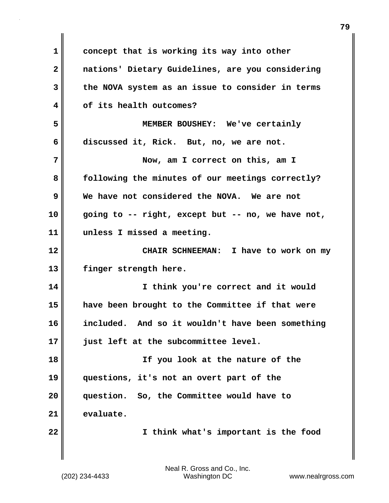**1 concept that is working its way into other 2 nations' Dietary Guidelines, are you considering 3 the NOVA system as an issue to consider in terms 4 of its health outcomes? 5 MEMBER BOUSHEY: We've certainly 6 discussed it, Rick. But, no, we are not. 7 Now, am I correct on this, am I 8 following the minutes of our meetings correctly? 9 We have not considered the NOVA. We are not 10 going to -- right, except but -- no, we have not, 11 unless I missed a meeting. 12 CHAIR SCHNEEMAN: I have to work on my 13 finger strength here. 14 I think you're correct and it would 15 have been brought to the Committee if that were 16 included. And so it wouldn't have been something 17 just left at the subcommittee level. 18 If you look at the nature of the 19 questions, it's not an overt part of the 20 question. So, the Committee would have to 21 evaluate. 22 I think what's important is the food**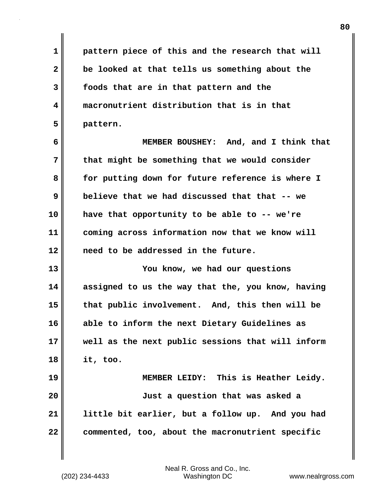**1 pattern piece of this and the research that will 2 be looked at that tells us something about the 3 foods that are in that pattern and the 4 macronutrient distribution that is in that 5 pattern.**

**6 MEMBER BOUSHEY: And, and I think that 7 that might be something that we would consider 8 for putting down for future reference is where I 9 believe that we had discussed that that -- we 10 have that opportunity to be able to -- we're 11 coming across information now that we know will 12 need to be addressed in the future.**

**13 You know, we had our questions 14 assigned to us the way that the, you know, having 15 that public involvement. And, this then will be 16 able to inform the next Dietary Guidelines as 17 well as the next public sessions that will inform 18 it, too.**

**19 MEMBER LEIDY: This is Heather Leidy. 20 Just a question that was asked a 21 little bit earlier, but a follow up. And you had 22 commented, too, about the macronutrient specific**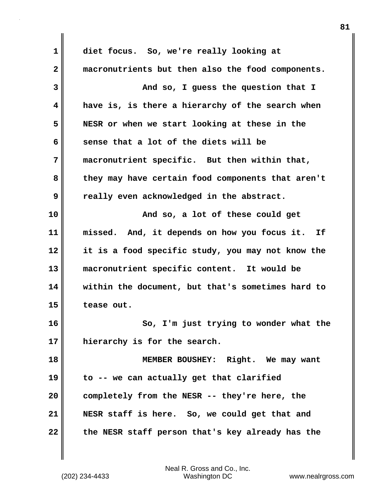| $\mathbf 1$  | diet focus. So, we're really looking at            |
|--------------|----------------------------------------------------|
| $\mathbf{2}$ | macronutrients but then also the food components.  |
| 3            | And so, I guess the question that I                |
| 4            | have is, is there a hierarchy of the search when   |
| 5            | NESR or when we start looking at these in the      |
| 6            | sense that a lot of the diets will be              |
| 7            | macronutrient specific. But then within that,      |
| 8            | they may have certain food components that aren't  |
| 9            | really even acknowledged in the abstract.          |
| 10           | And so, a lot of these could get                   |
| 11           | missed. And, it depends on how you focus it.<br>Ιf |
| 12           | it is a food specific study, you may not know the  |
| 13           | macronutrient specific content. It would be        |
| 14           | within the document, but that's sometimes hard to  |
| 15           | tease out.                                         |
| 16           | So, I'm just trying to wonder what the             |
| 17           | hierarchy is for the search.                       |
| 18           | MEMBER BOUSHEY: Right. We may want                 |
| 19           | to -- we can actually get that clarified           |
| 20           | completely from the NESR -- they're here, the      |
| 21           | NESR staff is here. So, we could get that and      |
| 22           | the NESR staff person that's key already has the   |

 $\mathbf{I}$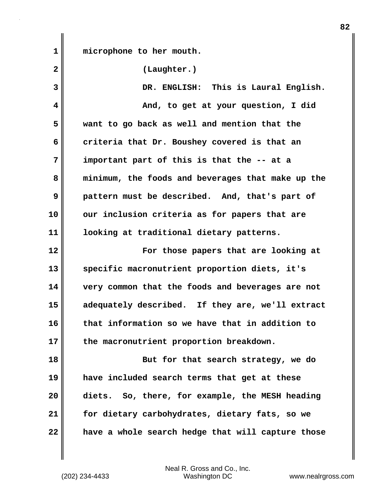**1 microphone to her mouth. 2 (Laughter.) 3 DR. ENGLISH: This is Laural English. 4 And, to get at your question, I did 5 want to go back as well and mention that the 6 criteria that Dr. Boushey covered is that an 7 important part of this is that the -- at a 8 minimum, the foods and beverages that make up the 9 pattern must be described. And, that's part of 10 our inclusion criteria as for papers that are 11 looking at traditional dietary patterns. 12 For those papers that are looking at 13 specific macronutrient proportion diets, it's 14 very common that the foods and beverages are not 15 adequately described. If they are, we'll extract 16 that information so we have that in addition to 17 the macronutrient proportion breakdown. 18 But for that search strategy, we do 19 have included search terms that get at these 20 diets. So, there, for example, the MESH heading 21 for dietary carbohydrates, dietary fats, so we 22 have a whole search hedge that will capture those**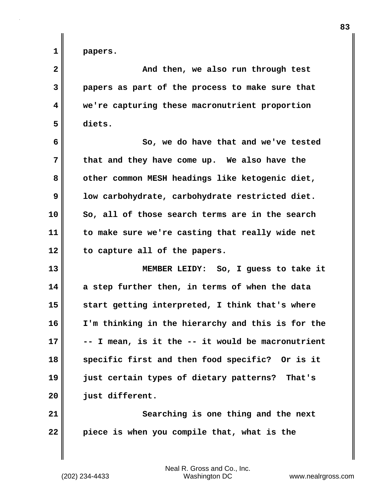| 2 I                     | And then, we also run through test              |
|-------------------------|-------------------------------------------------|
| $\overline{\mathsf{3}}$ | papers as part of the process to make sure that |
| 4 I                     | we're capturing these macronutrient proportion  |
| 5                       | diets.                                          |

**6 So, we do have that and we've tested 7 that and they have come up. We also have the** 8 other common MESH headings like ketogenic diet, **9** low carbohydrate, carbohydrate restricted diet. **10 So, all of those search terms are in the search 11 to make sure we're casting that really wide net 12 to capture all of the papers.**

**13 MEMBER LEIDY: So, I guess to take it 14 a step further then, in terms of when the data 15 start getting interpreted, I think that's where 16 I'm thinking in the hierarchy and this is for the 17 -- I mean, is it the -- it would be macronutrient 18 specific first and then food specific? Or is it 19 just certain types of dietary patterns? That's 20 just different.**

**21** Searching is one thing and the next **22 piece is when you compile that, what is the**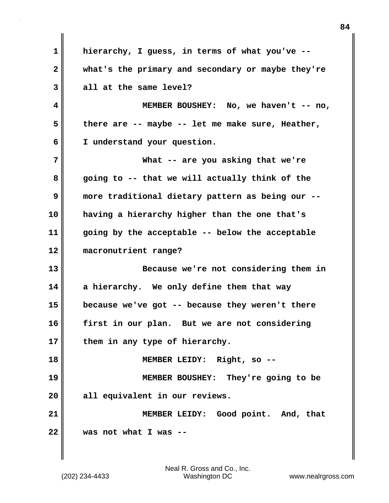**1 hierarchy, I guess, in terms of what you've -- 2 what's the primary and secondary or maybe they're 3 all at the same level? 4 MEMBER BOUSHEY: No, we haven't -- no, 5 there are -- maybe -- let me make sure, Heather, 6 I understand your question. 7 What -- are you asking that we're 8 going to -- that we will actually think of the 9 more traditional dietary pattern as being our -- 10 having a hierarchy higher than the one that's 11 going by the acceptable -- below the acceptable 12 macronutrient range? 13 Because we're not considering them in 14 a hierarchy. We only define them that way 15 because we've got -- because they weren't there 16 first in our plan. But we are not considering** 17 them in any type of hierarchy. **18 MEMBER LEIDY: Right, so -- 19 MEMBER BOUSHEY: They're going to be 20 all equivalent in our reviews. 21 MEMBER LEIDY: Good point. And, that 22 was not what I was --**

**84**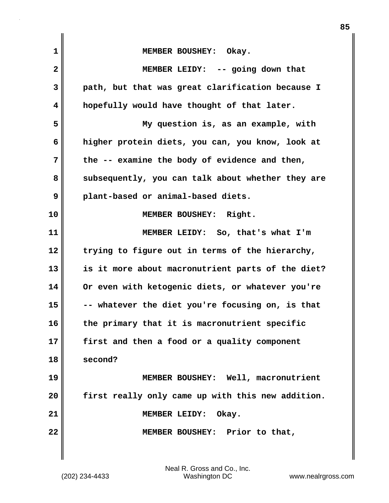| $\mathbf 1$  | MEMBER BOUSHEY: Okay.                             |
|--------------|---------------------------------------------------|
| $\mathbf{2}$ | MEMBER LEIDY: -- going down that                  |
| 3            | path, but that was great clarification because I  |
| 4            | hopefully would have thought of that later.       |
| 5            | My question is, as an example, with               |
| 6            | higher protein diets, you can, you know, look at  |
| 7            | the -- examine the body of evidence and then,     |
| 8            | subsequently, you can talk about whether they are |
| 9            | plant-based or animal-based diets.                |
| 10           | MEMBER BOUSHEY: Right.                            |
| 11           | MEMBER LEIDY: So, that's what I'm                 |
| 12           | trying to figure out in terms of the hierarchy,   |
| 13           | is it more about macronutrient parts of the diet? |
| 14           | Or even with ketogenic diets, or whatever you're  |
| 15           | -- whatever the diet you're focusing on, is that  |
| 16           | the primary that it is macronutrient specific     |
| 17           | first and then a food or a quality component      |
| 18           | second?                                           |
| 19           | MEMBER BOUSHEY: Well, macronutrient               |
| 20           | first really only came up with this new addition. |
| 21           | MEMBER LEIDY: Okay.                               |
| 22           | MEMBER BOUSHEY: Prior to that,                    |
|              |                                                   |

**85**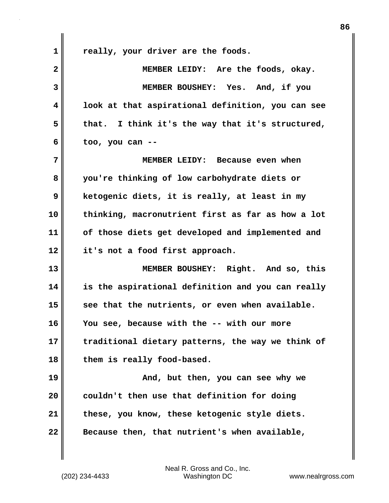| 1            | really, your driver are the foods.                |
|--------------|---------------------------------------------------|
| $\mathbf{2}$ | MEMBER LEIDY: Are the foods, okay.                |
| 3            | MEMBER BOUSHEY: Yes. And, if you                  |
| 4            | look at that aspirational definition, you can see |
| 5            | that. I think it's the way that it's structured,  |
| 6            | too, you can --                                   |
| 7            | MEMBER LEIDY: Because even when                   |
| 8            | you're thinking of low carbohydrate diets or      |
| 9            | ketogenic diets, it is really, at least in my     |
| 10           | thinking, macronutrient first as far as how a lot |
| 11           | of those diets get developed and implemented and  |
| 12           | it's not a food first approach.                   |
| 13           | MEMBER BOUSHEY: Right. And so, this               |
| 14           | is the aspirational definition and you can really |
| 15           | see that the nutrients, or even when available.   |
| 16           | You see, because with the -- with our more        |
| 17           | traditional dietary patterns, the way we think of |
| 18           | them is really food-based.                        |
| 19           | And, but then, you can see why we                 |
| 20           | couldn't then use that definition for doing       |
| 21           | these, you know, these ketogenic style diets.     |
| 22           | Because then, that nutrient's when available,     |

 $\mathbf{I}$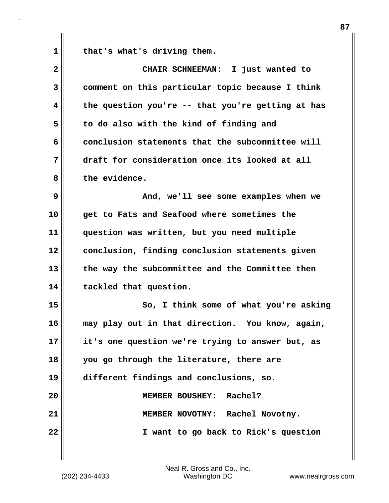1 **that's what's driving them.** 

| $\mathbf{2}$ | CHAIR SCHNEEMAN: I just wanted to                 |
|--------------|---------------------------------------------------|
| 3            | comment on this particular topic because I think  |
| 4            | the question you're -- that you're getting at has |
| 5            | to do also with the kind of finding and           |
| 6            | conclusion statements that the subcommittee will  |
| 7            | draft for consideration once its looked at all    |
| 8            | the evidence.                                     |
| 9            | And, we'll see some examples when we              |
| 10           | get to Fats and Seafood where sometimes the       |
| 11           | question was written, but you need multiple       |
| 12           | conclusion, finding conclusion statements given   |
| 13           | the way the subcommittee and the Committee then   |
| 14           | tackled that question.                            |
| 15           | So, I think some of what you're asking            |
| 16           | may play out in that direction. You know, again,  |
| 17           | it's one question we're trying to answer but, as  |
| 18           | you go through the literature, there are          |
| 19           | different findings and conclusions, so.           |
| 20           | <b>Rachel?</b><br><b>MEMBER BOUSHEY:</b>          |
| 21           | MEMBER NOVOTNY: Rachel Novotny.                   |
| 22           | I want to go back to Rick's question              |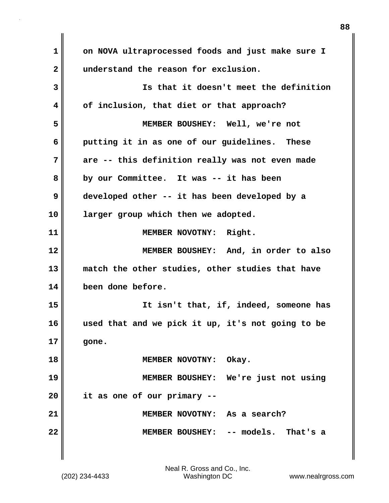**1 on NOVA ultraprocessed foods and just make sure I 2 understand the reason for exclusion. 3 Is that it doesn't meet the definition 4 of inclusion, that diet or that approach? 5 MEMBER BOUSHEY: Well, we're not 6 putting it in as one of our guidelines. These 7 are -- this definition really was not even made 8 by our Committee. It was -- it has been 9 developed other -- it has been developed by a 10 larger group which then we adopted. 11 | MEMBER NOVOTNY: Right. 12 MEMBER BOUSHEY: And, in order to also 13 match the other studies, other studies that have 14 been done before. 15 It isn't that, if, indeed, someone has 16 used that and we pick it up, it's not going to be 17 gone. 18** MEMBER NOVOTNY: Okay. **19 MEMBER BOUSHEY: We're just not using 20 it as one of our primary -- 21 MEMBER NOVOTNY: As a search? 22 MEMBER BOUSHEY: -- models. That's a**

**88**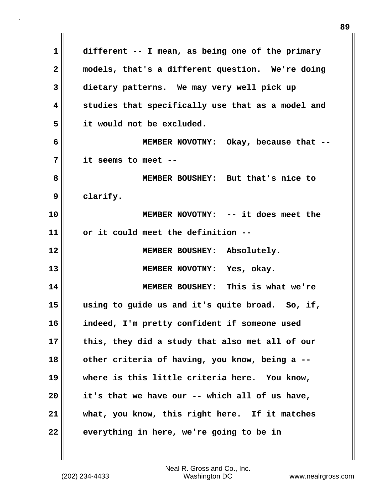**1 different -- I mean, as being one of the primary 2 models, that's a different question. We're doing 3 dietary patterns. We may very well pick up 4 studies that specifically use that as a model and 5 it would not be excluded. 6 MEMBER NOVOTNY: Okay, because that -- 7 it seems to meet -- 8 MEMBER BOUSHEY: But that's nice to 9 clarify. 10 MEMBER NOVOTNY: -- it does meet the 11 or it could meet the definition -- 12 MEMBER BOUSHEY: Absolutely. 13 MEMBER NOVOTNY: Yes, okay. 14 MEMBER BOUSHEY: This is what we're 15 using to guide us and it's quite broad. So, if, 16 indeed, I'm pretty confident if someone used 17 this, they did a study that also met all of our 18 other criteria of having, you know, being a -- 19 where is this little criteria here. You know, 20 it's that we have our -- which all of us have, 21 what, you know, this right here. If it matches 22 everything in here, we're going to be in**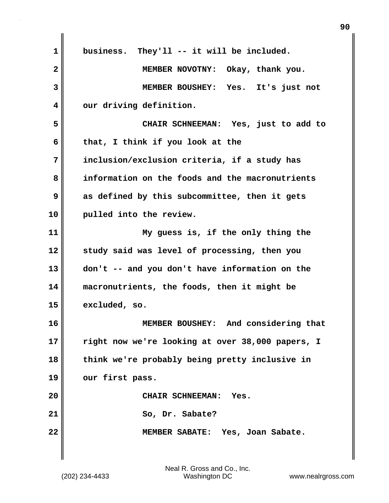| $\mathbf 1$  | business. They'll -- it will be included.        |
|--------------|--------------------------------------------------|
| $\mathbf{2}$ | MEMBER NOVOTNY: Okay, thank you.                 |
| 3            | MEMBER BOUSHEY: Yes. It's just not               |
| 4            | our driving definition.                          |
| 5            | CHAIR SCHNEEMAN: Yes, just to add to             |
| 6            | that, I think if you look at the                 |
| 7            | inclusion/exclusion criteria, if a study has     |
| 8            | information on the foods and the macronutrients  |
| 9            | as defined by this subcommittee, then it gets    |
| 10           | pulled into the review.                          |
| 11           | My guess is, if the only thing the               |
| 12           | study said was level of processing, then you     |
| 13           | don't -- and you don't have information on the   |
| 14           | macronutrients, the foods, then it might be      |
| 15           | excluded, so.                                    |
| 16           | MEMBER BOUSHEY: And considering that             |
| 17           | right now we're looking at over 38,000 papers, I |
| 18           | think we're probably being pretty inclusive in   |
| 19           | our first pass.                                  |
| 20           | <b>CHAIR SCHNEEMAN:</b><br>Yes.                  |
| 21           | So, Dr. Sabate?                                  |
| 22           | MEMBER SABATE: Yes, Joan Sabate.                 |
|              |                                                  |

 $\mathsf I$ 

 $\mathbf{I}$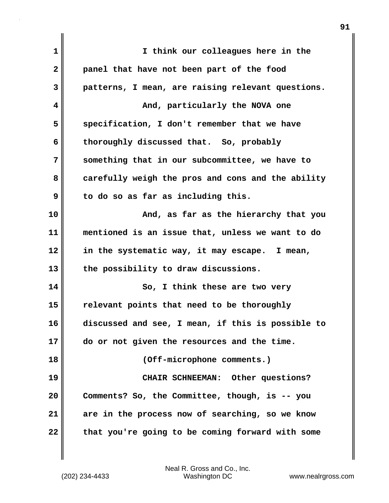| $\mathbf 1$  | I think our colleagues here in the                |
|--------------|---------------------------------------------------|
| $\mathbf{2}$ | panel that have not been part of the food         |
| 3            | patterns, I mean, are raising relevant questions. |
| 4            | And, particularly the NOVA one                    |
| 5            | specification, I don't remember that we have      |
| 6            | thoroughly discussed that. So, probably           |
| 7            | something that in our subcommittee, we have to    |
| 8            | carefully weigh the pros and cons and the ability |
| 9            | to do so as far as including this.                |
| 10           | And, as far as the hierarchy that you             |
| 11           | mentioned is an issue that, unless we want to do  |
| 12           | in the systematic way, it may escape. I mean,     |
| 13           | the possibility to draw discussions.              |
| 14           | So, I think these are two very                    |
| 15           | relevant points that need to be thoroughly        |
| 16           | discussed and see, I mean, if this is possible to |
| 17           | do or not given the resources and the time.       |
| 18           | (Off-microphone comments.)                        |
| 19           | CHAIR SCHNEEMAN: Other questions?                 |
| 20           | Comments? So, the Committee, though, is -- you    |
| 21           | are in the process now of searching, so we know   |
| 22           | that you're going to be coming forward with some  |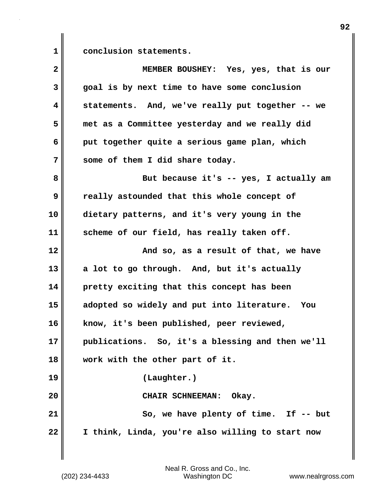**1 conclusion statements.**

| $\mathbf{2}$ | MEMBER BOUSHEY: Yes, yes, that is our            |
|--------------|--------------------------------------------------|
| 3            | goal is by next time to have some conclusion     |
| 4            | statements. And, we've really put together -- we |
| 5            | met as a Committee yesterday and we really did   |
| 6            | put together quite a serious game plan, which    |
| 7            | some of them I did share today.                  |
| 8            | But because it's -- yes, I actually am           |
| 9            | really astounded that this whole concept of      |
| 10           | dietary patterns, and it's very young in the     |
| 11           | scheme of our field, has really taken off.       |
| 12           | And so, as a result of that, we have             |
| 13           | a lot to go through. And, but it's actually      |
| 14           | pretty exciting that this concept has been       |
| 15           | adopted so widely and put into literature. You   |
| 16           | know, it's been published, peer reviewed,        |
| 17           | publications. So, it's a blessing and then we'll |
| 18           | work with the other part of it.                  |
| 19           | (Laughter.)                                      |
| 20           | CHAIR SCHNEEMAN: Okay.                           |
| 21           | So, we have plenty of time. If -- but            |
| 22           | I think, Linda, you're also willing to start now |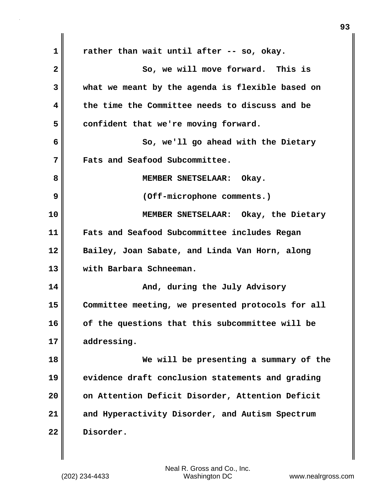**1 rather than wait until after -- so, okay. 2 So, we will move forward. This is 3 what we meant by the agenda is flexible based on 4 the time the Committee needs to discuss and be 5 confident that we're moving forward. 6 So, we'll go ahead with the Dietary 7 Fats and Seafood Subcommittee. 8 MEMBER SNETSELAAR: Okay. 9 (Off-microphone comments.) 10 MEMBER SNETSELAAR: Okay, the Dietary 11 Fats and Seafood Subcommittee includes Regan 12 Bailey, Joan Sabate, and Linda Van Horn, along 13 with Barbara Schneeman. 14 And, during the July Advisory 15 Committee meeting, we presented protocols for all 16 of the questions that this subcommittee will be 17 addressing. 18 We will be presenting a summary of the 19 evidence draft conclusion statements and grading 20 on Attention Deficit Disorder, Attention Deficit 21 and Hyperactivity Disorder, and Autism Spectrum 22 Disorder.**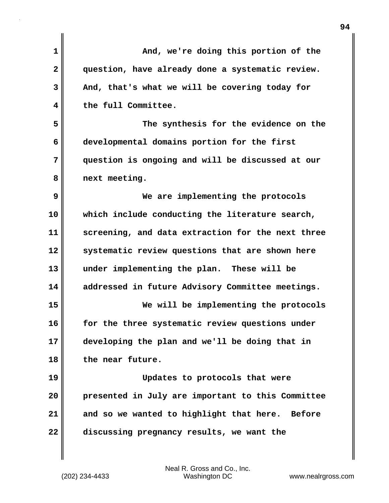| $\mathbf 1$    | And, we're doing this portion of the              |
|----------------|---------------------------------------------------|
| $\overline{2}$ | question, have already done a systematic review.  |
| 3              | And, that's what we will be covering today for    |
| 4              | the full Committee.                               |
| 5              | The synthesis for the evidence on the             |
| 6              | developmental domains portion for the first       |
| 7              | question is ongoing and will be discussed at our  |
| 8              | next meeting.                                     |
| 9              | We are implementing the protocols                 |
| 10             | which include conducting the literature search,   |
| 11             | screening, and data extraction for the next three |
| 12             | systematic review questions that are shown here   |
| 13             | under implementing the plan. These will be        |
| 14             | addressed in future Advisory Committee meetings.  |
| 15             | We will be implementing the protocols             |
| 16             | for the three systematic review questions under   |
| 17             | developing the plan and we'll be doing that in    |
| 18             | the near future.                                  |
| 19             | Updates to protocols that were                    |
| 20             | presented in July are important to this Committee |
| 21             | and so we wanted to highlight that here. Before   |
| 22             | discussing pregnancy results, we want the         |
|                |                                                   |

(202) 234-4433 Washington DC www.nealrgross.com Neal R. Gross and Co., Inc.

**94**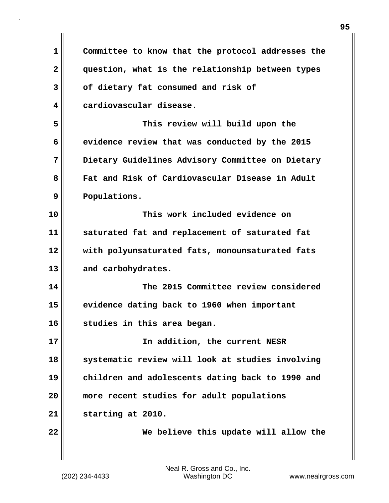| $\mathbf 1$  | Committee to know that the protocol addresses the |
|--------------|---------------------------------------------------|
| $\mathbf{2}$ | question, what is the relationship between types  |
| 3            | of dietary fat consumed and risk of               |
| 4            | cardiovascular disease.                           |
| 5            | This review will build upon the                   |
| 6            | evidence review that was conducted by the 2015    |
| 7            | Dietary Guidelines Advisory Committee on Dietary  |
| 8            | Fat and Risk of Cardiovascular Disease in Adult   |
| 9            | Populations.                                      |
| 10           | This work included evidence on                    |
| 11           | saturated fat and replacement of saturated fat    |
| 12           | with polyunsaturated fats, monounsaturated fats   |
| 13           | and carbohydrates.                                |
| 14           | The 2015 Committee review considered              |
| 15           | evidence dating back to 1960 when important       |
| 16           | studies in this area began.                       |
| 17           | In addition, the current NESR                     |
| 18           | systematic review will look at studies involving  |
| 19           | children and adolescents dating back to 1990 and  |
| 20           | more recent studies for adult populations         |
| 21           | starting at 2010.                                 |
| 22           | We believe this update will allow the             |
|              |                                                   |

 $\mathbf{I}$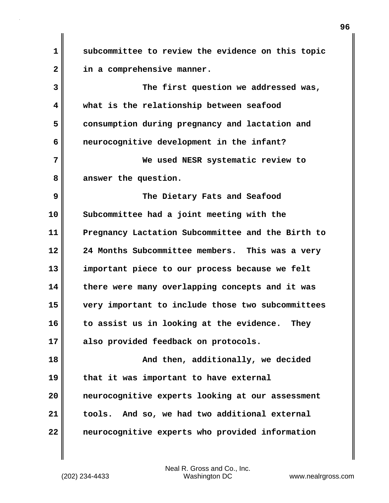**1 subcommittee to review the evidence on this topic 2 in a comprehensive manner.**

**3 The first question we addressed was, 4 what is the relationship between seafood 5 consumption during pregnancy and lactation and 6 neurocognitive development in the infant? 7 We used NESR systematic review to** 8 answer the question.

**9 The Dietary Fats and Seafood 10 Subcommittee had a joint meeting with the 11 Pregnancy Lactation Subcommittee and the Birth to 12 24 Months Subcommittee members. This was a very 13 important piece to our process because we felt 14 there were many overlapping concepts and it was 15 very important to include those two subcommittees 16 to assist us in looking at the evidence. They 17 also provided feedback on protocols.**

**18 And then, additionally, we decided 19 that it was important to have external 20 neurocognitive experts looking at our assessment 21 tools. And so, we had two additional external 22 neurocognitive experts who provided information**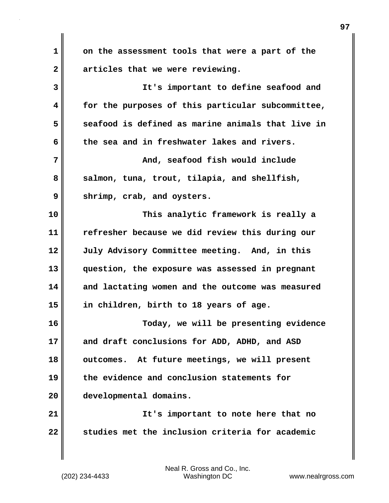**1 on the assessment tools that were a part of the 2 articles that we were reviewing.**

**3 It's important to define seafood and 4 for the purposes of this particular subcommittee, 5 seafood is defined as marine animals that live in 6 the sea and in freshwater lakes and rivers. 7 And, seafood fish would include** 8 salmon, tuna, trout, tilapia, and shellfish, **9 shrimp, crab, and oysters. 10 This analytic framework is really a 11 refresher because we did review this during our 12 July Advisory Committee meeting. And, in this 13 question, the exposure was assessed in pregnant 14 and lactating women and the outcome was measured 15 in children, birth to 18 years of age. 16 Today, we will be presenting evidence**

**17 and draft conclusions for ADD, ADHD, and ASD 18 outcomes. At future meetings, we will present 19 the evidence and conclusion statements for 20 developmental domains.**

**21 It's important to note here that no 22 studies met the inclusion criteria for academic**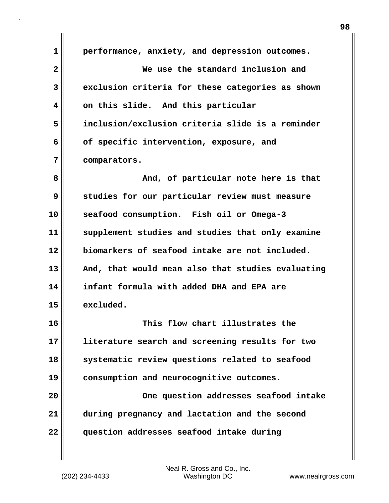**1 performance, anxiety, and depression outcomes. 2 We use the standard inclusion and 3 exclusion criteria for these categories as shown 4 on this slide. And this particular 5 inclusion/exclusion criteria slide is a reminder 6 of specific intervention, exposure, and 7 comparators. 8** And, of particular note here is that **9 studies for our particular review must measure 10 seafood consumption. Fish oil or Omega-3 11 supplement studies and studies that only examine 12 biomarkers of seafood intake are not included. 13 And, that would mean also that studies evaluating 14 infant formula with added DHA and EPA are 15 excluded. 16 This flow chart illustrates the 17 literature search and screening results for two 18 systematic review questions related to seafood 19 consumption and neurocognitive outcomes. 20 One question addresses seafood intake 21 during pregnancy and lactation and the second 22 question addresses seafood intake during**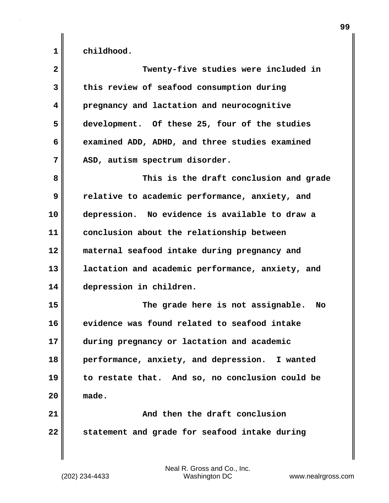| $\overline{\mathbf{2}}$ | Twenty-five studies were included in             |
|-------------------------|--------------------------------------------------|
| 3                       | this review of seafood consumption during        |
| 4                       | pregnancy and lactation and neurocognitive       |
| 5                       | development. Of these 25, four of the studies    |
| 6                       | examined ADD, ADHD, and three studies examined   |
| 7                       | ASD, autism spectrum disorder.                   |
| 8                       | This is the draft conclusion and grade           |
| 9                       | relative to academic performance, anxiety, and   |
| 10                      | depression. No evidence is available to draw a   |
| 11                      | conclusion about the relationship between        |
| 12                      | maternal seafood intake during pregnancy and     |
| 13                      | lactation and academic performance, anxiety, and |
| 14                      | depression in children.                          |
| 15                      | The grade here is not assignable.<br>No          |
| 16                      | evidence was found related to seafood intake     |
| 17                      | during pregnancy or lactation and academic       |
| 18                      | performance, anxiety, and depression. I wanted   |
| 19                      | to restate that. And so, no conclusion could be  |
| 20                      | made.                                            |
| 21                      | And then the draft conclusion                    |
| 22                      | statement and grade for seafood intake during    |
|                         |                                                  |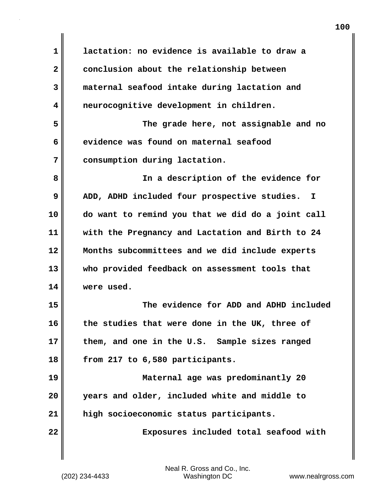| 1  | lactation: no evidence is available to draw a      |
|----|----------------------------------------------------|
| 2  | conclusion about the relationship between          |
| 3  | maternal seafood intake during lactation and       |
| 4  | neurocognitive development in children.            |
| 5  | The grade here, not assignable and no              |
| 6  | evidence was found on maternal seafood             |
| 7  | consumption during lactation.                      |
| 8  | In a description of the evidence for               |
| 9  | ADD, ADHD included four prospective studies.<br>I. |
| 10 | do want to remind you that we did do a joint call  |
| 11 | with the Pregnancy and Lactation and Birth to 24   |
| 12 | Months subcommittees and we did include experts    |
| 13 | who provided feedback on assessment tools that     |
| 14 | were used.                                         |
| 15 | The evidence for ADD and ADHD included             |
| 16 | the studies that were done in the UK, three of     |
| 17 | them, and one in the U.S. Sample sizes ranged      |
| 18 | from 217 to 6,580 participants.                    |
| 19 | Maternal age was predominantly 20                  |
| 20 | years and older, included white and middle to      |
| 21 | high socioeconomic status participants.            |
| 22 | Exposures included total seafood with              |
|    |                                                    |

(202) 234-4433 Washington DC www.nealrgross.com Neal R. Gross and Co., Inc.

 $\mathbf{I}$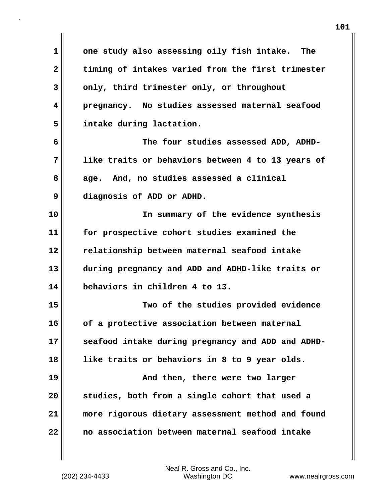**1 one study also assessing oily fish intake. The 2 timing of intakes varied from the first trimester** 3 only, third trimester only, or throughout **4 pregnancy. No studies assessed maternal seafood 5 intake during lactation. 6 The four studies assessed ADD, ADHD-7 like traits or behaviors between 4 to 13 years of 8 age. And, no studies assessed a clinical 9 diagnosis of ADD or ADHD. 10 In summary of the evidence synthesis 11 for prospective cohort studies examined the 12 relationship between maternal seafood intake 13 during pregnancy and ADD and ADHD-like traits or 14 behaviors in children 4 to 13. 15 Two of the studies provided evidence 16 of a protective association between maternal** 17 seafood intake during pregnancy and ADD and ADHD-**18 like traits or behaviors in 8 to 9 year olds. 19 And then, there were two larger 20 studies, both from a single cohort that used a 21 more rigorous dietary assessment method and found 22 no association between maternal seafood intake**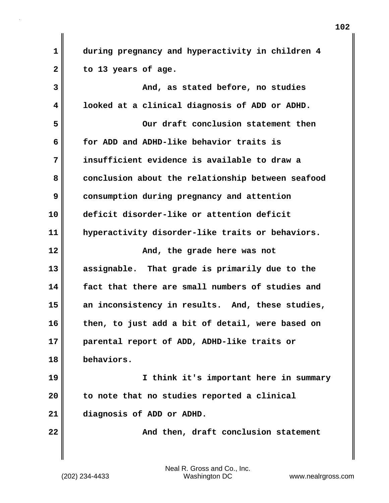**1 during pregnancy and hyperactivity in children 4** 2 to 13 years of age.

| 3  | And, as stated before, no studies                 |
|----|---------------------------------------------------|
| 4  | looked at a clinical diagnosis of ADD or ADHD.    |
| 5  | Our draft conclusion statement then               |
| 6  | for ADD and ADHD-like behavior traits is          |
| 7  | insufficient evidence is available to draw a      |
| 8  | conclusion about the relationship between seafood |
| 9  | consumption during pregnancy and attention        |
| 10 | deficit disorder-like or attention deficit        |
| 11 | hyperactivity disorder-like traits or behaviors.  |
| 12 | And, the grade here was not                       |
| 13 | assignable. That grade is primarily due to the    |
| 14 | fact that there are small numbers of studies and  |
| 15 | an inconsistency in results. And, these studies,  |
| 16 | then, to just add a bit of detail, were based on  |
| 17 | parental report of ADD, ADHD-like traits or       |
| 18 | behaviors.                                        |
| 19 | I think it's important here in summary            |
| 20 | to note that no studies reported a clinical       |
| 21 | diagnosis of ADD or ADHD.                         |
| 22 | And then, draft conclusion statement              |
|    |                                                   |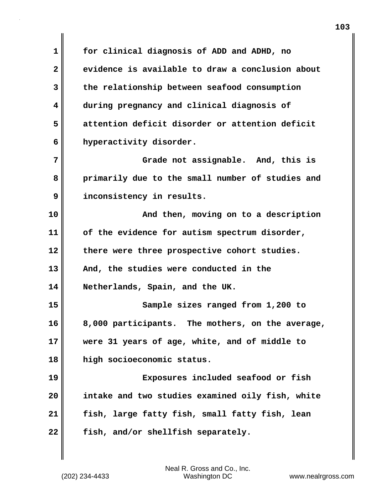**1 for clinical diagnosis of ADD and ADHD, no 2 evidence is available to draw a conclusion about 3 the relationship between seafood consumption 4 during pregnancy and clinical diagnosis of 5 attention deficit disorder or attention deficit 6 hyperactivity disorder. 7 Grade not assignable. And, this is 8 primarily due to the small number of studies and 9 inconsistency in results. 10 And then, moving on to a description 11 of the evidence for autism spectrum disorder, 12 there were three prospective cohort studies. 13 And, the studies were conducted in the 14 Netherlands, Spain, and the UK. 15 Sample sizes ranged from 1,200 to 16 8,000 participants. The mothers, on the average, 17 were 31 years of age, white, and of middle to 18 high socioeconomic status. 19 Exposures included seafood or fish 20 intake and two studies examined oily fish, white 21 fish, large fatty fish, small fatty fish, lean 22 fish, and/or shellfish separately.**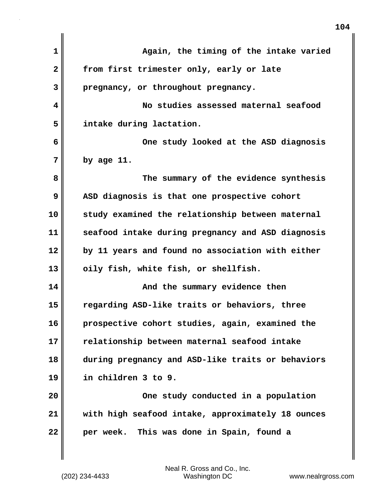| 1  | Again, the timing of the intake varied            |
|----|---------------------------------------------------|
| 2  | from first trimester only, early or late          |
| 3  | pregnancy, or throughout pregnancy.               |
| 4  | No studies assessed maternal seafood              |
| 5  | intake during lactation.                          |
| 6  | One study looked at the ASD diagnosis             |
| 7  | by age $11.$                                      |
| 8  | The summary of the evidence synthesis             |
| 9  | ASD diagnosis is that one prospective cohort      |
| 10 | study examined the relationship between maternal  |
| 11 | seafood intake during pregnancy and ASD diagnosis |
| 12 | by 11 years and found no association with either  |
| 13 | oily fish, white fish, or shellfish.              |
| 14 | And the summary evidence then                     |
| 15 | regarding ASD-like traits or behaviors, three     |
| 16 | prospective cohort studies, again, examined the   |
| 17 | relationship between maternal seafood intake      |
| 18 | during pregnancy and ASD-like traits or behaviors |
| 19 | in children 3 to 9.                               |
| 20 | One study conducted in a population               |
| 21 | with high seafood intake, approximately 18 ounces |
| 22 | per week. This was done in Spain, found a         |

(202) 234-4433 Washington DC www.nealrgross.com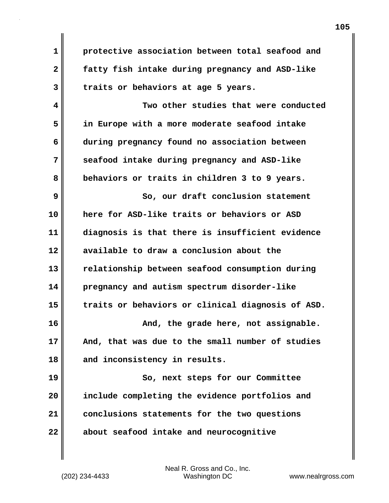**1 protective association between total seafood and 2 fatty fish intake during pregnancy and ASD-like 3 traits or behaviors at age 5 years.**

**4 Two other studies that were conducted 5 in Europe with a more moderate seafood intake 6 during pregnancy found no association between 7 seafood intake during pregnancy and ASD-like 8 behaviors or traits in children 3 to 9 years. 9** So, our draft conclusion statement **10 here for ASD-like traits or behaviors or ASD 11 diagnosis is that there is insufficient evidence 12 available to draw a conclusion about the 13 relationship between seafood consumption during 14 pregnancy and autism spectrum disorder-like 15 traits or behaviors or clinical diagnosis of ASD. 16 And, the grade here, not assignable. 17 And, that was due to the small number of studies 18 and inconsistency in results.**

**19** So, next steps for our Committee **20 include completing the evidence portfolios and 21 conclusions statements for the two questions 22 about seafood intake and neurocognitive**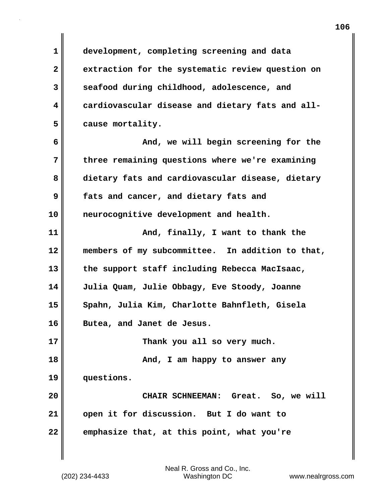**1 development, completing screening and data 2 extraction for the systematic review question on 3 seafood during childhood, adolescence, and 4 cardiovascular disease and dietary fats and all-5 cause mortality. 6 And, we will begin screening for the 7 three remaining questions where we're examining 8 dietary fats and cardiovascular disease, dietary 9 fats and cancer, and dietary fats and 10 neurocognitive development and health. 11 And, finally, I want to thank the 12 members of my subcommittee. In addition to that, 13 the support staff including Rebecca MacIsaac, 14 Julia Quam, Julie Obbagy, Eve Stoody, Joanne 15 Spahn, Julia Kim, Charlotte Bahnfleth, Gisela 16 Butea, and Janet de Jesus. 17 Thank you all so very much. 18 And, I am happy to answer any 19 questions. 20 CHAIR SCHNEEMAN: Great. So, we will 21 open it for discussion. But I do want to 22 emphasize that, at this point, what you're**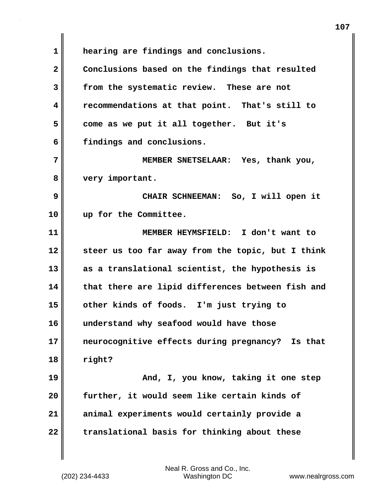**1 hearing are findings and conclusions. 2 Conclusions based on the findings that resulted 3 from the systematic review. These are not 4 recommendations at that point. That's still to 5 come as we put it all together. But it's 6 findings and conclusions. 7 MEMBER SNETSELAAR: Yes, thank you, 8 very important. 9 CHAIR SCHNEEMAN: So, I will open it 10 up for the Committee. 11 MEMBER HEYMSFIELD: I don't want to 12 steer us too far away from the topic, but I think 13 as a translational scientist, the hypothesis is 14 that there are lipid differences between fish and 15 other kinds of foods. I'm just trying to 16 understand why seafood would have those 17 neurocognitive effects during pregnancy? Is that 18 right? 19 And, I, you know, taking it one step 20 further, it would seem like certain kinds of 21 animal experiments would certainly provide a 22 translational basis for thinking about these**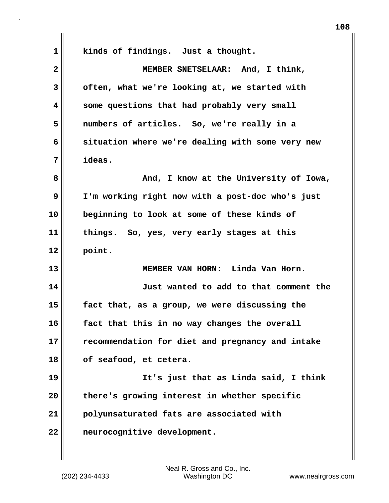**1 kinds of findings. Just a thought. 2 MEMBER SNETSELAAR: And, I think, 3 often, what we're looking at, we started with 4 some questions that had probably very small 5 numbers of articles. So, we're really in a 6 situation where we're dealing with some very new 7 ideas. 8 And, I know at the University of Iowa, 9 I'm working right now with a post-doc who's just 10 beginning to look at some of these kinds of 11 things. So, yes, very early stages at this 12 point. 13 MEMBER VAN HORN: Linda Van Horn. 14 Just wanted to add to that comment the 15 fact that, as a group, we were discussing the 16 fact that this in no way changes the overall 17 recommendation for diet and pregnancy and intake 18 of seafood, et cetera. 19 It's just that as Linda said, I think 20 there's growing interest in whether specific 21 polyunsaturated fats are associated with 22 neurocognitive development.**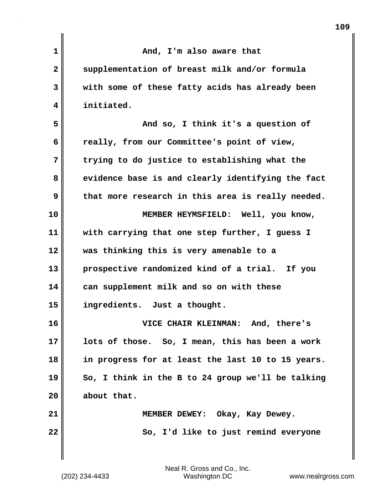| 1              | And, I'm also aware that                          |
|----------------|---------------------------------------------------|
| $\overline{2}$ | supplementation of breast milk and/or formula     |
| 3              | with some of these fatty acids has already been   |
| 4              | initiated.                                        |
| 5              | And so, I think it's a question of                |
| 6              | really, from our Committee's point of view,       |
| 7              | trying to do justice to establishing what the     |
| 8              | evidence base is and clearly identifying the fact |
| 9              | that more research in this area is really needed. |
| 10             | MEMBER HEYMSFIELD: Well, you know,                |
| 11             | with carrying that one step further, I guess I    |
| 12             | was thinking this is very amenable to a           |
| 13             | prospective randomized kind of a trial. If you    |
| 14             | can supplement milk and so on with these          |
| 15             | ingredients. Just a thought.                      |
| 16             | VICE CHAIR KLEINMAN: And, there's                 |
| 17             | lots of those. So, I mean, this has been a work   |
| 18             | in progress for at least the last 10 to 15 years. |
| 19             | So, I think in the B to 24 group we'll be talking |
| 20             | about that.                                       |
| 21             | MEMBER DEWEY: Okay, Kay Dewey.                    |
| 22             | So, I'd like to just remind everyone              |
|                |                                                   |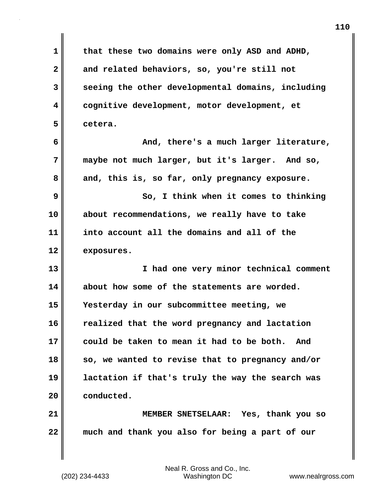**1 that these two domains were only ASD and ADHD, 2 and related behaviors, so, you're still not 3 seeing the other developmental domains, including 4 cognitive development, motor development, et 5 cetera. 6 And, there's a much larger literature, 7 maybe not much larger, but it's larger. And so, 8 and, this is, so far, only pregnancy exposure. 9** So, I think when it comes to thinking **10 about recommendations, we really have to take 11 into account all the domains and all of the 12 exposures. 13 I had one very minor technical comment 14 about how some of the statements are worded. 15 Yesterday in our subcommittee meeting, we 16 realized that the word pregnancy and lactation 17 could be taken to mean it had to be both. And 18 so, we wanted to revise that to pregnancy and/or 19 lactation if that's truly the way the search was 20 conducted. 21 MEMBER SNETSELAAR: Yes, thank you so 22 much and thank you also for being a part of our**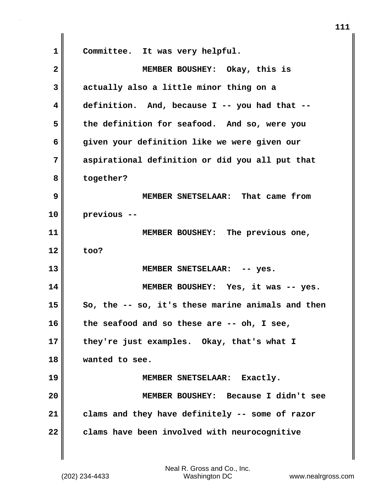**1 Committee. It was very helpful.**

| $\overline{\mathbf{2}}$ | MEMBER BOUSHEY: Okay, this is                     |
|-------------------------|---------------------------------------------------|
| 3                       | actually also a little minor thing on a           |
| 4                       | definition. And, because I -- you had that --     |
| 5                       | the definition for seafood. And so, were you      |
| 6                       | given your definition like we were given our      |
| 7                       | aspirational definition or did you all put that   |
| 8                       | together?                                         |
| 9                       | MEMBER SNETSELAAR: That came from                 |
| 10                      | previous --                                       |
| 11                      | MEMBER BOUSHEY: The previous one,                 |
| 12                      | too?                                              |
| 13                      | MEMBER SNETSELAAR: -- yes.                        |
| 14                      | MEMBER BOUSHEY: Yes, it was -- yes.               |
| 15                      | So, the -- so, it's these marine animals and then |
| 16                      | the seafood and so these are -- oh, I see,        |
| 17                      | they're just examples. Okay, that's what I        |
| 18                      | wanted to see.                                    |
| 19                      | MEMBER SNETSELAAR: Exactly.                       |
| 20                      | MEMBER BOUSHEY: Because I didn't see              |
| 21                      | clams and they have definitely -- some of razor   |
| 22                      | clams have been involved with neurocognitive      |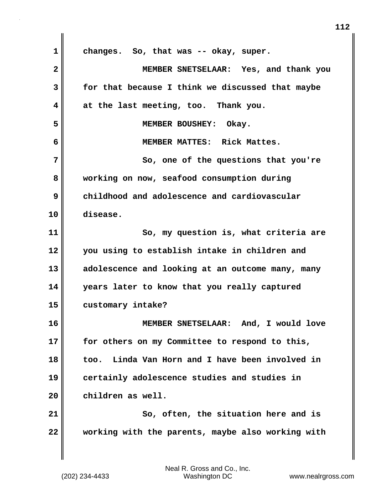| $\mathbf 1$  | changes. So, that was -- okay, super.              |
|--------------|----------------------------------------------------|
| $\mathbf{2}$ | MEMBER SNETSELAAR: Yes, and thank you              |
| 3            | for that because I think we discussed that maybe   |
| 4            | at the last meeting, too. Thank you.               |
| 5            | MEMBER BOUSHEY: Okay.                              |
| 6            | MEMBER MATTES: Rick Mattes.                        |
| 7            | So, one of the questions that you're               |
| 8            | working on now, seafood consumption during         |
| 9            | childhood and adolescence and cardiovascular       |
| 10           | disease.                                           |
| 11           | So, my question is, what criteria are              |
| 12           | you using to establish intake in children and      |
| 13           | adolescence and looking at an outcome many, many   |
| 14           | years later to know that you really captured       |
| 15           | customary intake?                                  |
| 16           | MEMBER SNETSELAAR:<br>And, I would love            |
| 17           | for others on my Committee to respond to this,     |
| 18           | Linda Van Horn and I have been involved in<br>too. |
| 19           | certainly adolescence studies and studies in       |
| 20           | children as well.                                  |
| 21           | So, often, the situation here and is               |
| 22           | working with the parents, maybe also working with  |

 $\mathbf{I}$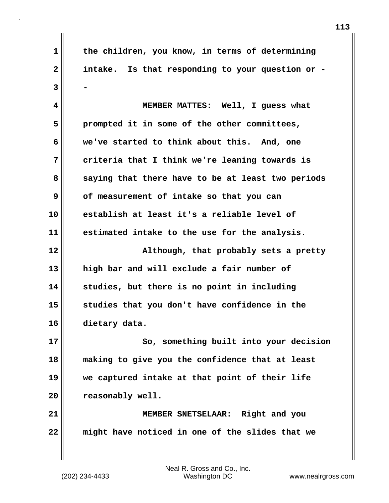**1 the children, you know, in terms of determining 2 intake. Is that responding to your question or - 3 - 4 MEMBER MATTES: Well, I guess what 5 prompted it in some of the other committees, 6 we've started to think about this. And, one 7 criteria that I think we're leaning towards is 8 saying that there have to be at least two periods 9 of measurement of intake so that you can 10 establish at least it's a reliable level of 11 estimated intake to the use for the analysis. 12 Although, that probably sets a pretty 13 high bar and will exclude a fair number of 14 studies, but there is no point in including 15 studies that you don't have confidence in the 16 dietary data. 17 So, something built into your decision 18 making to give you the confidence that at least 19 we captured intake at that point of their life 20 reasonably well. 21 MEMBER SNETSELAAR: Right and you 22 might have noticed in one of the slides that we**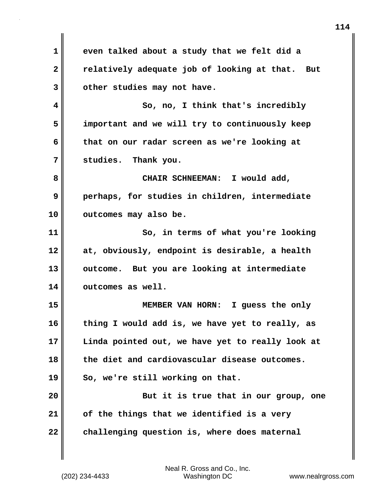**1 even talked about a study that we felt did a** 2 **Paramely adequate job of looking at that.** But **3 other studies may not have. 4 So, no, I think that's incredibly 5 important and we will try to continuously keep 6 that on our radar screen as we're looking at 7 studies. Thank you. 8 CHAIR SCHNEEMAN: I would add, 9 perhaps, for studies in children, intermediate 10 outcomes may also be. 11** So, in terms of what you're looking **12 at, obviously, endpoint is desirable, a health 13 outcome. But you are looking at intermediate 14 outcomes as well. 15 MEMBER VAN HORN: I guess the only 16 thing I would add is, we have yet to really, as 17 Linda pointed out, we have yet to really look at 18 the diet and cardiovascular disease outcomes. 19 So, we're still working on that. 20 But it is true that in our group, one 21 of the things that we identified is a very 22 challenging question is, where does maternal**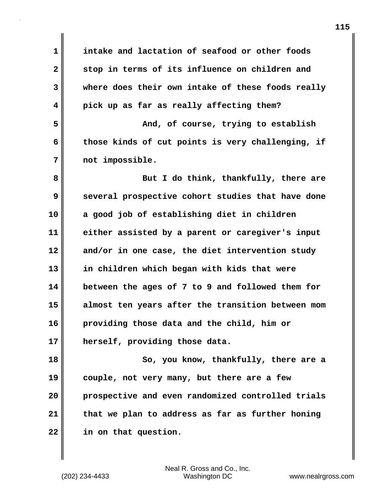**1 intake and lactation of seafood or other foods 2 stop in terms of its influence on children and 3 where does their own intake of these foods really 4 pick up as far as really affecting them? 5 And, of course, trying to establish 6 those kinds of cut points is very challenging, if 7 not impossible. 8 But I do think, thankfully, there are 9 several prospective cohort studies that have done 10 a good job of establishing diet in children 11 either assisted by a parent or caregiver's input 12 and/or in one case, the diet intervention study 13 in children which began with kids that were 14 between the ages of 7 to 9 and followed them for 15 almost ten years after the transition between mom 16 providing those data and the child, him or 17 herself, providing those data. 18 So, you know, thankfully, there are a 19 couple, not very many, but there are a few 20 prospective and even randomized controlled trials 21 that we plan to address as far as further honing 22 in on that question.**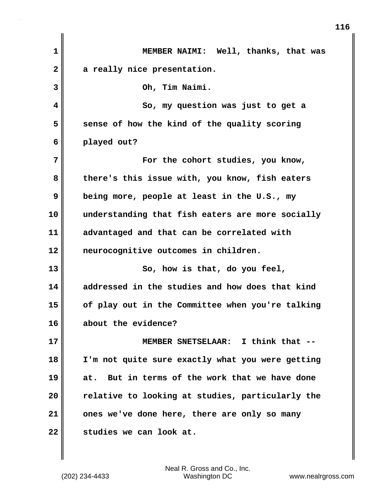| $\mathbf{1}$ | MEMBER NAIMI: Well, thanks, that was              |
|--------------|---------------------------------------------------|
| $\mathbf{2}$ | a really nice presentation.                       |
| 3            | Oh, Tim Naimi.                                    |
| 4            | So, my question was just to get a                 |
| 5            | sense of how the kind of the quality scoring      |
| 6            | played out?                                       |
| 7            | For the cohort studies, you know,                 |
| 8            | there's this issue with, you know, fish eaters    |
| 9            | being more, people at least in the U.S., my       |
| 10           | understanding that fish eaters are more socially  |
| 11           | advantaged and that can be correlated with        |
| 12           | neurocognitive outcomes in children.              |
| 13           | So, how is that, do you feel,                     |
| 14           | addressed in the studies and how does that kind   |
| 15           | of play out in the Committee when you're talking  |
| 16           | about the evidence?                               |
| 17           | MEMBER SNETSELAAR: I think that --                |
| 18           | I'm not quite sure exactly what you were getting  |
| 19           | But in terms of the work that we have done<br>at. |
| 20           | relative to looking at studies, particularly the  |
| 21           | ones we've done here, there are only so many      |
| 22           | studies we can look at.                           |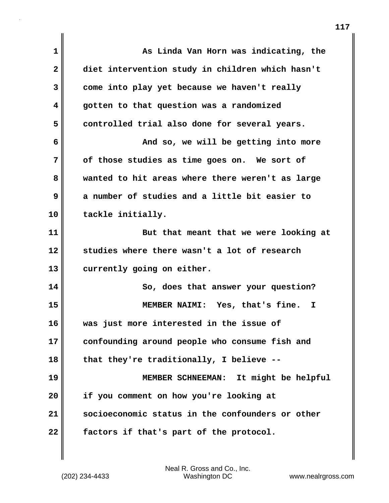| $\mathbf{1}$ | As Linda Van Horn was indicating, the            |
|--------------|--------------------------------------------------|
| $\mathbf{2}$ | diet intervention study in children which hasn't |
| 3            | come into play yet because we haven't really     |
| 4            | gotten to that question was a randomized         |
| 5            | controlled trial also done for several years.    |
| 6            | And so, we will be getting into more             |
| 7            | of those studies as time goes on. We sort of     |
| 8            | wanted to hit areas where there weren't as large |
| 9            | a number of studies and a little bit easier to   |
| 10           | tackle initially.                                |
| 11           | But that meant that we were looking at           |
| 12           | studies where there wasn't a lot of research     |
| 13           | currently going on either.                       |
| 14           | So, does that answer your question?              |
| 15           | MEMBER NAIMI: Yes, that's fine.<br>I.            |
| 16           | was just more interested in the issue of         |
| 17           | confounding around people who consume fish and   |
| 18           | that they're traditionally, I believe --         |
| 19           | MEMBER SCHNEEMAN: It might be helpful            |
| 20           | if you comment on how you're looking at          |
| 21           | socioeconomic status in the confounders or other |
| 22           | factors if that's part of the protocol.          |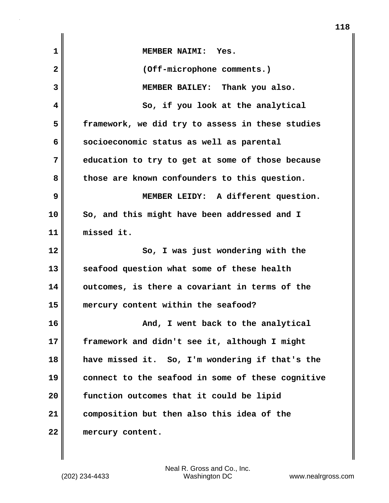| $\mathbf 1$  | MEMBER NAIMI: Yes.                                |
|--------------|---------------------------------------------------|
| $\mathbf{2}$ | (Off-microphone comments.)                        |
| 3            | MEMBER BAILEY: Thank you also.                    |
| 4            | So, if you look at the analytical                 |
| 5            | framework, we did try to assess in these studies  |
| 6            | socioeconomic status as well as parental          |
| 7            | education to try to get at some of those because  |
| 8            | those are known confounders to this question.     |
| 9            | MEMBER LEIDY: A different question.               |
| 10           | So, and this might have been addressed and I      |
| 11           | missed it.                                        |
| 12           | So, I was just wondering with the                 |
| 13           | seafood question what some of these health        |
| 14           | outcomes, is there a covariant in terms of the    |
| 15           | mercury content within the seafood?               |
| 16           | And, I went back to the analytical                |
| 17           | framework and didn't see it, although I might     |
| 18           | have missed it. So, I'm wondering if that's the   |
| 19           | connect to the seafood in some of these cognitive |
| 20           | function outcomes that it could be lipid          |
| 21           | composition but then also this idea of the        |
| 22           | mercury content.                                  |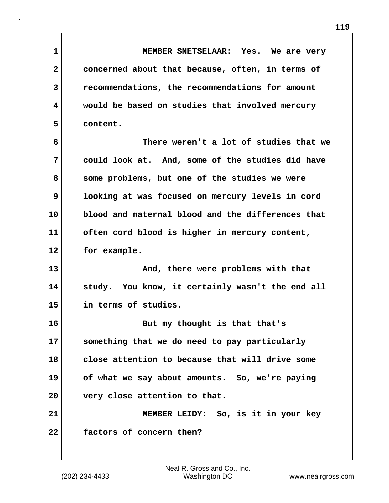**1 MEMBER SNETSELAAR: Yes. We are very 2 concerned about that because, often, in terms of 3 recommendations, the recommendations for amount 4 would be based on studies that involved mercury 5 content.**

**6 There weren't a lot of studies that we 7 could look at. And, some of the studies did have 8 some problems, but one of the studies we were 9 looking at was focused on mercury levels in cord 10 blood and maternal blood and the differences that 11 often cord blood is higher in mercury content, 12 for example.**

**13 And, there were problems with that 14 study. You know, it certainly wasn't the end all 15 in terms of studies.**

**16 But my thought is that that's 17 something that we do need to pay particularly 18 close attention to because that will drive some 19 of what we say about amounts. So, we're paying 20 very close attention to that. 21 MEMBER LEIDY: So, is it in your key**

**22 factors of concern then?**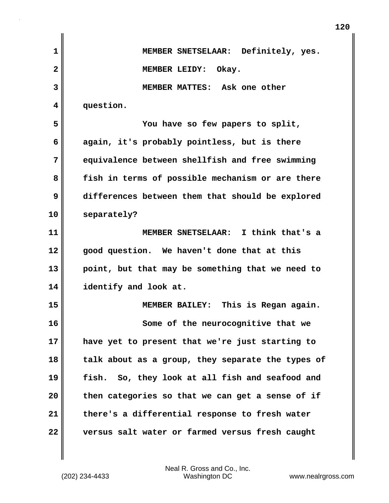| $\mathbf 1$    | MEMBER SNETSELAAR: Definitely, yes.               |
|----------------|---------------------------------------------------|
| $\overline{2}$ | MEMBER LEIDY: Okay.                               |
| 3              | MEMBER MATTES: Ask one other                      |
| 4              | question.                                         |
| 5              | You have so few papers to split,                  |
| 6              | again, it's probably pointless, but is there      |
| 7              | equivalence between shellfish and free swimming   |
| 8              | fish in terms of possible mechanism or are there  |
| 9              | differences between them that should be explored  |
| 10             | separately?                                       |
| 11             | MEMBER SNETSELAAR: I think that's a               |
| 12             | good question. We haven't done that at this       |
| 13             | point, but that may be something that we need to  |
| 14             | identify and look at.                             |
| 15             | MEMBER BAILEY: This is Regan again.               |
| 16             | Some of the neurocognitive that we                |
| 17             | have yet to present that we're just starting to   |
| 18             | talk about as a group, they separate the types of |
| 19             | fish. So, they look at all fish and seafood and   |
| 20             | then categories so that we can get a sense of if  |
| 21             | there's a differential response to fresh water    |
| 22             | versus salt water or farmed versus fresh caught   |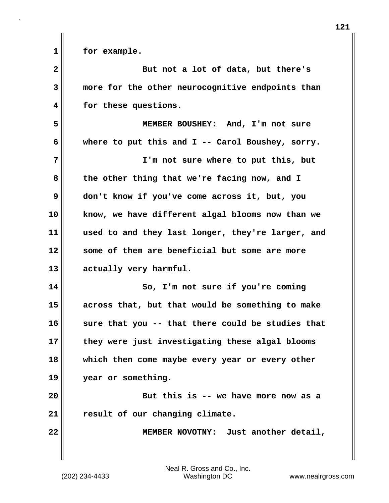**1 for example. 2 But not a lot of data, but there's 3 more for the other neurocognitive endpoints than 4 for these questions. 5 MEMBER BOUSHEY: And, I'm not sure 6 where to put this and I -- Carol Boushey, sorry. 7 I'm not sure where to put this, but 8 the other thing that we're facing now, and I 9 don't know if you've come across it, but, you 10 know, we have different algal blooms now than we 11 used to and they last longer, they're larger, and 12 some of them are beneficial but some are more 13 actually very harmful. 14 So, I'm not sure if you're coming 15 across that, but that would be something to make 16 sure that you -- that there could be studies that 17 they were just investigating these algal blooms 18 which then come maybe every year or every other 19 year or something.**

**20 But this is -- we have more now as a 21 result of our changing climate.**

**22 MEMBER NOVOTNY: Just another detail,**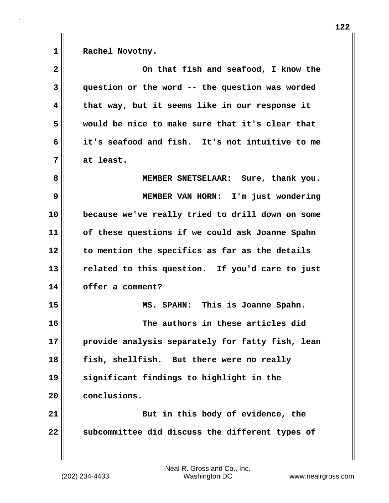1 Rachel Novotny.

| $\mathbf{2}$            | On that fish and seafood, I know the             |
|-------------------------|--------------------------------------------------|
| $\overline{3}$          | question or the word -- the question was worded  |
| $\overline{\mathbf{4}}$ | that way, but it seems like in our response it   |
| 5                       | would be nice to make sure that it's clear that  |
| 6                       | it's seafood and fish. It's not intuitive to me  |
| 7                       | at least.                                        |
| 8                       | MEMBER SNETSELAAR: Sure, thank you.              |
| 9                       | MEMBER VAN HORN: I'm just wondering              |
| 10                      | because we've really tried to drill down on some |
| 11                      | of these questions if we could ask Joanne Spahn  |
| 12                      | to mention the specifics as far as the details   |
| 13                      | related to this question. If you'd care to just  |
| 14                      | offer a comment?                                 |
| 15                      | MS. SPAHN: This is Joanne Spahn.                 |
| 16                      | The authors in these articles did                |
| 17                      | provide analysis separately for fatty fish, lean |
| 18                      | fish, shellfish. But there were no really        |
| 19                      | significant findings to highlight in the         |
| 20                      | conclusions.                                     |
| 21                      | But in this body of evidence, the                |
| 22                      | subcommittee did discuss the different types of  |
|                         |                                                  |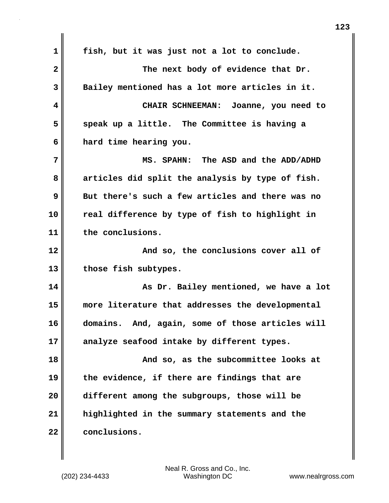| $\mathbf 1$  | fish, but it was just not a lot to conclude.     |
|--------------|--------------------------------------------------|
| $\mathbf{2}$ | The next body of evidence that Dr.               |
| 3            | Bailey mentioned has a lot more articles in it.  |
| 4            | CHAIR SCHNEEMAN: Joanne, you need to             |
| 5            | speak up a little. The Committee is having a     |
| 6            | hard time hearing you.                           |
| 7            | MS. SPAHN: The ASD and the ADD/ADHD              |
| 8            | articles did split the analysis by type of fish. |
| 9            | But there's such a few articles and there was no |
| 10           | real difference by type of fish to highlight in  |
| 11           | the conclusions.                                 |
| 12           | And so, the conclusions cover all of             |
| 13           | those fish subtypes.                             |
| 14           | As Dr. Bailey mentioned, we have a lot           |
| 15           | more literature that addresses the developmental |
| 16           | domains. And, again, some of those articles will |
| 17           | analyze seafood intake by different types.       |
| 18           | And so, as the subcommittee looks at             |
| 19           | the evidence, if there are findings that are     |
| 20           | different among the subgroups, those will be     |
| 21           | highlighted in the summary statements and the    |
| 22           | conclusions.                                     |

 $\mathbf{I}$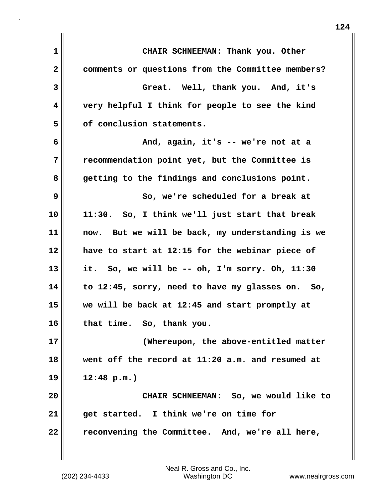| 1  | CHAIR SCHNEEMAN: Thank you. Other                   |
|----|-----------------------------------------------------|
| 2  | comments or questions from the Committee members?   |
| 3  | Great. Well, thank you. And, it's                   |
| 4  | very helpful I think for people to see the kind     |
| 5  | of conclusion statements.                           |
| 6  | And, again, it's -- we're not at a                  |
| 7  | recommendation point yet, but the Committee is      |
| 8  | getting to the findings and conclusions point.      |
| 9  | So, we're scheduled for a break at                  |
| 10 | 11:30. So, I think we'll just start that break      |
| 11 | now. But we will be back, my understanding is we    |
| 12 | have to start at 12:15 for the webinar piece of     |
| 13 | it. So, we will be -- oh, I'm sorry. Oh, 11:30      |
| 14 | to $12:45$ , sorry, need to have my glasses on. So, |
| 15 | we will be back at 12:45 and start promptly at      |
| 16 | that time. So, thank you.                           |
| 17 | (Whereupon, the above-entitled matter               |
| 18 | went off the record at 11:20 a.m. and resumed at    |
| 19 | 12:48 p.m.                                          |
| 20 | CHAIR SCHNEEMAN: So, we would like to               |
| 21 | get started. I think we're on time for              |
| 22 | reconvening the Committee. And, we're all here,     |
|    |                                                     |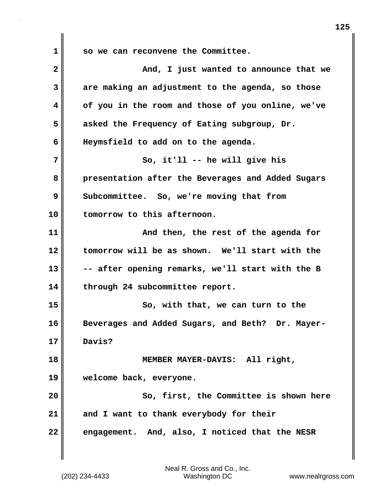**1 so we can reconvene the Committee.**

**2** And, I just wanted to announce that we **3 are making an adjustment to the agenda, so those 4 of you in the room and those of you online, we've 5 asked the Frequency of Eating subgroup, Dr. 6 Heymsfield to add on to the agenda. 7 So, it'll -- he will give his 8 presentation after the Beverages and Added Sugars 9 Subcommittee. So, we're moving that from 10 tomorrow to this afternoon. 11 And then, the rest of the agenda for 12 tomorrow will be as shown. We'll start with the 13 -- after opening remarks, we'll start with the B 14 through 24 subcommittee report. 15** So, with that, we can turn to the **16 Beverages and Added Sugars, and Beth? Dr. Mayer-17 Davis? 18 MEMBER MAYER-DAVIS: All right, 19 welcome back, everyone. 20 So, first, the Committee is shown here 21 and I want to thank everybody for their 22 engagement. And, also, I noticed that the NESR**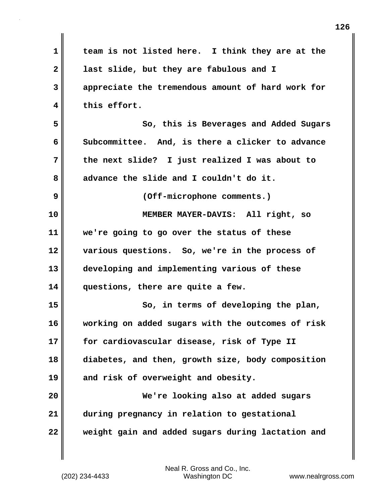| 1            | team is not listed here. I think they are at the  |
|--------------|---------------------------------------------------|
| $\mathbf{2}$ | last slide, but they are fabulous and I           |
| 3            | appreciate the tremendous amount of hard work for |
| 4            | this effort.                                      |
| 5            | So, this is Beverages and Added Sugars            |
| 6            | Subcommittee. And, is there a clicker to advance  |
| 7            | the next slide? I just realized I was about to    |
| 8            | advance the slide and I couldn't do it.           |
| 9            | (Off-microphone comments.)                        |
| 10           | MEMBER MAYER-DAVIS: All right, so                 |
| 11           | we're going to go over the status of these        |
| 12           | various questions. So, we're in the process of    |
| 13           | developing and implementing various of these      |
| 14           | questions, there are quite a few.                 |
| 15           | So, in terms of developing the plan,              |
| 16           | working on added sugars with the outcomes of risk |
| 17           | for cardiovascular disease, risk of Type II       |
| 18           | diabetes, and then, growth size, body composition |
| 19           | and risk of overweight and obesity.               |
| 20           | We're looking also at added sugars                |
| 21           | during pregnancy in relation to gestational       |
| 22           | weight gain and added sugars during lactation and |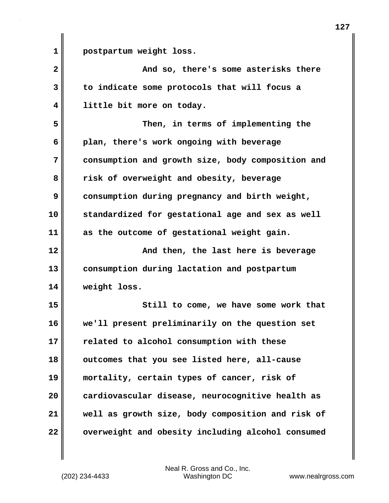**1 postpartum weight loss. 2** And so, there's some asterisks there **3 to indicate some protocols that will focus a 4 little bit more on today. 5 Then, in terms of implementing the 6 plan, there's work ongoing with beverage 7 consumption and growth size, body composition and 8 risk of overweight and obesity, beverage 9 consumption during pregnancy and birth weight, 10 standardized for gestational age and sex as well 11 as the outcome of gestational weight gain. 12 And then, the last here is beverage 13 consumption during lactation and postpartum 14 weight loss. 15 Still to come, we have some work that 16 we'll present preliminarily on the question set 17 related to alcohol consumption with these 18 outcomes that you see listed here, all-cause 19 mortality, certain types of cancer, risk of 20 cardiovascular disease, neurocognitive health as 21 well as growth size, body composition and risk of 22 overweight and obesity including alcohol consumed**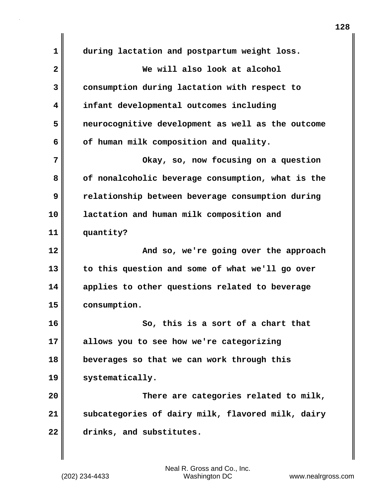**1 during lactation and postpartum weight loss. 2 We will also look at alcohol 3 consumption during lactation with respect to 4 infant developmental outcomes including 5 neurocognitive development as well as the outcome** 6 **of human milk composition and quality. 7 Okay, so, now focusing on a question 8 of nonalcoholic beverage consumption, what is the 9 relationship between beverage consumption during 10 lactation and human milk composition and 11 quantity? 12 And so, we're going over the approach 13 to this question and some of what we'll go over 14 applies to other questions related to beverage 15 consumption. 16 So, this is a sort of a chart that 17 allows you to see how we're categorizing 18 beverages so that we can work through this 19 systematically. 20 There are categories related to milk, 21 subcategories of dairy milk, flavored milk, dairy 22 drinks, and substitutes.**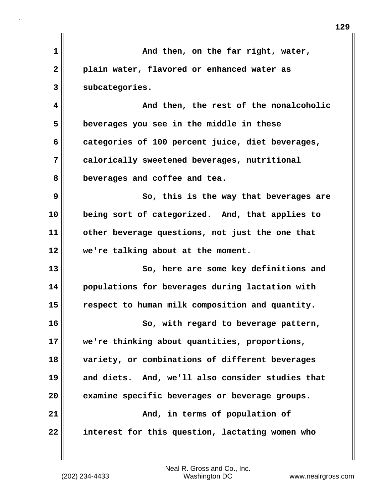| And then, on the far right, water,               |
|--------------------------------------------------|
| plain water, flavored or enhanced water as       |
| subcategories.                                   |
| And then, the rest of the nonalcoholic           |
| beverages you see in the middle in these         |
| categories of 100 percent juice, diet beverages, |
| calorically sweetened beverages, nutritional     |
| beverages and coffee and tea.                    |
| So, this is the way that beverages are           |
| being sort of categorized. And, that applies to  |
| other beverage questions, not just the one that  |
| we're talking about at the moment.               |
| So, here are some key definitions and            |
| populations for beverages during lactation with  |
| respect to human milk composition and quantity.  |
| So, with regard to beverage pattern,             |
| we're thinking about quantities, proportions,    |
| variety, or combinations of different beverages  |
| and diets. And, we'll also consider studies that |
| examine specific beverages or beverage groups.   |
| And, in terms of population of                   |
| interest for this question, lactating women who  |
|                                                  |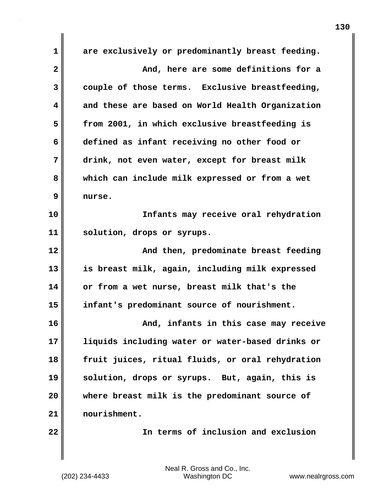**1 are exclusively or predominantly breast feeding. 2 And, here are some definitions for a 3 couple of those terms. Exclusive breastfeeding, 4 and these are based on World Health Organization 5 from 2001, in which exclusive breastfeeding is 6 defined as infant receiving no other food or 7 drink, not even water, except for breast milk 8 which can include milk expressed or from a wet 9 nurse. 10 Infants may receive oral rehydration 11 solution, drops or syrups. 12 And then, predominate breast feeding 13 is breast milk, again, including milk expressed 14 or from a wet nurse, breast milk that's the 15 infant's predominant source of nourishment. 16 And, infants in this case may receive 17 liquids including water or water-based drinks or 18 fruit juices, ritual fluids, or oral rehydration 19 solution, drops or syrups. But, again, this is 20 where breast milk is the predominant source of 21 nourishment. 22 In terms of inclusion and exclusion**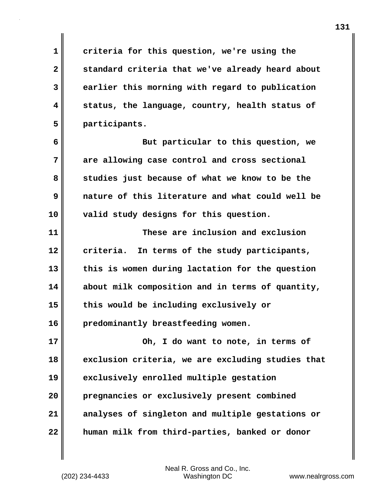**1 criteria for this question, we're using the 2 standard criteria that we've already heard about 3 earlier this morning with regard to publication 4 status, the language, country, health status of 5 participants.**

**6 But particular to this question, we 7 are allowing case control and cross sectional** 8 studies just because of what we know to be the **9 nature of this literature and what could well be 10 valid study designs for this question.**

**11 These are inclusion and exclusion 12 criteria. In terms of the study participants, 13 this is women during lactation for the question 14 about milk composition and in terms of quantity, 15 this would be including exclusively or 16 predominantly breastfeeding women.**

**17 Oh, I do want to note, in terms of 18 exclusion criteria, we are excluding studies that 19 exclusively enrolled multiple gestation 20 pregnancies or exclusively present combined 21 analyses of singleton and multiple gestations or 22 human milk from third-parties, banked or donor**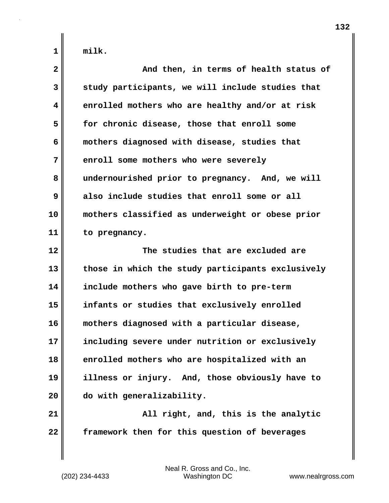| $\overline{\mathbf{2}}$ | And then, in terms of health status of            |
|-------------------------|---------------------------------------------------|
| 3                       | study participants, we will include studies that  |
| 4                       | enrolled mothers who are healthy and/or at risk   |
| 5                       | for chronic disease, those that enroll some       |
| 6                       | mothers diagnosed with disease, studies that      |
| 7                       | enroll some mothers who were severely             |
| 8                       | undernourished prior to pregnancy. And, we will   |
| 9                       | also include studies that enroll some or all      |
| 10                      | mothers classified as underweight or obese prior  |
| 11                      | to pregnancy.                                     |
| 12                      | The studies that are excluded are                 |
| 13                      | those in which the study participants exclusively |
| 14                      | include mothers who gave birth to pre-term        |
| 15                      | infants or studies that exclusively enrolled      |
| 16                      | mothers diagnosed with a particular disease,      |
| 17                      | including severe under nutrition or exclusively   |
| 18                      | enrolled mothers who are hospitalized with an     |
| 19                      | illness or injury. And, those obviously have to   |
| 20                      | do with generalizability.                         |
| 21                      | All right, and, this is the analytic              |
| 22                      | framework then for this question of beverages     |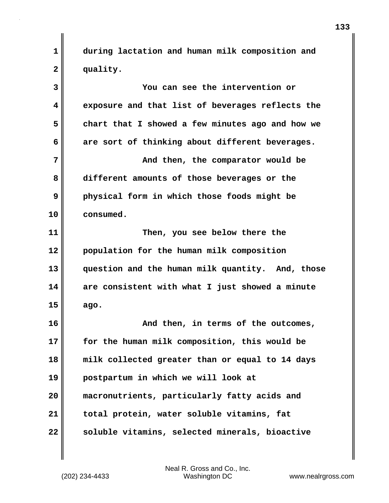**1 during lactation and human milk composition and 2 quality.**

| 3  | You can see the intervention or                  |
|----|--------------------------------------------------|
| 4  | exposure and that list of beverages reflects the |
| 5  | chart that I showed a few minutes ago and how we |
| 6  | are sort of thinking about different beverages.  |
| 7  | And then, the comparator would be                |
| 8  | different amounts of those beverages or the      |
| 9  | physical form in which those foods might be      |
| 10 | consumed.                                        |
| 11 | Then, you see below there the                    |
| 12 | population for the human milk composition        |
| 13 | question and the human milk quantity. And, those |
| 14 | are consistent with what I just showed a minute  |
| 15 | ago.                                             |
| 16 | And then, in terms of the outcomes,              |
| 17 | for the human milk composition, this would be    |
| 18 | milk collected greater than or equal to 14 days  |
| 19 | postpartum in which we will look at              |
| 20 | macronutrients, particularly fatty acids and     |
| 21 | total protein, water soluble vitamins, fat       |
| 22 | soluble vitamins, selected minerals, bioactive   |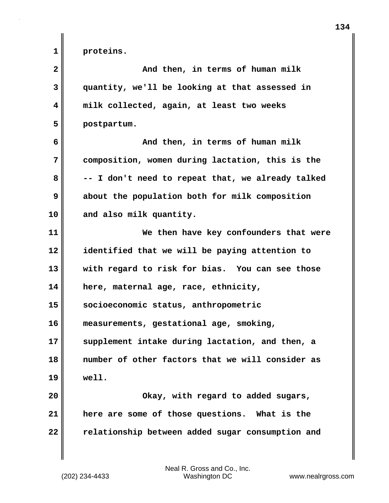**1 proteins.**

| $\overline{\mathbf{2}}$ | And then, in terms of human milk                  |
|-------------------------|---------------------------------------------------|
| 3                       | quantity, we'll be looking at that assessed in    |
| 4                       | milk collected, again, at least two weeks         |
| 5                       | postpartum.                                       |
| 6                       | And then, in terms of human milk                  |
| 7                       | composition, women during lactation, this is the  |
| 8                       | -- I don't need to repeat that, we already talked |
| 9                       | about the population both for milk composition    |
| 10                      | and also milk quantity.                           |
| 11                      | We then have key confounders that were            |
| 12                      | identified that we will be paying attention to    |
| 13                      | with regard to risk for bias. You can see those   |
| 14                      | here, maternal age, race, ethnicity,              |
| 15                      | socioeconomic status, anthropometric              |
| 16                      | measurements, gestational age, smoking,           |
| 17                      | supplement intake during lactation, and then, a   |
| 18                      | number of other factors that we will consider as  |
| 19                      | well.                                             |
| 20                      | Okay, with regard to added sugars,                |
| 21                      | here are some of those questions. What is the     |
| 22                      | relationship between added sugar consumption and  |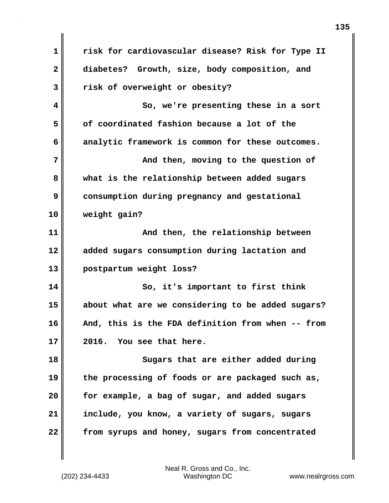| $\mathbf 1$  | risk for cardiovascular disease? Risk for Type II |
|--------------|---------------------------------------------------|
| $\mathbf{2}$ | diabetes? Growth, size, body composition, and     |
| 3            | risk of overweight or obesity?                    |
| 4            | So, we're presenting these in a sort              |
| 5            | of coordinated fashion because a lot of the       |
| 6            | analytic framework is common for these outcomes.  |
| 7            | And then, moving to the question of               |
| 8            | what is the relationship between added sugars     |
| 9            | consumption during pregnancy and gestational      |
| 10           | weight gain?                                      |
| 11           | And then, the relationship between                |
| 12           | added sugars consumption during lactation and     |
| 13           | postpartum weight loss?                           |
| 14           | So, it's important to first think                 |
| 15           | about what are we considering to be added sugars? |
| 16           | And, this is the FDA definition from when -- from |
| 17           | You see that here.<br>2016.                       |
| 18           | Sugars that are either added during               |
| 19           | the processing of foods or are packaged such as,  |
| 20           | for example, a bag of sugar, and added sugars     |
| 21           | include, you know, a variety of sugars, sugars    |
| 22           | from syrups and honey, sugars from concentrated   |

 $\mathbf{I}$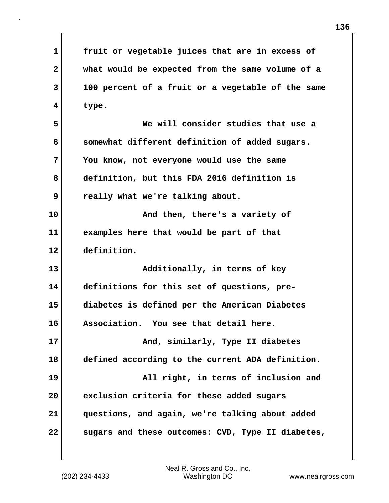**1 fruit or vegetable juices that are in excess of 2 what would be expected from the same volume of a 3 100 percent of a fruit or a vegetable of the same 4 type. 5 We will consider studies that use a 6 somewhat different definition of added sugars. 7 You know, not everyone would use the same 8 definition, but this FDA 2016 definition is 9 really what we're talking about. 10 And then, there's a variety of 11 examples here that would be part of that 12 definition. 13 Additionally, in terms of key 14 definitions for this set of questions, pre-15 diabetes is defined per the American Diabetes 16 Association. You see that detail here. 17 And, similarly, Type II diabetes 18 defined according to the current ADA definition. 19 All right, in terms of inclusion and 20 exclusion criteria for these added sugars 21 questions, and again, we're talking about added** 22 **Sugars and these outcomes: CVD, Type II diabetes,**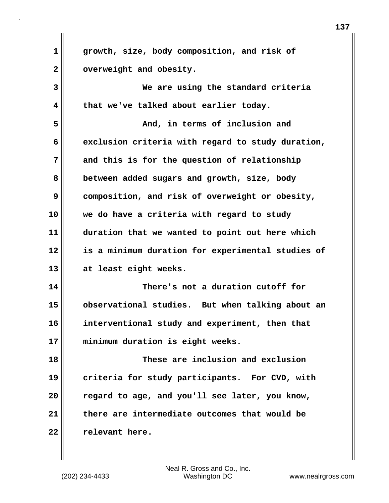| 1  | growth, size, body composition, and risk of       |
|----|---------------------------------------------------|
| 2  | overweight and obesity.                           |
| 3  | We are using the standard criteria                |
| 4  | that we've talked about earlier today.            |
| 5  | And, in terms of inclusion and                    |
| 6  | exclusion criteria with regard to study duration, |
| 7  | and this is for the question of relationship      |
| 8  | between added sugars and growth, size, body       |
| 9  | composition, and risk of overweight or obesity,   |
| 10 | we do have a criteria with regard to study        |
| 11 | duration that we wanted to point out here which   |
| 12 | is a minimum duration for experimental studies of |
| 13 | at least eight weeks.                             |
| 14 | There's not a duration cutoff for                 |
| 15 | observational studies. But when talking about an  |
| 16 | interventional study and experiment, then that    |
| 17 | minimum duration is eight weeks.                  |
| 18 | These are inclusion and exclusion                 |
| 19 | criteria for study participants. For CVD, with    |
| 20 | regard to age, and you'll see later, you know,    |
| 21 | there are intermediate outcomes that would be     |
| 22 | relevant here.                                    |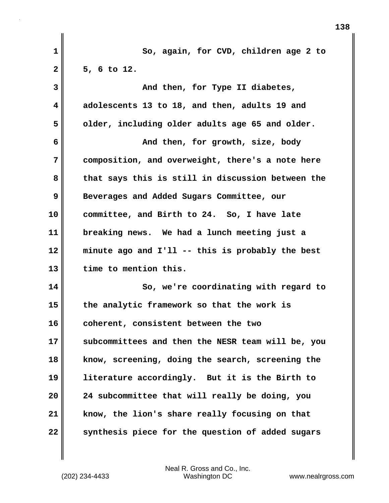| 1  | So, again, for CVD, children age 2 to             |
|----|---------------------------------------------------|
| 2  | 5, 6 to 12.                                       |
| 3  | And then, for Type II diabetes,                   |
| 4  | adolescents 13 to 18, and then, adults 19 and     |
| 5  | older, including older adults age 65 and older.   |
| 6  | And then, for growth, size, body                  |
| 7  | composition, and overweight, there's a note here  |
| 8  | that says this is still in discussion between the |
| 9  | Beverages and Added Sugars Committee, our         |
| 10 | committee, and Birth to 24. So, I have late       |
| 11 | breaking news. We had a lunch meeting just a      |
| 12 | minute ago and I'll -- this is probably the best  |
| 13 | time to mention this.                             |
| 14 | So, we're coordinating with regard to             |
| 15 | the analytic framework so that the work is        |
| 16 | coherent, consistent between the two              |
| 17 | subcommittees and then the NESR team will be, you |
| 18 | know, screening, doing the search, screening the  |
| 19 | literature accordingly. But it is the Birth to    |
| 20 | 24 subcommittee that will really be doing, you    |
| 21 | know, the lion's share really focusing on that    |
| 22 | synthesis piece for the question of added sugars  |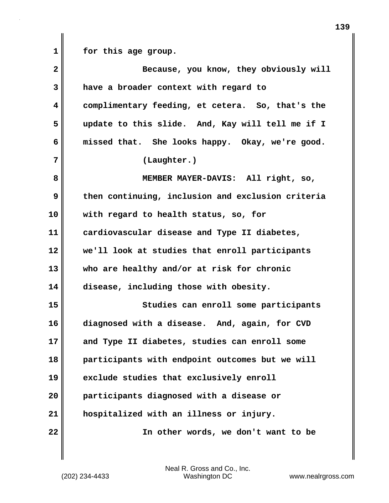**1 for this age group. 2** Because, you know, they obviously will **3 have a broader context with regard to 4 complimentary feeding, et cetera. So, that's the 5 update to this slide. And, Kay will tell me if I 6 missed that. She looks happy. Okay, we're good. 7 (Laughter.) 8 MEMBER MAYER-DAVIS: All right, so, 9 then continuing, inclusion and exclusion criteria 10 with regard to health status, so, for 11 cardiovascular disease and Type II diabetes, 12 we'll look at studies that enroll participants 13 who are healthy and/or at risk for chronic 14 disease, including those with obesity.** 15 Studies can enroll some participants **16 diagnosed with a disease. And, again, for CVD 17 and Type II diabetes, studies can enroll some 18 participants with endpoint outcomes but we will 19 exclude studies that exclusively enroll 20 participants diagnosed with a disease or 21 hospitalized with an illness or injury. 22 In other words, we don't want to be**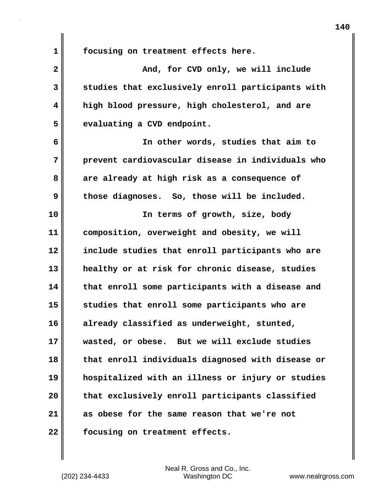**1 focusing on treatment effects here.**

**2** And, for CVD only, we will include **3 studies that exclusively enroll participants with 4 high blood pressure, high cholesterol, and are 5 evaluating a CVD endpoint.**

**6 In other words, studies that aim to 7 prevent cardiovascular disease in individuals who 8 are already at high risk as a consequence of 9 those diagnoses. So, those will be included.**

**10 In terms of growth, size, body 11 composition, overweight and obesity, we will 12 include studies that enroll participants who are 13 healthy or at risk for chronic disease, studies 14 that enroll some participants with a disease and 15 studies that enroll some participants who are 16 already classified as underweight, stunted, 17 wasted, or obese. But we will exclude studies 18 that enroll individuals diagnosed with disease or 19 hospitalized with an illness or injury or studies 20 that exclusively enroll participants classified 21 as obese for the same reason that we're not 22 focusing on treatment effects.**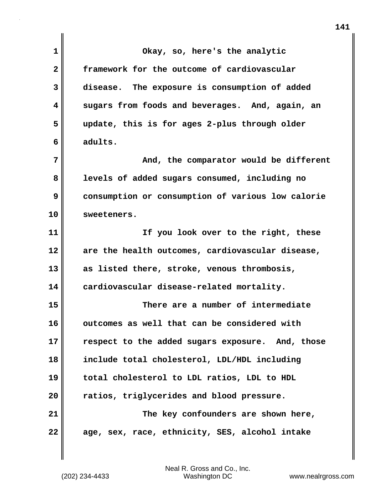| $\mathbf 1$  | Okay, so, here's the analytic                     |
|--------------|---------------------------------------------------|
| $\mathbf{2}$ | framework for the outcome of cardiovascular       |
| 3            | disease. The exposure is consumption of added     |
| 4            | sugars from foods and beverages. And, again, an   |
| 5            | update, this is for ages 2-plus through older     |
| 6            | adults.                                           |
| 7            | And, the comparator would be different            |
| 8            | levels of added sugars consumed, including no     |
| 9            | consumption or consumption of various low calorie |
| 10           | sweeteners.                                       |
| 11           | If you look over to the right, these              |
| 12           | are the health outcomes, cardiovascular disease,  |
| 13           | as listed there, stroke, venous thrombosis,       |
| 14           | cardiovascular disease-related mortality.         |
| 15           | There are a number of intermediate                |
| 16           | outcomes as well that can be considered with      |
| 17           | respect to the added sugars exposure. And, those  |
| 18           | include total cholesterol, LDL/HDL including      |
| 19           | total cholesterol to LDL ratios, LDL to HDL       |
| 20           | ratios, triglycerides and blood pressure.         |
| 21           | The key confounders are shown here,               |
| 22           | age, sex, race, ethnicity, SES, alcohol intake    |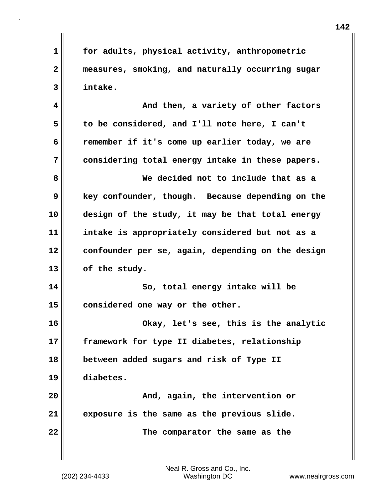**1 for adults, physical activity, anthropometric 2 measures, smoking, and naturally occurring sugar 3 intake.**

**4 And then, a variety of other factors 5 to be considered, and I'll note here, I can't 6 remember if it's come up earlier today, we are 7 considering total energy intake in these papers. 8 We decided not to include that as a 9 key confounder, though. Because depending on the 10 design of the study, it may be that total energy 11 intake is appropriately considered but not as a 12 confounder per se, again, depending on the design 13 of the study. 14 So, total energy intake will be**

**16 Okay, let's see, this is the analytic 17 framework for type II diabetes, relationship 18 between added sugars and risk of Type II 19 diabetes. 20 And, again, the intervention or 21 exposure is the same as the previous slide. 22 The comparator the same as the**

**15 considered one way or the other.**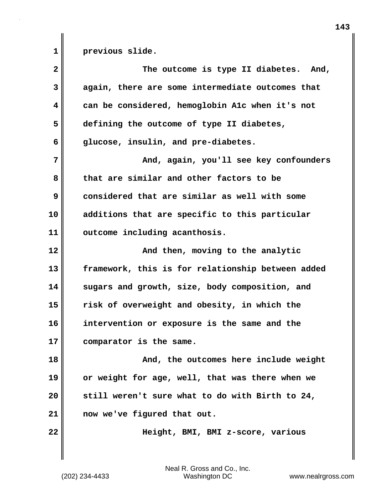1 **previous slide.** 

| $\overline{\mathbf{2}}$ | The outcome is type II diabetes. And,             |
|-------------------------|---------------------------------------------------|
| 3                       | again, there are some intermediate outcomes that  |
| 4                       | can be considered, hemoglobin A1c when it's not   |
| 5                       | defining the outcome of type II diabetes,         |
| 6                       | glucose, insulin, and pre-diabetes.               |
| 7                       | And, again, you'll see key confounders            |
| 8                       | that are similar and other factors to be          |
| 9                       | considered that are similar as well with some     |
| 10                      | additions that are specific to this particular    |
| 11                      | outcome including acanthosis.                     |
| 12                      | And then, moving to the analytic                  |
| 13                      | framework, this is for relationship between added |
| 14                      | sugars and growth, size, body composition, and    |
| 15                      | risk of overweight and obesity, in which the      |
| 16                      | intervention or exposure is the same and the      |
| 17                      | comparator is the same.                           |
| 18                      | And, the outcomes here include weight             |
| 19                      | or weight for age, well, that was there when we   |
| 20                      | still weren't sure what to do with Birth to 24,   |
| 21                      | now we've figured that out.                       |
| 22                      | Height, BMI, BMI z-score, various                 |
|                         |                                                   |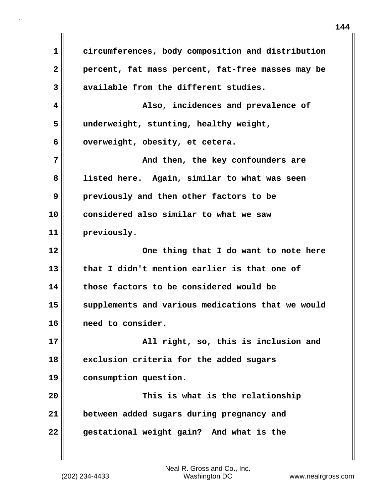**1 circumferences, body composition and distribution 2 percent, fat mass percent, fat-free masses may be 3 available from the different studies. 4 Also, incidences and prevalence of 5 underweight, stunting, healthy weight, 6 overweight, obesity, et cetera. 7 And then, the key confounders are 8 listed here. Again, similar to what was seen 9 previously and then other factors to be 10 considered also similar to what we saw 11 previously. 12 One thing that I do want to note here 13 that I didn't mention earlier is that one of 14 those factors to be considered would be 15 supplements and various medications that we would 16 need to consider. 17 All right, so, this is inclusion and 18 exclusion criteria for the added sugars 19 consumption question. 20 This is what is the relationship 21 between added sugars during pregnancy and 22 gestational weight gain? And what is the**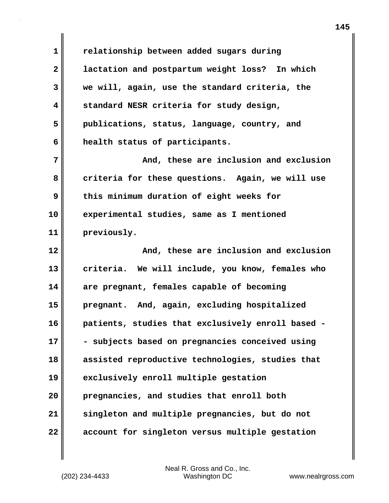**1 relationship between added sugars during 2 lactation and postpartum weight loss? In which 3 we will, again, use the standard criteria, the 4 standard NESR criteria for study design, 5 publications, status, language, country, and 6 health status of participants. 7 And, these are inclusion and exclusion 8 criteria for these questions. Again, we will use 9 this minimum duration of eight weeks for 10 experimental studies, same as I mentioned 11 previously. 12 And, these are inclusion and exclusion 13 criteria. We will include, you know, females who 14 are pregnant, females capable of becoming 15 pregnant. And, again, excluding hospitalized 16 patients, studies that exclusively enroll based - 17 - subjects based on pregnancies conceived using 18 assisted reproductive technologies, studies that 19 exclusively enroll multiple gestation 20 pregnancies, and studies that enroll both 21 singleton and multiple pregnancies, but do not 22 account for singleton versus multiple gestation**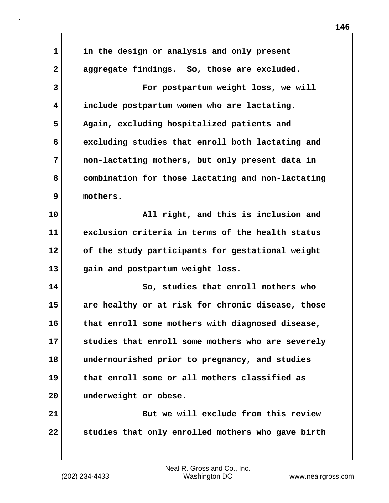**1 in the design or analysis and only present 2 aggregate findings. So, those are excluded. 3 For postpartum weight loss, we will 4 include postpartum women who are lactating. 5 Again, excluding hospitalized patients and 6 excluding studies that enroll both lactating and 7 non-lactating mothers, but only present data in 8 combination for those lactating and non-lactating 9 mothers. 10 All right, and this is inclusion and 11 exclusion criteria in terms of the health status 12 of the study participants for gestational weight 13 gain and postpartum weight loss. 14 So, studies that enroll mothers who 15 are healthy or at risk for chronic disease, those 16 that enroll some mothers with diagnosed disease, 17 studies that enroll some mothers who are severely 18 undernourished prior to pregnancy, and studies 19 that enroll some or all mothers classified as 20 underweight or obese. 21 But we will exclude from this review 22 studies that only enrolled mothers who gave birth**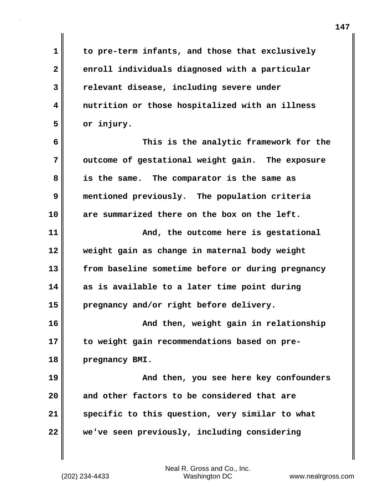**1 to pre-term infants, and those that exclusively 2 enroll individuals diagnosed with a particular 3 relevant disease, including severe under 4 nutrition or those hospitalized with an illness 5 or injury.**

**6 This is the analytic framework for the 7 outcome of gestational weight gain. The exposure 8 is the same. The comparator is the same as 9 mentioned previously. The population criteria 10 are summarized there on the box on the left. 11 And, the outcome here is gestational 12 weight gain as change in maternal body weight**

**13 from baseline sometime before or during pregnancy 14 as is available to a later time point during 15 pregnancy and/or right before delivery.**

**16 And then, weight gain in relationship 17 to weight gain recommendations based on pre-18 pregnancy BMI.**

**19 And then, you see here key confounders 20 and other factors to be considered that are 21 specific to this question, very similar to what 22 we've seen previously, including considering**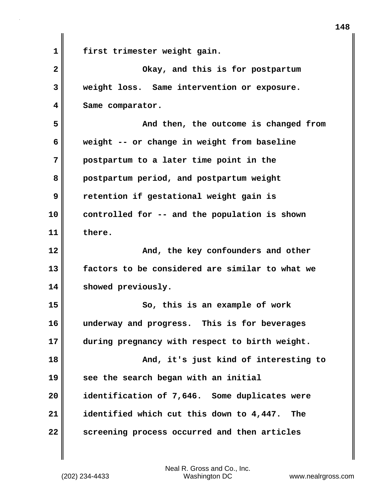**1 first trimester weight gain. 2** Okay, and this is for postpartum **3 weight loss. Same intervention or exposure. 4 Same comparator. 5 And then, the outcome is changed from 6 weight -- or change in weight from baseline 7 postpartum to a later time point in the 8 postpartum period, and postpartum weight 9 retention if gestational weight gain is 10 controlled for -- and the population is shown 11 there. 12 And, the key confounders and other 13 factors to be considered are similar to what we 14 showed previously. 15 So, this is an example of work 16 underway and progress. This is for beverages 17 during pregnancy with respect to birth weight. 18 And, it's just kind of interesting to 19 see the search began with an initial 20 identification of 7,646. Some duplicates were 21 identified which cut this down to 4,447. The 22 screening process occurred and then articles**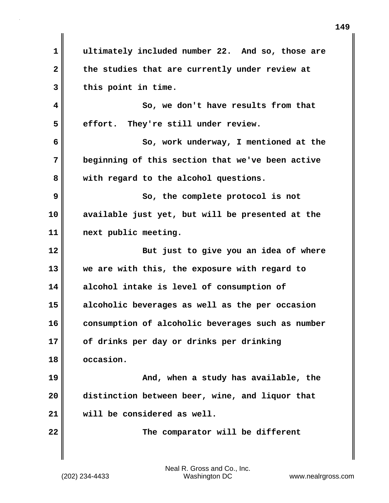**1 ultimately included number 22. And so, those are 2 the studies that are currently under review at 3 this point in time. 4 So, we don't have results from that 5 effort. They're still under review. 6 So, work underway, I mentioned at the 7 beginning of this section that we've been active 8 with regard to the alcohol questions. 9 So, the complete protocol is not 10 available just yet, but will be presented at the 11 next public meeting. 12 But just to give you an idea of where 13 we are with this, the exposure with regard to 14 alcohol intake is level of consumption of 15 alcoholic beverages as well as the per occasion 16 consumption of alcoholic beverages such as number 17 of drinks per day or drinks per drinking 18 occasion. 19 And, when a study has available, the 20 distinction between beer, wine, and liquor that 21 will be considered as well. 22 The comparator will be different**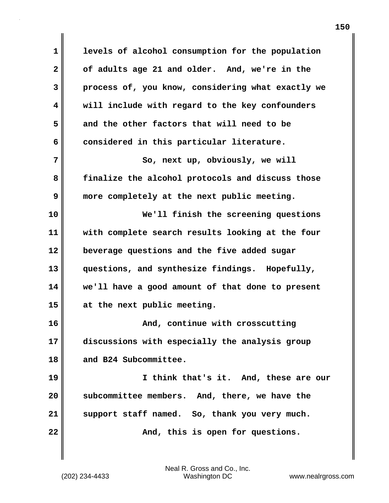| $\mathbf 1$  | levels of alcohol consumption for the population  |
|--------------|---------------------------------------------------|
| $\mathbf{2}$ | of adults age 21 and older. And, we're in the     |
| 3            | process of, you know, considering what exactly we |
| 4            | will include with regard to the key confounders   |
| 5            | and the other factors that will need to be        |
| 6            | considered in this particular literature.         |
| 7            | So, next up, obviously, we will                   |
| 8            | finalize the alcohol protocols and discuss those  |
| 9            | more completely at the next public meeting.       |
| 10           | We'll finish the screening questions              |
| 11           | with complete search results looking at the four  |
| 12           | beverage questions and the five added sugar       |
| 13           | questions, and synthesize findings. Hopefully,    |
| 14           | we'll have a good amount of that done to present  |
| 15           | at the next public meeting.                       |
| 16           | And, continue with crosscutting                   |
| 17           | discussions with especially the analysis group    |
| 18           | and B24 Subcommittee.                             |
| 19           | I think that's it. And, these are our             |
| 20           | subcommittee members. And, there, we have the     |
| 21           | support staff named. So, thank you very much.     |
| 22           | And, this is open for questions.                  |

 $\mathbf{I}$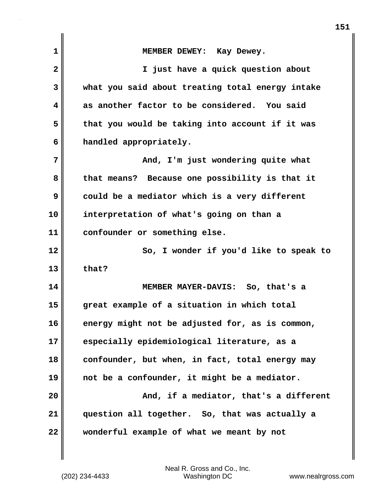| 1            | MEMBER DEWEY: Kay Dewey.                         |
|--------------|--------------------------------------------------|
| $\mathbf{2}$ | I just have a quick question about               |
| 3            | what you said about treating total energy intake |
| 4            | as another factor to be considered. You said     |
| 5            | that you would be taking into account if it was  |
| 6            | handled appropriately.                           |
| 7            | And, I'm just wondering quite what               |
| 8            | that means? Because one possibility is that it   |
| 9            | could be a mediator which is a very different    |
| 10           | interpretation of what's going on than a         |
| 11           | confounder or something else.                    |
| 12           | So, I wonder if you'd like to speak to           |
| 13           | that?                                            |
| 14           | MEMBER MAYER-DAVIS: So, that's a                 |
| 15           | great example of a situation in which total      |
| 16           | energy might not be adjusted for, as is common,  |
| 17           | especially epidemiological literature, as a      |
| 18           | confounder, but when, in fact, total energy may  |
| 19           | not be a confounder, it might be a mediator.     |
| 20           | And, if a mediator, that's a different           |
| 21           | question all together. So, that was actually a   |
| 22           | wonderful example of what we meant by not        |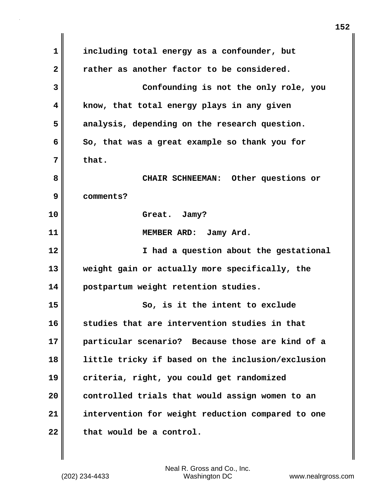**1 including total energy as a confounder, but 2 rather as another factor to be considered. 3 Confounding is not the only role, you 4 know, that total energy plays in any given 5 analysis, depending on the research question. 6 So, that was a great example so thank you for 7 that. 8 CHAIR SCHNEEMAN: Other questions or 9 comments? 10 Great. Jamy? 11** MEMBER ARD: Jamy Ard. **12 I had a question about the gestational 13 weight gain or actually more specifically, the 14 postpartum weight retention studies. 15 So, is it the intent to exclude 16 studies that are intervention studies in that 17 particular scenario? Because those are kind of a 18 little tricky if based on the inclusion/exclusion 19 criteria, right, you could get randomized 20 controlled trials that would assign women to an 21 intervention for weight reduction compared to one** 22 that would be a control.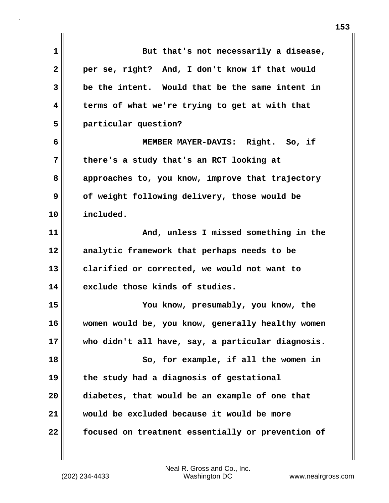| $\mathbf 1$ | But that's not necessarily a disease,             |
|-------------|---------------------------------------------------|
| 2           | per se, right? And, I don't know if that would    |
| 3           | be the intent. Would that be the same intent in   |
| 4           | terms of what we're trying to get at with that    |
| 5           | particular question?                              |
| 6           | MEMBER MAYER-DAVIS: Right. So, if                 |
| 7           | there's a study that's an RCT looking at          |
| 8           | approaches to, you know, improve that trajectory  |
| 9           | of weight following delivery, those would be      |
| 10          | included.                                         |
| 11          | And, unless I missed something in the             |
| 12          | analytic framework that perhaps needs to be       |
| 13          | clarified or corrected, we would not want to      |
| 14          | exclude those kinds of studies.                   |
| 15          | You know, presumably, you know, the               |
| 16          | women would be, you know, generally healthy women |
| 17          | who didn't all have, say, a particular diagnosis. |
| 18          | So, for example, if all the women in              |
| 19          | the study had a diagnosis of gestational          |
| 20          | diabetes, that would be an example of one that    |
| 21          | would be excluded because it would be more        |
| 22          | focused on treatment essentially or prevention of |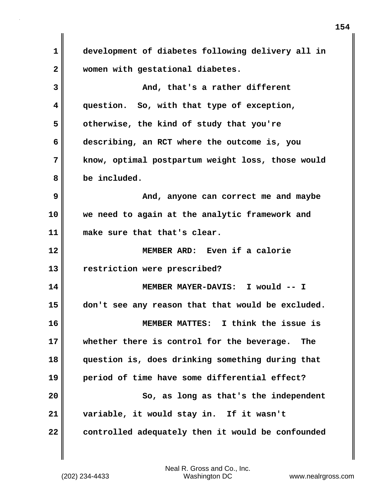**1 development of diabetes following delivery all in 2 women with gestational diabetes. 3 And, that's a rather different 4 question. So, with that type of exception, 5 otherwise, the kind of study that you're 6 describing, an RCT where the outcome is, you 7 know, optimal postpartum weight loss, those would 8 be included. 9 And, anyone can correct me and maybe 10 we need to again at the analytic framework and 11 make sure that that's clear. 12 MEMBER ARD: Even if a calorie 13 restriction were prescribed? 14 MEMBER MAYER-DAVIS: I would -- I 15 don't see any reason that that would be excluded. 16 MEMBER MATTES: I think the issue is 17 whether there is control for the beverage. The 18 question is, does drinking something during that 19 period of time have some differential effect? 20 So, as long as that's the independent 21 variable, it would stay in. If it wasn't 22 controlled adequately then it would be confounded**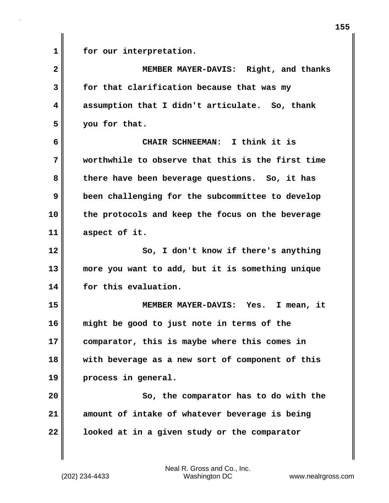| $\mathbf 1$             | for our interpretation.                           |
|-------------------------|---------------------------------------------------|
| $\overline{2}$          | MEMBER MAYER-DAVIS: Right, and thanks             |
| $\overline{\mathbf{3}}$ | for that clarification because that was my        |
| $\overline{\mathbf{4}}$ | assumption that I didn't articulate. So, thank    |
| 5                       | you for that.                                     |
| 6                       | CHAIR SCHNEEMAN: I think it is                    |
| 7                       | worthwhile to observe that this is the first time |
| 8                       | there have been beverage questions. So, it has    |
| 9                       | been challenging for the subcommittee to develop  |
| 10                      | the protocols and keep the focus on the beverage  |
| 11                      | aspect of it.                                     |
| 12                      | So, I don't know if there's anything              |
| 13                      | more you want to add, but it is something unique  |
| 14                      | for this evaluation.                              |
| 15                      | MEMBER MAYER-DAVIS: Yes. I mean, it               |
| 16                      | might be good to just note in terms of the        |
| 17                      | comparator, this is maybe where this comes in     |
| 18                      | with beverage as a new sort of component of this  |
| 19                      | process in general.                               |
| 20                      | So, the comparator has to do with the             |
| 21                      | amount of intake of whatever beverage is being    |
| 22                      | looked at in a given study or the comparator      |
|                         |                                                   |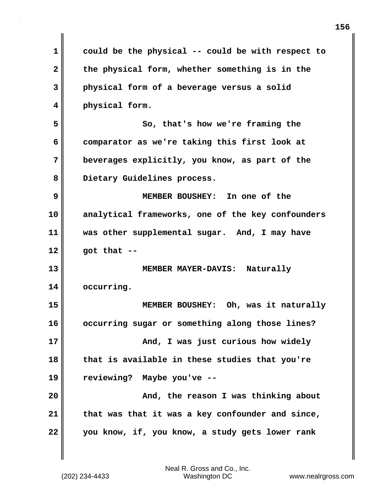| 1  | could be the physical -- could be with respect to |
|----|---------------------------------------------------|
| 2  | the physical form, whether something is in the    |
| 3  | physical form of a beverage versus a solid        |
| 4  | physical form.                                    |
| 5  | So, that's how we're framing the                  |
| 6  | comparator as we're taking this first look at     |
| 7  | beverages explicitly, you know, as part of the    |
| 8  | Dietary Guidelines process.                       |
| 9  | MEMBER BOUSHEY: In one of the                     |
| 10 | analytical frameworks, one of the key confounders |
| 11 | was other supplemental sugar. And, I may have     |
| 12 | got that $--$                                     |
| 13 | MEMBER MAYER-DAVIS: Naturally                     |
| 14 | occurring.                                        |
| 15 | MEMBER BOUSHEY: Oh, was it naturally              |
| 16 | occurring sugar or something along those lines?   |
| 17 | And, I was just curious how widely                |
| 18 | that is available in these studies that you're    |
| 19 | reviewing? Maybe you've --                        |
| 20 | And, the reason I was thinking about              |
| 21 | that was that it was a key confounder and since,  |
| 22 | you know, if, you know, a study gets lower rank   |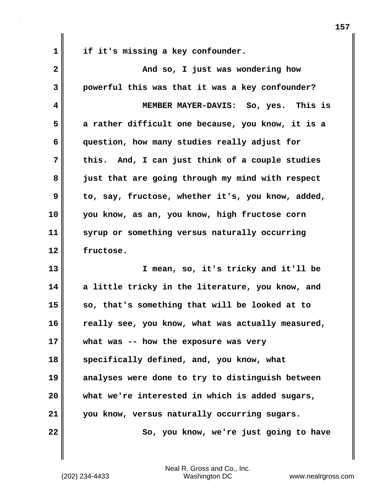**1 if it's missing a key confounder. 2 And so, I just was wondering how 3 powerful this was that it was a key confounder? 4 MEMBER MAYER-DAVIS: So, yes. This is 5 a rather difficult one because, you know, it is a 6 question, how many studies really adjust for 7 this. And, I can just think of a couple studies 8 just that are going through my mind with respect 9 to, say, fructose, whether it's, you know, added, 10 you know, as an, you know, high fructose corn 11 syrup or something versus naturally occurring 12 fructose. 13 I mean, so, it's tricky and it'll be 14 a little tricky in the literature, you know, and 15 so, that's something that will be looked at to 16 really see, you know, what was actually measured, 17 what was -- how the exposure was very 18 specifically defined, and, you know, what 19 analyses were done to try to distinguish between 20 what we're interested in which is added sugars, 21 you know, versus naturally occurring sugars. 22** So, you know, we're just going to have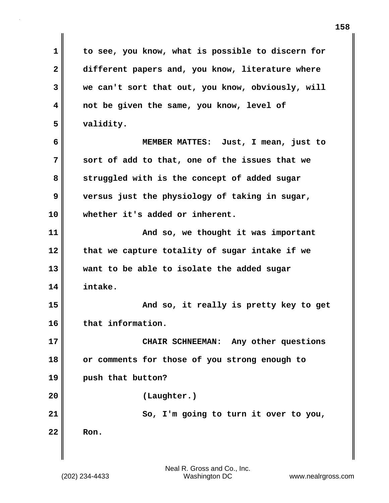**1 to see, you know, what is possible to discern for 2 different papers and, you know, literature where 3 we can't sort that out, you know, obviously, will 4 not be given the same, you know, level of 5 validity. 6 MEMBER MATTES: Just, I mean, just to 7 sort of add to that, one of the issues that we 8 struggled with is the concept of added sugar 9 versus just the physiology of taking in sugar, 10 whether it's added or inherent. 11 And so, we thought it was important 12 that we capture totality of sugar intake if we 13 want to be able to isolate the added sugar 14 intake. 15 And so, it really is pretty key to get 16 that information. 17 CHAIR SCHNEEMAN: Any other questions 18 or comments for those of you strong enough to 19 push that button? 20 (Laughter.) 21 So, I'm going to turn it over to you, 22 Ron.**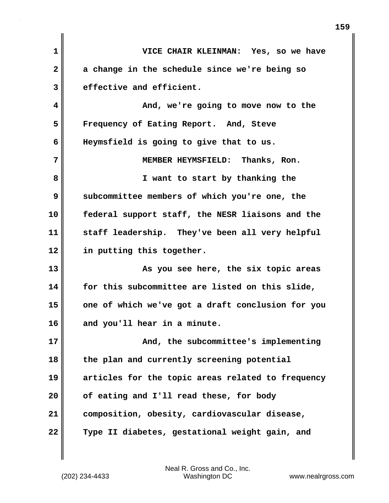| $\mathbf{1}$ | VICE CHAIR KLEINMAN: Yes, so we have              |
|--------------|---------------------------------------------------|
| $\mathbf{2}$ | a change in the schedule since we're being so     |
| 3            | effective and efficient.                          |
| 4            | And, we're going to move now to the               |
| 5            | Frequency of Eating Report. And, Steve            |
| 6            | Heymsfield is going to give that to us.           |
| 7            | MEMBER HEYMSFIELD: Thanks, Ron.                   |
| 8            | I want to start by thanking the                   |
| 9            | subcommittee members of which you're one, the     |
| 10           | federal support staff, the NESR liaisons and the  |
| 11           | staff leadership. They've been all very helpful   |
| 12           | in putting this together.                         |
| 13           | As you see here, the six topic areas              |
| 14           | for this subcommittee are listed on this slide,   |
| 15           | one of which we've got a draft conclusion for you |
| 16           | and you'll hear in a minute.                      |
| 17           | And, the subcommittee's implementing              |
| 18           | the plan and currently screening potential        |
| 19           | articles for the topic areas related to frequency |
| 20           | of eating and I'll read these, for body           |
| 21           | composition, obesity, cardiovascular disease,     |
| 22           | Type II diabetes, gestational weight gain, and    |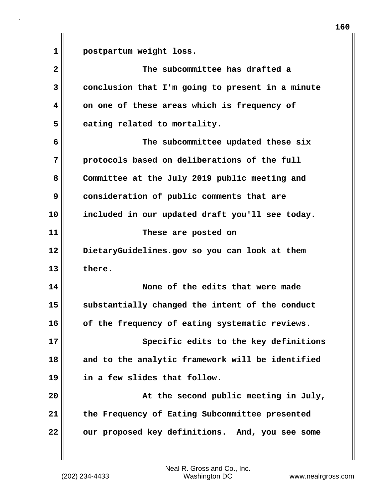**1 postpartum weight loss.**

| $\overline{\mathbf{2}}$ | The subcommittee has drafted a                   |
|-------------------------|--------------------------------------------------|
| 3                       | conclusion that I'm going to present in a minute |
| 4                       | on one of these areas which is frequency of      |
| 5                       | eating related to mortality.                     |
| 6                       | The subcommittee updated these six               |
| 7                       | protocols based on deliberations of the full     |
| 8                       | Committee at the July 2019 public meeting and    |
| 9                       | consideration of public comments that are        |
| 10                      | included in our updated draft you'll see today.  |
| 11                      | These are posted on                              |
| 12                      | DietaryGuidelines.gov so you can look at them    |
| 13                      | there.                                           |
| 14                      | None of the edits that were made                 |
| 15                      | substantially changed the intent of the conduct  |
| 16                      | of the frequency of eating systematic reviews.   |
| 17                      | Specific edits to the key definitions            |
| 18                      | and to the analytic framework will be identified |
| 19                      | in a few slides that follow.                     |
| 20                      | At the second public meeting in July,            |
| 21                      | the Frequency of Eating Subcommittee presented   |
| 22                      | our proposed key definitions. And, you see some  |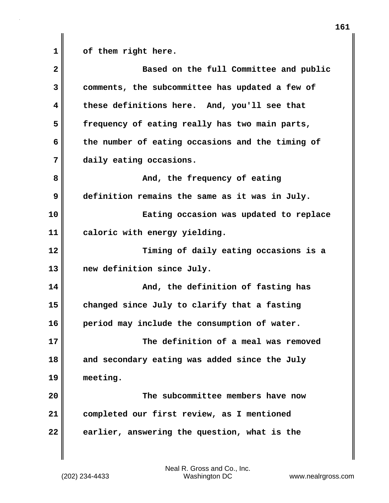1 of them right here.

| $\overline{\mathbf{2}}$ | Based on the full Committee and public           |
|-------------------------|--------------------------------------------------|
| 3                       | comments, the subcommittee has updated a few of  |
| 4                       | these definitions here. And, you'll see that     |
| 5                       | frequency of eating really has two main parts,   |
| 6                       | the number of eating occasions and the timing of |
| 7                       | daily eating occasions.                          |
| 8                       | And, the frequency of eating                     |
| 9                       | definition remains the same as it was in July.   |
| 10                      | Eating occasion was updated to replace           |
| 11                      | caloric with energy yielding.                    |
| 12                      | Timing of daily eating occasions is a            |
| 13                      | new definition since July.                       |
| 14                      | And, the definition of fasting has               |
| 15                      | changed since July to clarify that a fasting     |
| 16                      | period may include the consumption of water.     |
| 17                      | The definition of a meal was removed             |
| 18                      | and secondary eating was added since the July    |
| 19                      | meeting.                                         |
| 20                      | The subcommittee members have now                |
| 21                      | completed our first review, as I mentioned       |
| 22                      | earlier, answering the question, what is the     |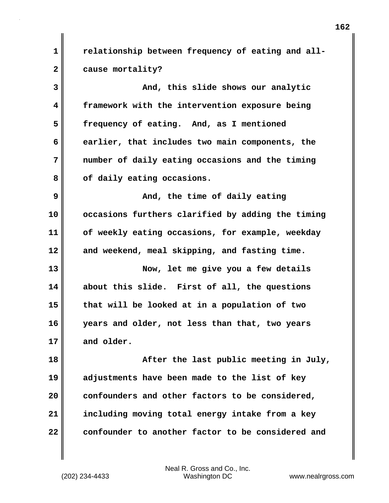1 **calationship between frequency of eating and all-2 cause mortality?**

**3 And, this slide shows our analytic 4 framework with the intervention exposure being 5 frequency of eating. And, as I mentioned 6 earlier, that includes two main components, the 7 number of daily eating occasions and the timing** 8 of daily eating occasions.

**9** Mand, the time of daily eating **10 occasions furthers clarified by adding the timing 11 of weekly eating occasions, for example, weekday 12 and weekend, meal skipping, and fasting time.**

**13 Now, let me give you a few details 14 about this slide. First of all, the questions 15 that will be looked at in a population of two 16 years and older, not less than that, two years 17 and older.**

**18 After the last public meeting in July, 19 adjustments have been made to the list of key** 20 **confounders and other factors to be considered, 21 including moving total energy intake from a key 22 confounder to another factor to be considered and**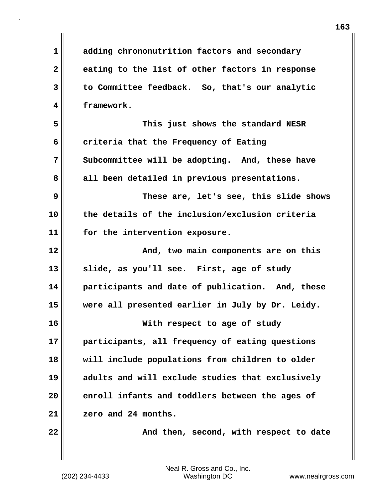| $\mathbf 1$ | adding chrononutrition factors and secondary     |
|-------------|--------------------------------------------------|
| 2           | eating to the list of other factors in response  |
| 3           | to Committee feedback. So, that's our analytic   |
| 4           | framework.                                       |
| 5           | This just shows the standard NESR                |
| 6           | criteria that the Frequency of Eating            |
| 7           | Subcommittee will be adopting. And, these have   |
| 8           | all been detailed in previous presentations.     |
| 9           | These are, let's see, this slide shows           |
| 10          | the details of the inclusion/exclusion criteria  |
| 11          | for the intervention exposure.                   |
| 12          | And, two main components are on this             |
| 13          | slide, as you'll see. First, age of study        |
| 14          | participants and date of publication. And, these |
| 15          | were all presented earlier in July by Dr. Leidy. |
| 16          | With respect to age of study                     |
| 17          | participants, all frequency of eating questions  |
| 18          | will include populations from children to older  |
| 19          | adults and will exclude studies that exclusively |
| 20          | enroll infants and toddlers between the ages of  |
| 21          | zero and 24 months.                              |
| 22          | And then, second, with respect to date           |
|             |                                                  |

 $\blacksquare$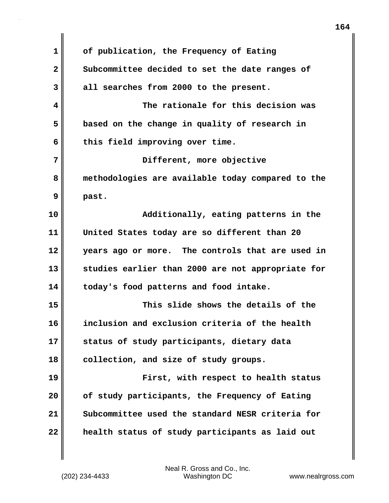**1 of publication, the Frequency of Eating 2 Subcommittee decided to set the date ranges of 3 all searches from 2000 to the present. 4 The rationale for this decision was 5 based on the change in quality of research in 6 this field improving over time. 7 Different, more objective 8 methodologies are available today compared to the 9 past. 10 Additionally, eating patterns in the 11 United States today are so different than 20 12 years ago or more. The controls that are used in 13 studies earlier than 2000 are not appropriate for 14 today's food patterns and food intake. 15 This slide shows the details of the 16 inclusion and exclusion criteria of the health 17 status of study participants, dietary data 18 collection, and size of study groups. 19 First, with respect to health status 20 of study participants, the Frequency of Eating 21 Subcommittee used the standard NESR criteria for 22 health status of study participants as laid out**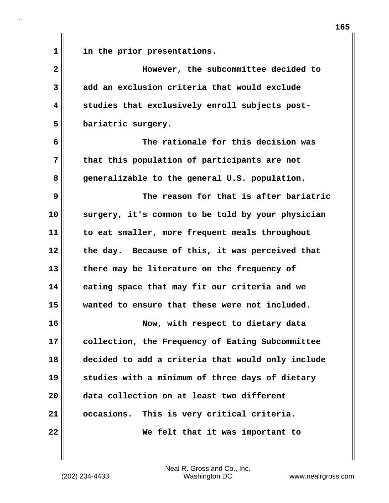**1 in the prior presentations.**

**2 However, the subcommittee decided to 3 add an exclusion criteria that would exclude 4 studies that exclusively enroll subjects post-5 bariatric surgery. 6 The rationale for this decision was 7 that this population of participants are not 8 generalizable to the general U.S. population. 9 The reason for that is after bariatric 10 surgery, it's common to be told by your physician 11 to eat smaller, more frequent meals throughout 12 the day. Because of this, it was perceived that 13 there may be literature on the frequency of 14 eating space that may fit our criteria and we 15 wanted to ensure that these were not included. 16 Now, with respect to dietary data 17 collection, the Frequency of Eating Subcommittee 18 decided to add a criteria that would only include 19 studies with a minimum of three days of dietary 20 data collection on at least two different 21 occasions. This is very critical criteria. 22 We felt that it was important to**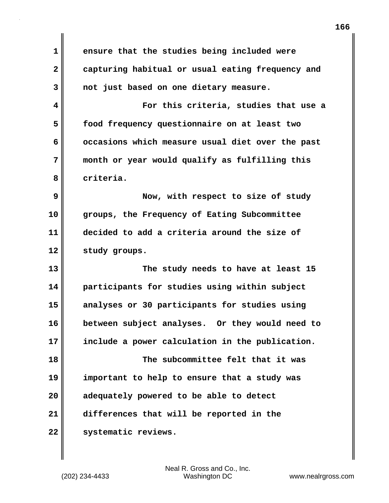| $\mathbf 1$  | ensure that the studies being included were      |
|--------------|--------------------------------------------------|
| $\mathbf{2}$ | capturing habitual or usual eating frequency and |
| 3            | not just based on one dietary measure.           |
| 4            | For this criteria, studies that use a            |
| 5            | food frequency questionnaire on at least two     |
| 6            | occasions which measure usual diet over the past |
| 7            | month or year would qualify as fulfilling this   |
| 8            | criteria.                                        |
| 9            | Now, with respect to size of study               |
| 10           | groups, the Frequency of Eating Subcommittee     |
| 11           | decided to add a criteria around the size of     |
| 12           | study groups.                                    |
| 13           | The study needs to have at least 15              |
| 14           | participants for studies using within subject    |
| 15           | analyses or 30 participants for studies using    |
| 16           | between subject analyses. Or they would need to  |
| 17           | include a power calculation in the publication.  |
|              |                                                  |
| 18           | The subcommittee felt that it was                |
| 19           | important to help to ensure that a study was     |
| 20           | adequately powered to be able to detect          |
| 21           | differences that will be reported in the         |

 $\mathbf{l}$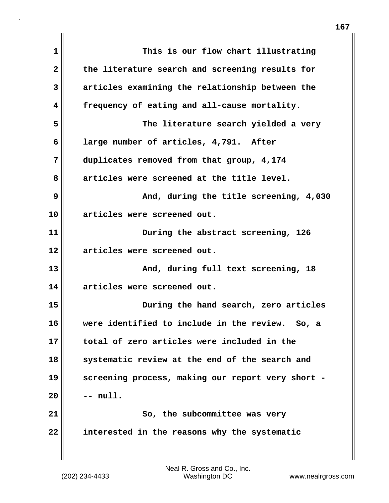| $\mathbf{1}$   | This is our flow chart illustrating               |
|----------------|---------------------------------------------------|
| $\overline{2}$ | the literature search and screening results for   |
| 3              | articles examining the relationship between the   |
| 4              | frequency of eating and all-cause mortality.      |
| 5              | The literature search yielded a very              |
| 6              | large number of articles, 4,791. After            |
| 7              | duplicates removed from that group, 4,174         |
| 8              | articles were screened at the title level.        |
| 9              | And, during the title screening, 4,030            |
| 10             | articles were screened out.                       |
| 11             | During the abstract screening, 126                |
| 12             | articles were screened out.                       |
| 13             | And, during full text screening, 18               |
| 14             | articles were screened out.                       |
| 15             | During the hand search, zero articles             |
| 16             | were identified to include in the review. So, a   |
| 17             | total of zero articles were included in the       |
| 18             | systematic review at the end of the search and    |
| 19             | screening process, making our report very short - |
| 20             | -- null.                                          |
| 21             | So, the subcommittee was very                     |
| 22             | interested in the reasons why the systematic      |
|                |                                                   |

**167**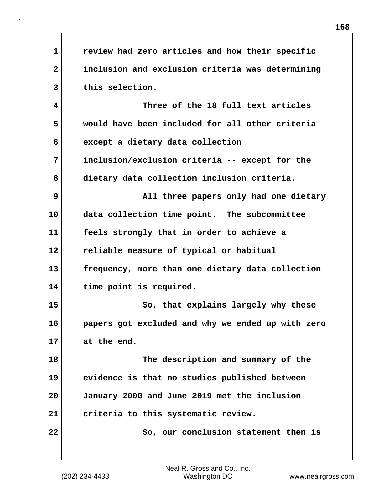**1 review had zero articles and how their specific 2 inclusion and exclusion criteria was determining 3 this selection.**

**4 Three of the 18 full text articles 5 would have been included for all other criteria 6 except a dietary data collection 7 inclusion/exclusion criteria -- except for the 8 dietary data collection inclusion criteria. 9 All three papers only had one dietary 10 data collection time point. The subcommittee 11 feels strongly that in order to achieve a 12 reliable measure of typical or habitual 13 frequency, more than one dietary data collection 14 time point is required.**

**15** So, that explains largely why these **16 papers got excluded and why we ended up with zero 17 at the end.**

**18 The description and summary of the 19 evidence is that no studies published between 20 January 2000 and June 2019 met the inclusion 21 criteria to this systematic review.**

**22 So, our conclusion statement then is**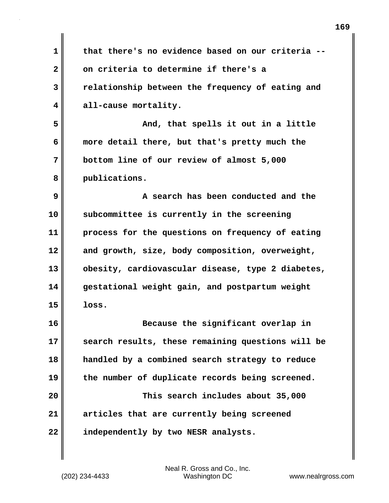| $\mathbf 1$  | that there's no evidence based on our criteria    |
|--------------|---------------------------------------------------|
| $\mathbf{2}$ | on criteria to determine if there's a             |
| 3            | relationship between the frequency of eating and  |
| 4            | all-cause mortality.                              |
| 5            | And, that spells it out in a little               |
| 6            | more detail there, but that's pretty much the     |
| 7            | bottom line of our review of almost 5,000         |
| 8            | publications.                                     |
| 9            | A search has been conducted and the               |
| 10           | subcommittee is currently in the screening        |
| 11           | process for the questions on frequency of eating  |
| 12           | and growth, size, body composition, overweight,   |
| 13           | obesity, cardiovascular disease, type 2 diabetes, |
| 14           | gestational weight gain, and postpartum weight    |
| 15           | loss.                                             |
| 16           | Because the significant overlap in                |
| 17           | search results, these remaining questions will be |
| 18           | handled by a combined search strategy to reduce   |
| 19           | the number of duplicate records being screened.   |
| 20           | This search includes about 35,000                 |
| 21           | articles that are currently being screened        |
| 22           | independently by two NESR analysts.               |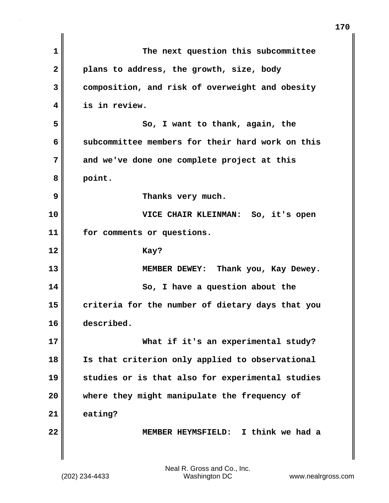| 1  | The next question this subcommittee              |
|----|--------------------------------------------------|
| 2  | plans to address, the growth, size, body         |
| 3  | composition, and risk of overweight and obesity  |
| 4  | is in review.                                    |
| 5  | So, I want to thank, again, the                  |
| 6  | subcommittee members for their hard work on this |
| 7  | and we've done one complete project at this      |
| 8  | point.                                           |
| 9  | Thanks very much.                                |
| 10 | VICE CHAIR KLEINMAN: So, it's open               |
| 11 | for comments or questions.                       |
| 12 | Kay?                                             |
| 13 | MEMBER DEWEY: Thank you, Kay Dewey.              |
| 14 | So, I have a question about the                  |
| 15 | criteria for the number of dietary days that you |
| 16 | described.                                       |
| 17 | What if it's an experimental study?              |
| 18 | Is that criterion only applied to observational  |
| 19 | studies or is that also for experimental studies |
| 20 | where they might manipulate the frequency of     |
| 21 | eating?                                          |
| 22 | I think we had a<br>MEMBER HEYMSFIELD:           |
|    |                                                  |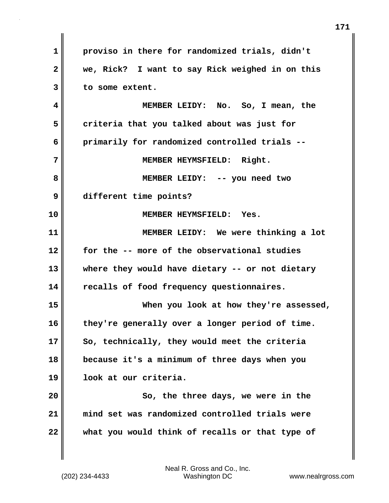**1 proviso in there for randomized trials, didn't 2 we, Rick? I want to say Rick weighed in on this 3 to some extent. 4 MEMBER LEIDY: No. So, I mean, the 5 criteria that you talked about was just for 6 primarily for randomized controlled trials -- 7 MEMBER HEYMSFIELD: Right. 8 MEMBER LEIDY: -- you need two 9 different time points? 10 MEMBER HEYMSFIELD: Yes. 11 MEMBER LEIDY: We were thinking a lot 12 for the -- more of the observational studies 13 where they would have dietary -- or not dietary 14 recalls of food frequency questionnaires. 15 When you look at how they're assessed, 16 they're generally over a longer period of time. 17 So, technically, they would meet the criteria 18 because it's a minimum of three days when you 19 look at our criteria. 20 So, the three days, we were in the 21 mind set was randomized controlled trials were 22 what you would think of recalls or that type of**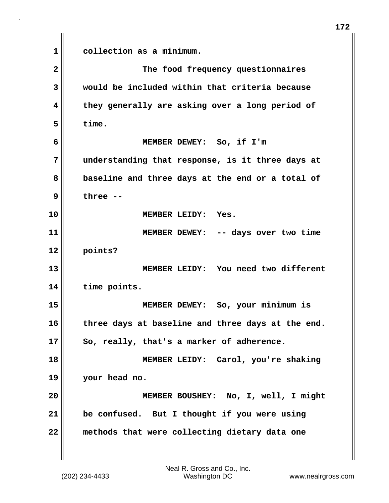**1 collection as a minimum. 2 The food frequency questionnaires 3 would be included within that criteria because 4 they generally are asking over a long period of**  $5$   $\parallel$   $\times$   $\times$   $\times$ **6 MEMBER DEWEY: So, if I'm 7 understanding that response, is it three days at 8 baseline and three days at the end or a total of 9 three -- 10 MEMBER LEIDY: Yes. 11 MEMBER DEWEY: -- days over two time 12 points? 13 MEMBER LEIDY: You need two different 14 time points. 15 MEMBER DEWEY: So, your minimum is 16 three days at baseline and three days at the end. 17 So, really, that's a marker of adherence. 18 MEMBER LEIDY: Carol, you're shaking 19 your head no. 20 MEMBER BOUSHEY: No, I, well, I might 21 be confused. But I thought if you were using 22 methods that were collecting dietary data one**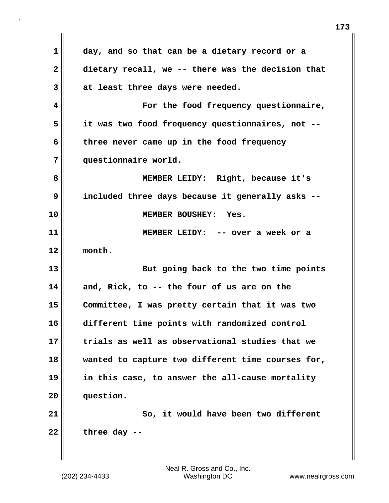**1 day, and so that can be a dietary record or a 2 dietary recall, we -- there was the decision that 3 at least three days were needed. 4 For the food frequency questionnaire, 5 it was two food frequency questionnaires, not -- 6 three never came up in the food frequency 7 questionnaire world. 8 MEMBER LEIDY: Right, because it's 9 included three days because it generally asks -- 10 MEMBER BOUSHEY: Yes. 11 MEMBER LEIDY: -- over a week or a 12 month. 13 But going back to the two time points 14 and, Rick, to -- the four of us are on the 15 Committee, I was pretty certain that it was two 16 different time points with randomized control 17 trials as well as observational studies that we 18 wanted to capture two different time courses for, 19 in this case, to answer the all-cause mortality 20 question. 21** So, it would have been two different **22 three day --**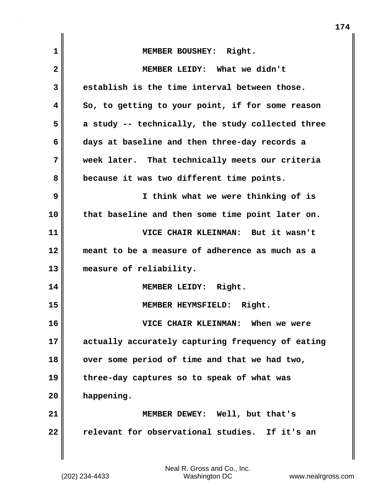| 1                       | MEMBER BOUSHEY: Right.                            |
|-------------------------|---------------------------------------------------|
| $\overline{\mathbf{2}}$ | MEMBER LEIDY: What we didn't                      |
| 3                       | establish is the time interval between those.     |
| 4                       | So, to getting to your point, if for some reason  |
| 5                       | a study -- technically, the study collected three |
| 6                       | days at baseline and then three-day records a     |
| 7                       | week later. That technically meets our criteria   |
| 8                       | because it was two different time points.         |
| 9                       | I think what we were thinking of is               |
| 10                      | that baseline and then some time point later on.  |
| 11                      | VICE CHAIR KLEINMAN: But it wasn't                |
| 12                      | meant to be a measure of adherence as much as a   |
| 13                      | measure of reliability.                           |
| 14                      | MEMBER LEIDY: Right.                              |
| 15                      | MEMBER HEYMSFIELD: Right.                         |
| 16                      | VICE CHAIR KLEINMAN: When we were                 |
| 17                      | actually accurately capturing frequency of eating |
| 18                      | over some period of time and that we had two,     |
| 19                      | three-day captures so to speak of what was        |
| 20                      | happening.                                        |
| 21                      | MEMBER DEWEY: Well, but that's                    |
| 22                      | relevant for observational studies. If it's an    |
|                         |                                                   |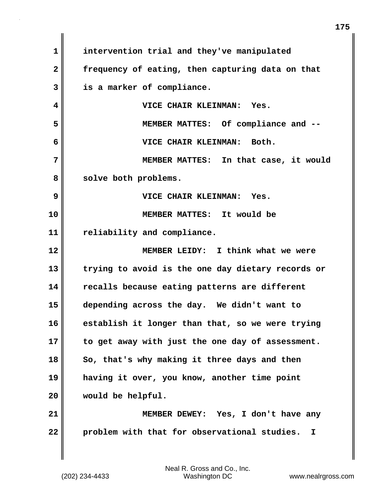| $\mathbf{1}$ | intervention trial and they've manipulated         |
|--------------|----------------------------------------------------|
| $\mathbf{2}$ | frequency of eating, then capturing data on that   |
| 3            | is a marker of compliance.                         |
| 4            | VICE CHAIR KLEINMAN: Yes.                          |
| 5            | MEMBER MATTES: Of compliance and --                |
| 6            | VICE CHAIR KLEINMAN: Both.                         |
| 7            | MEMBER MATTES: In that case, it would              |
| 8            | solve both problems.                               |
| 9            | VICE CHAIR KLEINMAN: Yes.                          |
| 10           | MEMBER MATTES: It would be                         |
| 11           | reliability and compliance.                        |
| 12           | MEMBER LEIDY: I think what we were                 |
| 13           | trying to avoid is the one day dietary records or  |
| 14           | recalls because eating patterns are different      |
| 15           | depending across the day. We didn't want to        |
| 16           | establish it longer than that, so we were trying   |
| 17           | to get away with just the one day of assessment.   |
| 18           | So, that's why making it three days and then       |
| 19           | having it over, you know, another time point       |
| 20           | would be helpful.                                  |
| 21           | MEMBER DEWEY: Yes, I don't have any                |
| 22           | problem with that for observational studies.<br>I. |
|              |                                                    |

 $\mathbf{I}$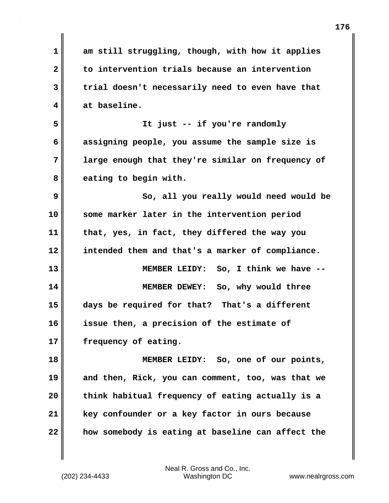| $\mathbf{1}$            | am still struggling, though, with how it applies  |
|-------------------------|---------------------------------------------------|
| $\overline{\mathbf{2}}$ | to intervention trials because an intervention    |
| 3                       | trial doesn't necessarily need to even have that  |
| 4                       | at baseline.                                      |
| 5                       | It just -- if you're randomly                     |
| 6                       | assigning people, you assume the sample size is   |
| 7                       | large enough that they're similar on frequency of |
| 8                       | eating to begin with.                             |
| 9                       | So, all you really would need would be            |
| 10                      | some marker later in the intervention period      |
| 11                      | that, yes, in fact, they differed the way you     |
| 12                      | intended them and that's a marker of compliance.  |
| 13                      | MEMBER LEIDY: So, I think we have --              |
| 14                      | MEMBER DEWEY: So, why would three                 |
| 15                      | days be required for that? That's a different     |
| 16                      | issue then, a precision of the estimate of        |
| 17                      | frequency of eating.                              |
| 18                      | MEMBER LEIDY: So, one of our points,              |
| 19                      | and then, Rick, you can comment, too, was that we |
| 20                      | think habitual frequency of eating actually is a  |
| 21                      | key confounder or a key factor in ours because    |
| 22                      | how somebody is eating at baseline can affect the |
|                         |                                                   |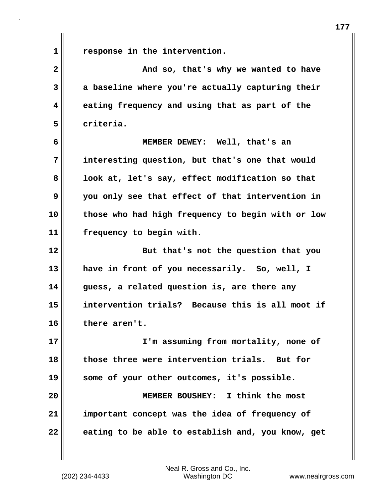**1 response in the intervention.**

| $\overline{\mathbf{2}}$ | And so, that's why we wanted to have              |
|-------------------------|---------------------------------------------------|
| 3                       | a baseline where you're actually capturing their  |
| 4                       | eating frequency and using that as part of the    |
| 5                       | criteria.                                         |
| 6                       | MEMBER DEWEY: Well, that's an                     |
| 7                       | interesting question, but that's one that would   |
| 8                       | look at, let's say, effect modification so that   |
| 9                       | you only see that effect of that intervention in  |
| 10                      | those who had high frequency to begin with or low |
| 11                      | frequency to begin with.                          |
| 12                      | But that's not the question that you              |
| 13                      | have in front of you necessarily. So, well, I     |
| 14                      | guess, a related question is, are there any       |
| 15                      | intervention trials? Because this is all moot if  |
| 16                      | there aren't.                                     |
| 17                      | I'm assuming from mortality, none of              |
| 18                      | those three were intervention trials. But for     |
| 19                      | some of your other outcomes, it's possible.       |
| 20                      | MEMBER BOUSHEY: I think the most                  |
| 21                      | important concept was the idea of frequency of    |
| 22                      | eating to be able to establish and, you know, get |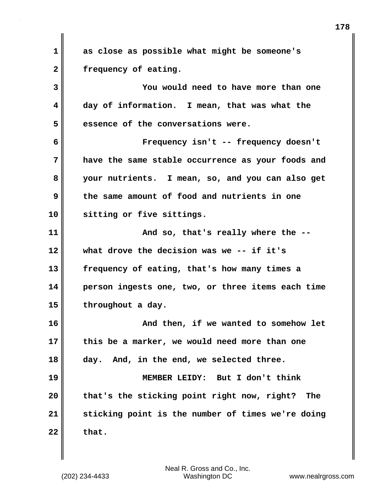**1 as close as possible what might be someone's 2 frequency of eating.**

**3 You would need to have more than one 4 day of information. I mean, that was what the 5 essence of the conversations were.**

**6 Frequency isn't -- frequency doesn't 7 have the same stable occurrence as your foods and 8 your nutrients. I mean, so, and you can also get 9 the same amount of food and nutrients in one 10 sitting or five sittings.**

**11 And so, that's really where the -- 12 what drove the decision was we -- if it's 13 frequency of eating, that's how many times a 14 person ingests one, two, or three items each time** 15 throughout a day.

**16 And then, if we wanted to somehow let 17 this be a marker, we would need more than one 18 day. And, in the end, we selected three. 19 MEMBER LEIDY: But I don't think**

**20 that's the sticking point right now, right? The 21 sticking point is the number of times we're doing 22 that.**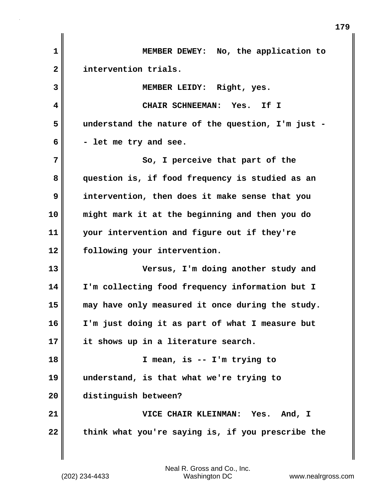**1 MEMBER DEWEY: No, the application to 2 intervention trials. 3 MEMBER LEIDY: Right, yes. 4 CHAIR SCHNEEMAN: Yes. If I 5 understand the nature of the question, I'm just - 6 - let me try and see. 7** So, I perceive that part of the **8 question is, if food frequency is studied as an 9 intervention, then does it make sense that you 10 might mark it at the beginning and then you do 11 your intervention and figure out if they're 12 following your intervention. 13 Versus, I'm doing another study and 14 I'm collecting food frequency information but I 15 may have only measured it once during the study. 16 I'm just doing it as part of what I measure but 17 it shows up in a literature search. 18 I mean, is -- I'm trying to 19 understand, is that what we're trying to 20 distinguish between? 21 VICE CHAIR KLEINMAN: Yes. And, I 22 think what you're saying is, if you prescribe the**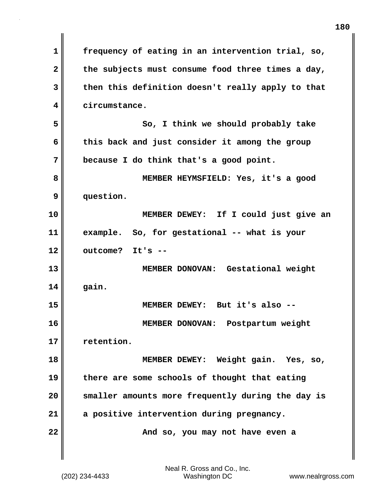**1 frequency of eating in an intervention trial, so,** 2 the subjects must consume food three times a day, **3 then this definition doesn't really apply to that 4 circumstance. 5 So, I think we should probably take 6 this back and just consider it among the group 7 because I do think that's a good point. 8 MEMBER HEYMSFIELD: Yes, it's a good 9 question. 10 MEMBER DEWEY: If I could just give an 11 example. So, for gestational -- what is your 12 outcome? It's -- 13 MEMBER DONOVAN: Gestational weight 14 gain. 15 MEMBER DEWEY: But it's also -- 16 MEMBER DONOVAN: Postpartum weight 17 retention. 18 MEMBER DEWEY: Weight gain. Yes, so, 19 there are some schools of thought that eating 20 smaller amounts more frequently during the day is 21 a positive intervention during pregnancy. 22 And so, you may not have even a**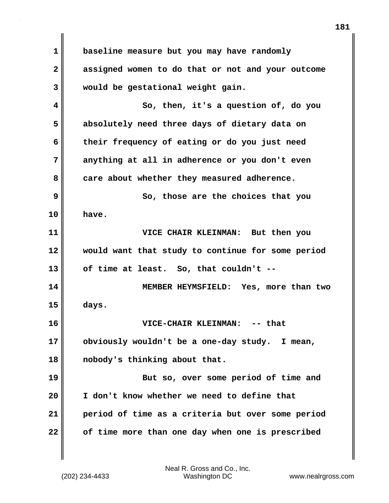**1 baseline measure but you may have randomly 2 assigned women to do that or not and your outcome 3 would be gestational weight gain. 4 So, then, it's a question of, do you 5 absolutely need three days of dietary data on 6 their frequency of eating or do you just need 7 anything at all in adherence or you don't even 8 care about whether they measured adherence. 9** So, those are the choices that you **10 have. 11 VICE CHAIR KLEINMAN: But then you 12 would want that study to continue for some period 13 of time at least. So, that couldn't -- 14 MEMBER HEYMSFIELD: Yes, more than two 15 days. 16 VICE-CHAIR KLEINMAN: -- that 17 obviously wouldn't be a one-day study. I mean, 18 nobody's thinking about that. 19 But so, over some period of time and 20 I don't know whether we need to define that 21 period of time as a criteria but over some period**

Neal R. Gross and Co., Inc.

**22 of time more than one day when one is prescribed**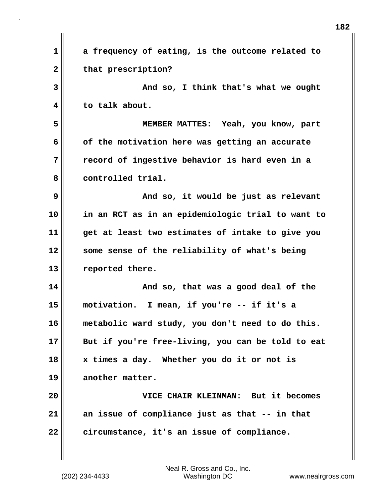| $\mathbf 1$ | a frequency of eating, is the outcome related to  |
|-------------|---------------------------------------------------|
| 2           | that prescription?                                |
| 3           | And so, I think that's what we ought              |
| 4           | to talk about.                                    |
| 5           | MEMBER MATTES: Yeah, you know, part               |
| 6           | of the motivation here was getting an accurate    |
| 7           | record of ingestive behavior is hard even in a    |
| 8           | controlled trial.                                 |
| 9           | And so, it would be just as relevant              |
| 10          | in an RCT as in an epidemiologic trial to want to |
| 11          | get at least two estimates of intake to give you  |
| 12          | some sense of the reliability of what's being     |
| 13          | reported there.                                   |
| 14          | And so, that was a good deal of the               |
| 15          | motivation. I mean, if you're -- if it's a        |
| 16          | metabolic ward study, you don't need to do this.  |
| 17          | But if you're free-living, you can be told to eat |
| 18          | x times a day. Whether you do it or not is        |
| 19          | another matter.                                   |
| 20          | VICE CHAIR KLEINMAN: But it becomes               |
| 21          | an issue of compliance just as that -- in that    |
| 22          | circumstance, it's an issue of compliance.        |
|             |                                                   |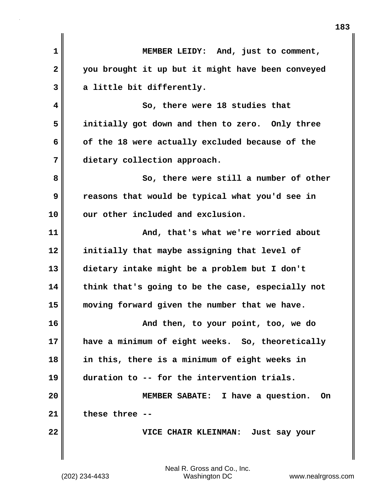| 1            | MEMBER LEIDY: And, just to comment,               |
|--------------|---------------------------------------------------|
| $\mathbf{2}$ | you brought it up but it might have been conveyed |
| 3            | a little bit differently.                         |
| 4            | So, there were 18 studies that                    |
| 5            | initially got down and then to zero. Only three   |
| 6            | of the 18 were actually excluded because of the   |
| 7            | dietary collection approach.                      |
| 8            | So, there were still a number of other            |
| 9            | reasons that would be typical what you'd see in   |
| 10           | our other included and exclusion.                 |
| 11           | And, that's what we're worried about              |
| 12           | initially that maybe assigning that level of      |
| 13           | dietary intake might be a problem but I don't     |
| 14           | think that's going to be the case, especially not |
| 15           | moving forward given the number that we have.     |
| 16           | And then, to your point, too, we do               |
| 17           | have a minimum of eight weeks. So, theoretically  |
| 18           | in this, there is a minimum of eight weeks in     |
| 19           | duration to -- for the intervention trials.       |
| 20           | MEMBER SABATE: I have a question.<br>On.          |
| 21           | these three --                                    |
| 22           | VICE CHAIR KLEINMAN: Just say your                |
|              |                                                   |
|              |                                                   |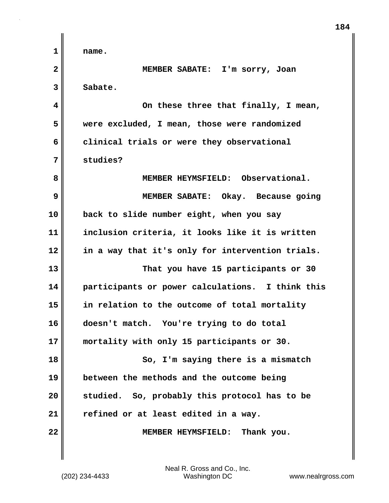**1 name. 2 MEMBER SABATE: I'm sorry, Joan 3 Sabate. 4 On these three that finally, I mean, 5 were excluded, I mean, those were randomized 6 clinical trials or were they observational 7 studies? 8 MEMBER HEYMSFIELD: Observational. 9 MEMBER SABATE: Okay. Because going 10 back to slide number eight, when you say 11 inclusion criteria, it looks like it is written 12 in a way that it's only for intervention trials. 13 That you have 15 participants or 30 14 participants or power calculations. I think this 15 in relation to the outcome of total mortality 16 doesn't match. You're trying to do total 17 mortality with only 15 participants or 30. 18 So, I'm saying there is a mismatch 19 between the methods and the outcome being 20 studied. So, probably this protocol has to be 21 refined or at least edited in a way. 22 MEMBER HEYMSFIELD: Thank you.**

**184**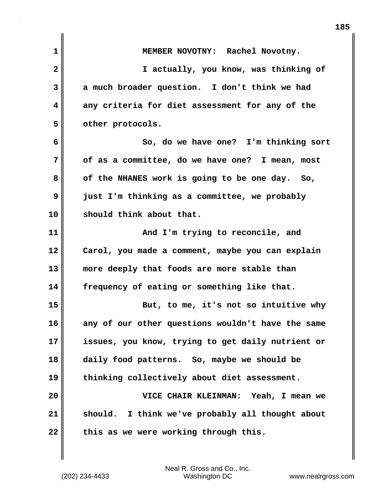| $\mathbf{1}$            | MEMBER NOVOTNY: Rachel Novotny.                   |
|-------------------------|---------------------------------------------------|
| $\overline{\mathbf{2}}$ | I actually, you know, was thinking of             |
| 3                       | a much broader question. I don't think we had     |
| 4                       | any criteria for diet assessment for any of the   |
| 5                       | other protocols.                                  |
| 6                       | So, do we have one? I'm thinking sort             |
| 7                       | of as a committee, do we have one? I mean, most   |
| 8                       | of the NHANES work is going to be one day. So,    |
| 9                       | just I'm thinking as a committee, we probably     |
| 10                      | should think about that.                          |
| 11                      | And I'm trying to reconcile, and                  |
| 12                      | Carol, you made a comment, maybe you can explain  |
| 13                      | more deeply that foods are more stable than       |
| 14                      | frequency of eating or something like that.       |
| 15                      | But, to me, it's not so intuitive why             |
| 16                      | any of our other questions wouldn't have the same |
| 17                      | issues, you know, trying to get daily nutrient or |
| 18                      | daily food patterns. So, maybe we should be       |
| 19                      | thinking collectively about diet assessment.      |
| 20                      | VICE CHAIR KLEINMAN: Yeah, I mean we              |
| 21                      | should. I think we've probably all thought about  |
| 22                      | this as we were working through this.             |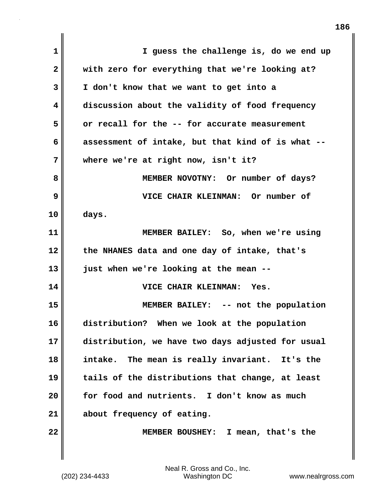| $\mathbf{1}$ | I guess the challenge is, do we end up            |
|--------------|---------------------------------------------------|
| $\mathbf{2}$ | with zero for everything that we're looking at?   |
| 3            | I don't know that we want to get into a           |
| 4            | discussion about the validity of food frequency   |
| 5            | or recall for the -- for accurate measurement     |
| 6            | assessment of intake, but that kind of is what -- |
| 7            | where we're at right now, isn't it?               |
| 8            | MEMBER NOVOTNY: Or number of days?                |
| 9            | VICE CHAIR KLEINMAN: Or number of                 |
| 10           | days.                                             |
| 11           | MEMBER BAILEY: So, when we're using               |
| 12           | the NHANES data and one day of intake, that's     |
| 13           | just when we're looking at the mean --            |
| 14           | VICE CHAIR KLEINMAN: Yes.                         |
| 15           | MEMBER BAILEY: -- not the population              |
| 16           | distribution? When we look at the population      |
| 17           | distribution, we have two days adjusted for usual |
| 18           | intake. The mean is really invariant. It's the    |
| 19           | tails of the distributions that change, at least  |
| 20           | for food and nutrients. I don't know as much      |
| 21           | about frequency of eating.                        |
| 22           | MEMBER BOUSHEY: I mean, that's the                |
|              |                                                   |

I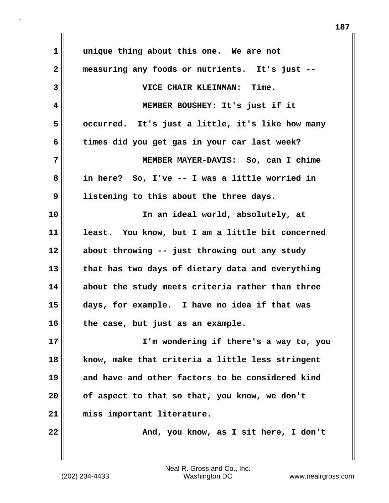**1 unique thing about this one. We are not 2 measuring any foods or nutrients. It's just -- 3 VICE CHAIR KLEINMAN: Time. 4 MEMBER BOUSHEY: It's just if it 5 occurred. It's just a little, it's like how many 6 times did you get gas in your car last week? 7 MEMBER MAYER-DAVIS: So, can I chime 8 in here? So, I've -- I was a little worried in 9 listening to this about the three days. 10 In an ideal world, absolutely, at 11 least. You know, but I am a little bit concerned 12 about throwing -- just throwing out any study 13 that has two days of dietary data and everything 14 about the study meets criteria rather than three 15 days, for example. I have no idea if that was 16 the case, but just as an example. 17 I'm wondering if there's a way to, you 18 know, make that criteria a little less stringent 19 and have and other factors to be considered kind 20 of aspect to that so that, you know, we don't 21 miss important literature.** 22 **And, you know, as I sit here, I don't**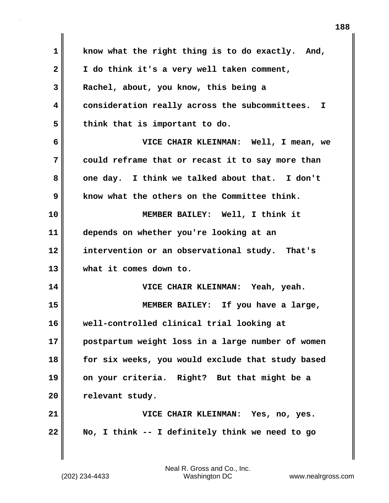| $\mathbf 1$  | know what the right thing is to do exactly. And,  |
|--------------|---------------------------------------------------|
| $\mathbf{2}$ | I do think it's a very well taken comment,        |
| 3            | Rachel, about, you know, this being a             |
| 4            | consideration really across the subcommittees. I  |
| 5            | think that is important to do.                    |
| 6            | VICE CHAIR KLEINMAN: Well, I mean, we             |
| 7            | could reframe that or recast it to say more than  |
| 8            | one day. I think we talked about that. I don't    |
| 9            | know what the others on the Committee think.      |
| 10           | MEMBER BAILEY: Well, I think it                   |
| 11           | depends on whether you're looking at an           |
| 12           | intervention or an observational study. That's    |
| 13           | what it comes down to.                            |
| 14           | VICE CHAIR KLEINMAN: Yeah, yeah.                  |
| 15           | MEMBER BAILEY: If you have a large,               |
| 16           | well-controlled clinical trial looking at         |
| 17           | postpartum weight loss in a large number of women |
| 18           | for six weeks, you would exclude that study based |
| 19           | on your criteria. Right? But that might be a      |
| 20           | relevant study.                                   |
| 21           | VICE CHAIR KLEINMAN: Yes, no, yes.                |
| 22           | No, I think -- I definitely think we need to go   |
|              |                                                   |

 $\mathbf{I}$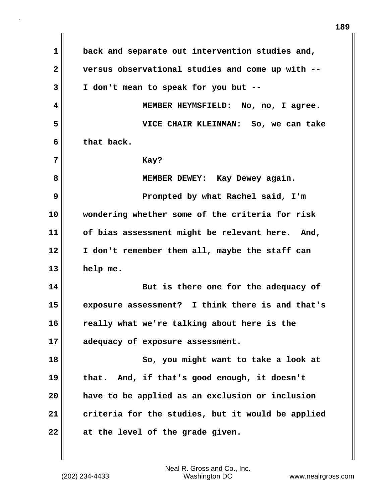**1 back and separate out intervention studies and, 2 versus observational studies and come up with -- 3 I don't mean to speak for you but -- 4 MEMBER HEYMSFIELD: No, no, I agree. 5 VICE CHAIR KLEINMAN: So, we can take 6 that back. 7 Kay? 8 MEMBER DEWEY: Kay Dewey again. 9 Prompted by what Rachel said, I'm 10 wondering whether some of the criteria for risk 11 of bias assessment might be relevant here. And, 12 I don't remember them all, maybe the staff can 13 help me. 14 But is there one for the adequacy of 15 exposure assessment? I think there is and that's 16 really what we're talking about here is the 17 adequacy of exposure assessment. 18 So, you might want to take a look at 19 that. And, if that's good enough, it doesn't 20 have to be applied as an exclusion or inclusion 21 criteria for the studies, but it would be applied 22 at the level of the grade given.**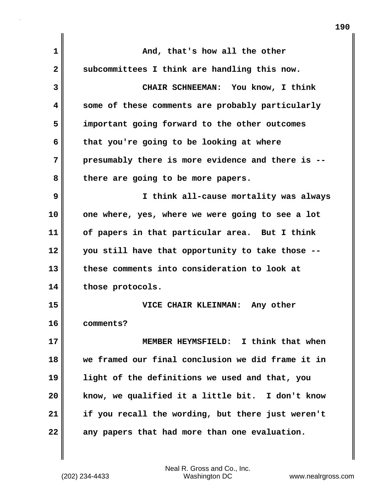| $\mathbf 1$  | And, that's how all the other                     |
|--------------|---------------------------------------------------|
| $\mathbf{2}$ | subcommittees I think are handling this now.      |
| 3            | CHAIR SCHNEEMAN: You know, I think                |
| 4            | some of these comments are probably particularly  |
| 5            | important going forward to the other outcomes     |
| 6            | that you're going to be looking at where          |
| 7            | presumably there is more evidence and there is -- |
| 8            | there are going to be more papers.                |
| 9            | I think all-cause mortality was always            |
| 10           | one where, yes, where we were going to see a lot  |
| 11           | of papers in that particular area. But I think    |
| 12           | you still have that opportunity to take those --  |
| 13           | these comments into consideration to look at      |
| 14           | those protocols.                                  |
| 15           | VICE CHAIR KLEINMAN: Any other                    |
| 16           | comments?                                         |
| 17           | MEMBER HEYMSFIELD: I think that when              |
| 18           | we framed our final conclusion we did frame it in |
| 19           | light of the definitions we used and that, you    |
| 20           | know, we qualified it a little bit. I don't know  |
| 21           | if you recall the wording, but there just weren't |
| 22           | any papers that had more than one evaluation.     |
|              |                                                   |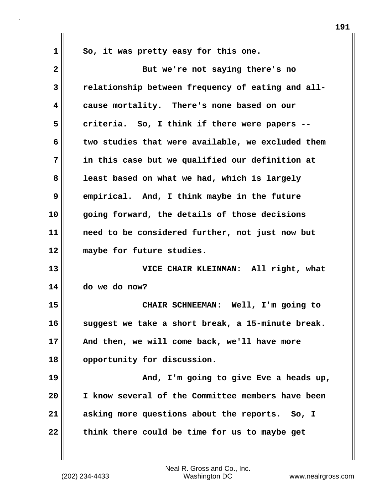**1 So, it was pretty easy for this one.**

| $\overline{\mathbf{2}}$ | But we're not saying there's no                   |
|-------------------------|---------------------------------------------------|
| 3                       | relationship between frequency of eating and all- |
| 4                       | cause mortality. There's none based on our        |
| 5                       | criteria. So, I think if there were papers --     |
| 6                       | two studies that were available, we excluded them |
| 7                       | in this case but we qualified our definition at   |
| 8                       | least based on what we had, which is largely      |
| 9                       | empirical. And, I think maybe in the future       |
| 10                      | going forward, the details of those decisions     |
| 11                      | need to be considered further, not just now but   |
| 12                      | maybe for future studies.                         |
| 13                      | VICE CHAIR KLEINMAN: All right, what              |
| 14                      | do we do now?                                     |
| 15                      | CHAIR SCHNEEMAN: Well, I'm going to               |
| 16                      | suggest we take a short break, a 15-minute break. |
| 17                      | And then, we will come back, we'll have more      |
| 18                      | opportunity for discussion.                       |
| 19                      | And, I'm going to give Eve a heads up,            |
| 20                      | I know several of the Committee members have been |
| 21                      | asking more questions about the reports. So, I    |
| 22                      | think there could be time for us to maybe get     |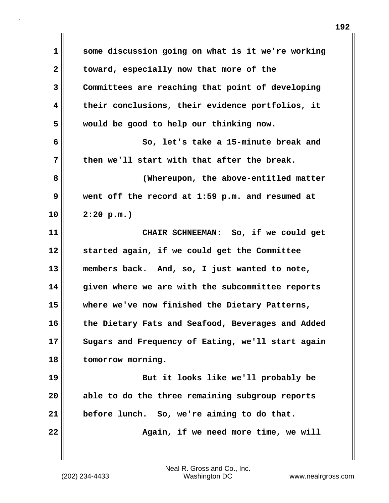**1 some discussion going on what is it we're working 2 toward, especially now that more of the 3 Committees are reaching that point of developing 4 their conclusions, their evidence portfolios, it 5 would be good to help our thinking now. 6 So, let's take a 15-minute break and 7 then we'll start with that after the break. 8 (Whereupon, the above-entitled matter 9 went off the record at 1:59 p.m. and resumed at 10 2:20 p.m.) 11 CHAIR SCHNEEMAN: So, if we could get 12 started again, if we could get the Committee 13 members back. And, so, I just wanted to note, 14 given where we are with the subcommittee reports 15 where we've now finished the Dietary Patterns, 16 the Dietary Fats and Seafood, Beverages and Added 17 Sugars and Frequency of Eating, we'll start again 18 tomorrow morning. 19** But it looks like we'll probably be **20 able to do the three remaining subgroup reports 21 before lunch. So, we're aiming to do that. 22 Again, if we need more time, we will**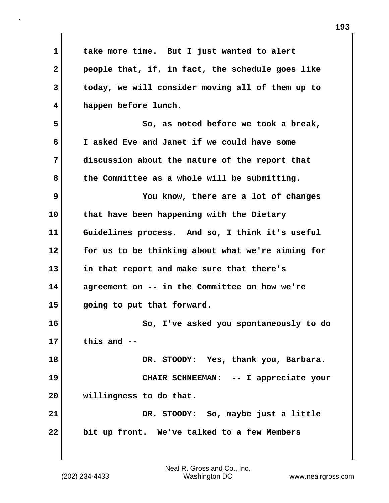**1 take more time. But I just wanted to alert 2 people that, if, in fact, the schedule goes like 3 today, we will consider moving all of them up to 4 happen before lunch. 5 So, as noted before we took a break, 6 I asked Eve and Janet if we could have some 7 discussion about the nature of the report that 8 the Committee as a whole will be submitting. 9 You know, there are a lot of changes 10 that have been happening with the Dietary 11 Guidelines process. And so, I think it's useful 12 for us to be thinking about what we're aiming for 13 in that report and make sure that there's 14 agreement on -- in the Committee on how we're 15 going to put that forward. 16 So, I've asked you spontaneously to do 17 this and -- 18 DR. STOODY: Yes, thank you, Barbara. 19 CHAIR SCHNEEMAN: -- I appreciate your 20 willingness to do that. 21 DR. STOODY: So, maybe just a little 22 bit up front. We've talked to a few Members**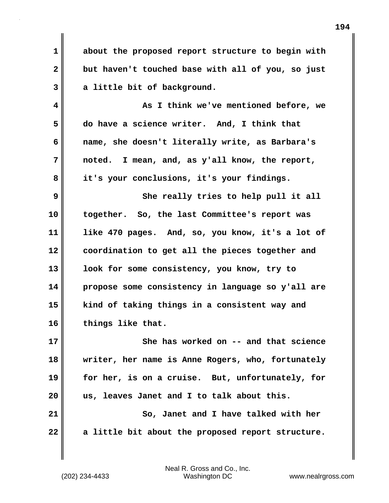**1 about the proposed report structure to begin with 2 but haven't touched base with all of you, so just 3 a little bit of background. 4 As I think we've mentioned before, we 5 do have a science writer. And, I think that 6 name, she doesn't literally write, as Barbara's 7 noted. I mean, and, as y'all know, the report, 8 it's your conclusions, it's your findings. 9 She really tries to help pull it all 10 together. So, the last Committee's report was 11 like 470 pages. And, so, you know, it's a lot of 12 coordination to get all the pieces together and 13 look for some consistency, you know, try to 14 propose some consistency in language so y'all are 15 kind of taking things in a consistent way and 16 things like that. 17** She has worked on -- and that science **18 writer, her name is Anne Rogers, who, fortunately 19 for her, is on a cruise. But, unfortunately, for**

**21** So, Janet and I have talked with her **22 a little bit about the proposed report structure.**

**20 us, leaves Janet and I to talk about this.**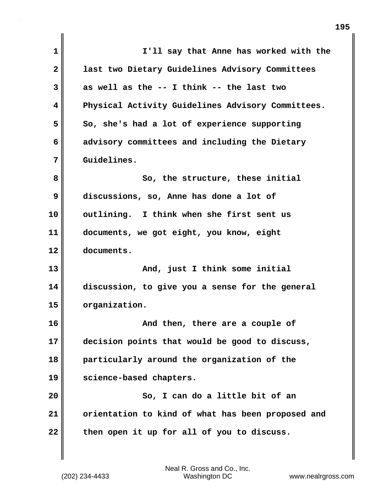| 1  | I'll say that Anne has worked with the            |
|----|---------------------------------------------------|
| 2  | last two Dietary Guidelines Advisory Committees   |
| 3  | as well as the -- I think -- the last two         |
| 4  | Physical Activity Guidelines Advisory Committees. |
| 5  | So, she's had a lot of experience supporting      |
| 6  | advisory committees and including the Dietary     |
| 7  | Guidelines.                                       |
| 8  | So, the structure, these initial                  |
| 9  | discussions, so, Anne has done a lot of           |
| 10 | outlining. I think when she first sent us         |
| 11 | documents, we got eight, you know, eight          |
| 12 | documents.                                        |
| 13 | And, just I think some initial                    |
| 14 | discussion, to give you a sense for the general   |
| 15 | organization.                                     |
| 16 | And then, there are a couple of                   |
| 17 | decision points that would be good to discuss,    |
| 18 | particularly around the organization of the       |
| 19 | science-based chapters.                           |
| 20 | So, I can do a little bit of an                   |
| 21 | orientation to kind of what has been proposed and |
| 22 | then open it up for all of you to discuss.        |
|    |                                                   |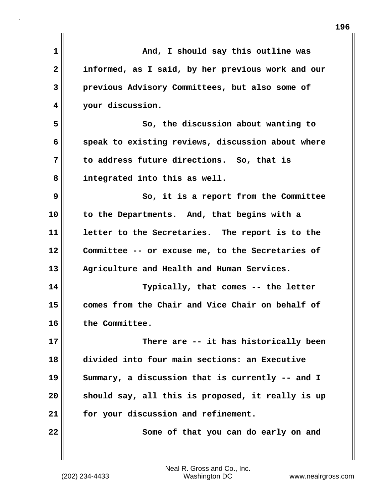| 1            | And, I should say this outline was                |
|--------------|---------------------------------------------------|
| $\mathbf{2}$ | informed, as I said, by her previous work and our |
| 3            | previous Advisory Committees, but also some of    |
| 4            | your discussion.                                  |
| 5            | So, the discussion about wanting to               |
| 6            | speak to existing reviews, discussion about where |
| 7            | to address future directions. So, that is         |
| 8            | integrated into this as well.                     |
| 9            | So, it is a report from the Committee             |
| 10           | to the Departments. And, that begins with a       |
| 11           | letter to the Secretaries. The report is to the   |
| 12           | Committee -- or excuse me, to the Secretaries of  |
| 13           | Agriculture and Health and Human Services.        |
| 14           | Typically, that comes -- the letter               |
| 15           | comes from the Chair and Vice Chair on behalf of  |
| 16           | the Committee.                                    |
| 17           | There are -- it has historically been             |
| 18           | divided into four main sections: an Executive     |
| 19           | Summary, a discussion that is currently -- and I  |
| 20           | should say, all this is proposed, it really is up |
| 21           | for your discussion and refinement.               |
| 22           | Some of that you can do early on and              |
|              |                                                   |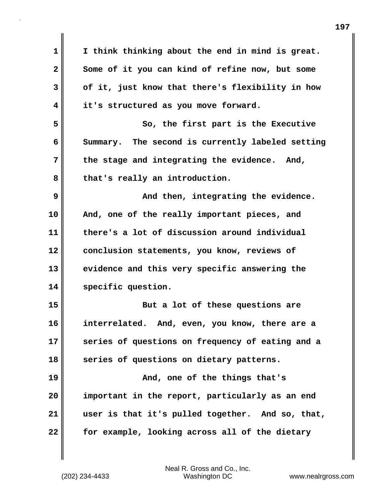| 1  | I think thinking about the end in mind is great. |
|----|--------------------------------------------------|
| 2  | Some of it you can kind of refine now, but some  |
| 3  | of it, just know that there's flexibility in how |
| 4  | it's structured as you move forward.             |
| 5  | So, the first part is the Executive              |
| 6  | Summary. The second is currently labeled setting |
| 7  | the stage and integrating the evidence. And,     |
| 8  | that's really an introduction.                   |
| 9  | And then, integrating the evidence.              |
| 10 | And, one of the really important pieces, and     |
| 11 | there's a lot of discussion around individual    |
| 12 | conclusion statements, you know, reviews of      |
| 13 | evidence and this very specific answering the    |
| 14 | specific question.                               |
| 15 | But a lot of these questions are                 |
| 16 | interrelated. And, even, you know, there are a   |
| 17 | series of questions on frequency of eating and a |
| 18 | series of questions on dietary patterns.         |
| 19 | And, one of the things that's                    |
| 20 | important in the report, particularly as an end  |
| 21 | user is that it's pulled together. And so, that, |
| 22 | for example, looking across all of the dietary   |

 $\mathbf{I}$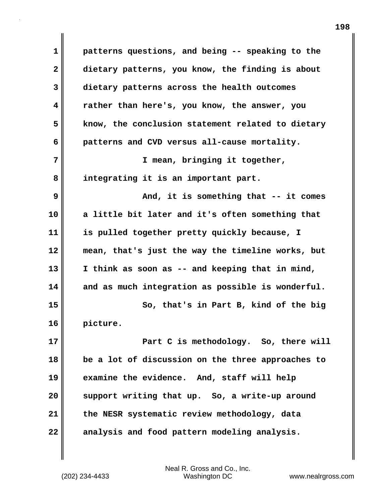**1 patterns questions, and being -- speaking to the 2 dietary patterns, you know, the finding is about 3 dietary patterns across the health outcomes 4 rather than here's, you know, the answer, you 5 know, the conclusion statement related to dietary 6 patterns and CVD versus all-cause mortality. 7 I mean, bringing it together, 8 integrating it is an important part. 9 And, it is something that -- it comes 10 a little bit later and it's often something that 11 is pulled together pretty quickly because, I 12 mean, that's just the way the timeline works, but 13 I think as soon as -- and keeping that in mind, 14 and as much integration as possible is wonderful. 15 So, that's in Part B, kind of the big 16 picture. 17 Part C is methodology. So, there will 18 be a lot of discussion on the three approaches to 19 examine the evidence. And, staff will help 20 support writing that up. So, a write-up around 21 the NESR systematic review methodology, data 22 analysis and food pattern modeling analysis.**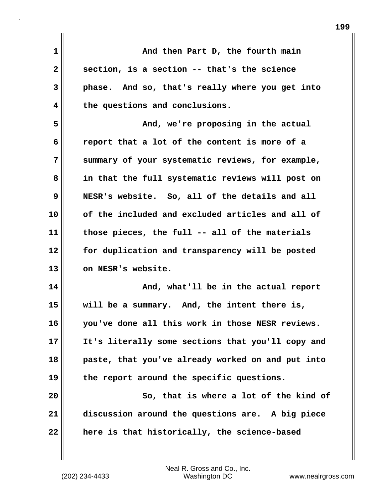| And then Part D, the fourth main                  |
|---------------------------------------------------|
| section, is a section -- that's the science       |
| phase. And so, that's really where you get into   |
| the questions and conclusions.                    |
| And, we're proposing in the actual                |
| report that a lot of the content is more of a     |
| summary of your systematic reviews, for example,  |
| in that the full systematic reviews will post on  |
| NESR's website. So, all of the details and all    |
| of the included and excluded articles and all of  |
| those pieces, the full -- all of the materials    |
| for duplication and transparency will be posted   |
| on NESR's website.                                |
| And, what'll be in the actual report              |
| will be a summary. And, the intent there is,      |
| you've done all this work in those NESR reviews   |
| It's literally some sections that you'll copy and |
| paste, that you've already worked on and put into |
| the report around the specific questions.         |
| So, that is where a lot of the kind of            |
| discussion around the questions are. A big piece  |
| here is that historically, the science-based      |
|                                                   |

 $\mathbf{I}$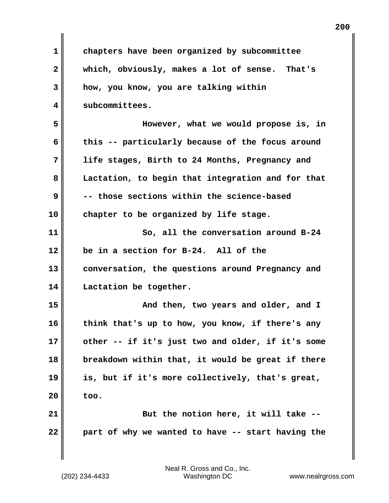| 1  | chapters have been organized by subcommittee      |
|----|---------------------------------------------------|
| 2  | which, obviously, makes a lot of sense. That's    |
| 3  | how, you know, you are talking within             |
| 4  | subcommittees.                                    |
| 5  | However, what we would propose is, in             |
| 6  | this -- particularly because of the focus around  |
| 7  | life stages, Birth to 24 Months, Pregnancy and    |
| 8  | Lactation, to begin that integration and for that |
| 9  | -- those sections within the science-based        |
| 10 | chapter to be organized by life stage.            |
| 11 | So, all the conversation around B-24              |
| 12 | be in a section for B-24. All of the              |
| 13 | conversation, the questions around Pregnancy and  |
| 14 | Lactation be together.                            |
| 15 | And then, two years and older, and I              |
| 16 | think that's up to how, you know, if there's any  |
| 17 | other -- if it's just two and older, if it's some |
| 18 | breakdown within that, it would be great if there |
| 19 | is, but if it's more collectively, that's great,  |
| 20 | too.                                              |
| 21 | But the notion here, it will take --              |
| 22 | part of why we wanted to have -- start having the |
|    |                                                   |

 $\mathbf{I}$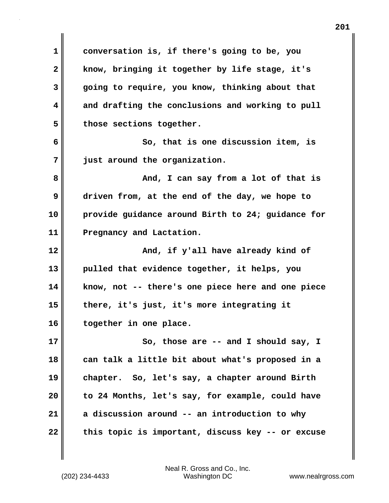**1 conversation is, if there's going to be, you 2 know, bringing it together by life stage, it's 3 going to require, you know, thinking about that 4 and drafting the conclusions and working to pull 5 those sections together. 6 So, that is one discussion item, is 7 just around the organization. 8** And, I can say from a lot of that is **9 driven from, at the end of the day, we hope to 10 provide guidance around Birth to 24; guidance for 11 Pregnancy and Lactation. 12 And, if y'all have already kind of 13 pulled that evidence together, it helps, you 14 know, not -- there's one piece here and one piece 15 there, it's just, it's more integrating it 16 together in one place. 17** So, those are -- and I should say, I **18 can talk a little bit about what's proposed in a 19 chapter. So, let's say, a chapter around Birth 20 to 24 Months, let's say, for example, could have 21 a discussion around -- an introduction to why** 22 this topic is important, discuss key -- or excuse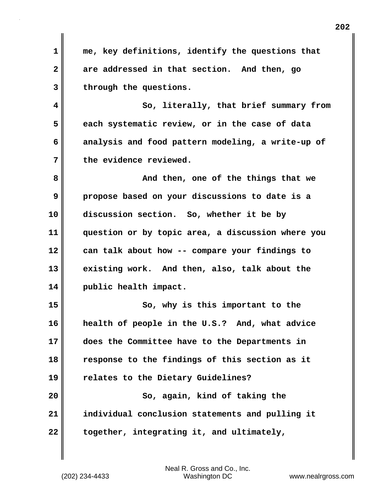**1 me, key definitions, identify the questions that 2 are addressed in that section. And then, go 3 through the questions.**

**4 So, literally, that brief summary from 5 each systematic review, or in the case of data 6 analysis and food pattern modeling, a write-up of 7 the evidence reviewed.**

**8 And then, one of the things that we 9 propose based on your discussions to date is a 10 discussion section. So, whether it be by 11 question or by topic area, a discussion where you 12 can talk about how -- compare your findings to 13 existing work. And then, also, talk about the 14 public health impact.**

**15** So, why is this important to the **16 health of people in the U.S.? And, what advice 17 does the Committee have to the Departments in 18 response to the findings of this section as it 19 relates to the Dietary Guidelines?**

**20 So, again, kind of taking the 21 individual conclusion statements and pulling it 22 together, integrating it, and ultimately,**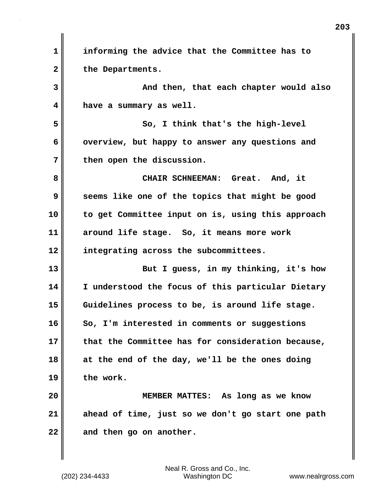**1 informing the advice that the Committee has to** 2 the Departments. **3 And then, that each chapter would also 4 have a summary as well. 5 So, I think that's the high-level 6 overview, but happy to answer any questions and 7 then open the discussion. 8 CHAIR SCHNEEMAN: Great. And, it 9 seems like one of the topics that might be good 10 to get Committee input on is, using this approach 11 around life stage. So, it means more work 12 integrating across the subcommittees. 13 But I guess, in my thinking, it's how 14 I understood the focus of this particular Dietary 15 Guidelines process to be, is around life stage. 16 So, I'm interested in comments or suggestions 17 that the Committee has for consideration because, 18 at the end of the day, we'll be the ones doing 19 the work. 20 MEMBER MATTES: As long as we know 21 ahead of time, just so we don't go start one path 22 and then go on another.**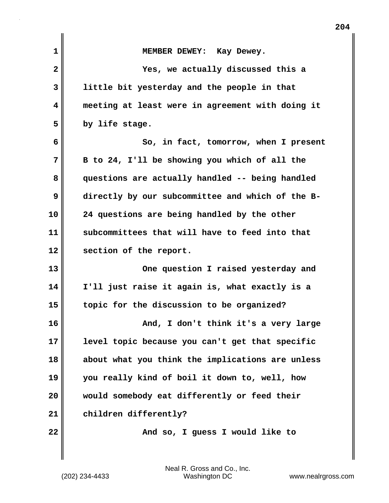| $\mathbf 1$  | MEMBER DEWEY: Kay Dewey.                         |
|--------------|--------------------------------------------------|
| $\mathbf{2}$ | Yes, we actually discussed this a                |
| 3            | little bit yesterday and the people in that      |
| 4            | meeting at least were in agreement with doing it |
| 5            | by life stage.                                   |
| 6            | So, in fact, tomorrow, when I present            |
| 7            | B to 24, I'll be showing you which of all the    |
| 8            | questions are actually handled -- being handled  |
| 9            | directly by our subcommittee and which of the B- |
| 10           | 24 questions are being handled by the other      |
| 11           | subcommittees that will have to feed into that   |
| 12           | section of the report.                           |
| 13           | One question I raised yesterday and              |
| 14           | I'll just raise it again is, what exactly is a   |
| 15           | topic for the discussion to be organized?        |
| 16           | And, I don't think it's a very large             |
| 17           | level topic because you can't get that specific  |
| 18           | about what you think the implications are unless |
| 19           | you really kind of boil it down to, well, how    |
| 20           | would somebody eat differently or feed their     |
| 21           | children differently?                            |
| 22           | And so, I guess I would like to                  |
|              |                                                  |

**204**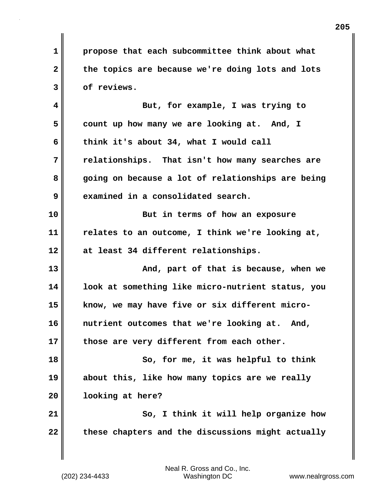**1 propose that each subcommittee think about what 2 the topics are because we're doing lots and lots 3 of reviews.**

**4 But, for example, I was trying to 5 count up how many we are looking at. And, I 6 think it's about 34, what I would call 7 relationships. That isn't how many searches are 8 going on because a lot of relationships are being 9 examined in a consolidated search. 10 But in terms of how an exposure 11 relates to an outcome, I think we're looking at, 12 at least 34 different relationships. 13 And, part of that is because, when we 14 look at something like micro-nutrient status, you 15 know, we may have five or six different micro-16 nutrient outcomes that we're looking at. And, 17 those are very different from each other. 18 So, for me, it was helpful to think 19 about this, like how many topics are we really**

**20 looking at here?**

**21 So, I think it will help organize how 22 these chapters and the discussions might actually**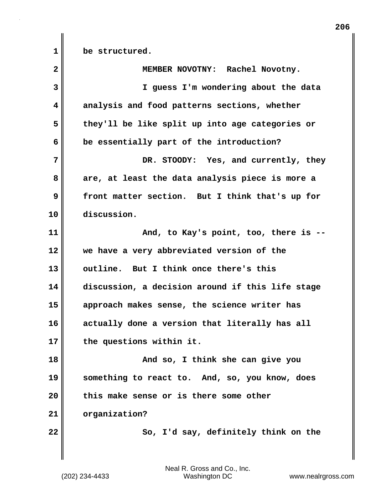**1 be structured.**

| $\overline{\mathbf{2}}$ | MEMBER NOVOTNY: Rachel Novotny.                  |
|-------------------------|--------------------------------------------------|
| 3                       | I guess I'm wondering about the data             |
| 4                       | analysis and food patterns sections, whether     |
| 5                       | they'll be like split up into age categories or  |
| 6                       | be essentially part of the introduction?         |
| 7                       | DR. STOODY: Yes, and currently, they             |
| 8                       | are, at least the data analysis piece is more a  |
| 9                       | front matter section. But I think that's up for  |
| 10                      | discussion.                                      |
| 11                      | And, to Kay's point, too, there is --            |
| 12                      | we have a very abbreviated version of the        |
| 13                      | outline. But I think once there's this           |
| 14                      | discussion, a decision around if this life stage |
| 15                      | approach makes sense, the science writer has     |
| 16                      | actually done a version that literally has all   |
| 17                      | the questions within it.                         |
| 18                      | And so, I think she can give you                 |
| 19                      | something to react to. And, so, you know, does   |
| 20                      | this make sense or is there some other           |
| 21                      | organization?                                    |
| 22                      | So, I'd say, definitely think on the             |
|                         |                                                  |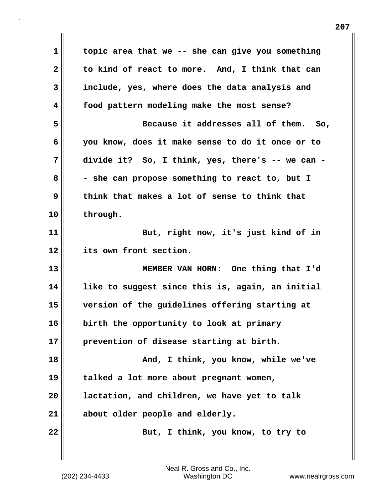**1 topic area that we -- she can give you something 2 to kind of react to more. And, I think that can 3 include, yes, where does the data analysis and 4 food pattern modeling make the most sense? 5 Because it addresses all of them. So, 6 you know, does it make sense to do it once or to 7 divide it? So, I think, yes, there's -- we can -** 8 - she can propose something to react to, but I **9 think that makes a lot of sense to think that 10 through. 11 But, right now, it's just kind of in 12 its own front section. 13 MEMBER VAN HORN: One thing that I'd 14 like to suggest since this is, again, an initial 15 version of the guidelines offering starting at 16 birth the opportunity to look at primary 17 prevention of disease starting at birth. 18 And, I think, you know, while we've 19 talked a lot more about pregnant women, 20 lactation, and children, we have yet to talk 21 about older people and elderly. 22 But, I think, you know, to try to**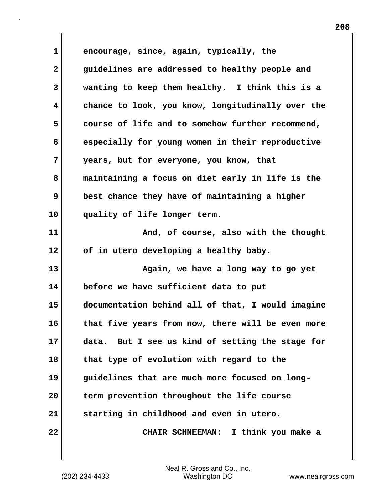**1 encourage, since, again, typically, the 2 guidelines are addressed to healthy people and 3 wanting to keep them healthy. I think this is a 4 chance to look, you know, longitudinally over the 5 course of life and to somehow further recommend, 6 especially for young women in their reproductive 7 years, but for everyone, you know, that 8 maintaining a focus on diet early in life is the 9 best chance they have of maintaining a higher 10 quality of life longer term. 11 And, of course, also with the thought 12 of in utero developing a healthy baby. 13** Magain, we have a long way to go yet **14 before we have sufficient data to put 15 documentation behind all of that, I would imagine 16 that five years from now, there will be even more 17 data. But I see us kind of setting the stage for 18 that type of evolution with regard to the 19 guidelines that are much more focused on long-20 term prevention throughout the life course 21 starting in childhood and even in utero. 22 CHAIR SCHNEEMAN: I think you make a**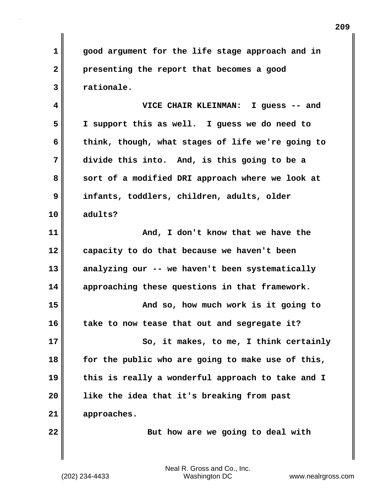**1 good argument for the life stage approach and in 2 presenting the report that becomes a good 3 rationale.**

**4 VICE CHAIR KLEINMAN: I guess -- and 5 I support this as well. I guess we do need to 6 think, though, what stages of life we're going to 7 divide this into. And, is this going to be a 8 sort of a modified DRI approach where we look at 9 infants, toddlers, children, adults, older 10 adults?**

**11 And, I don't know that we have the 12 capacity to do that because we haven't been 13 analyzing our -- we haven't been systematically 14 approaching these questions in that framework.**

**15 And so, how much work is it going to 16 take to now tease that out and segregate it? 17 So, it makes, to me, I think certainly 18 for the public who are going to make use of this,**

**19 this is really a wonderful approach to take and I 20 like the idea that it's breaking from past**

**22 But how are we going to deal with** 

(202) 234-4433 Washington DC www.nealrgross.com Neal R. Gross and Co., Inc.

**21 approaches.**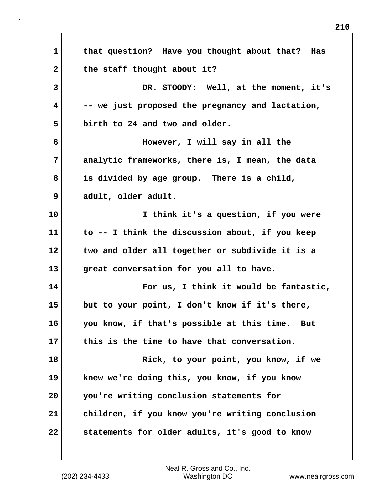| $\mathbf 1$  | that question? Have you thought about that? Has  |
|--------------|--------------------------------------------------|
| $\mathbf{2}$ | the staff thought about it?                      |
| 3            | DR. STOODY: Well, at the moment, it's            |
| 4            | -- we just proposed the pregnancy and lactation, |
| 5            | birth to 24 and two and older.                   |
| 6            | However, I will say in all the                   |
| 7            | analytic frameworks, there is, I mean, the data  |
| 8            | is divided by age group. There is a child,       |
| 9            | adult, older adult.                              |
| 10           | I think it's a question, if you were             |
| 11           | to -- I think the discussion about, if you keep  |
| 12           | two and older all together or subdivide it is a  |
| 13           | great conversation for you all to have.          |
| 14           | For us, I think it would be fantastic,           |
| 15           | but to your point, I don't know if it's there,   |
| 16           | you know, if that's possible at this time. But   |
| 17           | this is the time to have that conversation.      |
| 18           | Rick, to your point, you know, if we             |
| 19           | knew we're doing this, you know, if you know     |
| 20           | you're writing conclusion statements for         |
| 21           | children, if you know you're writing conclusion  |
| 22           | statements for older adults, it's good to know   |

(202) 234-4433 Washington DC www.nealrgross.com Neal R. Gross and Co., Inc.

 $\mathbf{I}$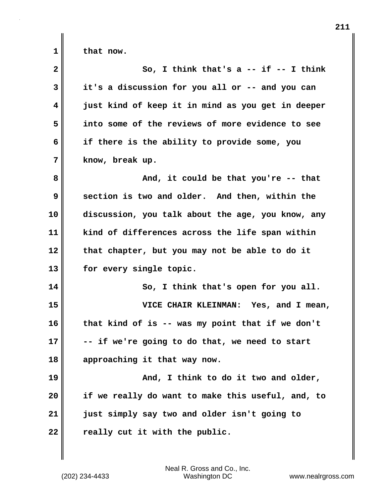**1 that now.**

| $\mathbf{2}$ | So, I think that's a -- if -- I think             |
|--------------|---------------------------------------------------|
| 3            | it's a discussion for you all or -- and you can   |
| 4            | just kind of keep it in mind as you get in deeper |
| 5            | into some of the reviews of more evidence to see  |
| 6            | if there is the ability to provide some, you      |
| 7            | know, break up.                                   |
| 8            | And, it could be that you're -- that              |
| 9            | section is two and older. And then, within the    |
| 10           | discussion, you talk about the age, you know, any |
| 11           | kind of differences across the life span within   |
| 12           | that chapter, but you may not be able to do it    |
| 13           | for every single topic.                           |
| 14           | So, I think that's open for you all.              |
| 15           | VICE CHAIR KLEINMAN: Yes, and I mean,             |
| 16           | that kind of is -- was my point that if we don't  |
| 17           | -- if we're going to do that, we need to start    |
| 18           | approaching it that way now.                      |
| 19           | And, I think to do it two and older,              |
| 20           | if we really do want to make this useful, and, to |
| 21           | just simply say two and older isn't going to      |
| 22           | really cut it with the public.                    |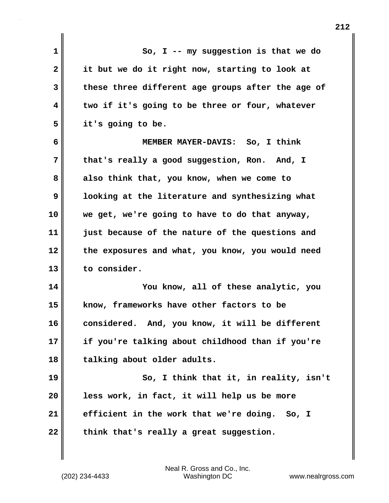| $\mathbf 1$  | So, $I$ -- my suggestion is that we do            |
|--------------|---------------------------------------------------|
| $\mathbf{2}$ | it but we do it right now, starting to look at    |
| 3            | these three different age groups after the age of |
| 4            | two if it's going to be three or four, whatever   |
| 5            | it's going to be.                                 |
| 6            | MEMBER MAYER-DAVIS: So, I think                   |
| 7            | that's really a good suggestion, Ron. And, I      |
| 8            | also think that, you know, when we come to        |
| 9            | looking at the literature and synthesizing what   |
| 10           | we get, we're going to have to do that anyway,    |
| 11           | just because of the nature of the questions and   |
| 12           | the exposures and what, you know, you would need  |
| 13           | to consider.                                      |
| 14           | You know, all of these analytic, you              |
| 15           | know, frameworks have other factors to be         |
| 16           | considered. And, you know, it will be different   |
| 17           | if you're talking about childhood than if you're  |
| 18           | talking about older adults.                       |
| 19           | So, I think that it, in reality, isn't            |
| 20           | less work, in fact, it will help us be more       |
| 21           | efficient in the work that we're doing.<br>So, I  |
| 22           | think that's really a great suggestion.           |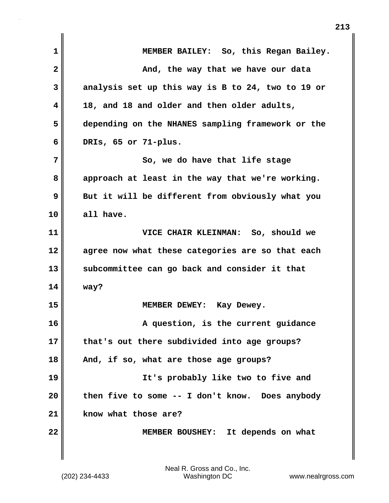| 1            | MEMBER BAILEY: So, this Regan Bailey.             |
|--------------|---------------------------------------------------|
| $\mathbf{2}$ | And, the way that we have our data                |
| 3            | analysis set up this way is B to 24, two to 19 or |
| 4            | 18, and 18 and older and then older adults,       |
| 5            | depending on the NHANES sampling framework or the |
| 6            | DRIs, 65 or 71-plus.                              |
| 7            | So, we do have that life stage                    |
| 8            | approach at least in the way that we're working.  |
| 9            | But it will be different from obviously what you  |
| 10           | all have.                                         |
| 11           | VICE CHAIR KLEINMAN: So, should we                |
| 12           | agree now what these categories are so that each  |
| 13           | subcommittee can go back and consider it that     |
| 14           | way?                                              |
| 15           | MEMBER DEWEY: Kay Dewey.                          |
| 16           | A question, is the current guidance               |
| 17           | that's out there subdivided into age groups?      |
| 18           | And, if so, what are those age groups?            |
| 19           | It's probably like two to five and                |
| 20           | then five to some -- I don't know. Does anybody   |
| 21           | know what those are?                              |
| 22           | MEMBER BOUSHEY: It depends on what                |
|              |                                                   |

 $\mathsf I$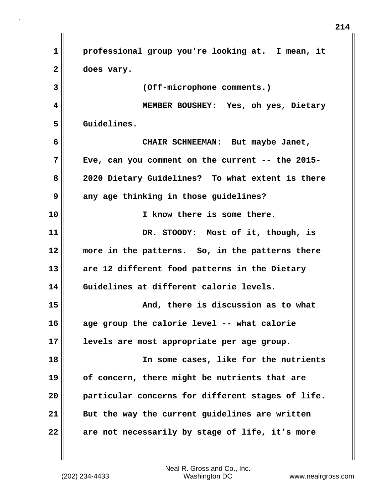**1 professional group you're looking at. I mean, it 2 does vary. 3 (Off-microphone comments.) 4 MEMBER BOUSHEY: Yes, oh yes, Dietary 5 Guidelines. 6 CHAIR SCHNEEMAN: But maybe Janet, 7 Eve, can you comment on the current -- the 2015- 8 2020 Dietary Guidelines? To what extent is there 9 any age thinking in those guidelines? 10 I know there is some there. 11 DR. STOODY: Most of it, though, is 12 more in the patterns. So, in the patterns there 13 are 12 different food patterns in the Dietary 14 Guidelines at different calorie levels. 15 And, there is discussion as to what 16 age group the calorie level -- what calorie 17 levels are most appropriate per age group. 18 In some cases, like for the nutrients 19 of concern, there might be nutrients that are 20 particular concerns for different stages of life. 21 But the way the current guidelines are written 22 are not necessarily by stage of life, it's more**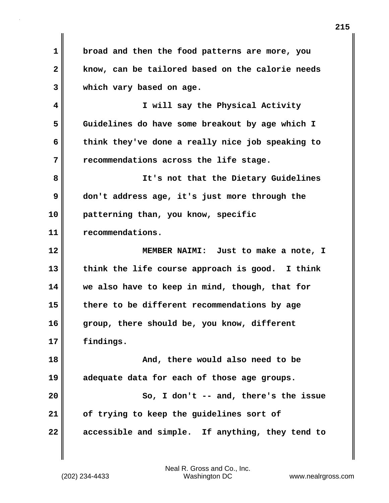**1 broad and then the food patterns are more, you 2 know, can be tailored based on the calorie needs 3 which vary based on age. 4 I will say the Physical Activity 5 Guidelines do have some breakout by age which I 6 think they've done a really nice job speaking to 7 recommendations across the life stage. 8 It's not that the Dietary Guidelines 9 don't address age, it's just more through the 10 patterning than, you know, specific 11 recommendations. 12 MEMBER NAIMI: Just to make a note, I 13 think the life course approach is good. I think 14 we also have to keep in mind, though, that for 15 there to be different recommendations by age 16 group, there should be, you know, different 17 findings. 18 And, there would also need to be 19 adequate data for each of those age groups. 20 So, I don't -- and, there's the issue 21 of trying to keep the guidelines sort of 22 accessible and simple. If anything, they tend to**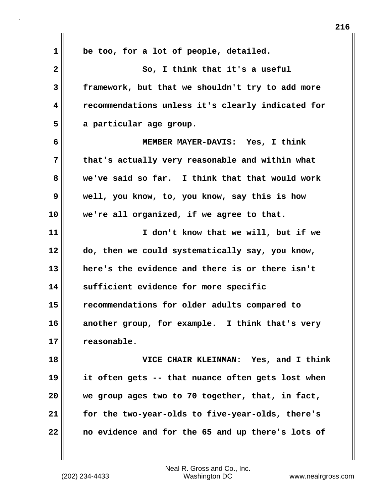| $\mathbf 1$  | be too, for a lot of people, detailed.            |
|--------------|---------------------------------------------------|
| $\mathbf{2}$ | So, I think that it's a useful                    |
| 3            | framework, but that we shouldn't try to add more  |
| 4            | recommendations unless it's clearly indicated for |
| 5            | a particular age group.                           |
| 6            | MEMBER MAYER-DAVIS: Yes, I think                  |
| 7            | that's actually very reasonable and within what   |
| 8            | we've said so far. I think that that would work   |
| 9            | well, you know, to, you know, say this is how     |
| 10           | we're all organized, if we agree to that.         |
| 11           | I don't know that we will, but if we              |
| 12           | do, then we could systematically say, you know,   |
| 13           | here's the evidence and there is or there isn't   |
| 14           | sufficient evidence for more specific             |
| 15           | recommendations for older adults compared to      |
| 16           | another group, for example. I think that's very   |
| 17           | reasonable.                                       |
| 18           | VICE CHAIR KLEINMAN: Yes, and I think             |
| 19           | it often gets -- that nuance often gets lost when |
| 20           | we group ages two to 70 together, that, in fact,  |
| 21           | for the two-year-olds to five-year-olds, there's  |
| 22           | no evidence and for the 65 and up there's lots of |

 $\mathbf{I}$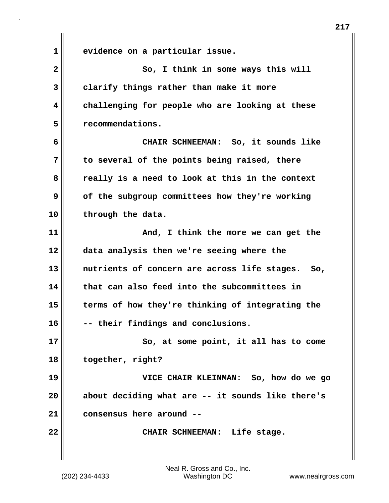**1 evidence on a particular issue. 2** So, I think in some ways this will **3 clarify things rather than make it more 4 challenging for people who are looking at these 5 recommendations. 6 CHAIR SCHNEEMAN: So, it sounds like 7 to several of the points being raised, there 8 really is a need to look at this in the context 9** of the subgroup committees how they're working **10 through the data. 11 And, I think the more we can get the 12 data analysis then we're seeing where the 13 nutrients of concern are across life stages. So, 14 that can also feed into the subcommittees in 15 terms of how they're thinking of integrating the 16 -- their findings and conclusions. 17 So, at some point, it all has to come 18 together, right? 19 VICE CHAIR KLEINMAN: So, how do we go 20 about deciding what are -- it sounds like there's 21 consensus here around -- 22 CHAIR SCHNEEMAN: Life stage.**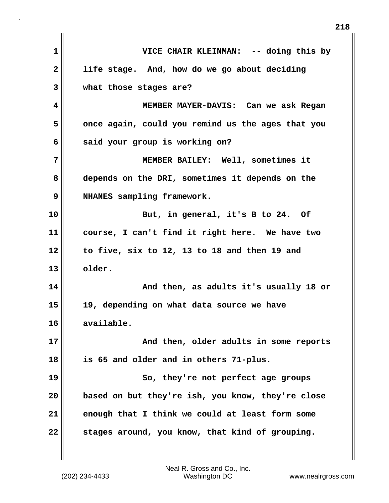| $\mathbf 1$  | VICE CHAIR KLEINMAN: -- doing this by             |
|--------------|---------------------------------------------------|
| $\mathbf{2}$ | life stage. And, how do we go about deciding      |
| 3            | what those stages are?                            |
| 4            | MEMBER MAYER-DAVIS: Can we ask Regan              |
| 5            | once again, could you remind us the ages that you |
| 6            | said your group is working on?                    |
| 7            | MEMBER BAILEY: Well, sometimes it                 |
| 8            | depends on the DRI, sometimes it depends on the   |
| 9            | NHANES sampling framework.                        |
| 10           | But, in general, it's B to 24. Of                 |
| 11           | course, I can't find it right here. We have two   |
| 12           | to five, six to 12, 13 to 18 and then 19 and      |
| 13           | older.                                            |
| 14           | And then, as adults it's usually 18 or            |
| 15           | 19, depending on what data source we have         |
| 16           | available.                                        |
| 17           | And then, older adults in some reports            |
| 18           | is 65 and older and in others 71-plus.            |
| 19           | So, they're not perfect age groups                |
| 20           | based on but they're ish, you know, they're close |
| 21           | enough that I think we could at least form some   |
| 22           | stages around, you know, that kind of grouping.   |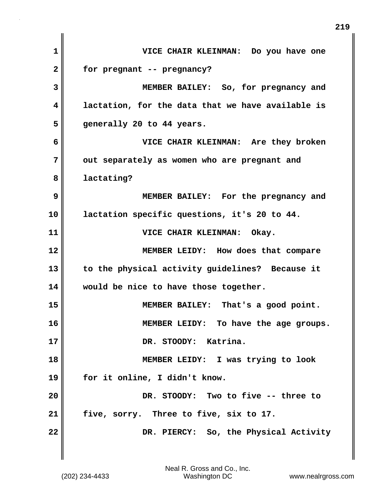**1 VICE CHAIR KLEINMAN: Do you have one 2 for pregnant -- pregnancy? 3 MEMBER BAILEY: So, for pregnancy and 4 lactation, for the data that we have available is 5 generally 20 to 44 years. 6 VICE CHAIR KLEINMAN: Are they broken 7 out separately as women who are pregnant and 8 lactating? 9 MEMBER BAILEY: For the pregnancy and 10 lactation specific questions, it's 20 to 44. 11 VICE CHAIR KLEINMAN: Okay. 12 MEMBER LEIDY: How does that compare 13 to the physical activity guidelines? Because it 14 would be nice to have those together. 15 MEMBER BAILEY: That's a good point. 16 MEMBER LEIDY: To have the age groups. 17 DR. STOODY: Katrina. 18 MEMBER LEIDY: I was trying to look 19 for it online, I didn't know. 20 DR. STOODY: Two to five -- three to 21 five, sorry. Three to five, six to 17. 22 DR. PIERCY: So, the Physical Activity**

**219**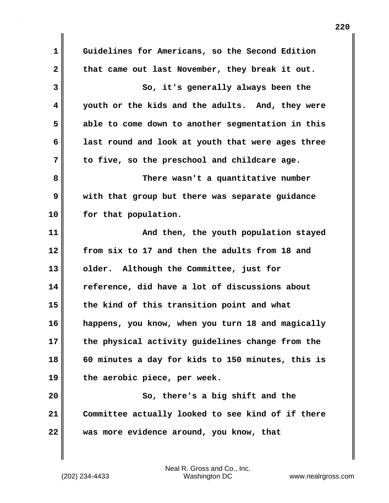**1 Guidelines for Americans, so the Second Edition** 2 that came out last November, they break it out. **3** So, it's generally always been the **4 youth or the kids and the adults. And, they were 5 able to come down to another segmentation in this 6 last round and look at youth that were ages three 7 to five, so the preschool and childcare age. 8 There wasn't a quantitative number 9 with that group but there was separate guidance 10 for that population. 11 And then, the youth population stayed 12 from six to 17 and then the adults from 18 and 13 older. Although the Committee, just for 14 reference, did have a lot of discussions about 15 the kind of this transition point and what 16 happens, you know, when you turn 18 and magically 17 the physical activity guidelines change from the 18 60 minutes a day for kids to 150 minutes, this is 19 the aerobic piece, per week. 20 So, there's a big shift and the 21 Committee actually looked to see kind of if there 22 was more evidence around, you know, that**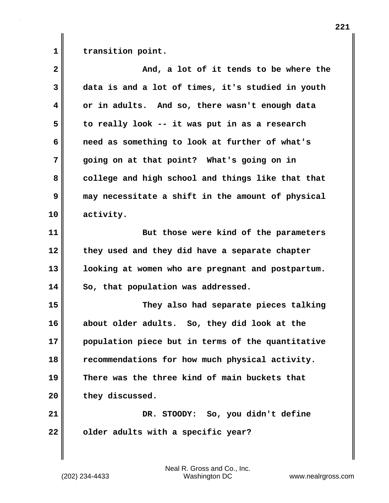1 **transition point.** 

| $\overline{\mathbf{2}}$ | And, a lot of it tends to be where the            |
|-------------------------|---------------------------------------------------|
| 3                       | data is and a lot of times, it's studied in youth |
| 4                       | or in adults. And so, there wasn't enough data    |
| 5                       | to really look -- it was put in as a research     |
| 6                       | need as something to look at further of what's    |
| 7                       | going on at that point? What's going on in        |
| 8                       | college and high school and things like that that |
| 9                       | may necessitate a shift in the amount of physical |
| 10                      | activity.                                         |
| 11                      | But those were kind of the parameters             |
| 12                      | they used and they did have a separate chapter    |
| 13                      | looking at women who are pregnant and postpartum. |
| 14                      | So, that population was addressed.                |
| 15                      | They also had separate pieces talking             |
| 16                      | about older adults. So, they did look at the      |
| 17                      | population piece but in terms of the quantitative |
| 18                      | recommendations for how much physical activity.   |
| 19                      | There was the three kind of main buckets that     |
| 20                      | they discussed.                                   |
| 21                      | DR. STOODY: So, you didn't define                 |
| 22                      | older adults with a specific year?                |
|                         |                                                   |

(202) 234-4433 Washington DC www.nealrgross.com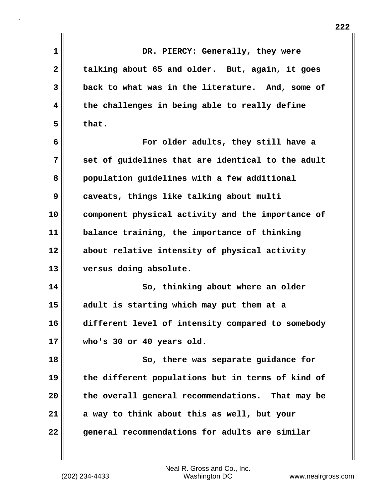| 1            | DR. PIERCY: Generally, they were                  |
|--------------|---------------------------------------------------|
| $\mathbf{2}$ | talking about 65 and older. But, again, it goes   |
| 3            | back to what was in the literature. And, some of  |
| 4            | the challenges in being able to really define     |
| 5            | that.                                             |
| 6            | For older adults, they still have a               |
| 7            | set of guidelines that are identical to the adult |
| 8            | population guidelines with a few additional       |
| 9            | caveats, things like talking about multi          |
| 10           | component physical activity and the importance of |
| 11           | balance training, the importance of thinking      |
| 12           | about relative intensity of physical activity     |
| 13           | versus doing absolute.                            |
| 14           | So, thinking about where an older                 |
| 15           | adult is starting which may put them at a         |
| 16           | different level of intensity compared to somebody |
| 17           | who's 30 or 40 years old.                         |
| 18           | So, there was separate guidance for               |
| 19           | the different populations but in terms of kind of |
| 20           | the overall general recommendations. That may be  |
| 21           | a way to think about this as well, but your       |
| 22           | general recommendations for adults are similar    |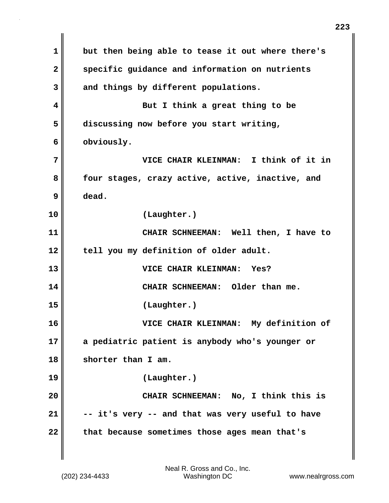**1 but then being able to tease it out where there's 2 specific guidance and information on nutrients 3 and things by different populations. 4 But I think a great thing to be 5 discussing now before you start writing, 6 obviously. 7 VICE CHAIR KLEINMAN: I think of it in 8 four stages, crazy active, active, inactive, and 9 dead. 10 (Laughter.) 11 CHAIR SCHNEEMAN: Well then, I have to** 12 tell you my definition of older adult. **13 VICE CHAIR KLEINMAN: Yes? 14 CHAIR SCHNEEMAN: Older than me. 15 (Laughter.) 16 VICE CHAIR KLEINMAN: My definition of 17 a pediatric patient is anybody who's younger or 18 shorter than I am. 19 (Laughter.) 20 CHAIR SCHNEEMAN: No, I think this is 21 -- it's very -- and that was very useful to have 22 that because sometimes those ages mean that's**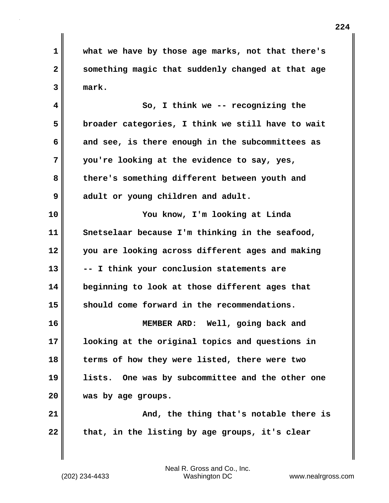**1 what we have by those age marks, not that there's 2 something magic that suddenly changed at that age 3 mark.**

**4 So, I think we -- recognizing the 5 broader categories, I think we still have to wait 6 and see, is there enough in the subcommittees as 7 you're looking at the evidence to say, yes, 8 there's something different between youth and 9 adult or young children and adult.**

**10 You know, I'm looking at Linda 11 Snetselaar because I'm thinking in the seafood, 12 you are looking across different ages and making 13 -- I think your conclusion statements are 14 beginning to look at those different ages that 15 should come forward in the recommendations.**

**16 MEMBER ARD: Well, going back and 17 looking at the original topics and questions in 18 terms of how they were listed, there were two 19 lists. One was by subcommittee and the other one 20 was by age groups.**

**21 And, the thing that's notable there is 22 that, in the listing by age groups, it's clear**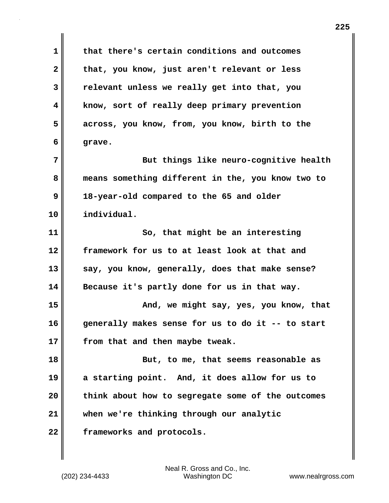**1 that there's certain conditions and outcomes 2 that, you know, just aren't relevant or less 3 relevant unless we really get into that, you 4 know, sort of really deep primary prevention 5 across, you know, from, you know, birth to the 6 grave. 7 But things like neuro-cognitive health 8 means something different in the, you know two to 9 18-year-old compared to the 65 and older 10 individual. 11** So, that might be an interesting **12 framework for us to at least look at that and** 13 say, you know, generally, does that make sense? **14 Because it's partly done for us in that way. 15 And, we might say, yes, you know, that 16 generally makes sense for us to do it -- to start 17 from that and then maybe tweak. 18 But, to me, that seems reasonable as 19 a starting point. And, it does allow for us to 20 think about how to segregate some of the outcomes 21 when we're thinking through our analytic 22 frameworks and protocols.**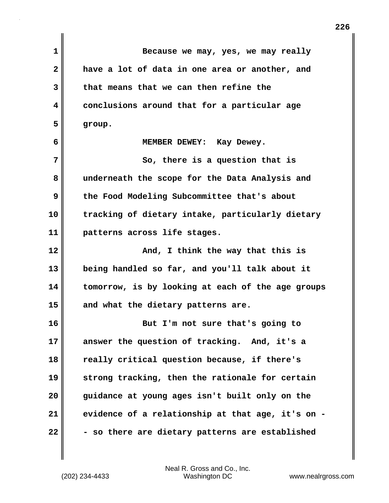| $\mathbf 1$  | Because we may, yes, we may really                |
|--------------|---------------------------------------------------|
| $\mathbf{2}$ | have a lot of data in one area or another, and    |
| 3            | that means that we can then refine the            |
| 4            | conclusions around that for a particular age      |
| 5            | group.                                            |
| 6            | MEMBER DEWEY: Kay Dewey.                          |
| 7            | So, there is a question that is                   |
| 8            | underneath the scope for the Data Analysis and    |
| 9            | the Food Modeling Subcommittee that's about       |
| 10           | tracking of dietary intake, particularly dietary  |
| 11           | patterns across life stages.                      |
| 12           | And, I think the way that this is                 |
| 13           | being handled so far, and you'll talk about it    |
| 14           | tomorrow, is by looking at each of the age groups |
| 15           | and what the dietary patterns are.                |
| 16           | But I'm not sure that's going to                  |
| 17           | answer the question of tracking. And, it's a      |
| 18           | really critical question because, if there's      |
| 19           | strong tracking, then the rationale for certain   |
| 20           | guidance at young ages isn't built only on the    |
| 21           | evidence of a relationship at that age, it's on - |
| 22           | - so there are dietary patterns are established   |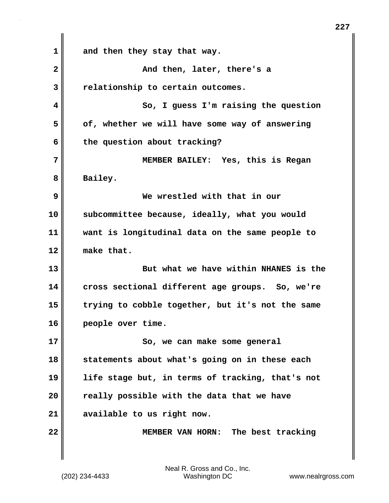**1 and then they stay that way. 2** And then, later, there's a **3 relationship to certain outcomes. 4 So, I guess I'm raising the question 5 of, whether we will have some way of answering 6 the question about tracking? 7 MEMBER BAILEY: Yes, this is Regan 8 Bailey. 9 We wrestled with that in our 10 subcommittee because, ideally, what you would 11 want is longitudinal data on the same people to 12 make that. 13 But what we have within NHANES is the 14 cross sectional different age groups. So, we're 15 trying to cobble together, but it's not the same 16 people over time. 17 So, we can make some general 18 statements about what's going on in these each 19 life stage but, in terms of tracking, that's not 20 really possible with the data that we have 21 available to us right now. 22 MEMBER VAN HORN: The best tracking**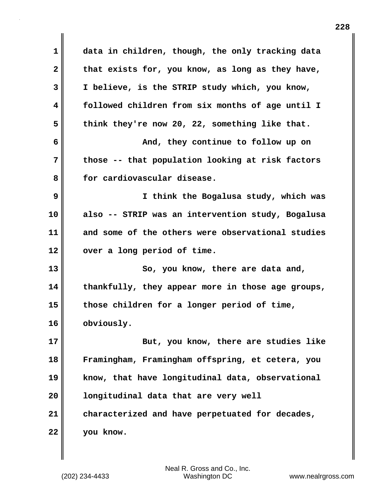| 1  | data in children, though, the only tracking data  |
|----|---------------------------------------------------|
| 2  | that exists for, you know, as long as they have,  |
| 3  | I believe, is the STRIP study which, you know,    |
| 4  | followed children from six months of age until I  |
| 5  | think they're now 20, 22, something like that.    |
| 6  | And, they continue to follow up on                |
| 7  | those -- that population looking at risk factors  |
| 8  | for cardiovascular disease.                       |
| 9  | I think the Bogalusa study, which was             |
| 10 | also -- STRIP was an intervention study, Bogalusa |
| 11 | and some of the others were observational studies |
| 12 | over a long period of time.                       |
| 13 | So, you know, there are data and,                 |
| 14 | thankfully, they appear more in those age groups, |
|    |                                                   |
| 15 | those children for a longer period of time,       |
| 16 | obviously.                                        |
| 17 | But, you know, there are studies like             |
| 18 | Framingham, Framingham offspring, et cetera, you  |
| 19 | know, that have longitudinal data, observational  |
| 20 | longitudinal data that are very well              |
| 21 | characterized and have perpetuated for decades,   |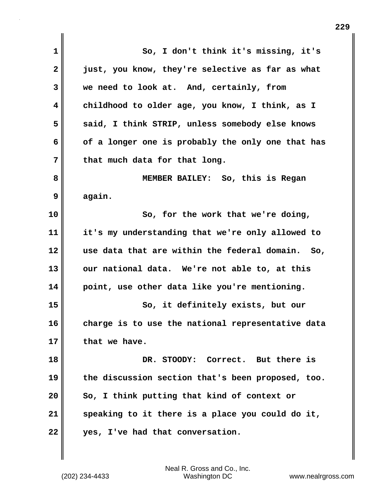| 1  | So, I don't think it's missing, it's              |
|----|---------------------------------------------------|
| 2  | just, you know, they're selective as far as what  |
| 3  | we need to look at. And, certainly, from          |
| 4  | childhood to older age, you know, I think, as I   |
| 5  | said, I think STRIP, unless somebody else knows   |
| 6  | of a longer one is probably the only one that has |
| 7  | that much data for that long.                     |
| 8  | MEMBER BAILEY: So, this is Regan                  |
| 9  | again.                                            |
| 10 | So, for the work that we're doing,                |
| 11 | it's my understanding that we're only allowed to  |
| 12 | use data that are within the federal domain. So,  |
| 13 | our national data. We're not able to, at this     |
| 14 | point, use other data like you're mentioning.     |
| 15 | So, it definitely exists, but our                 |
| 16 | charge is to use the national representative data |
| 17 | that we have.                                     |
| 18 | DR. STOODY: Correct. But there is                 |
| 19 | the discussion section that's been proposed, too. |
| 20 | So, I think putting that kind of context or       |
| 21 | speaking to it there is a place you could do it,  |
| 22 | yes, I've had that conversation.                  |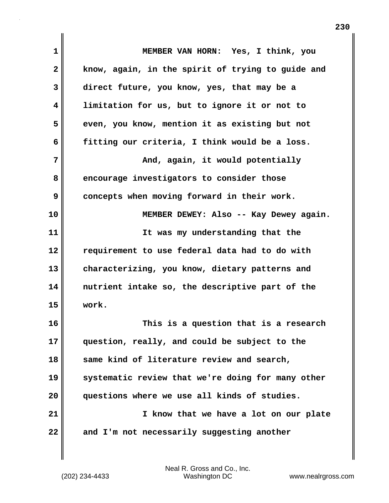| 1  | MEMBER VAN HORN: Yes, I think, you                |
|----|---------------------------------------------------|
| 2  | know, again, in the spirit of trying to guide and |
| 3  | direct future, you know, yes, that may be a       |
| 4  | limitation for us, but to ignore it or not to     |
| 5  | even, you know, mention it as existing but not    |
| 6  | fitting our criteria, I think would be a loss.    |
| 7  | And, again, it would potentially                  |
| 8  | encourage investigators to consider those         |
| 9  | concepts when moving forward in their work.       |
| 10 | MEMBER DEWEY: Also -- Kay Dewey again.            |
| 11 | It was my understanding that the                  |
| 12 | requirement to use federal data had to do with    |
| 13 | characterizing, you know, dietary patterns and    |
| 14 | nutrient intake so, the descriptive part of the   |
| 15 | work.                                             |
| 16 | This is a question that is a research             |
| 17 | question, really, and could be subject to the     |
| 18 | same kind of literature review and search,        |
| 19 | systematic review that we're doing for many other |
| 20 | questions where we use all kinds of studies.      |
| 21 | I know that we have a lot on our plate            |
| 22 | and I'm not necessarily suggesting another        |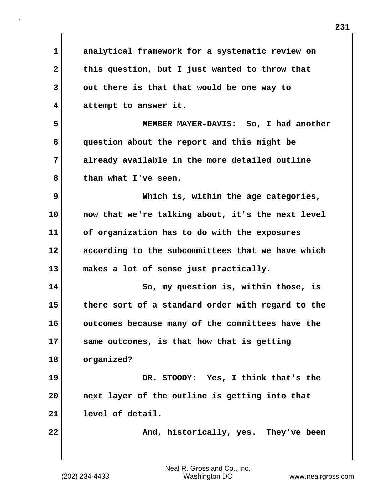| $\mathbf 1$  | analytical framework for a systematic review on   |
|--------------|---------------------------------------------------|
| $\mathbf{2}$ | this question, but I just wanted to throw that    |
| 3            | out there is that that would be one way to        |
| 4            | attempt to answer it.                             |
| 5            | MEMBER MAYER-DAVIS: So, I had another             |
| 6            | question about the report and this might be       |
| 7            | already available in the more detailed outline    |
| 8            | than what I've seen.                              |
| 9            | Which is, within the age categories,              |
| 10           | now that we're talking about, it's the next level |
| 11           | of organization has to do with the exposures      |
| 12           | according to the subcommittees that we have which |
| 13           | makes a lot of sense just practically.            |
| 14           | So, my question is, within those, is              |
| 15           | there sort of a standard order with regard to the |
| 16           | outcomes because many of the committees have the  |
| 17           | same outcomes, is that how that is getting        |
| 18           | organized?                                        |
| 19           | DR. STOODY: Yes, I think that's the               |
| 20           | next layer of the outline is getting into that    |
| 21           | level of detail.                                  |
| 22           | And, historically, yes. They've been              |
|              |                                                   |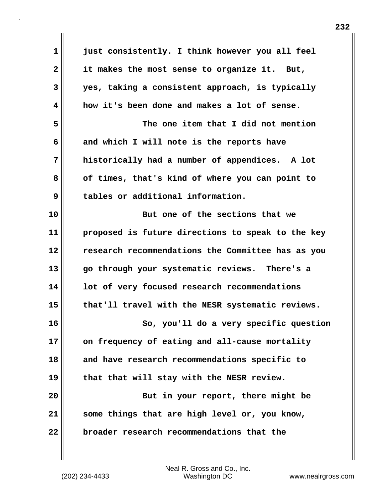| 1            | just consistently. I think however you all feel   |
|--------------|---------------------------------------------------|
| $\mathbf{2}$ | it makes the most sense to organize it. But,      |
| $\mathbf{3}$ | yes, taking a consistent approach, is typically   |
| 4            | how it's been done and makes a lot of sense.      |
| 5            | The one item that I did not mention               |
| 6            | and which I will note is the reports have         |
| 7            | historically had a number of appendices. A lot    |
| 8            | of times, that's kind of where you can point to   |
| 9            | tables or additional information.                 |
| 10           | But one of the sections that we                   |
| 11           | proposed is future directions to speak to the key |
| 12           | research recommendations the Committee has as you |
| 13           | go through your systematic reviews. There's a     |
| 14           | lot of very focused research recommendations      |
| 15           | that'll travel with the NESR systematic reviews.  |
| 16           | So, you'll do a very specific question            |
| 17           | on frequency of eating and all-cause mortality    |
| 18           | and have research recommendations specific to     |
| 19           | that that will stay with the NESR review.         |
| 20           | But in your report, there might be                |
| 21           | some things that are high level or, you know,     |
| 22           | broader research recommendations that the         |

(202) 234-4433 Washington DC www.nealrgross.com Neal R. Gross and Co., Inc.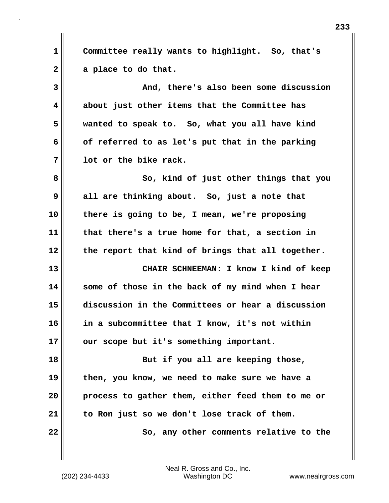**1 Committee really wants to highlight. So, that's 2 a place to do that.**

**3 And, there's also been some discussion 4 about just other items that the Committee has 5 wanted to speak to. So, what you all have kind 6 of referred to as let's put that in the parking 7 lot or the bike rack.**

**8 So, kind of just other things that you 9 all are thinking about. So, just a note that 10 there is going to be, I mean, we're proposing 11 that there's a true home for that, a section in 12 the report that kind of brings that all together.**

**13 CHAIR SCHNEEMAN: I know I kind of keep 14 some of those in the back of my mind when I hear 15 discussion in the Committees or hear a discussion 16 in a subcommittee that I know, it's not within 17 our scope but it's something important.**

**18 But if you all are keeping those, 19 then, you know, we need to make sure we have a 20 process to gather them, either feed them to me or 21 to Ron just so we don't lose track of them. 22 So, any other comments relative to the**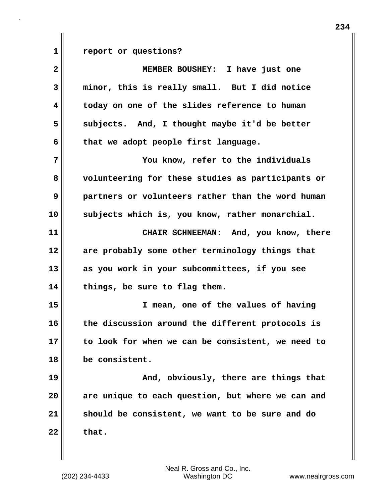**2 MEMBER BOUSHEY: I have just one 3 minor, this is really small. But I did notice 4 today on one of the slides reference to human 5 subjects. And, I thought maybe it'd be better 6 that we adopt people first language. 7 You know, refer to the individuals 8 volunteering for these studies as participants or 9 partners or volunteers rather than the word human 10 subjects which is, you know, rather monarchial. 11 CHAIR SCHNEEMAN: And, you know, there 12 are probably some other terminology things that 13 as you work in your subcommittees, if you see 14 things, be sure to flag them. 15 I mean, one of the values of having 16 the discussion around the different protocols is 17 to look for when we can be consistent, we need to 18 be consistent. 19 And, obviously, there are things that 20 are unique to each question, but where we can and 21 should be consistent, we want to be sure and do 22 that.**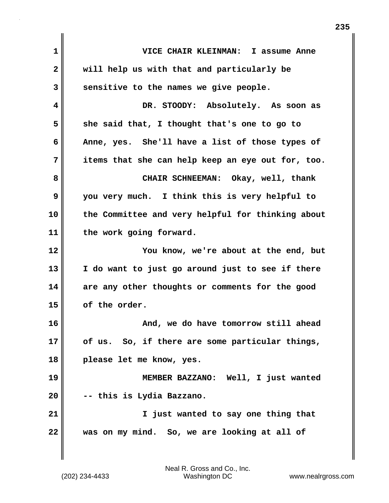| 1  | VICE CHAIR KLEINMAN: I assume Anne                |
|----|---------------------------------------------------|
| 2  | will help us with that and particularly be        |
| 3  | sensitive to the names we give people.            |
| 4  | DR. STOODY: Absolutely. As soon as                |
| 5  | she said that, I thought that's one to go to      |
| 6  | Anne, yes. She'll have a list of those types of   |
| 7  | items that she can help keep an eye out for, too. |
| 8  | CHAIR SCHNEEMAN: Okay, well, thank                |
| 9  | you very much. I think this is very helpful to    |
| 10 | the Committee and very helpful for thinking about |
| 11 | the work going forward.                           |
| 12 | You know, we're about at the end, but             |
| 13 | I do want to just go around just to see if there  |
| 14 | are any other thoughts or comments for the good   |
| 15 | of the order.                                     |
| 16 | And, we do have tomorrow still ahead              |
| 17 | of us. So, if there are some particular things,   |
| 18 | please let me know, yes.                          |
| 19 | MEMBER BAZZANO: Well, I just wanted               |
| 20 | -- this is Lydia Bazzano.                         |
| 21 | I just wanted to say one thing that               |
| 22 | was on my mind. So, we are looking at all of      |
|    |                                                   |

(202) 234-4433 Washington DC www.nealrgross.com Neal R. Gross and Co., Inc.

**235**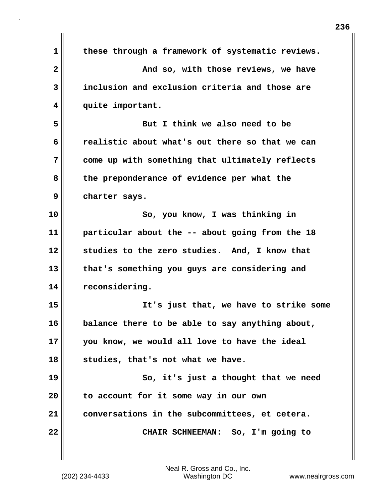| $\mathbf 1$ | these through a framework of systematic reviews. |
|-------------|--------------------------------------------------|
| 2           | And so, with those reviews, we have              |
| 3           | inclusion and exclusion criteria and those are   |
| 4           | quite important.                                 |
| 5           | But I think we also need to be                   |
| 6           | realistic about what's out there so that we can  |
| 7           | come up with something that ultimately reflects  |
| 8           | the preponderance of evidence per what the       |
| 9           | charter says.                                    |
| 10          | So, you know, I was thinking in                  |
| 11          | particular about the -- about going from the 18  |
| 12          | studies to the zero studies. And, I know that    |
| 13          | that's something you guys are considering and    |
| 14          | reconsidering.                                   |
| 15          | It's just that, we have to strike some           |
| 16          | balance there to be able to say anything about,  |
| 17          | you know, we would all love to have the ideal    |
| 18          | studies, that's not what we have.                |
| 19          | So, it's just a thought that we need             |
| 20          | to account for it some way in our own            |
| 21          | conversations in the subcommittees, et cetera.   |
| 22          | CHAIR SCHNEEMAN: So, I'm going to                |
|             |                                                  |

I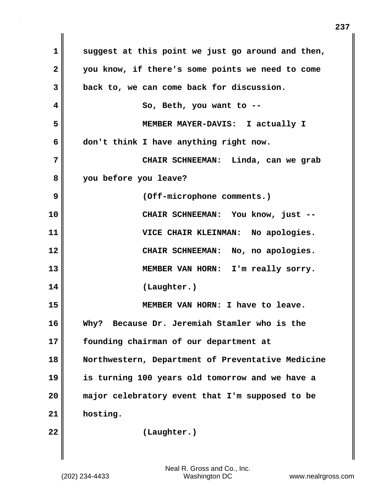| 1            | suggest at this point we just go around and then, |
|--------------|---------------------------------------------------|
| $\mathbf{2}$ | you know, if there's some points we need to come  |
| 3            | back to, we can come back for discussion.         |
| 4            | So, Beth, you want to --                          |
| 5            | MEMBER MAYER-DAVIS: I actually I                  |
| 6            | don't think I have anything right now.            |
| 7            | CHAIR SCHNEEMAN: Linda, can we grab               |
| 8            | you before you leave?                             |
| 9            | (Off-microphone comments.)                        |
| 10           | CHAIR SCHNEEMAN: You know, just --                |
| 11           | VICE CHAIR KLEINMAN: No apologies.                |
| 12           | CHAIR SCHNEEMAN: No, no apologies.                |
| 13           | MEMBER VAN HORN: I'm really sorry.                |
| 14           | (Laughter.)                                       |
| 15           | MEMBER VAN HORN: I have to leave.                 |
| 16           | Because Dr. Jeremiah Stamler who is the<br>Why?   |
| 17           | founding chairman of our department at            |
| 18           | Northwestern, Department of Preventative Medicine |
| 19           | is turning 100 years old tomorrow and we have a   |
| 20           | major celebratory event that I'm supposed to be   |
| 21           | hosting.                                          |
| 22           | (Laughter.)                                       |
|              |                                                   |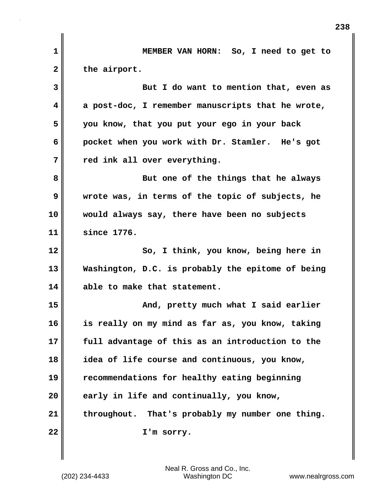**1 MEMBER VAN HORN: So, I need to get to** 2 the airport. **3 But I do want to mention that, even as 4 a post-doc, I remember manuscripts that he wrote, 5 you know, that you put your ego in your back 6 pocket when you work with Dr. Stamler. He's got 7 red ink all over everything. 8 But one of the things that he always 9 wrote was, in terms of the topic of subjects, he 10 would always say, there have been no subjects 11 since 1776. 12** So, I think, you know, being here in **13 Washington, D.C. is probably the epitome of being 14 able to make that statement. 15 And, pretty much what I said earlier 16 is really on my mind as far as, you know, taking 17 full advantage of this as an introduction to the 18 idea of life course and continuous, you know, 19 recommendations for healthy eating beginning** 20 early in life and continually, you know, **21 throughout. That's probably my number one thing. 22 I'm sorry.**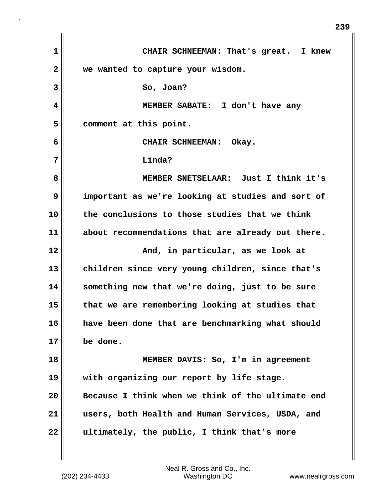**1 CHAIR SCHNEEMAN: That's great. I knew 2 we wanted to capture your wisdom. 3** So, Joan? **4 MEMBER SABATE: I don't have any 5 comment at this point. 6 CHAIR SCHNEEMAN: Okay. 7 Linda? 8 MEMBER SNETSELAAR: Just I think it's 9 important as we're looking at studies and sort of 10 the conclusions to those studies that we think 11 about recommendations that are already out there. 12 And, in particular, as we look at 13 children since very young children, since that's 14 something new that we're doing, just to be sure 15 that we are remembering looking at studies that 16 have been done that are benchmarking what should 17 be done. 18 MEMBER DAVIS: So, I'm in agreement 19 with organizing our report by life stage. 20 Because I think when we think of the ultimate end 21 users, both Health and Human Services, USDA, and 22 ultimately, the public, I think that's more**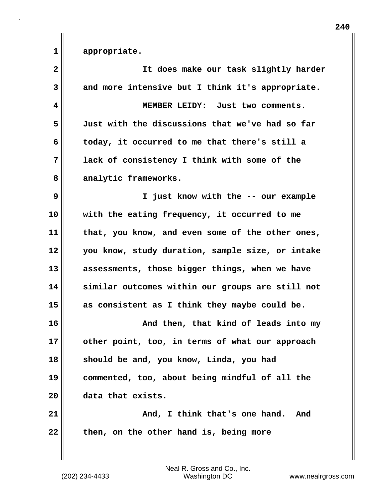**1 appropriate.**

| $\overline{\mathbf{2}}$ | It does make our task slightly harder            |
|-------------------------|--------------------------------------------------|
| 3                       | and more intensive but I think it's appropriate. |
| $\overline{\mathbf{4}}$ | MEMBER LEIDY: Just two comments.                 |
| 5                       | Just with the discussions that we've had so far  |
| 6                       | today, it occurred to me that there's still a    |
| 7                       | lack of consistency I think with some of the     |
| 8                       | analytic frameworks.                             |
| 9                       | I just know with the -- our example              |
| 10                      | with the eating frequency, it occurred to me     |
| 11                      | that, you know, and even some of the other ones, |
| 12                      | you know, study duration, sample size, or intake |
| 13                      | assessments, those bigger things, when we have   |
| 14                      | similar outcomes within our groups are still not |
| 15                      | as consistent as I think they maybe could be.    |
| 16                      | And then, that kind of leads into my             |
| 17                      | other point, too, in terms of what our approach  |
| 18                      | should be and, you know, Linda, you had          |
| 19                      | commented, too, about being mindful of all the   |
| 20                      | data that exists.                                |
| 21                      | And, I think that's one hand.<br>And             |
| 22                      | then, on the other hand is, being more           |
|                         |                                                  |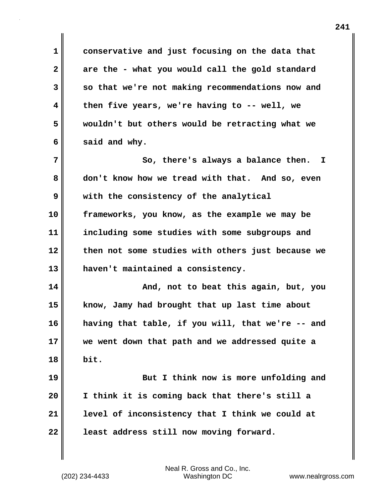**1 conservative and just focusing on the data that 2 are the - what you would call the gold standard 3 so that we're not making recommendations now and 4 then five years, we're having to -- well, we 5 wouldn't but others would be retracting what we 6 said and why. 7** So, there's always a balance then. I **8 don't know how we tread with that. And so, even 9 with the consistency of the analytical 10 frameworks, you know, as the example we may be 11 including some studies with some subgroups and 12 then not some studies with others just because we 13 haven't maintained a consistency. 14 And, not to beat this again, but, you 15 know, Jamy had brought that up last time about 16 having that table, if you will, that we're -- and 17 we went down that path and we addressed quite a 18 bit. 19 But I think now is more unfolding and 20 I think it is coming back that there's still a 21 level of inconsistency that I think we could at 22 least address still now moving forward.**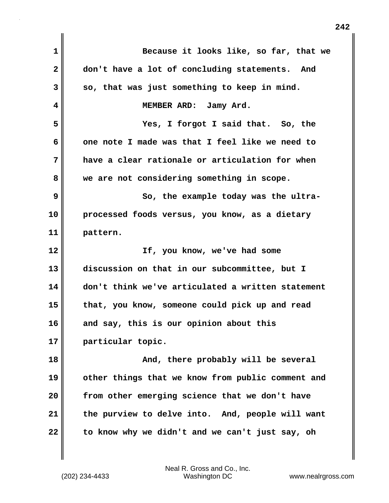| 1            | Because it looks like, so far, that we            |
|--------------|---------------------------------------------------|
| $\mathbf{2}$ | don't have a lot of concluding statements. And    |
| 3            | so, that was just something to keep in mind.      |
| 4            | MEMBER ARD: Jamy Ard.                             |
| 5            | Yes, I forgot I said that. So, the                |
| 6            | one note I made was that I feel like we need to   |
| 7            | have a clear rationale or articulation for when   |
| 8            | we are not considering something in scope.        |
| 9            | So, the example today was the ultra-              |
| 10           | processed foods versus, you know, as a dietary    |
| 11           | pattern.                                          |
| 12           | If, you know, we've had some                      |
| 13           | discussion on that in our subcommittee, but I     |
| 14           | don't think we've articulated a written statement |
| 15           | that, you know, someone could pick up and read    |
| 16           | and say, this is our opinion about this           |
| 17           | particular topic.                                 |
| 18           | And, there probably will be several               |
| 19           | other things that we know from public comment and |
| 20           | from other emerging science that we don't have    |
| 21           | the purview to delve into. And, people will want  |
| 22           | to know why we didn't and we can't just say, oh   |
|              |                                                   |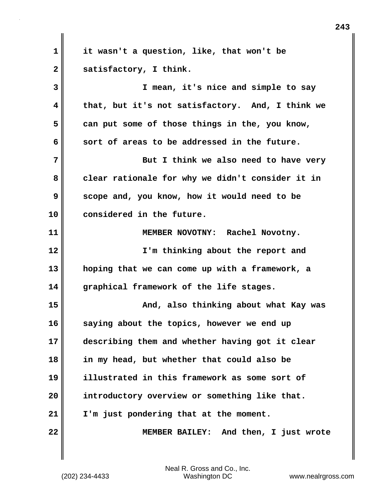**1 it wasn't a question, like, that won't be** 2 satisfactory, I think. **3 I mean, it's nice and simple to say 4 that, but it's not satisfactory. And, I think we 5 can put some of those things in the, you know, 6 sort of areas to be addressed in the future. 7 But I think we also need to have very 8 clear rationale for why we didn't consider it in 9 scope and, you know, how it would need to be 10 considered in the future. 11 MEMBER NOVOTNY: Rachel Novotny. 12 I'm thinking about the report and 13 hoping that we can come up with a framework, a 14 graphical framework of the life stages. 15 And, also thinking about what Kay was 16 saying about the topics, however we end up 17 describing them and whether having got it clear 18 in my head, but whether that could also be 19 illustrated in this framework as some sort of 20 introductory overview or something like that. 21 I'm just pondering that at the moment. 22 MEMBER BAILEY: And then, I just wrote**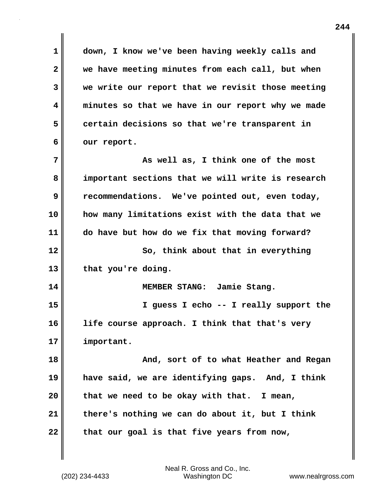**1 down, I know we've been having weekly calls and 2 we have meeting minutes from each call, but when 3 we write our report that we revisit those meeting 4 minutes so that we have in our report why we made 5 certain decisions so that we're transparent in 6 our report. 7 As well as, I think one of the most 8 important sections that we will write is research 9 recommendations. We've pointed out, even today, 10 how many limitations exist with the data that we 11 do have but how do we fix that moving forward? 12** So, think about that in everything 13 that you're doing. **14 MEMBER STANG: Jamie Stang. 15 I guess I echo -- I really support the 16 life course approach. I think that that's very 17 important. 18 And, sort of to what Heather and Regan 19 have said, we are identifying gaps. And, I think 20 that we need to be okay with that. I mean, 21 there's nothing we can do about it, but I think** 22 that our goal is that five years from now,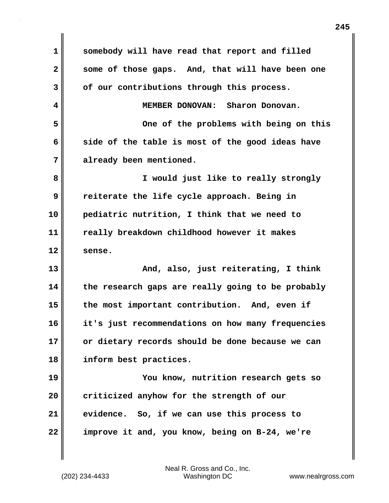| 1            | somebody will have read that report and filled    |
|--------------|---------------------------------------------------|
| $\mathbf{2}$ | some of those gaps. And, that will have been one  |
| 3            | of our contributions through this process.        |
| 4            | MEMBER DONOVAN: Sharon Donovan.                   |
| 5            | One of the problems with being on this            |
| 6            | side of the table is most of the good ideas have  |
| 7            | already been mentioned.                           |
| 8            | I would just like to really strongly              |
| 9            | reiterate the life cycle approach. Being in       |
| 10           | pediatric nutrition, I think that we need to      |
| 11           | really breakdown childhood however it makes       |
| 12           | sense.                                            |
| 13           | And, also, just reiterating, I think              |
| 14           | the research gaps are really going to be probably |
| 15           | the most important contribution. And, even if     |
| 16           | it's just recommendations on how many frequencies |
| 17           | or dietary records should be done because we can  |
| 18           | inform best practices.                            |
| 19           | You know, nutrition research gets so              |
| 20           | criticized anyhow for the strength of our         |
| 21           | evidence. So, if we can use this process to       |
| 22           | improve it and, you know, being on B-24, we're    |

(202) 234-4433 Washington DC www.nealrgross.com Neal R. Gross and Co., Inc.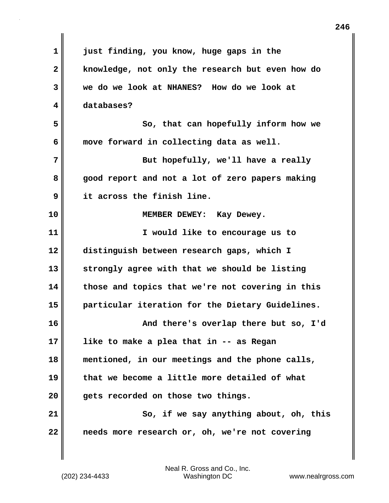| 1            | just finding, you know, huge gaps in the         |
|--------------|--------------------------------------------------|
| $\mathbf{2}$ | knowledge, not only the research but even how do |
| 3            | we do we look at NHANES? How do we look at       |
| 4            | databases?                                       |
| 5            | So, that can hopefully inform how we             |
| 6            | move forward in collecting data as well.         |
| 7            | But hopefully, we'll have a really               |
| 8            | good report and not a lot of zero papers making  |
| 9            | it across the finish line.                       |
| 10           | MEMBER DEWEY: Kay Dewey.                         |
| 11           | I would like to encourage us to                  |
| 12           | distinguish between research gaps, which I       |
| 13           | strongly agree with that we should be listing    |
| 14           | those and topics that we're not covering in this |
| 15           | particular iteration for the Dietary Guidelines. |
| 16           | And there's overlap there but so, I'd            |
| 17           | like to make a plea that in -- as Regan          |
| 18           | mentioned, in our meetings and the phone calls,  |
| 19           | that we become a little more detailed of what    |
| 20           | gets recorded on those two things.               |
| 21           | So, if we say anything about, oh, this           |
| 22           | needs more research or, oh, we're not covering   |
|              |                                                  |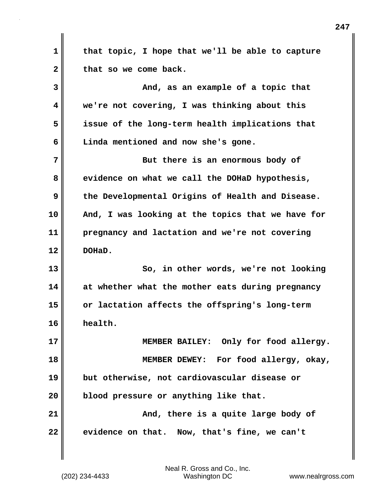**1 that topic, I hope that we'll be able to capture** 2 that so we come back. **3 And, as an example of a topic that 4 we're not covering, I was thinking about this 5 issue of the long-term health implications that 6 Linda mentioned and now she's gone. 7 But there is an enormous body of 8 evidence on what we call the DOHaD hypothesis, 9 the Developmental Origins of Health and Disease. 10 And, I was looking at the topics that we have for 11 pregnancy and lactation and we're not covering 12 DOHaD. 13 So, in other words, we're not looking 14 at whether what the mother eats during pregnancy 15 or lactation affects the offspring's long-term 16 health. 17 MEMBER BAILEY: Only for food allergy. 18 MEMBER DEWEY: For food allergy, okay, 19 but otherwise, not cardiovascular disease or 20 blood pressure or anything like that. 21 And, there is a quite large body of 22 evidence on that. Now, that's fine, we can't**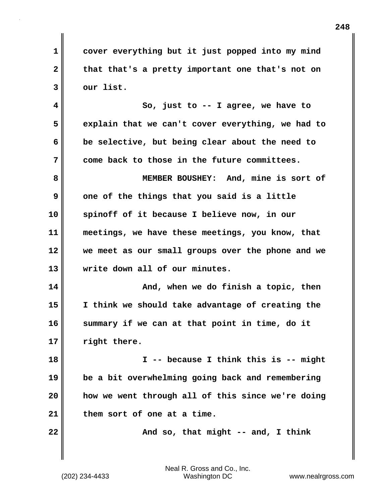**1 cover everything but it just popped into my mind**

2 that that's a pretty important one that's not on **3 our list. 4 So, just to -- I agree, we have to 5 explain that we can't cover everything, we had to 6 be selective, but being clear about the need to 7 come back to those in the future committees. 8 MEMBER BOUSHEY: And, mine is sort of 9 one of the things that you said is a little 10 spinoff of it because I believe now, in our 11 meetings, we have these meetings, you know, that 12 we meet as our small groups over the phone and we 13 write down all of our minutes. 14 And, when we do finish a topic, then 15 I think we should take advantage of creating the 16 summary if we can at that point in time, do it 17 right there. 18 I -- because I think this is -- might 19 be a bit overwhelming going back and remembering 20 how we went through all of this since we're doing 21 them sort of one at a time. 22 And so, that might -- and, I think**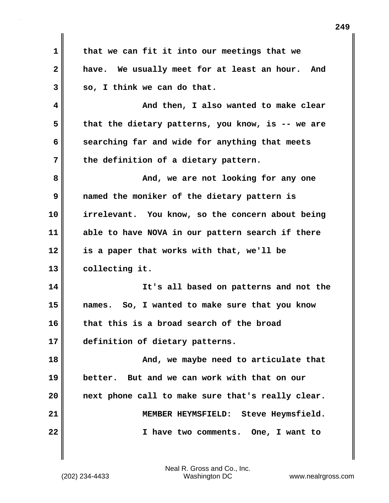| 1            | that we can fit it into our meetings that we      |
|--------------|---------------------------------------------------|
| $\mathbf{2}$ | have. We usually meet for at least an hour. And   |
| 3            | so, I think we can do that.                       |
| 4            | And then, I also wanted to make clear             |
| 5            | that the dietary patterns, you know, is -- we are |
| 6            | searching far and wide for anything that meets    |
| 7            | the definition of a dietary pattern.              |
| 8            | And, we are not looking for any one               |
| 9            | named the moniker of the dietary pattern is       |
| 10           | irrelevant. You know, so the concern about being  |
| 11           | able to have NOVA in our pattern search if there  |
| 12           | is a paper that works with that, we'll be         |
| 13           | collecting it.                                    |
| 14           | It's all based on patterns and not the            |
| 15           | names. So, I wanted to make sure that you know    |
| 16           | that this is a broad search of the broad          |
| 17           | definition of dietary patterns.                   |
| 18           | And, we maybe need to articulate that             |
| 19           | better. But and we can work with that on our      |
| 20           | next phone call to make sure that's really clear. |
| 21           | MEMBER HEYMSFIELD: Steve Heymsfield.              |
| 22           | I have two comments. One, I want to               |
|              |                                                   |

(202) 234-4433 Washington DC www.nealrgross.com Neal R. Gross and Co., Inc.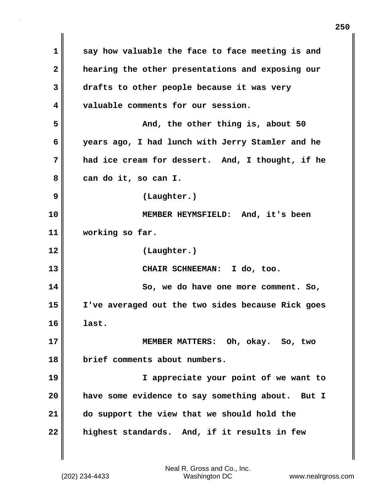**1 say how valuable the face to face meeting is and 2 hearing the other presentations and exposing our 3 drafts to other people because it was very 4 valuable comments for our session. 5** And, the other thing is, about 50 **6 years ago, I had lunch with Jerry Stamler and he 7 had ice cream for dessert. And, I thought, if he 8 can do it, so can I. 9 (Laughter.) 10 MEMBER HEYMSFIELD: And, it's been 11 working so far. 12 (Laughter.) 13 CHAIR SCHNEEMAN: I do, too. 14 So, we do have one more comment. So, 15 I've averaged out the two sides because Rick goes 16 last. 17 MEMBER MATTERS: Oh, okay. So, two 18 brief comments about numbers. 19 I appreciate your point of we want to 20 have some evidence to say something about. But I 21 do support the view that we should hold the 22 highest standards. And, if it results in few**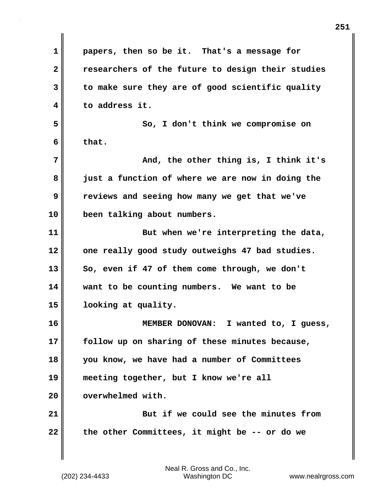| $\mathbf 1$  | papers, then so be it. That's a message for       |
|--------------|---------------------------------------------------|
| $\mathbf{2}$ | researchers of the future to design their studies |
| 3            | to make sure they are of good scientific quality  |
| 4            | to address it.                                    |
| 5            | So, I don't think we compromise on                |
| 6            | that.                                             |
| 7            | And, the other thing is, I think it's             |
| 8            | just a function of where we are now in doing the  |
| 9            | reviews and seeing how many we get that we've     |
| 10           | been talking about numbers.                       |
| 11           | But when we're interpreting the data,             |
| 12           | one really good study outweighs 47 bad studies.   |
| 13           | So, even if 47 of them come through, we don't     |
| 14           | want to be counting numbers. We want to be        |
| 15           | looking at quality.                               |
| 16           | <b>MEMBER DONOVAN:</b><br>I wanted to, I quess,   |
| 17           | follow up on sharing of these minutes because,    |
| 18           | you know, we have had a number of Committees      |
| 19           | meeting together, but I know we're all            |
| 20           | overwhelmed with.                                 |
| 21           | But if we could see the minutes from              |
| 22           | the other Committees, it might be -- or do we     |
|              |                                                   |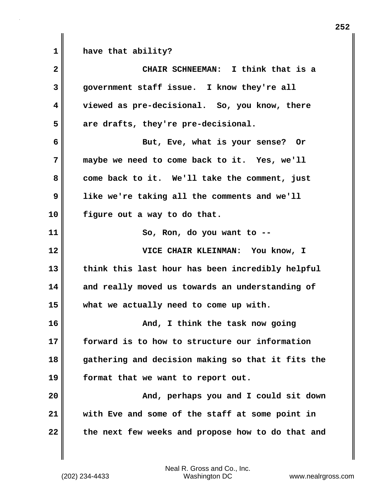**1 have that ability? 2 CHAIR SCHNEEMAN: I think that is a 3 government staff issue. I know they're all 4 viewed as pre-decisional. So, you know, there 5 are drafts, they're pre-decisional. 6 But, Eve, what is your sense? Or 7 maybe we need to come back to it. Yes, we'll 8 come back to it. We'll take the comment, just 9 like we're taking all the comments and we'll 10 figure out a way to do that. 11 So, Ron, do you want to -- 12 VICE CHAIR KLEINMAN: You know, I 13 think this last hour has been incredibly helpful 14 and really moved us towards an understanding of 15 what we actually need to come up with. 16 And, I think the task now going 17 forward is to how to structure our information 18 gathering and decision making so that it fits the 19 format that we want to report out. 20 And, perhaps you and I could sit down 21 with Eve and some of the staff at some point in 22 the next few weeks and propose how to do that and**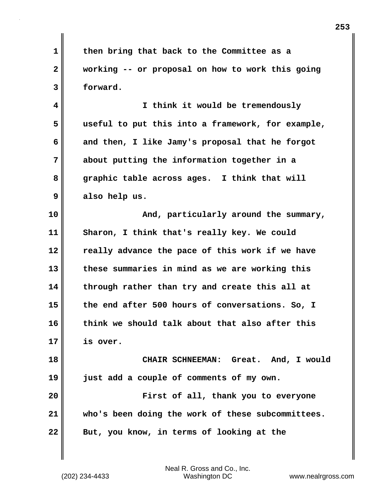**1 then bring that back to the Committee as a 2 working -- or proposal on how to work this going 3 forward. 4 I think it would be tremendously 5 useful to put this into a framework, for example, 6 and then, I like Jamy's proposal that he forgot 7 about putting the information together in a**

**8 graphic table across ages. I think that will 9 also help us.**

10 || **And, particularly around the summary, 11 Sharon, I think that's really key. We could 12 really advance the pace of this work if we have 13 these summaries in mind as we are working this 14 through rather than try and create this all at 15 the end after 500 hours of conversations. So, I 16 think we should talk about that also after this 17 is over.**

**18 CHAIR SCHNEEMAN: Great. And, I would 19 just add a couple of comments of my own.**

**20 First of all, thank you to everyone 21 who's been doing the work of these subcommittees. 22 But, you know, in terms of looking at the**

(202) 234-4433 Washington DC www.nealrgross.com Neal R. Gross and Co., Inc.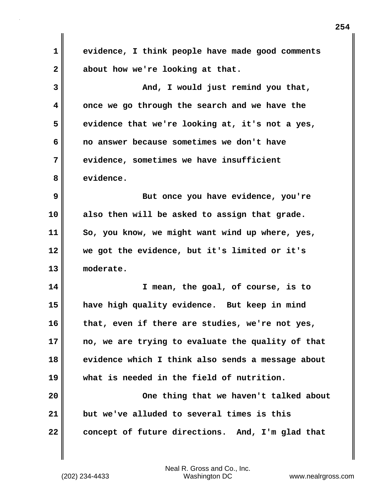| 1  | evidence, I think people have made good comments  |
|----|---------------------------------------------------|
| 2  | about how we're looking at that.                  |
| 3  | And, I would just remind you that,                |
| 4  | once we go through the search and we have the     |
| 5  | evidence that we're looking at, it's not a yes,   |
| 6  | no answer because sometimes we don't have         |
| 7  | evidence, sometimes we have insufficient          |
| 8  | evidence.                                         |
| 9  | But once you have evidence, you're                |
| 10 | also then will be asked to assign that grade.     |
| 11 | So, you know, we might want wind up where, yes,   |
| 12 | we got the evidence, but it's limited or it's     |
| 13 | moderate.                                         |
| 14 | I mean, the goal, of course, is to                |
| 15 | have high quality evidence. But keep in mind      |
| 16 | that, even if there are studies, we're not yes    |
| 17 | no, we are trying to evaluate the quality of that |
| 18 | evidence which I think also sends a message about |
| 19 | what is needed in the field of nutrition.         |
| 20 | One thing that we haven't talked about            |
| 21 | but we've alluded to several times is this        |
| 22 | concept of future directions. And, I'm glad that  |
|    |                                                   |

 $\mathbf{I}$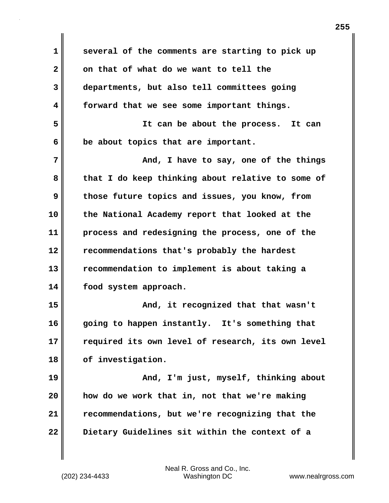| $\mathbf 1$  | several of the comments are starting to pick up   |
|--------------|---------------------------------------------------|
| $\mathbf{2}$ | on that of what do we want to tell the            |
| 3            | departments, but also tell committees going       |
| 4            | forward that we see some important things.        |
| 5            | It can be about the process. It can               |
| 6            | be about topics that are important.               |
| 7            | And, I have to say, one of the things             |
| 8            | that I do keep thinking about relative to some of |
| 9            | those future topics and issues, you know, from    |
| 10           | the National Academy report that looked at the    |
| 11           | process and redesigning the process, one of the   |
| 12           | recommendations that's probably the hardest       |
| 13           | recommendation to implement is about taking a     |
| 14           | food system approach.                             |
| 15           | And, it recognized that that wasn't               |
| 16           | going to happen instantly. It's something that    |
| 17           | required its own level of research, its own level |
| 18           | of investigation.                                 |
| 19           | And, I'm just, myself, thinking about             |
| 20           | how do we work that in, not that we're making     |
| 21           | recommendations, but we're recognizing that the   |
| 22           | Dietary Guidelines sit within the context of a    |

 $\mathbf{I}$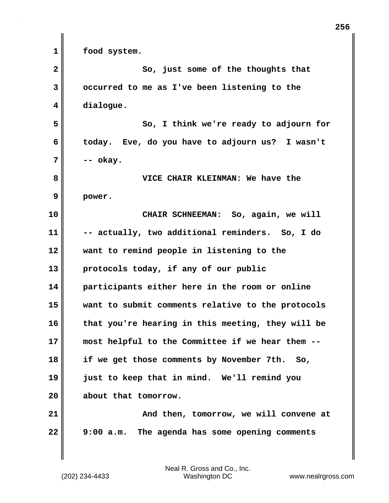**2** So, just some of the thoughts that **3 occurred to me as I've been listening to the 4 dialogue. 5 So, I think we're ready to adjourn for 6 today. Eve, do you have to adjourn us? I wasn't 7 -- okay. 8 VICE CHAIR KLEINMAN: We have the 9 power. 10 CHAIR SCHNEEMAN: So, again, we will 11 -- actually, two additional reminders. So, I do 12 want to remind people in listening to the 13 protocols today, if any of our public 14 participants either here in the room or online 15 want to submit comments relative to the protocols 16 that you're hearing in this meeting, they will be 17 most helpful to the Committee if we hear them -- 18 if we get those comments by November 7th. So, 19 just to keep that in mind. We'll remind you 20 about that tomorrow. 21 And then, tomorrow, we will convene at 22 9:00 a.m. The agenda has some opening comments**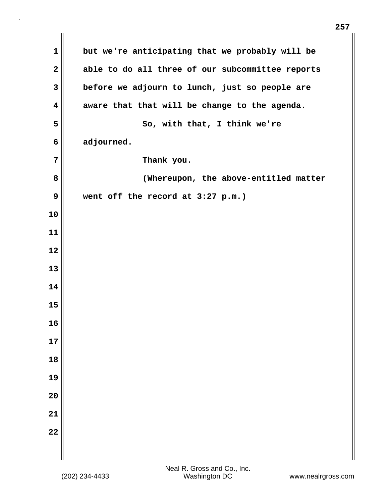| $\mathbf 1$             | but we're anticipating that we probably will be  |
|-------------------------|--------------------------------------------------|
| $\mathbf{2}$            | able to do all three of our subcommittee reports |
| 3                       | before we adjourn to lunch, just so people are   |
| $\overline{\mathbf{4}}$ | aware that that will be change to the agenda.    |
| 5                       | So, with that, I think we're                     |
| 6                       | adjourned.                                       |
| 7                       | Thank you.                                       |
| 8                       | (Whereupon, the above-entitled matter            |
| 9                       | went off the record at 3:27 p.m.)                |
| 10                      |                                                  |
| 11                      |                                                  |
| 12                      |                                                  |
| 13                      |                                                  |
| 14                      |                                                  |
| 15                      |                                                  |
| 16                      |                                                  |
| 17                      |                                                  |
| 18                      |                                                  |
| 19                      |                                                  |
| 20                      |                                                  |
| 21                      |                                                  |
| $\overline{22}$         |                                                  |
|                         |                                                  |

 $\mathbf{I}$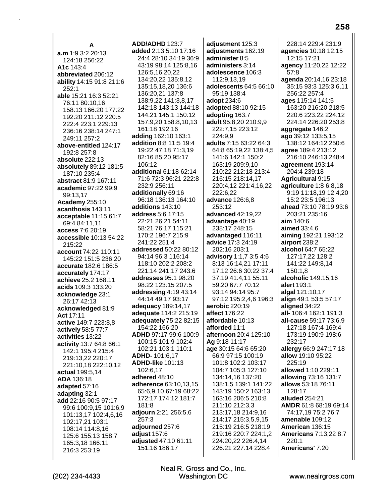A a.m 1:9 3:2 20:13 124:18 256:22 A1c 143:4 abbreviated 206:12 ability 14:15 91:8 211:6  $252:1$ able 15:21 16:3 52:21 76:11 80:10,16 158:13 166:20 177:22 192:20 211:12 220:5 222:4 223:1 229:13 236:16 238:14 247:1 249:11 257:2 above-entitled 124:17 192:8 257:8 absolute 222:13 absolutely 89:12 181:5 187:10 235:4 abstract 81:9 167:11 academic 97:22 99:9 99:13.17 **Academy 255:10** acanthosis 143:11 acceptable 11:15 61:7 69:4 84:11,11 access 7:6 20:19 accessible 10:13 54:22 215:22 account 74:22 110:11 145:22 151:5 236:20 accurate 182:6 186:5 accurately 174:17 achieve 25:2 168:11 acids 109:3 133:20 acknowledge 23:1 26:17 42:13 acknowledged 81:9 Act 17:11 active 149:7 223:8,8 actively 58:5 77:7 activities 13:22 activity 13:7 64:8 66:1 142:1 195:4 215:4 219:13.22 220:17 221:10,18 222:10,12 actual 199:5.14 ADA 136:18 adapted 57:16 adapting 32:1 add 22:16 90:5 97:17 99:6 100:9,15 101:6,9 101:13,17 102:4,6,16 102:17.21 103:1 108:14 114:8,16 125:6 155:13 158:7 165:3,18 166:11 216:3 253:19

ADD/ADHD 123:7 added 2:13 5:10 17:16 24:4 28:10 34:19 36:9 43:19 98:14 125:8.16 126:5,16,20,22 134:20,22 135:8,12 135:15,18,20 136:6 136:20,21 137:8 138:9,22 141:3,8,17 142:18 143:13 144:18 144:21 145:1 150:12 157:9,20 158:8,10,13 161:18 192:16 adding 162:10 163:1 addition 8:8 11:5 19:4 19:22 47:18 71:3,19 82:16 85:20 95:17 106:12 additional 61:18 62:14 71:6 72:3 96:21 222:8 232:9 256:11 additionally 69:16 96:18 136:13 164:10 additions 143:10 address 5:6 17:15 22:21 26:21 54:11 58:21 76:17 115:21 170:2 196:7 215:9 241:22 251:4 addressed 50:22 80:12 94:14 96:3 116:14  $118.10202.208.2$ 221:14 241:17 243:6 **addresses** 95:1 98:20 98:22 123:15 207:5 addressing 4:19 43:14 44:14 49:17 93:17 adequacy 189:14,17 adequate 114:2 215:19 adequately 75:22 82:15 154:22 166:20 ADHD 97:17 99:6 100:9 100:15 101:9 102:4 102:21 103:1 110:1 ADHD-101:6,17 **ADHD-like 101:13** 102:6,17 adhered 48:10 adherence 63:10.13.15 65:6,9,10 67:19 68:22 172:17 174:12 181:7 181:8 adjourn 2:21 256:5,6 257:3 adjourned 257:6 adjust 157:6 adjusted 47:10 61:11 151:16 186:17

adjustment 125:3 adjustments 162:19 administer 8:5 administers 3:14 adolescence 106:3 112:9.13.19 adolescents 64:5 66:10 95:19 138:4 adopt 234:6 adopted 88:10 92:15 adopting 163:7 adult 95:8,20 210:9,9 222:7,15 223:12 224:9.9 adults 7:15 63:22 64:3 64:8 65:19,22 138:4,5 141:6 142:1 150:2 163:19 209:9.10 210:22 212:18 213:4 216:15 218:14,17 220:4,12 221:4,16,22 222:6,22 advance 126:6.8 253:12 **advanced** 42:19.22 advantage 40:19 238:17 248:15 advantaged 116:11 **advice** 17:3 24:19 202:16 203:1 advisory 1:1,7 3:5 4:6 8:13 16:14.21 17:11 17:12 26:6 30:22 37:4 37:19 41:4,11 55:11 59:20 67:7 70:12 93:14 94:14 95:7 97:12 195:2,4,6 196:3 aerobic 220:19 affect 176:22 affordable 10:13 afforded 11:1 afternoon 20:4 125:10 Ag 9:18 11:17 age 30:15 64:6 65:20 66:9 97:15 100:19 101:8 102:2 103:17 104:7 105:3 127:10 134:14.16 137:20 138:1,5 139:1 141:22 143:19 150:2 163:13 163:16 206:5 210:8 211:10 212:3,3 213:17,18 214:9,16 214:17 215:3,5,9,15 215:19 216:5 218:19 219:16 220:7 224:1.2 224:20,22 226:4,14 226:21 227:14 228:4

228:14 229:4 231:9 agencies 10:18 12:15 12:15 17:21 agency 11:20,22 12:22  $57:8$ agenda 20:14,16 23:18 35:15 93:3 125:3,6,11 256:22 257:4 ages 115:14 141:5 163:20 216:20 218:5 220:6 223:22 224:12 224:14 226:20 253:8 aggregate 146:2 ago 39:12 133:5,15 138:12 164:12 250:6 agree 189:4 213:12 216:10 246:13 248:4 agreement 193:14 204:4 239:18 Agricultural 9:15 agriculture 1:8 6:8,18 9:19 11:18.19 12:4.20 15:2 23:5 196:13 ahead 73:10 78:19 93:6 203:21 235:16  $\dim 140:6$ aimed 33:4.6 aiming 192:21 193:12 airport 238:2 alcohol 64:7 65:22 127:17.22 128:2 141:22 149:8,14 150:1,8 **alcoholic** 149:15,16 alert 193:1 algal 121:10,17 align 49:1 53:5 57:17 aligned 34:22 all-106:4 162:1 191:3 all-cause 59:17 73:6.9 127:18 167:4 169:4 173:19 190:9 198:6 232:17 allergy 66:9 247:17,18 allow 19:10 95:22 225:19 allowed 1:10 229:11 allowing 73:16 131:7 allows 53:18 76:11 128:17 alluded 254:21 AMDR 61:8 68:19 69:14 74:17,19 75:2 76:7 amenable 109:12 American 136:15 **Americans 7:13,22 8:7**  $220:1$ Americans' 7:20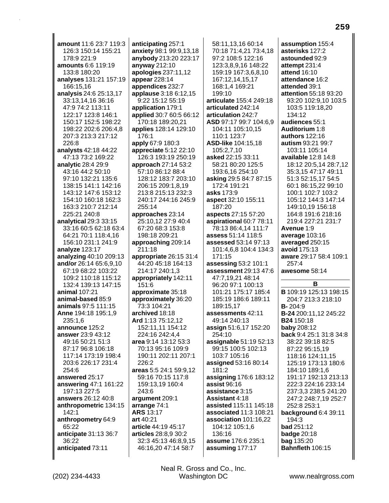amount 11:6 23:7 119:3 126:3 150:14 155:21 178:9 221:9 amounts 6:6 119:19 133:8 180:20 analyses 131:21 157:19 166:15,16 analysis 24:6 25:13,17 33:13,14,16 36:16 47:9 74:2 113:11 122:17 123:8 146:1 150:17 152:5 198:22 198:22 202:6 206:4,8 207:3 213:3 217:12 226:8 analysts 42:18 44:22 47:13 73:2 169:22 analytic 28:4 29:9 43:16 44:2 50:10 97:10 132:21 135:6 138:15 141:1 142:16 143:12 147:6 153:12 154:10 160:18 162:3 163:3 210:7 212:14 225:21 240:8 analytical 29:3 33:15 33:16 60:5 62:18 63:4 64:21 70:1 118:4,16 156:10 231:1 241:9 analyze 123:17 analyzing 40:10 209:13 and/or 26:14 65:6,9,10 67:19 68:22 103:22 109:2 110:18 115:12 132:4 139:13 147:15 animal  $107:21$ animal-based 85:9 animals 97:5 111:15 Anne 194:18 195:1,9 235:1.6 announce 125:2 answer 23:9 43:12 49:16 50:21 51:3 87:17 96:8 106:18 117:14 173:19 198:4 203:6 226:17 231:4 254:6 answered 25:17 answering 47:1 161:22 197:13 227:5 answers 26:12 40:8 anthropometric 134:15 142:1 anthropometry 64:9 65:22 anticipate 31:13 36:7 36:22 anticipated 73:11

anticipating 257:1 anxiety 98:1 99:9,13,18 anybody 213:20 223:17 anyway 212:10 apologies 237:11,12 appear 228:14 appendices 232:7 applause 3:18 6:12,15 9:22 15:12 55:19 application 179:1 applied 30:7 60:5 66:12 170:18 189:20,21 applies 128:14 129:10 176:1 apply 67:9 180:3 appreciate  $5:12$  22:10 126:3 193:19 250:19 approach 27:14 53:2 57:10 86:12 88:4 128:12 183:7 203:10 206:15 209:1,8,19 213:8 215:13 232:3 240:17 244:16 245:9 255:14 approaches 23:14 25:10.12 27:9 40:4 67:20 68:3 153:8 198:18 209:21 approaching 209:14 211:18 appropriate 26:15 31:4 44:20 45:18 164:13 214:17 240:1,3 appropriately 142:11 151:6 approximate 35:18 approximately 36:20 73:3 104:21 archived 18:18 Ard 1:13 75:12.12 152:11,11 154:12 224:16 242:4,4 area 9:14 13:12 53:3 70:13 95:16 109:9 190:11 202:11 207:1 226:2 areas 5:5 24:1 59:9,12 59:16 70:15 117:8 159:13,19 160:4 243:6 argument 209:1 arrange 74:1 **ARS 13:17** art 40:21 article 44:19 45:17 articles 28:8,9 30:2 32:3 45:13 46:8,9,15 46:16,20 47:14 58:7

58:11,13,16 60:14 70:18 71:4,21 73:4,18 97:2 108:5 122:16 123:3.8.9.16 148:22 159:19 167:3.6.8.10 167:12,14,15,17 168:1,4 169:21 199:10 articulate 155:4 249:18 articulated 242:14 articulation 242:7 ASD 97:17 99:7 104:6,9 104:11 105:10.15 110:1 123:7 ASD-like 104:15.18 105:2,7,10 asked 22:15 33:11 58:21 80:20 125:5 193:6,16 254:10 asking 29:5 84:7 87:15 172:4 191:21 asks 173:9 aspect 32:10 155:11 187:20 aspects 27:15 57:20 aspirational 60:7 78:11 78:13 86:4.14 111:7 assess 51:14 118:5 **assessed** 53:14 97:13 101:4,6,8 104:4 134:3 171:15 assessing 53:2 101:1 assessment 29:13 47:6 47:7.19.21 48:14 96:20 97:1 100:13 101:21 175:17 185:4 185:19 186:6 189:11 189:15,17 assessments 42:11 49:14 240:13 assign 51:6,17 152:20 254:10 assignable 51:19 52:13 99:15 100:5 102:13 103:7 105:16 assigned 53:16 80:14 181:2 assigning 176:6 183:12 assist 96:16 assistance 3:15 **Assistant 4:18** assisted 115:11 145:18 associated 11:3 108:21 association 101:16,22 104:12 105:1,6 136:16 assume 176:6 235:1 assuming 177:17

assumption 155:4 asterisks 127:2 astounded 92:9 attempt 231:4 attend 16:10 attendance 16:2 attended 39:1 attention 55:18 93:20 93:20 102:9.10 103:5 103:5 119:18,20 134:12 audiences 55:1 Auditorium 1:8 authors 122:16 autism 93:21 99:7 103:11 105:14 available 12:8 14:8 18:12 20:5,14 28:7,12 35:3,15 47:17 49:11 51:3 52:15,17 54:5 60:1 86:15,22 99:10 100:1 102:7 103:2 105:12 144:3 147:14 149:10,19 156:18 164:8 191:6 218:16 219:4 227:21 231:7 Avenue 1:9 average 103:16 averaged 250:15 avoid 175:13 aware 29:17 58:4 109:1  $257:4$ awesome 58:14 B **B** 109:19 125:13 198:15 204:7 213:3 218:10  $B - 204:9$ B-24 200:11,12 245:22 B24 150:18 baby 208:12 back 9:4 25:1 31:8 34:8 38:22 39:18 82:5 87:22 95:15.19 118:16 124:11,15 125:19 173:13 180:6 184:10 189:1,6 191:17 192:13 213:13 222:3 224:16 233:14 237:3,3 238:5 241:20 247:2 248:7,19 252:7 252:8 253:1 background 6:4 39:11 194:3 **bad** 251:12 **badge 20:18 bag** 135:20 Bahnfleth 106:15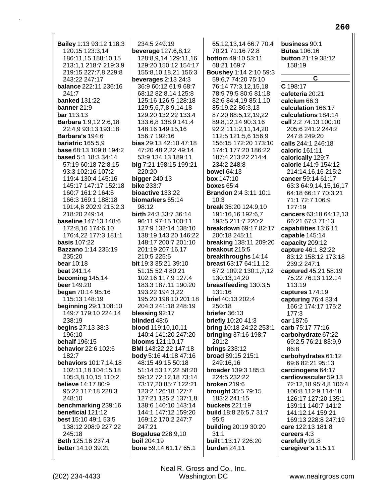**Bailey 1:13 93:12 118:3** 120:15 123:3,14 186:11,15 188:10,15 213:1.1 218:7 219:3.9 219:15 227:7.8 229:8 243:22 247:17 balance 222:11 236:16 241:7 **banked 131:22** banner 21:9 **bar** 113:13 **Barbara** 1:9,12 2:6,18 22:4,9 93:13 193:18 Barbara's 194:6 bariatric 165:5,9 base 68:13 109:8 194:2 based 5:1 18:3 34:14 57:19 60:18 72:8.15 93:3 102:16 107:2 119:4 130:4 145:16 145:17 147:17 152:18 160:7 161:2 164:5 166:3 169:1 188:18 191:4,8 202:9 215:2,3 218:20 249:14 **baseline 147:13 148:6** 172:8,16 174:6,10 176:4,22 177:3 181:1 **basis 107:22** Bazzano 1:14 235:19  $235.20$ **bear** 10:18 beat 241:14 becoming 145:14 beer 149:20 began 70:14 95:16 115:13 148:19 **beginning 29:1 108:10** 149:7 179:10 224:14 238:19 **begins 27:13 38:3** 196:10 **behalf** 196:15 behavior 22:6 102:6  $182.7$ **behaviors** 101:7,14,18 102:11,18 104:15,18 105:3,8,10,15 110:2 **believe** 14:17 80:9 95:22 117:18 228:3 248:10 benchmarking 239:16 beneficial 121:12 best 15:10 49:1 53:5 138:12 208:9 227:22 245:18 Beth 125:16 237:4 better 14:10 39:21

234:5 249:19 **beverage 127:6,8,12** 128:8,9,14 129:11,16 129:20 150:12 154:17 155:8.10.18.21 156:3 beverages  $2:13$   $24:3$ 36:9 60:12 61:9 68:7 68:12 82:8,14 125:8 125:16 126:5 128:18 129:5,6,7,8,9,14,18 129:20 132:22 133:4 133:6,8 138:9 141:4 148:16 149:15,16 156:7 192:16 bias 29:13 42:10 47:18 47:20 48:2,22 49:14 53:9 134:13 189:11 big 7:21 198:15 199:21 220:20 bigger  $240:13$ **bike 233:7** bioactive 133:22 biomarkers 65:14  $98.12$ birth 24:3 33:7 36:14 96:11 97:15 100:11 127:9 132:14 138:10 138:19 143:20 146:22 148:17 200:7 201:10 201:19 207:16,17 210:5 225:5 bit 19:3 35:21 39:10 51:15 52:4 80:21 102:16 117:9 127:4 183:3 187:11 190:20 193:22 194:3.22 195:20 198:10 201:18 204:3 241:18 248:19 blessing 92:17 blinded 48:6 **blood** 119:10.10.11 140:4 141:20 247:20 blooms 121:10,17 BMI 143:22,22 147:18 body 5:16 41:18 47:16 48:15 49:15 50:18 51:14 53:17,22 58:20 59:12 72:12,18 73:14 73:17.20 85:7 122:21 123:2 126:18 127:7 127:21 135:2 137:1,8 138:6 140:10 143:14 144:1 147:12 159:20 169:12 170:2 247:7 247:21 **Bogalusa** 228:9,10 **boil** 204:19 bone 59:14 61:17 65:1

65:12.13.14 66:7 70:4 70:21 71:16 72:8 **bottom 49:10 53:11** 68:21 169:7 Boushey 1:14 2:10 59:3 59:6,7 74:20 75:10 76:14 77:3,12,15,18 78:9 79:5 80:6 81:18 82:6 84:4,19 85:1,10 85:19,22 86:3,13 87:20 88:5,12,19,22 89:8,12,14 90:3,16 92:2 111:2,11,14,20 112:5 121:5,6 156:9 156:15 172:20 173:10 174:1 177:20 186:22 187:4 213:22 214:4 234:2 248:8 **bowel 64:13 box** 147:10 boxes  $65:4$ **Brandon 2:4 3:11 10:1**  $10:3$ break 35:20 124:9,10 191:16,16 192:6,7 193:5 211:7 220:2 breakdown 69:17 82:17 200:18 245:11 breaking 138:11 209:20 breakout 215:5 breakthroughs 14:14 breast 63:17 64:11,12 67:2 109:2 130:1,7,12 130:13,14,20 breastfeeding 130:3,5  $131.16$ brief 40:13 202:4 250:18 briefer 36:13 briefly 10:20 41:3 bring 10:18 24:22 253:1 **bringing 37:16 198:7** 201:2 **brings 233:12** broad 89:15 215:1 249:16,16 broader 139:3 185:3 224:5 232:22 **broken** 219:6 brought 35:5 79:15 183:2 241:15 buckets 221:19 build 18:8 26:5,7 31:7 95:5 **building 20:19 30:20**  $31.1$ built 113:17 226:20 burden 24:11

**Butea** 106:16 button 21:19 38:12 158:19 C. C 198:17 cafeteria 20:21 calcium 66:3 calculation 166:17 calculations 184:14 call 2:2 74:13 100:10 205:6 241:2 244:2 247:8 249:20 calls 244:1 246:18 caloric 161:11 calorically 129:7 calorie 141:9 154:12 214:14,16,16 215:2 cancer 59:14 61:17 63:3 64:9,14,15,16,17 64:18 66:17 70:3.21 71:1 72:7 106:9 127:19 cancers 63:18 64:12.13 66:21 67:3 71:13 capabilities 13:6,11 capable  $145:14$ capacity 209:12 capture 46:1 82:22 83:12 158:12 173:18 239:2 247:1 captured 45:21 58:19 75:22 76:13 112:14  $113.19$ captures 174:19 capturing 76:4 83:4 166:2 174:17 175:2  $177.3$ car 187:6 carb 75:17 77:16 carbohydrate 67:22 69:2,5 76:21 83:9,9 86:8 carbohydrates 61:12 69:6 82:21 95:13 carcinogens 64:17 cardiovascular 59:13 72:12,18 95:4,8 106:4 106:8 112:9 114:18 126:17 127:20 135:1 139:11 140:7 141:2 141:12.14 159:21 169:13 228:8 247:19 care 122:13 181:8 careers 4:3 carefully 91:8 caregiver's 115:11

Neal R. Gross and Co., Inc. Washington DC

business 90:1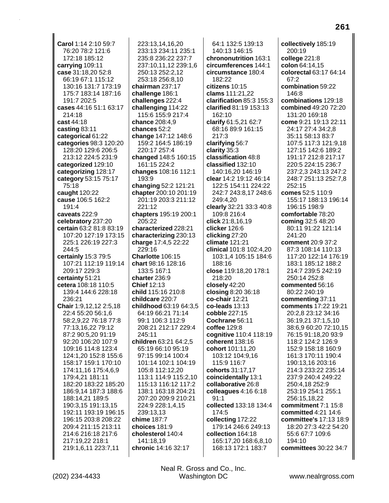Carol 1:14 2:10 59:7 76:20 78:2 121:6 172:18 185:12 carrying 109:11 case 31:18,20 52:8 66:19 67:1 115:12 130:16 131:7 173:19 175:7 183:14 187:16 191:7 202:5 cases 44:16 51:1 63:17 214:18 cast 44:18 casting 83:11 categorical 61:22 categories 98:3 120:20 128:20 129:6 206:5 213:12 224:5 231:9 categorized 129:10 categorizing 128:17 category 53:15 75:17 75:18 caught 120:22 cause 106:5 162:2 191:4 caveats 222:9 celebratory 237:20 certain 63:2 81:8 83:19 107:20 127:19 173:15 225:1 226:19 227:3 244:5 certainly 15:3 79:5 107:21 112:19 119:14 209:17 229:3 certainty 51:21 cetera 108:18 110:5 139:4 144:6 228:18 236:21 Chair 1:9,12,12 2:5,18 22:4 55:20 56:1.6 58:2.9.22 76:18 77:8 77:13,16,22 79:12 87:2 90:5,20 91:19 92:20 106:20 107:9 109:16 114:8 123:4 124:1,20 152:8 155:6 158:17 159:1 170:10 174:11,16 175:4,6,9 179:4,21 181:11 182:20 183:22 185:20 186:9,14 187:3 188:6 188:14,21 189:5 190:3,15 191:13,15 192:11 193:19 196:15 196:15 203:8 208:22 209:4 211:15 213:11 214:6 216:18 217:6 217:19.22 218:1 219:1,6,11 223:7,11

223:13.14.16.20 233:13 234:11 235:1 235:8 236:22 237:7 237:10,11,12 239:1,6 250:13 252:2,12 253:18 256:8,10 chairman 237:17 challenge 186:1 challenges 222:4 challenging 114:22 115:6 155:9 217:4 chance 208:4,9 chances 52:2 change 147:12 148:6 159:2 164:5 186:19 220:17 257:4 changed 148:5 160:15 161:15 224:2 changes 108:16 112:1 193:9 changing 52:2 121:21 chapter 200:10 201:19 201:19 203:3 211:12 221:12 chapters 195:19 200:1 205:22 characterized 228:21 characterizing 230:13 **charge 17:4,5 22:22** 229:16 Charlotte 106:15 chart 98:16 128:16 133:5 167:1 charter 236:9 **Chief 12:13** child 115:16 210:8 childcare 220:7 childhood 63:19 64:3,5 64:19 66:21 71:14 99:1 106:3 112:9 208:21 212:17 229:4 245:11 children 63:21 64:2.5 65:19 66:10 95:19 97:15 99:14 100:4 101:14 102:1 104:19 105:8 112:12,20 113:1 114:9 115:2,10 115:13 116:12 117:2 138:1 163:18 204:21 207:20 209:9 210:21 224:9 228:1,4,15 239:13,13 chime 187:7 choices 181:9 cholesterol 140:4 141:18,19 chronic 14:16 32:17

64:1 132:5 139:13 140:13 146:15 chrononutrition 163:1 circumferences 144:1 circumstance 180:4  $182.22$ citizens 10:15 clams 111:21.22 clarification 85:3 155:3 clarified 81:19 153:13 162:10 clarify 61:5,21 62:7 68:16 89:9 161:15  $217:3$ clarifying 56:7 clarity 35:3 classification 48:8 classified 132:10 140:16,20 146:19 clear 14:2 19:12 46:14 122:5 154:11 224:22 242:7 243:8,17 248:6 249:4,20 clearly 32:21 33:3 40:8 109:8 216:4 click 21:8.16.19 clicker 126:6 clicking 27:20 climate  $121:21$ clinical 101:8 102:4.20 103:1.4 105:15 184:6  $188.16$ close 119:18,20 178:1 218:20 closely 42:20 closing 8:20 36:18 co-chair 12:21  $co$ -leads  $13:13$ cobble 227:15 Cochrane 56:11 coffee 129:8 cognitive 110:4 118:19 coherent 138:16 cohort 101:11.20 103:12 104:9,16 115:9 116:7 cohorts 31:17,17 coincidentally 13:1 collaborative 26:8 colleagues 4:16 6:18  $91:1$ collected 133:18 134:4 174:5 collecting 172:22 179:14 246:6 249:13 collection 164:18 165:17,20 168:6,8,10 168:13 172:1 183:7

collectively 185:19 200:19 college  $221:8$ colon 64:14,15 colorectal 63:17 64:14  $67.2$ combination 59:22 146:8 combinations 129:18 combined 49:20 72:20 131:20 169:18 come 9:21 19:13 22:11 24:17 27:4 34:2,8 35:11 58:13 83:7 107:5 117:3 121:9,18 127:15 142:6 189:2 191:17 212:8 217:17 220:5 224:15 236:7 237:2,3 243:13 247:2 248:7 251:13 252:7,8 252:15 comes 52:5 110:9 155:17 188:13 196:14 196:15 198:9 comfortable 78:20 coming 32:5 48:20 80:11 91:22 121:14 241:20 comment 20:9 37:2 87:3 108:14 110:13 117:20 122:14 176:19 183:1 185:12 188:2 214:7 239:5 242:19 250:14 252:8 commented 56:16 80:22 240:19 commenting 37:11 comments 17:22 19:21 20:2.8 23:12 34:16 36:19.21 37:1.5.10 38:6,9 60:20 72:10,15 76:15 91:18,20 93:9 118:2 124:2 126:9 152:9 158:18 160:9 161:3 170:11 190:4 190:13,16 203:16 214:3 233:22 235:14 237:9 240:4 249:22 250:4.18 252:9 253:19 254:1 255:1 256:15,18,22 commitment 7:1 15:8 **committed 4:21 14:6** committee's 17:13 18:9 18:20 27:3 42:2 54:20 55:6 67:7 109:6 194:10 committees 30:22 34:7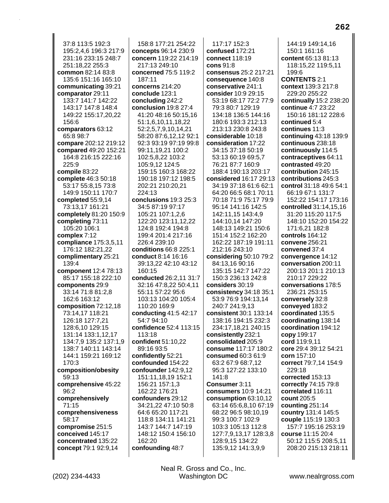37:8 113:5 192:3 195:2,4,6 196:3 217:9 231:16 233:15 248:7 251:18,22 255:3 **common** 82:14 83:8 135:6 151:16 165:10 **communicating** 39:21 **comparator** 29:11 133:7 141:7 142:22 143:17 147:8 148:4 149:22 155:17,20,22 156:6 **comparators** 63:12 65:8 98:7 **compare** 202:12 219:12 **compared** 49:20 152:21 164:8 216:15 222:16 225:9 **compile** 83:22 **complete** 46:3 50:18 53:17 55:8,15 73:8 149:9 150:11 170:7 **completed** 55:9,14 73:13,17 161:21 **completely** 81:20 150:9 **completing** 73:11 105:20 106:1 **complex** 7:12 **compliance** 175:3,5,11 176:12 182:21,22 **complimentary** 25:21 139:4 **component** 12:4 78:13 85:17 155:18 222:10 **components** 29:9 33:14 71:8 81:2,8 162:6 163:12 **composition** 72:12,18 73:14,17 118:21 126:18 127:7,21 128:6,10 129:15 131:14 133:1,12,17 134:7,9 135:2 137:1,9 138:7 140:11 143:14 144:1 159:21 169:12 170:3 **composition/obesity** 59:13 **comprehensive** 45:22 96:2 **comprehensively** 71:15 **comprehensiveness** 58:17 **compromise** 251:5 **conceived** 145:17 **concentrated** 135:22 **concept** 79:1 92:9,14

158:8 177:21 254:22 **concepts** 96:14 230:9 **concern** 119:22 214:19 217:13 249:10 **concerned** 75:5 119:2 187:11 **concerns** 214:20 **conclude** 123:1 **concluding** 242:2 **conclusion** 19:8 27:4 41:20 48:16 50:15,16 51:1,6,10,11,18,22 52:2,5,7,9,10,14,21 58:20 87:6,12,12 92:1 92:3 93:19 97:19 99:8 99:11,19,21 100:2 102:5,8,22 103:2 105:9,12 124:5 159:15 160:3 168:22 190:18 197:12 198:5 202:21 210:20,21 224:13 **conclusions** 19:3 25:3 34:5 87:19 97:17 105:21 107:1,2,6 122:20 123:11,12,22 124:8 192:4 194:8 199:4 201:4 217:16 226:4 239:10 **conditions** 66:8 225:1 **conduct** 8:14 16:16 39:13,22 42:10 43:12 160:15 **conducted** 26:2,11 31:7 32:16 47:8,22 50:4,11 55:11 57:22 95:6 103:13 104:20 105:4 110:20 169:9 **conducting** 41:5 42:17 54:7 94:10 **confidence** 52:4 113:15 113:18 **confident** 51:10,22 89:16 93:5 **confidently** 52:21 **confounded** 154:22 **confounder** 142:9,12 151:11,18,19 152:1 156:21 157:1,3 162:22 176:21 **confounders** 29:12 34:21,22 47:10 50:8 64:6 65:20 117:21 118:8 134:11 141:21 143:7 144:7 147:19 148:12 150:4 156:10 162:20 **confounding** 48:7

117:17 152:3 **confused** 172:21 **connect** 118:19 **cons** 91:8 **consensus** 25:2 217:21 **consequence** 140:8 **conservative** 241:1 **consider** 10:9 29:15 53:19 68:17 72:2 77:9 79:3 80:7 129:19 134:18 136:5 144:16 180:6 193:3 212:13 213:13 230:8 243:8 **considerable** 10:18 **consideration** 17:22 34:15 37:18 50:19 53:13 60:19 69:5,7 76:21 87:7 160:9 188:4 190:13 203:17 **considered** 16:17 29:13 34:19 37:18 61:6 62:1 64:20 66:5 68:1 70:11 70:18 71:9 75:17 79:9 95:14 141:16 142:5 142:11,15 143:4,9 144:10,14 147:20 148:13 149:21 150:6 151:4 152:2 162:20 162:22 187:19 191:11 212:16 243:10 **considering** 50:10 79:2 84:13,16 90:16 135:15 142:7 147:22 150:3 236:13 242:8 **considers** 30:19 **consistency** 34:18 35:1 53:9 76:9 194:13,14 240:7 241:9,13 **consistent** 30:1 133:14 138:16 194:15 232:3 234:17,18,21 240:15 **consistently** 232:1 **consolidated** 205:9 **consume** 117:17 180:2 **consumed** 60:3 61:9 63:2 67:9 68:7,12 95:3 127:22 133:10 141:8 **Consumer** 3:11 **consumers** 10:9 14:21 **consumption** 63:10,12 63:14 65:6,8,10 67:19 68:22 96:5 98:10,19 99:3 100:7 102:9 103:3 105:13 112:8 127:7,9,13,17 128:3,8 128:9,15 134:22 135:9,12 141:3,9,9

144:19 149:14,16 150:1 161:16 **content** 65:13 81:13 118:15,22 119:5,11 199:6 **CONTENTS** 2:1 **context** 139:3 217:8 229:20 255:22 **continually** 15:2 238:20 **continue** 4:7 23:22 150:16 181:12 228:6 **continued** 5:4 **continues** 11:3 **continuing** 43:18 139:9 **continuous** 238:18 **continuously** 114:5 **contraceptives** 64:11 **contrasted** 49:20 **contribution** 245:15 **contributions** 245:3 **control** 31:18 49:6 54:1 66:19 67:1 131:7 152:22 154:17 173:16 **controlled** 31:14,15,16 31:20 115:20 117:5 148:10 152:20 154:22 171:6,21 182:8 **controls** 164:12 **convene** 256:21 **convened** 37:4 **convergence** 14:12 **conversation** 200:11 200:13 201:1 210:13 210:17 229:22 **conversations** 178:5 236:21 253:15 **conversely** 32:8 **conveyed** 183:2 **coordinated** 135:5 **coordinating** 138:14 **coordination** 194:12 **copy** 199:17 **cord** 119:9,11 **core** 29:4 39:12 54:21 **corn** 157:10 **correct** 79:7,14 154:9 229:18 **corrected** 153:13 **correctly** 74:15 79:8 **correlated** 116:11 **count** 205:5 **counting** 251:14 **country** 131:4 145:5 **couple** 115:19 130:3 157:7 195:16 253:19 **course** 11:15 20:4 50:12 115:5 208:5,11 208:20 215:13 218:11

Neal R. Gross and Co., Inc.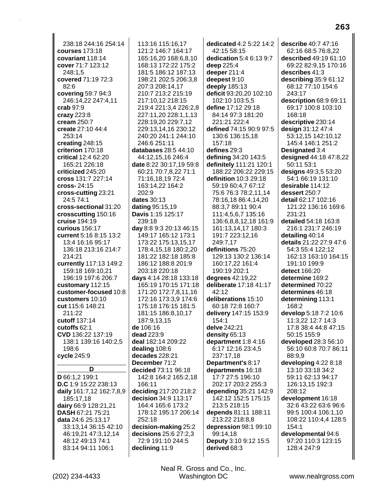238:18 244:16 254:14 **courses** 173:18 **covariant** 118:14 **cover** 71:7 123:12 248:1,5 **covered** 71:19 72:3 82:6 **covering** 59:7 94:3 246:14,22 247:4,11 **crab** 97:9 **crazy** 223:8 **cream** 250:7 **create** 27:10 44:4 253:14 **creating** 248:15 **criterion** 170:18 **critical** 12:4 62:20 165:21 226:18 **criticized** 245:20 **cross** 131:7 227:14 **cross-** 24:15 **cross-cutting** 23:21 24:5 74:1 **cross-sectional** 31:20 **crosscutting** 150:16 **cruise** 194:19 **curious** 156:17 **current** 5:16 8:15 13:2 13:4 16:16 95:17 136:18 213:16 214:7 214:21 **currently** 117:13 149:2 159:18 169:10,21 196:19 197:6 206:7 **customary** 112:15 **customer-focused** 10:8 **customers** 10:10 **cut** 115:6 148:21 211:22 **cutoff** 137:14 **cutoffs** 62:1 **CVD** 136:22 137:19 138:1 139:16 140:2,5 198:6 **cycle** 245:9 **D D** 66:1,2 199:1 **D.C** 1:9 15:22 238:13 **daily** 161:7,12 162:7,8,9 185:17,18 **dairy** 66:9 128:21,21 **DASH** 67:21 75:21 **data** 24:6 25:13,17 33:13,14 36:15 42:10 46:19,21 47:3,12,14 48:12 49:13 74:1 83:14 94:11 106:1

113:16 115:16,17 121:2 146:7 164:17 165:16,20 168:6,8,10 168:13 172:22 175:2 181:5 186:12 187:13 198:21 202:5 206:3,8 207:3 208:14,17 210:7 213:2 215:19 217:10,12 218:15 219:4 221:3,4 226:2,8 227:11,20 228:1,1,13 228:19,20 229:7,12 229:13,14,16 230:12 240:20 241:1 244:10 246:6 251:11 **databases** 28:5 44:10 44:12,15,16 246:4 **date** 8:22 30:17,19 59:8 60:21 70:7,8,22 71:1 71:16,18,19 72:4 163:14,22 164:2 202:9 **dates** 30:13 **dating** 95:15,19 **Davis** 1:15 125:17 239:18 **day** 8:8 9:3 20:13 46:15 149:17 165:12 173:1 173:22 175:13,15,17 178:4,15,18 180:2,20 181:22 182:18 185:8 186:12 188:8 201:9 203:18 220:18 **days** 4:14 28:18 133:18 165:19 170:15 171:18 171:20 172:7,8,11,16 172:16 173:3,9 174:6 175:18 176:15 181:5 181:15 186:8,10,17 187:9,13,15 **de** 106:16 **dead** 223:9 **deal** 182:14 209:22 **dealing** 108:6 **decades** 228:21 **December** 71:2 **decided** 73:11 96:18 142:8 164:2 165:2,18 166:11 **deciding** 217:20 218:2 **decision** 34:9 113:17 164:4 165:6 173:2 178:12 195:17 206:14 252:18 **decision-making** 25:2 **decisions** 25:6 27:2,3 72:9 191:10 244:5 **declining** 11:9

**dedicated** 4:2 5:22 14:2 42:15 58:15 **dedication** 5:4 6:13 9:7 **deep** 225:4 **deeper** 211:4 **deepest** 9:10 **deeply** 185:13 **deficit** 93:20,20 102:10 102:10 103:5,5 **define** 17:12 29:18 84:14 97:3 181:20 221:21 222:4 **defined** 74:15 90:9 97:5 130:6 136:15,18 157:18 **defines** 29:3 **defining** 34:20 143:5 **definitely** 111:21 120:1 188:22 206:22 229:15 **definition** 10:3 29:18 59:19 60:4,7 67:12 75:6 76:3 78:2,11,14 78:16,18 86:4,14,20 88:3,7 89:11 90:4 111:4,5,6,7 135:16 136:6,8,8,12,18 161:9 161:13,14,17 180:3 191:7 223:12,16 249:7,17 **definitions** 75:20 129:13 130:2 136:14 160:17,22 161:4 190:19 202:1 **degrees** 42:19,22 **deliberate** 17:18 41:17 42:12 **deliberations** 15:10 60:18 72:8 160:7 **delivery** 147:15 153:9 154:1 **delve** 242:21 **density** 65:13 **department** 1:8 4:16 6:17 12:16 23:4,5 237:17,18 **Department's** 8:17 **departments** 16:18 17:7 27:5 196:10 202:17 203:2 255:3 **depending** 35:21 142:9 142:12 152:5 175:15 213:5 218:15 **depends** 81:11 188:11 213:22 218:8,8 **depression** 98:1 99:10 99:14,18 **Deputy** 3:10 9:12 15:5 **derived** 68:3

**describe** 40:7 47:16 62:16 68:5 76:8,22 **described** 49:19 61:10 69:22 82:9,15 170:16 **describes** 41:3 **describing** 35:9 61:12 68:12 77:10 154:6 243:17 **description** 68:9 69:11 69:17 100:8 103:10 168:18 **descriptive** 230:14 **design** 31:12 47:4 53:12,15 142:10,12 145:4 146:1 251:2 **Designated** 3:4 **designed** 44:18 47:8,22 50:11 53:1 **designs** 49:3,5 53:20 54:1 66:19 131:10 **desirable** 114:12 **dessert** 250:7 **detail** 62:17 102:16 121:22 136:16 169:6 231:21 **detailed** 54:18 163:8 216:1 231:7 246:19 **detailing** 40:14 **details** 21:22 27:9 47:6 54:3 55:4 122:12 162:13 163:10 164:15 191:10 199:9 **detect** 166:20 **determine** 169:2 **determined** 70:22 **determines** 46:18 **determining** 113:1 168:2 **develop** 5:18 7:2 10:6 11:3,22 12:7 14:3 17:8 38:4 44:8 47:15 50:15 155:9 **developed** 28:3 56:10 56:10 60:8 70:7 86:11 88:9,9 **developing** 4:22 8:18 13:10 33:18 34:2 59:11 62:13 94:17 126:13,15 192:3 208:12 **development** 16:18 32:6 43:22 63:6 96:6 99:5 100:4 106:1,10 108:22 110:4,4 128:5 154:1 **developmental** 94:6 97:20 110:3 123:15 128:4 247:9

Neal R. Gross and Co., Inc.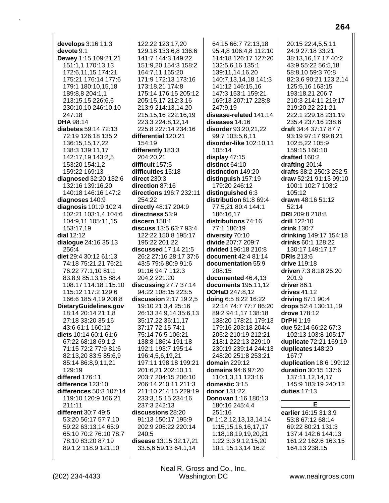develops 3:16 11:3 devote 9:1 Dewey 1:15 109:21,21 151:1.1 170:13.13 172:6,11,15 174:21 175:21 176:14 177:6 179:1 180:10,15,18 189:8,8 204:1,1 213:15,15 226:6,6 230:10,10 246:10,10 247:18 **DHA 98:14** diabetes 59:14 72:13 72:19 126:18 135:2 136:15,15,17,22 138:3 139:11,17 142:17,19 143:2,5 153:20 154:1.2 159:22 169:13 diagnosed 32:20 132:6 132:16 139:16,20 140:18 146:16 147:2 diagnoses 140:9 diagnosis  $101:9$  102:4 102:21 103:1.4 104:6 104:9.11 105:11.15 153:17.19 dial 12:12 dialogue  $24:1635:13$ 256:4 diet 29:4 30:12 61:13 74:18 75:21.21 76:21 76:22 77:1,10 81:1 83:8,9 85:13,15 88:4 108:17 114:18 115:10 115:12 117:2 129:6 166:6 185:4,19 208:8 DietaryGuidelines.gov 18:14 20:14 21:1.8 27:18 33:20 35:16 43:6 61:1 160:12 diets 10:14 60:1 61:6 67:22 68:18 69:1,2 71:15 72:2 77:9 81:6 82:13,20 83:5 85:6,9 85:14 86:8,9,11,21 129:19 differed 176:11 difference 123:10 differences 50:3 107:14 119:10 120:9 166:21 211:11 different 30:7 49:5 53:20 56:17 57:7,10 59:22 63:13,14 65:9 65:10 70:2 76:10 78:7 78:10 83:20 87:19 89:1,2 118:9 121:10

122:22 123:17.20 129:18 133:6,8 136:6 141:7 144:3 149:22 151:9,20 154:3 158:2 164:7,11 165:20 171:9 172:13 173:16 173:18.21 174:8 175:14 176:15 205:12 205:15,17 212:3,16 213:9 214:13,14,20 215:15,16 222:16,19 223:3 224:8,12,14 225:8 227:14 234:16 differential 120:21 154:19 differently 183:3 204:20,21 difficult 157:5 difficulties 15:18 **direct** 230:3 direction 87:16 directions 196:7 232:11 254:22 directly 48:17 204:9 directness 53:9 discern 158:1 discuss 13:5 63:7 93:4 122:22 150:8 195:17 195:22 201:22 discussed 17:14 21:5 26:2 27:16 28:17 37:6 43.579.680.991.6 91:16 94:7 112:3 204:2 221:20 discussing  $27:7$  37:14 94:22 108:15 223:5 discussion 2:17 19:2,5 19:10 21:3,4 25:16 26:13 34:9.14 35:6.13 35:17,22 36:11,17 37:17 72:15 74:1 75:14 76:5 106:21 138:8 186:4 191:18 192:1 193:7 195:14 196:4,5,6,19,21 197:11 198:18 199:21 201:6,21 202:10,11 203:7 204:15 206:10 206:14 210:11 211:3 211:10 214:15 229:19 233:3,15,15 234:16 237:3 242:13 discussions 28:20 91:13 150:17 195:9 202:9 205:22 220:14 240:5 disease 13:15 32:17,21 33:5,6 59:13 64:1,14

64:15 66:7 72:13.18 95:4,8 106:4,8 112:10 114:18 126:17 127:20 132:5,6,16 135:1 139:11,14,16,20 140:7,13,14,18 141:3 141:12 146:15,16 147:3 153:1 159:21 169:13 207:17 228:8 247:9.19 disease-related 141:14 diseases 14:16 disorder 93:20,21,22 99:7 103:5,6,11 disorder-like 102:10.11 105:14 display 47:15 distinct 64:10 distinction 149:20 distinguish 157:19 179:20 246:12 distinguished 6:3 distribution 61:8 69:4 77:5,21 80:4 144:1 186:16.17 distributions 74:16 77:1 186:19 diversity 70:10 divide 207:7 209:7 divided 196:18 210:8 document 42:4 81:14 documentation 55:9  $208:15$ documented 46:4.13 documents 195:11.12 DOHaD 247:8,12 doing 6:5 8:22 16:22 22:14 74:7 77:7 86:20 89:2 94:1,17 138:18 138:20 178:21 179:13 179:16 203:18 204:4 205:2 210:19 212:21 218:1 222:13 229:10 230:19 239:14 244:13 248:20 251:8 253:21 **domain 229:12 domains** 94:6 97:20 110:1,3,11 123:16 domestic 3:15 donor 131:22 Donovan 1:16 180:13 180:16 245:4,4 251:16 Dr 1:12, 12, 13, 13, 14, 14 1:15,15,16,16,17,17 1:18,18,19,19,20,21 1:22 3:3 9:12,15,20 10:1 15:13,14 16:2

20:15 22:4,5,5,11 24:9 27:18 33:21 38:13,16,17,17 40:2 43:9 55:22 56:5,18 58:8,10 59:3 70:8 82:3,6 90:21 123:2,14 125:5,16 163:15 193:18,21 206:7 210:3 214:11 219:17 219:20,22 221:21 222:1 229:18 231:19 235:4 237:16 238:6 draft 34:4 37:17 87:7 93:19 97:17 99:8,21 102:5,22 105:9 159:15 160:10 drafted 160:2 drafting  $201:4$ drafts 38:2 250:3 252:5 draw 52:21 91:13 99:10 100:1 102:7 103:2 105:12 drawn 48:16 51:12  $52:14$ DRI 209:8 218:8 drill 122:10 drink 130:7 drinking 149:17 154:18 **drinks** 60:1 128:22 130:17 149:17,17 **DRIs 213:6** drive  $119.18$ driven 7:3 8:18 25:20 201:9 driver 86:1 drives  $41:12$ driving 87:1 90:4 drops 52:4 130:11,19 drove 178:12 **DrPH 1:19** due 52:14 66:22 67:3 102:13 103:8 105:17 duplicate 72:21 169:19 duplicates 148:20 167:7 duplication 18:6 199:12 duration 30:15 137:6 137:11,12,14,17 145:9 183:19 240:12 duties 17:13 E earlier 16:15 31:3.9 53:8 67:12 68:14 69:22 80:21 131:3

Neal R. Gross and Co., Inc. Washington DC

137:4 142:6 144:13

164:13 238:15

161:22 162:6 163:15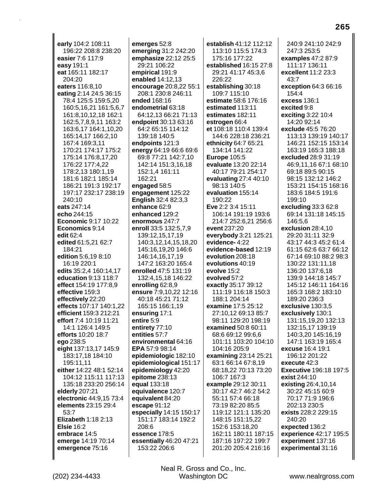early 104:2 108:11 196:22 208:8 238:20 easier 7:6 117:9 easy 191:1 eat 165:11 182:17 204:20 eaters 116:8,10 eating 2:14 24:5 36:15 78:4 125:5 159:5,20 160:5,16,21 161:5,6,7 161:8,10,12,18 162:1 162:5,7,8,9,11 163:2 163:6,17 164:1,10,20 165:14,17 166:2,10 167:4 169:3,11 170:21 174:17 175:2 175:14 176:8,17,20 176:22 177:4,22 178:2,13 180:1,19 181:6 182:1 185:14 186:21 191:3 192:17 197:17 232:17 238:19 240:10 eats 247:14 echo 244:15 **Economic 9:17 10:22** Economics 9:14 edit 62:4 edited 61:5,21 62:7 184:21 edition 5:6.19 8:10 16:19 220:1 edits 35:2,4 160:14,17 **education 9:13 118:7** effect 154:19 177:8.9 effective 159:3 effectively 22:20 effects 107:17 140:1,22 efficient 159:3 212:21 effort 7:4 10:19 11:21 14:1 126:4 149:5 efforts 10:20 18:7 ego 238:5 eight 137:13,17 145:9 183:17,18 184:10 195:11,11 either 14:22 48:1 52:14 104:12 115:11 117:13 135:18 233:20 256:14 elderly 207:21 electronic 44:9,15 73:4 elements 23:15 29:4 53:7 Elizabeth 1:18 2:13 **Elsie 16:2** embrace 14:5 emerge 14:19 70:14 emergence 75:16

emerges 52:8 emerging 31:2 242:20 emphasize 22:12 25:5 29:21 106:22 empirical 191:9 enabled 14:12,13 encourage 20:8,22 55:1 208:1 230:8 246:11 ended 168:16 endometrial 63:18 64:12,13 66:21 71:13 endpoint 30:13 63:16 64:2 65:15 114:12 139:18 140:5 endpoints 121:3 energy 64:19 66:6 69:6 69:8 77:21 142:7,10 142:14 151:3.16.18 152:1,4 161:11 162:21 engaged 58:5 engagement 125:22 **English 32:4 82:3.3** enhance 62:9 enhanced 129:2 enormous 247:7 enroll 33:5 132:5,7,9 139:12,15,17,19 140:3,12,14,15,18,20 145:16,19,20 146:6 146:14.16.17.19 147:2 163:20 165:4 enrolled 47:5 131:19 132:4,15,18 146:22 enrolling 62:8,9 ensure 7:9,10,22 12:16 40:18 45:21 71:12 165:15 166:1,19 ensuring 17:1 entire 5:9 entirety 77:10 entities 57:7 environmental 64:16 EPA 57:9 98:14 epidemiologic 182:10 epidemiological 151:17 epidemiology 42:20 epitome 238:13 equal 133:18 equivalence 120:7 equivalent 84:20 escape 91:12 especially 14:15 150:17 151:17 183:14 192:2  $208.6$ essence 178:5 essentially 46:20 47:21 153:22 206:6

establish 41:12 112:12 113:10 115:5 174:3 175:16 177:22 established 16:15 27:8 29:21 41:17 45:3.6 226:22 establishing 30:18 109:7 115:10 estimate 58:6 176:16 estimated 113:11 estimates 182:11 estrogen 66:4 et 108:18 110:4 139:4 144:6 228:18 236:21 ethnicity 64:7 65:21 134:14 141:22 **Europe 105:5** evaluate 13:20 22:14 40:17 79:21 254:17 evaluating 27:4 40:10 98:13 140:5 evaluation 155:14 190:22 Eve 2:2 3:4 15:11 106:14 191:19 193:6 214:7 252:6.21 256:6 event 237:20 everybody 3:21 125:21 evidence-4:22 evidence-based 12:19 evolution 208:18 evolutions 40:19 evolve 15:2 evolved 57:2 exactly 35:17 39:12 111:19 116:18 150:3 188:1 204:14 examine 17:5 25:12 27:10.12 69:13 85:7 98:11 129:20 198:19 examined 50:8 60:11 68:6 69:12 99:6,6 101:11 103:20 104:10 104:16 205:9 examining 23:14 25:21 63:1 66:14 67:8,19 68:18,22 70:13 73:20 106:7 167:3 example 29:12 30:11 30:17 42:7 46:2 54:2 55:11 57:4 66:18 73:19 82:20 85:5 119:12 121:1 135:20 148:15 151:15,22 152:6 153:18,20 162:11 180:11 187:15 187:16 197:22 199:7 201:20 205:4 216:16

240:9 241:10 242:9 247:3 253:5 examples 47:2 87:9 111:17 136:11 excellent 11:2 23:3  $43.7$ exception 64:3 66:16 154:4 excess 136:1 excited 9:8 exciting 3:22 10:4 14:20 92:14 exclude 45:5 76:20 113:13 139:19 140:17 146:21 152:15 153:14 163:19 165:3 188:18 excluded 28:9 31:19 46:9,11,16 67:1 68:10 69:18 89:5 90:15 98:15 132:12 146:2 153:21 154:15 168:16 183:6 184:5 191:6 199:10 excluding 33:3 62:8 69:14 131:18 145:15 146:5.6 exclusion 28:4.10 29:20 31:11 32:9 43:17 44:3 45:2 61:4 61:15 62:6 63:7 66:12 67:14 69:10 88:2 98:3 130:22 131:11.18 136:20 137:6,18 139:9 144:18 145:7 145:12 146:11 164:16 165:3 168:2 183:10 189:20 236:3 exclusive 130:3,5 exclusively 130:1 131:15,19,20 132:13 132:15,17 139:19 140:3,20 145:16,19 147:1 163:19 165:4 excuse 16:4 19:1 196:12 201:22 execute 42:3 **Executive 196:18 197:5** exist 244:10 existing 26:4,10,14 30:22 45:15 60:9 70:17 71:9 196:6 202:13 230:5 exists 228:2 229:15 240:20 expected 136:2 experience 42:17 195:5 experiment 137:16 experimental 31:16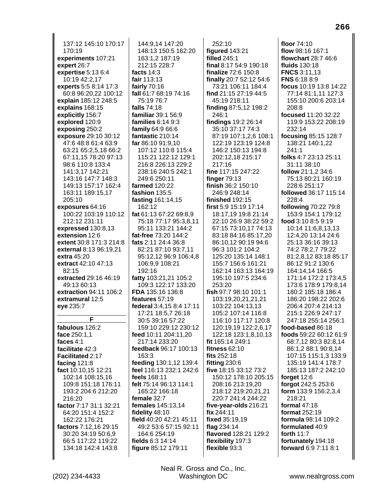137:12 145:10 170:17 170:19 experiments 107:21 expert 26:7 expertise 5:13 6:4 10:19 42:2,17 experts 5:5 8:14 17:3 60:8 96:20,22 100:12 explain 185:12 248:5 explains 168:15 explicitly 156:7 explored 120:9 exposing 250:2 exposure 29:10 30:12 47:6 48:8 61:4 63:9 63:21 65:2,5,18 66:2 67:11,15 78:20 97:13 98:6 110:8 133:4 141:3,17 142:21 143:16 147:7 148:3 149:13 157:17 162:4 163:11 189:15,17 205:10 exposures 64:16 100:22 103:19 110:12 212:12 231:11 expressed 130:8,13 extension 12:6 **extent** 30:8 171:3 214:8 external 8:13 96:19.21 extra 45:20 extract 42:10 47:13  $82:15$ extracted 29:16 46:19 49:13 60:13 extraction 94:11 106:2 extramural 12:5 eye 235:7 F fabulous 126:2 face 250:1,1 faces 4:1 facilitate 42:3 Facilitated 2:17 facing 121:8 fact 10:10,15 12:21 102:14 108:15,16 109:8 151:18 176:11 193:2 204:6 212:20 216:20 factor 7:17 31:1 32:21 64:20 151:4 152:2 162:22 176:21 factors 7:12,16 29:15 30:20 34:19 50:6.9 66:5 117:22 119:22 134:18 142:4 143:8

144:9.14 147:20 148:13 150:5 162:20 163:1,2 187:19 212:15 228:7 facts  $14:3$ fair 113:13 fairly  $70:16$ fall 61:7 68:19 74:16 75:19 76:7 falls 74:18 familiar 39:1 56:9 families  $6:149:3$ family  $64:966:6$ fantastic 210:14 far 86:10 91:9,10 107:12 110:8 115:4 115:21 122:12 129:1 216:8 226:13 229:2 238:16 240:5 242:1 249:6 250:11 farmed 120:22 fashion 135:5 fasting 161:14,15 162:12 fat 61:13 67:22 69:8.9 75:18 77:17 95:3.8.11 95:11 133:21 144:2 fat-free 73:20 144:2 **fats** 2:11 24:4 36:8 82:21 87:10 93:7,11 95:12,12 96:9 106:4,8 106:9,9 108:21 192:16 fatty 103:21,21 105:2 109:3 122:17 133:20 FDA 135:16 136:8 features 57:19 federal 3:4,15 8:4 17:11 17:21 18:5,7 26:18 30:5 39:16 57:22 159:10 229:12 230:12 feed 10:11 204:11,20 217:14 233:20 feedback 96:17 100:13 163:3 feeding 130:1,12 139:4 feel 116:13 232:1 242:6 feels 168:11 felt 75:14 96:13 114:1 165:22 166:18 female 32:7 females 145:13,14 fidelity 48:10 field 40:20 42:21 45:11 49:2 53:6 57:15 92:11 164:6 254:19 fields 6:3 14:14 figure 85:12 179:11

 $252:10$ **figured 143:21** filled 245:1 final 8:17 54:9 190:18 finalize 72:6 150:8 finally 20:7 52:12 54:6 73:21 106:11 184:4 find 21:15 27:19 44:5 45:19 218:11 finding 87:5,12 198:2 246:1 findings 19:2 26:14 35:10 37:17 74:3 87:19 107:1.2.6 108:1 122:19 123:19 124:8 146:2 150:13 194:8 202:12,18 215:17 217:16 fine 117:15 247:22 finger  $79:13$ finish 36:2 150:10 246:9 248:14 finished 192:15 first 5:9 15:19 17:14 18:17,19 19:8 21:14 22:10 26:9 38:22 59:2 67:15 73:10.17 74:13 83:18 84:16 85:17,20 86:10.12 90:19 94:6 96:3 101:2 104:2 125:20 135:14 148:1 155:7 156:6 161:21 162:14 163:13 164:19 195:10 197:5 234:6 253:20 fish 97:7 98:10 101:1 103:19,20,21,21,21 103:22 104:13,13 105:2 107:14 116:8 116:10 117:17 120:8 120:19,19 122:2,6,17 122:18 123:1,8,10,13 fit 165:14 249:1 fitness  $62:10$ fits 252:18 fitting  $230:6$ five 18:15 33:12 73:2 150:12 178:10 205:15 208:16 213:19.20 218:12 219:20,21,21 220:7 241:4 244:22 five-year-olds 216:21 fix 244:11 fixed 35:19,19 flag  $234:14$ flavored 128:21 129:2 flexibility 197:3 flexible 93:3

floor 74:10 flow 98:16 167:1 flowchart 28:7 46:6 fluids 130:18 **FNCS 3:11.13 FNS 6:18 8:9** focus 10:19 13:8 14:22 77:14 81:1,11 127:3 155:10 200:6 203:14  $208.8$ focused 11:20 32:22 119:9 153:22 208:19 232:14 focusing 85:15 128:7 138:21 140:1,22  $241:1$ folks 4:7 23:13 25:11 31:11 38:10 follow 21:1,2 34:6 75:13 80:21 160:19 228:6 251:17 followed 36:17 115:14 228:4 following 70:22 79:8 153:9 154:1 179:12 food 3:10 8:5 9:19 10:14 11:6,8,13,13 12:4,20 13:14 24:6 25:13 36:16 39:13 74:2 78:2 7 79:22 81:2.8.12 83:18 85:17 86:12 91:2 130:6 164:14,14 166:5 171:14 172:2 173:4,5 173:6 178:9 179:8.14 180:2 185:18 186:4 186:20 198:22 202:6 206:4 207:4 214:13 215:1 226:9 247:17 247:18 255:14 256:1 food-based 86:18 foods 59:22 60:12 61:9 68:7,12 80:3 82:8,14 86:1,2 88:1 90:8,14 107:15 115:1,3 133:9 135:19 141:4 178:7 185:13 187:2 242:10 forget 12:6 forgot 242:5 253:6 form 133:9 156:2,3,4 218:21 formal  $47:18$ format 252:19 formula 98:14 109:2 formulated 40:9 forth 11:7 fortunately 194:18 forward 6:9 7:11 8:1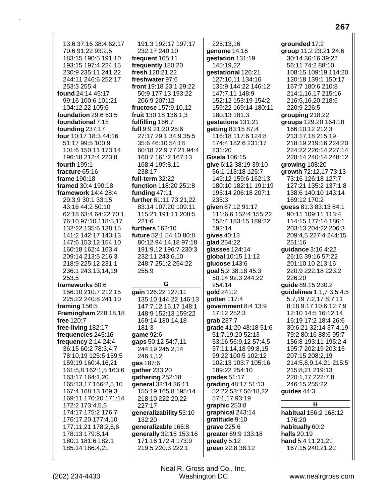13:6 37:16 38:4 62:17 70:6 91:22 93:2,5 183:15 190:5 191:10 193:15 197:4 224:15 230:9 235:11 241:22 244:11 246:6 252:17 253:3 255:4 found 24:14 45:17 99:16 100:6 101:21 104:12,22 105:6 foundation 29:6 63:5 foundational 7:18 founding 237:17 four 10:17 18:3 44:16 51:17 99:5 100:9 101:6 150:11 173:14 196:18 212:4 223:8 fourth 199:1 fracture 65:16 frame 190:18 framed 30:4 190:18 framework 14:4 28:4 29:3.9 30:1 33:15 43:16 44:2 50:10 62:18 63:4 64:22 70:1 76:10 97:10 118:5.17 132:22 135:6 138:15 141:2 142:17 143:13 147:6 153:12 154:10 160:18 162:4 163:4 209:14 213:5 216:3 218:9 225:12 231:1 236:1 243:13,14,19 253:5 frameworks 60:6 156:10 210:7 212:15 225:22 240:8 241:10 framing 156:5 **Framingham 228:18,18** free 120:7 free-living 182:17 frequencies 245:16 frequency 2:14 24:4 36:15 60:2 78:3,4,7 78:10,19 125:5 159:5 159:19 160:4,16,21 161:5,8 162:1,5 163:6 163:17 164:1,20 165:13.17 166:2.5.10 167:4 168:13 169:3 169:11 170:20 171:14 172:2 173:4,5,6 174:17 175:2 176:7 176:17,20 177:4,10 177:11,21 178:2,6,6 178:13 179:8,14 180:1 181:6 182:1 185:14 186:4,21

191:3 192:17 197:17 232:17 240:10 frequent 165:11 frequently 180:20 fresh 120:21,22 freshwater 97:6 front 19:18 23:1 29:22 50:9 177:13 193:22 206:9 207:12 fructose 157:9,10,12 fruit 130:18 136:1,3 fulfilling 166:7 full 9:9 21:20 25:6 27:17 29:1 34:9 35:5 35:6 46:10 54:18 60:18 72:9 77:21 94:4 160:7 161:2 167:13 168:4 199:8,11  $238.17$ full-term 32:22 function 118:20 251:8 funding  $47:11$ further 61:11 73:21,22 83:14 107:20 109:11 115:21 191:11 208:5 221:6 furthers 162:10 future 52:1 54:10 80:8 80:12 94:14.18 97:18 191:9.12 196:7 230:3 232:11 243:6.10 248:7 251:2 254:22 255:9 G gain 126:22 127:11 135:10 144:22 146:13 147:7,12,16,17 148:1 148:9 152:13 159:22 169:14 180:14,18 181:3 qame 92:6 gaps 50:12 54:7,11 244:19 245:2,14 246:1,12 gas 187:6 gather 233:20 gathering 252:18 general 32:14 36:11 155:19 165:8 195:14 218:10 222:20,22 227:17 generalizability 53:10 132:20 generalizable 165:8 generally 32:15 153:16 171:16 172:4 173:9 219:5 220:3 222:1

225:13.16 genome 14:16 gestation 131:19 145:19,22 qestational 126:21 127:10.11 134:16 135:9 144:22 146:12 147:7,11 148:9 152:12 153:19 154:2 159:22 169:14 180:11 180:13 181:3 gestations 131:21 getting 83:15 87:4 116:18 117:6 124:8 174:4 182:6 231:17 231:20 Gisela 106:15 give 6:12 38:19 39:10 56:1 113:18 125:7 149:12 159:6 162:13 180:10 182:11 191:19 195:14 206:18 207:1 235:3 given 87:12 91:17 111:6.6 152:4 155:22 158:4 183:15 189:22  $192:14$ gives 40:13 glad 254:22 **glasses** 124:14 qlobal 10:15 11:12 qlucose 143:6 goal 5:2 38:18 45:3 50:14 92:3 244:22 254:14 gold 241:2 gotten 117:4 government 8:4 13:9 17:12 252:3 qrab 237:7 grade 41:20 48:18 51:6 51:7,19,20 52:13 53:16 56:9,12 57:4,5 57:11,14,18 99:8,15 99:22 100:5 102:12 102:13 103:7 105:16 189:22 254:10 grades 51:17 grading 48:17 51:13 52:22 53:7 56:18,22 57:1,17 93:19 graphic 253:8 graphical 243:14 gratitude 9:10 grave 225:6 greater 69:9 133:18 greatly 5:12 green 22:8 38:12

grounded 17:2 group 11:2 23:21 24:6 30:14 36:16 39:22 56:11 74:2 88:10 108:15 109:19 114:20 120:18 139:1 150:17 167:7 180:6 210:8 214:1,16,17 215:16 216:5,16,20 218:6 220:9 226:5 grouping 218:22 groups 129:20 164:18 166:10,12 212:3 213:17,18 215:19 218:19 219:16 224:20 224:22 226:14 227:14 228:14 240:14 248:12 growing 108:20 growth 72:12,17 73:13 73:16 126:18 127:7 127:21 135:2 137:1,8 138:6 140:10 143:14 169:12 170:2 guess 81:3 83:13 84:1 90:11 109:11 113:4 114:15 177:14 186:1 203:13 204:22 206:3 209:4,5 227:4 244:15 251:16 quidance 3:16 4:22 26:15 39:16 57:22 201:10.10 213:16 220:9 222:18 223:2 226:20 guide 89:15 230:2 guidelines 1:1,7 3:5 4:5 5:7,19 7:2,17 8:7,11 8:18 9:17 10:6 12:7,9 12:10 14:5 16:12,14 16:19 17:2 18:4 26:6 30:6,21 32:14 37:4,19 79:2 80:16 88:6 95:7 156:8 193:11 195:2,4 195:7 202:19 203:15 207:15 208:2,19 214:5,8,9,14,21 215:5 215:8,21 219:13 220:1,17 222:7,8 246:15 255:22 guides 44:3 H. habitual 166:2 168:12 176:20 habitually 60:2

www.nealrgross.com

halls 20:19

hand 5:4 11:21,21

167:15 240:21,22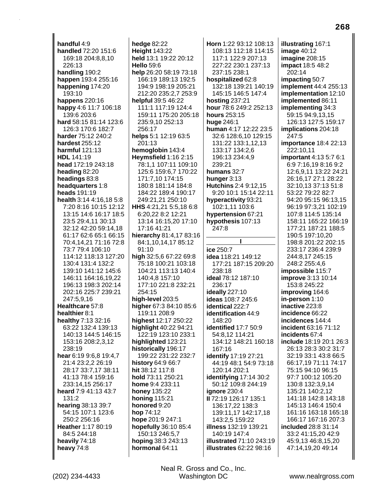**handful** 4:9 **handled** 72:20 151:6 169:18 204:8,8,10 226:13 **handling** 190:2 **happen** 193:4 255:16 **happening** 174:20 193:10 **happens** 220:16 **happy** 4:6 11:7 106:18 139:6 203:6 **hard** 58:15 81:14 123:6 126:3 170:6 182:7 **harder** 75:12 240:2 **hardest** 255:12 **harmful** 121:13 **HDL** 141:19 **head** 172:19 243:18 **heading** 82:20 **headings** 83:8 **headquarters** 1:8 **heads** 191:19 **health** 3:14 4:16,18 5:8 7:20 8:16 10:15 12:12 13:15 14:6 16:17 18:5 23:5 29:4,11 30:13 32:12 42:20 59:14,18 61:17 62:6 65:1 66:15 70:4,14,21 71:16 72:8 73:7 79:4 106:10 114:12 118:13 127:20 130:4 131:4 132:2 139:10 141:12 145:6 146:11 164:16,19,22 196:13 198:3 202:14 202:16 225:7 239:21 247:5,9,16 **Healthcare** 57:8 **healthier** 8:1 **healthy** 7:13 32:16 63:22 132:4 139:13 140:13 144:5 146:15 153:16 208:2,3,12 238:19 **hear** 6:19 9:6,8 19:4,7 21:4 23:2,2 26:19 28:17 33:7,17 38:11 41:13 78:4 159:16 233:14,15 256:17 **heard** 7:9 41:13 43:7 131:2 **hearing** 38:13 39:7 54:15 107:1 123:6 250:2 256:16 **Heather** 1:17 80:19 84:5 244:18 **heavily** 74:18 **heavy** 74:8

**hedge** 82:22 **Height** 143:22 **held** 13:1 19:22 20:12 **Hello** 59:6 **help** 26:20 58:19 73:18 166:19 189:13 192:5 194:9 198:19 205:21 212:20 235:2,7 253:9 **helpful** 39:5 46:22 111:1 117:19 124:4 159:11 175:20 205:18 235:9,10 252:13 256:17 **helps** 5:1 12:19 63:5 201:13 **hemoglobin** 143:4 **Heymsfield** 1:16 2:15 78:1,1 107:11 109:10 125:6 159:6,7 170:22 171:7,10 174:15 180:8 181:14 184:8 184:22 189:4 190:17 249:21,21 250:10 **HHS** 4:21,21 5:5,18 6:8 6:20,22 8:2 12:21 13:14 16:15,20 17:10 17:16 41:21 **hierarchy** 81:4,17 83:16 84:1,10,14,17 85:12 91:10 **high** 32:5,6 67:22 69:8 75:18 100:21 103:18 104:21 113:13 140:4 140:4,8 157:10 177:10 221:8 232:21 254:15 **high-level** 203:5 **higher** 67:3 84:10 85:6 119:11 208:9 **highest** 12:17 250:22 **highlight** 40:22 94:21 122:19 123:10 233:1 **highlighted** 123:21 **historically** 196:17 199:22 231:22 232:7 **history** 64:9 66:7 **hit** 38:12 117:8 **hold** 73:11 250:21 **home** 9:4 233:11 **honey** 135:22 **honing** 115:21 **honored** 9:20 **hop** 74:12 **hope** 201:9 247:1 **hopefully** 36:10 85:4 150:13 246:5,7 **hoping** 38:3 243:13 **hormonal** 64:11

**Horn** 1:22 93:12 108:13 108:13 112:18 114:15 117:1 122:9 207:13 227:22 230:1 237:13 237:15 238:1 **hospitalized** 62:8 132:18 139:21 140:19 145:15 146:5 147:4 **hosting** 237:21 **hour** 78:6 249:2 252:13 **hours** 253:15 **huge** 246:1 **human** 4:17 12:22 23:5 32:6 128:6,10 129:15 131:22 133:1,12,13 133:17 134:2,6 196:13 234:4,9 239:21 **humans** 32:7 **hunger** 3:13 **Hutchins** 2:4 9:12,15 9:20 10:1 15:14 22:11 **hyperactivity** 93:21 102:1,11 103:6 **hypertension** 67:21 **hypothesis** 107:13 247:8 **I ice** 250:7 **idea** 118:21 149:12 177:21 187:15 209:20 238:18 **ideal** 78:12 187:10 236:17 **ideally** 227:10 **ideas** 108:7 245:6 **identical** 222:7 **identification** 44:9 148:20 **identified** 17:7 50:9 54:8,12 114:21 134:12 148:21 160:18 167:16 **identify** 17:19 27:21 44:19 48:1 54:9 73:18 120:14 202:1 **identifying** 17:14 30:2 50:12 109:8 244:19 **ignore** 230:4 **II** 72:19 126:17 135:1 136:17,22 138:3 139:11,17 142:17,18 143:2,5 159:22 **illness** 132:19 139:21 140:19 147:4 **illustrated** 71:10 243:19 **illustrates** 62:22 98:16

**illustrating** 167:1 **image** 40:12 **imagine** 208:15 **impact** 18:5 48:2 202:14 **impacting** 50:7 **implement** 44:4 255:13 **implementation** 12:10 **implemented** 86:11 **implementing** 34:3 59:15 94:9,13,15 126:13 127:5 159:17 **implications** 204:18 247:5 **importance** 18:4 22:13 222:10,11 **important** 4:13 5:7 6:1 6:9 7:16,19 8:16 9:2 12:6,9,11 13:22 24:21 26:16,17 27:1 28:22 32:10,13 37:13 51:8 53:22 79:22 82:7 94:20 95:15 96:13,15 96:19 97:3,21 102:19 107:8 114:5 135:14 158:11 165:22 166:19 177:21 187:21 188:5 190:5 197:10,20 198:8 201:22 202:15 233:17 236:4 239:9 244:8,17 245:15 248:2 255:4,6 **impossible** 115:7 **improve** 3:13 10:14 153:8 245:22 **improving** 164:6 **in-person** 1:10 **inactive** 223:8 **incidence** 66:22 **incidences** 144:4 **incident** 63:16 71:12 **incidents** 67:4 **include** 18:19 20:1 26:3 26:13 28:3 30:2 31:7 32:19 33:1 43:8 66:5 66:17,19 71:11 74:17 75:15 94:10 96:15 97:7 100:12 105:20 130:8 132:3,9,14 135:21 140:2,12 141:18 142:8 143:18 145:13 146:4 150:4 161:16 163:18 165:18 166:17 167:16 207:3 **included** 28:8 31:14 33:2 41:15,20 42:9 45:9,13 46:8,15,20 47:14,19,20 49:14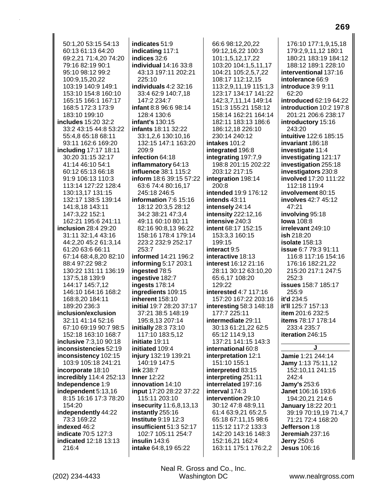50:1.20 53:15 54:13 60:13 61:13 64:20 69:2,21 71:4,20 74:20 79:16 82:19 90:1 95:10 98:12 99:2 100:9,15,20,22 103:19 140:9 149:1 153:10 154:8 160:10 165:15 166:1 167:17 168:5 172:3 173:9 183:10 199:10 includes 15:20 32:2 33:2 43:15 44:8 53:22 55:4,8 65:18 68:11 93:11 162:6 169:20 including 17:17 18:11 30:20 31:15 32:17 41:14 46:10 54:1 60:12 65:13 66:18 91:9 106:13 110:3 113:14 127:22 128:4 130:13,17 131:15 132:17 138:5 139:14 141:8,18 143:11 147:3,22 152:1 162:21 195:6 241:11 **inclusion** 28:4 29:20 31:11 32:1,4 43:16 44:2,20 45:2 61:3,14 61:20 63:6 66:11 67:14 68:4.8.20 82:10 88:4 97:22 98:2 130:22 131:11 136:19 137:5,18 139:9 144:17 145:7,12 146:10 164:16 168:2 168:8,20 184:11 189:20 236:3 inclusion/exclusion 32:11 41:14 52:16 67:10 69:19 90:7 98:5 152:18 163:10 168:7 inclusive 7:3,10 90:18 inconsistencies 52:19 inconsistency 102:15 103:9 105:18 241:21 incorporate 18:10 incredibly 114:4 252:13 Independence 1:9 independent 5:13,16 8:15 16:16 17:3 78:20 154:20 independently 44:22 73:3 169:22 indexed 46:2 indicate 70:5 127:3 indicated 12:18 13:13 216:4

indicates 51:9 indicating 117:1 indices 32:6 **individual** 14:16 33:8 43:13 197:11 202:21  $225:10$ individuals 4:2 32:16 33:4 62:9 140:7,18 147:2 234:7 infant 8:8 96:6 98:14 128:4 130:6 infant's 130:15 **infants** 18:11 32:22 33:1,2,6 130:10,16 132:15 147:1 163:20 209:9 infection 64:18 inflammatory 64:13 influence 38:1 115:2 inform 18:6 39:15 57:22 63:6 74:4 80:16,17 245:18 246:5 information 7:6 15:16 18:12 20:3,5 28:12 34:2 38:21 47:3.4 49:11 60:10 80:11 82:16 90:8.13 96:22 158:16 178:4 179:14 223:2 232:9 252:17 253:7 informed 14:21 196:2 informing 5:17 203:1 ingested 78:5 ingestive 182:7 ingests  $178:14$ ingredients 109:15 inherent 158:10 initial 19:7 28:20 37:17 37:21 38:5 148:19 195:8,13 207:14 initially 28:3 73:10 117:10 183:5,12 initiate 19:11 initiated 109:4 injury 132:19 139:21 140:19 147:5 ink 238:7 **Inner 12:22** innovation 14:10 input 17:20 28:22 37:22 115:11 203:10 insecurity 11:6,8,13,13 instantly 255:16 **Institute 9:19 12:3** insufficient 51:3 52:17 102:7 105:11 254:7 insulin 143:6 intake 64:8,19 65:22

66:6 98:12.20.22 99:12,16,22 100:3 101:1,5,12,17,22 103:20 104:1,5,11,17 104:21 105:2,5,7,22 108:17 112:12,15 113:2,9,11,19 115:1,3 123:17 134:17 141:22 142:3,7,11,14 149:14 151:3 155:21 158:12 158:14 162:21 164:14 182:11 183:13 186:6 186:12,18 226:10 230:14 240:12 intakes 101:2 integrated 196:8 integrating 197:7,9 198:8 201:15 202:22 203:12 217:15 integration 198:14 200:8 intended 19:9 176:12 intends 43:11 intensely 24:14 intensity  $222:12,16$ intensive 240:3 intent 68:17 152:15 153:3.3 160:15 199:15 interact 9:5 interactive 18:13 interest 16:12 21:16 28:11 30:12 63:10,20 65:6.17 108:20 129:22 **interested 4:7 117:16** 157:20 167:22 203:16 interesting 58:3 148:18 177:7 225:11 intermediate 29:11 30:13 61:21,22 62:5 65:12 114:9,13 137:21 141:15 143:3 international 60:8 interpretation 12:1 151:10 155:1 interpreted 83:15 interpreting 251:11 interrelated 197:16 interval 174:3 intervention 29:10 30:12 47:8 48:9,11 61:4 63:9,21 65:2,5 65:18 67:11,15 98:6 115:12 117:2 133:3 142:20 143:16 148:3 152:16.21 162:4 163:11 175:1 176:2,2

176:10 177:1,9,15,18 179:2,9,11,12 180:1 180:21 183:19 184:12 188:12 189:1 228:10 interventional 137:16 intolerance 66:9 introduce 3:9 9:11 62:20 introduced 62:19 64:22 introduction 10:2 197:8 201:21 206:6 238:17 introductory 15:16 243:20 intuitive 122:6 185:15 invariant 186:18 investigate 11:4 investigating 121:17 investigation 255:18 investigators 230:8 involved 17:20 111:22 112:18 119:4 involvement 80:15 involves 42:7 45:12 47:21 involving 95:18 **lowa** 108:8 irrelevant 249:10 ish 218:20 **isolate** 158:13 **issue 6:7 79:3 91:11** 116:8 117:16 154:16 176:16 182:21.22 215:20 217:1 247:5 252:3 **issues** 158:7 185:17 255:9 it'd 234:5 it'll 125:7 157:13 item 201:6 232:5 items 78:17 178:14 233:4 235:7 iteration 246:15 Jamie 1:21 244:14 **Jamy 1:13 75:11,12** 152:10,11 241:15 242:4 Jamy's 253:6 Janet 106:16 193:6 194:20,21 214:6 January 18:22 20:1

39:19 70:19,19 71:4,7 71:21 72:4 168:20 Jefferson 1:8 Jeremiah 237:16 **Jerry 250:6 Jesus** 106:16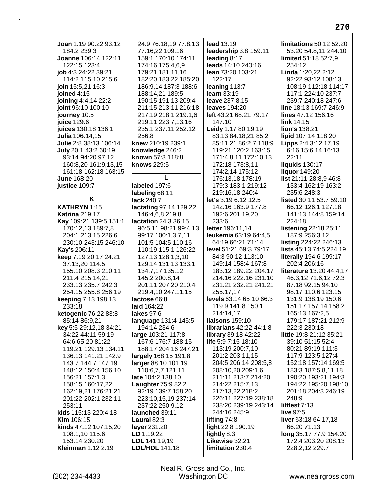**Joan** 1:19 90:22 93:12 184:2 239:3 **Joanne** 106:14 122:11 122:15 123:4 **job** 4:3 24:22 39:21 114:2 115:10 215:6 **join** 15:5,21 16:3 **joined** 4:15 **joining** 4:4,14 22:2 **joint** 96:10 100:10 **journey** 10:5 **juice** 129:6 **juices** 130:18 136:1 **Julia** 106:14,15 **Julie** 2:8 38:13 106:14 **July** 20:1 43:2 60:19 93:14 94:20 97:12 160:8,20 161:9,13,15 161:18 162:18 163:15 **June** 168:20 **justice** 109:7 **K KATHRYN** 1:15 **Katrina** 219:17 **Kay** 109:21 139:5 151:1 170:12,13 189:7,8 204:1 213:15 226:6 230:10 243:15 246:10 **Kay's** 206:11 **keep** 7:19 20:17 24:21 37:13,20 114:5 155:10 208:3 210:11 211:4 215:14,21 233:13 235:7 242:3 254:15 255:8 256:19 **keeping** 7:13 198:13 233:18 **ketogenic** 76:22 83:8 85:14 86:9,21 **key** 5:5 29:12,18 34:21 34:22 44:11 59:19 64:6 65:20 81:22 119:21 129:13 134:11 136:13 141:21 142:9 143:7 144:7 147:19 148:12 150:4 156:10 156:21 157:1,3 158:15 160:17,22 162:19,21 176:21,21 201:22 202:1 232:11 253:11 **kids** 115:13 220:4,18 **Kim** 106:15 **kinds** 47:12 107:15,20 108:1,10 115:6 153:14 230:20 **Kleinman** 1:12 2:19

24:9 76:18,19 77:8,13 77:16,22 109:16 159:1 170:10 174:11 174:16 175:4,6,9 179:21 181:11,16 182:20 183:22 185:20 186:9,14 187:3 188:6 188:14,21 189:5 190:15 191:13 209:4 211:15 213:11 216:18 217:19 218:1 219:1,6 219:11 223:7,13,16 235:1 237:11 252:12 256:8 **knew** 210:19 239:1 **knowledge** 246:2 **known** 57:3 118:8 **knows** 229:5 **L labeled** 197:6 **labeling** 68:11 **lack** 240:7 **lactating** 97:14 129:22 146:4,6,8 219:8 **lactation** 24:3 36:15 96:5,11 98:21 99:4,13 99:17 100:1,3,7,11 101:5 104:5 110:16 110:19 115:1 126:22 127:13 128:1,3,10 129:14 131:13 133:1 134:7,17 135:12 145:2 200:8,14 201:11 207:20 210:4 219:4,10 247:11,15 **lactose** 66:8 **laid** 164:22 **lakes** 97:6 **language** 131:4 145:5 194:14 234:6

**large** 103:21 117:8 167:6 176:7 188:15 188:17 204:16 247:21 **largely** 168:15 191:8 **larger** 88:10 101:19 110:6,7,7 121:11 **late** 104:2 138:10 **Laughter** 75:9 82:2 92:19 139:7 158:20 223:10,15,19 237:14 237:22 250:9,12 **launched** 39:11 **Laural** 82:3 **layer** 231:20 **LD** 1:19,22 **LDL** 141:19,19 **LDL/HDL** 141:18

**lead** 13:19 **leadership** 3:8 159:11 **leading** 8:17 **leads** 14:10 240:16 **lean** 73:20 103:21 122:17 **leaning** 113:7 **learn** 33:19 **leave** 237:8,15 **leaves** 194:20 **left** 43:21 68:21 79:17 147:10 **Leidy** 1:17 80:19,19 83:13 84:18,21 85:2 85:11,21 86:2,7 118:9 119:21 120:2 163:15 171:4,8,11 172:10,13 172:18 173:8,11 174:2,14 175:12 176:13,18 178:19 179:3 183:1 219:12 219:16,18 240:4 **let's** 3:19 6:12 12:5 142:16 163:9 177:8 192:6 201:19,20 233:6 **letter** 196:11,14 **leukemia** 63:19 64:4,5 64:19 66:21 71:14 **level** 51:21 69:3 79:17 84:3 90:12 113:10 149:14 158:4 167:8 183:12 189:22 204:17 214:16 222:16 231:10 231:21 232:21 241:21 255:17,17 **levels** 63:14 65:10 66:3 119:9 141:8 150:1 214:14,17 **liaisons** 159:10 **librarians** 42:22 44:1,8 **library** 39:18 42:22 **life** 5:9 7:15 18:10 113:19 200:7,10 201:2 203:11,15 204:5 206:14 208:5,8 208:10,20 209:1,6 211:11 213:7 214:20 214:22 215:7,13 217:13,22 218:2 226:11 227:19 238:18 238:20 239:19 243:14 244:16 245:9 **lifting** 74:8 **light** 22:8 190:19 **lightly** 8:3 **Likewise** 32:21 **limitation** 230:4

**limitations** 50:12 52:20 53:20 54:8,11 244:10 **limited** 51:18 52:7,9 254:12 **Linda** 1:20,22 2:12 92:22 93:12 108:13 108:19 112:18 114:17 117:1 224:10 237:7 239:7 240:18 247:6 **line** 18:13 169:7 246:9 **lines** 47:12 156:16 **link** 14:15 **lion's** 138:21 **lipid** 107:14 118:20 **Lipps** 2:4 3:12,17,19 6:16 15:6,14 16:13 22:11 **liquids** 130:17 **liquor** 149:20 **list** 21:11 28:8,9 46:8 133:4 162:19 163:2 235:6 248:3 **listed** 30:11 53:7 59:10 66:12 126:1 127:18 141:13 144:8 159:14 224:18 **listening** 22:18 25:11 187:9 256:3,12 **listing** 224:22 246:13 **lists** 45:13 74:5 224:19 **literally** 194:6 199:17 202:4 206:16 **literature** 13:20 44:4,17 46:3,12 71:6,12 72:3 87:18 92:15 94:10 98:17 110:6 123:15 131:9 138:19 150:6 151:17 157:14 158:2 165:13 167:2,5 179:17 187:21 212:9 222:3 230:18 **little** 19:3 21:12 35:21 39:10 51:15 52:4 80:21 89:19 111:3 117:9 123:5 127:4 152:18 157:14 169:5 183:3 187:5,8,11,18 190:20 193:21 194:3 194:22 195:20 198:10 201:18 204:3 246:19 248:9 **littlest** 7:13 **live** 97:5 **liver** 63:18 64:17,18 66:20 71:13 **long** 35:17 77:9 154:20 172:4 203:20 208:13 228:2,12 229:7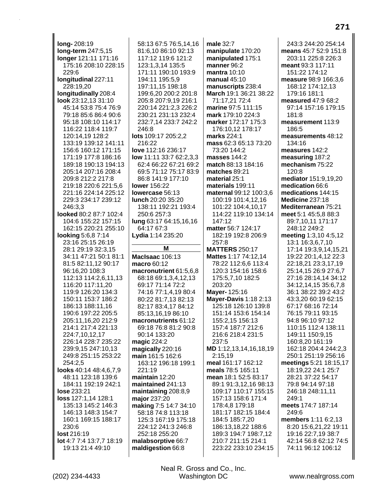long-208:19 long-term 247:5,15 longer 121:11 171:16 175:16 208:10 228:15  $229.6$ Iongitudinal 227:11 228:19,20 longitudinally 208:4 look 23:12,13 31:10 45:14 53:8 75:4 76:9 79:18 85:6 86:4 90:6 95:18 108:10 114:17 116:22 118:4 119:7 120:14.19 128:2 133:19 139:12 141:11 156:6 160:12 171:15 171:19 177:8 186:16 189:18 190:13 194:13 205:14 207:16 208:4 209:8 212:2 217:8 219:18 220:6 221:5,6 221:16 224:14 225:12 229:3 234:17 239:12 246:3,3 looked 80:2 87:7 102:4 104:6 155:22 157:15 162:15 220:21 255:10 **looking 5:6,8 7:14** 23:16 25:15 26:19 28:1 29:19 32:3.15 34:11 47:21 50:1 81:1 81:5 82:11.12 90:17 96:16,20 108:3 112:13 114:2,6,11,13 116:20 117:11.20 119:9 126:20 134:3 150:11 153:7 186:2 186:13 188:11,16 190:6 197:22 205:5 205:11,16,20 212:9 214:1 217:4 221:13 224:7,10,12,17 226:14 228:7 235:22 239:9.15 247:10.13 249:8 251:15 253:22 254:2,5 looks 40:14 48:4,6,7,9 48:11 123:18 139:6 184:11 192:19 242:1 lose 233:21 loss 127:1,14 128:1 135:13 145:2 146:3 146:13 148:3 154:7 160:1 169:15 188:17 230:6 lost 216:19 lot 4:7 7:4 13:7,7 18:19 19:13 21:4 49:10

58:13 67:5 76:5.14.16 81:6,10 86:10 92:13 117:12 119:6 121:2 123:1,3,14 135:5 171:11 190:10 193:9 194:11 195:5,9 197:11.15 198:18 199:6,20 200:2 201:8 205:8 207:9,19 216:1 220:14 221:2,3 226:2 230:21 231:13 232:4 232:7,14 233:7 242:2 246:8 lots 109:17 205:2,2 216:22 love 112:16 236:17 low 11:11 33:7 62:2,3,3 62:4 66:22 67:21 69:2 69:5 71:12 75:17 83:9 86:8 141:9 177:10 lower 156:22 lowercase 56:13 lunch 20:20 35:20 138:11 192:21 193:4 250:6 257:3 lung 63:17 64:15,16,16 64:17 67:3 Lydia 1:14 235:20 M MacIsaac 106:13

macro 60:12 macronutrient 61:5,6,8 68:18 69:1,3,4,12,13 69:17 71:14 72:2 74:16 77:1,4,19 80:4 80:22 81:7,13 82:13 82:17 83:4,17 84:12 85:13.16.19 86:10 macronutrients 61:12 69:18 76:8 81:2 90:8 90:14 133:20 magic 224:2 magically 220:16 main 161:5 162:6 163:12 196:18 199:1 221:19 maintain 12:20 maintained 241:13 maintaining  $208:8,9$ major 237:20 making 7:5 14:7 34:10 58:18 74:8 113:18 125:3 167:19 175:18 224:12 241:3 246:8 252:18 255:20 malabsorptive 66:7 maldigestion 66:8

male 32:7 manipulate 170:20 manipulated 175:1 manner 96:2 mantra 10:10 manual  $45:10$ manuscripts 238:4 March 19:1 36:21 38:22 71:17.21 72:4 marine 97:5 111:15 mark 179:10 224:3 marker 172:17 175:3 176:10,12 178:17 marks 224:1 mass 62:3 65:13 73:20 73:20 144:2 masses 144:2 match 88:13 184:16 matches 89:21 material 25:1 materials 199:11 maternal 99:12 100:3,6 100:19 101:4,12,16 101:22 104:4,10,17 114:22 119:10 134:14 147:12 matter 56:7 124:17 182:19 192:8 206:9 257:8 **MATTERS 250:17** Mattes 1:17 74:12.14 78:22 112:6.6 113:4 120:3 154:16 158:6 175:5,7,10 182:5 203:20 Mayer-125:16 **Mayer-Davis 1:18 2:13** 125:18 126:10 139:8 151:14 153:6 154:14 155:2.15 156:13 157:4 187:7 212:6 216:6 218:4 231:5 237:5 MD 1:12,13,14,16,18,19  $2:15,19$ meal 161:17 162:12 meals 78:5 165:11 mean 18:1 52:5 83:17 89:1 91:3.12.16 98:13 109:17 110:17 155:15 157:13 158:6 171:4 178:4,8 179:18 181:17 182:15 184:4 184:5 185:7,20 186:13,18,22 188:6 189:3 194:7 198:7,12 210:7 211:15 214:1 223:22 233:10 234:15

243:3 244:20 254:14 means 45:7 52:9 151:8 203:11 225:8 226:3 meant 93:3 117:11 151:22 174:12 measure 98:9 166:3,6 168:12 174:12,13 179:16 181:1 measured 47:9 68:2 97:14 157:16 179:15 181:8 measurement 113:9 186:5 measurements 48:12 134:16 measures 142:2 measuring 187:2 mechanism 75:22 120:8 mediator 151:9,19,20 medication 66:6 medications 144:15 Medicine 237:18 Mediterranean 75:21 meet 5:1 45:5,8 88:3 89:7.10.11 171:17 248:12 249:2 meeting 1:3,10 4:5,12 13:1 16:3,6,7,10 17:14 19:3,9,14,15,21 19:22 20:1.4.12 22:3 22:18,21 23:3,17,19 25:14,15 26:9 27:6,7 27:16 28:14,14 34:12 34:12.14.15 35:6.7.8 36:1 38:22 39:2 43:2 43:3,20 60:19 62:15 67:17 68:16 72:14 76:15 79:11 93:15 94:8 96:10 97:12 110:15 112:4 138:11 149:11 150:9,15 160:8,20 161:19 162:18 204:4 244:2,3 250:1 251:19 256:16 meetings 5:21 18:15,17 18:19.22 24:1 25:7 28:21 37:22 54:17 79:8 94:14 97:18 246:18 248:11,11 249:1 meets 174:7 187:14 249:6 members 1:11 6:2,13 8:20 15:6,21,22 19:11 19:16 22:7,19 38:7 42:14 56:8 62:12 74:5 74:11 96:12 106:12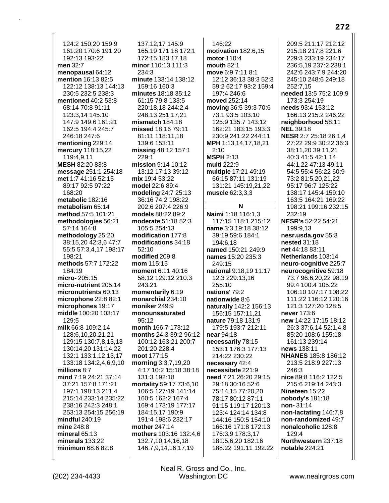124:2 150:20 159:9 161:20 170:6 191:20 192:13 193:22 **men** 32:7 **menopausal** 64:12 **mention** 16:13 82:5 122:12 138:13 144:13 230:5 232:5 238:3 **mentioned** 40:2 53:8 68:14 70:8 91:11 123:3,14 145:10 147:9 149:6 161:21 162:5 194:4 245:7 246:18 247:6 **mentioning** 229:14 **mercury** 118:15,22 119:4,9,11 **MESH** 82:20 83:8 **message** 251:1 254:18 **met** 1:7 41:16 52:15 89:17 92:5 97:22 168:20 **metabolic** 182:16 **metabolism** 65:14 **method** 57:5 101:21 **methodologies** 56:21 57:14 164:8 **methodology** 25:20 38:15,20 42:3,6 47:7 55:5 57:3,4,17 198:17 198:21 **methods** 57:7 172:22 184:19 **micro-** 205:15 **micro-nutrient** 205:14 **micronutrients** 60:13 **microphone** 22:8 82:1 **microphones** 19:17 **middle** 100:20 103:17 129:5 **milk** 66:8 109:2,14 128:6,10,20,21,21 129:15 130:7,8,13,13 130:14,20 131:14,22 132:1 133:1,12,13,17 133:18 134:2,4,6,9,10 **millions** 8:7 **mind** 7:19 24:21 37:14 37:21 157:8 171:21 197:1 198:13 211:4 215:14 233:14 235:22 238:16 242:3 248:1 253:13 254:15 256:19 **mindful** 240:19 **mine** 248:8 **mineral** 65:13 **minerals** 133:22 **minimum** 68:6 82:8

137:12,17 145:9 165:19 171:18 172:1 172:15 183:17,18 **minor** 110:13 111:3 234:3 **minute** 133:14 138:12 159:16 160:3 **minutes** 18:18 35:12 61:15 79:8 133:5 220:18,18 244:2,4 248:13 251:17,21 **mismatch** 184:18 **missed** 18:16 79:11 81:11 118:11,18 139:6 153:11 **missing** 48:12 157:1 229:1 **mission** 9:14 10:12 13:12 17:13 39:12 **mix** 19:4 53:22 **model** 22:6 89:4 **modeling** 24:7 25:13 36:16 74:2 198:22 202:6 207:4 226:9 **models** 88:22 89:2 **moderate** 51:18 52:3 105:5 254:13 **modification** 177:8 **modifications** 34:18 52:10 **modified** 209:8 **mom** 115:15 **moment** 6:11 40:16 58:12 129:12 210:3 243:21 **momentarily** 6:19 **monarchial** 234:10 **moniker** 249:9 **monounsaturated** 95:12 **month** 166:7 173:12 **months** 24:3 39:2 96:12 100:12 163:21 200:7 201:20 228:4 **moot** 177:15 **morning** 3:3,7,19,20 4:17 10:2 15:18 38:18 131:3 192:18 **mortality** 59:17 73:6,10 106:5 127:19 141:14 160:5 162:2 167:4 169:4 173:19 177:17 184:15,17 190:9 191:4 198:6 232:17 **mother** 247:14 **mothers** 103:16 132:4,6 132:7,10,14,16,18 146:7,9,14,16,17,19

146:22 **motivation** 182:6,15 **motor** 110:4 **mouth** 82:1 **move** 6:9 7:11 8:1 12:12 36:13 38:3 52:3 59:2 62:17 93:2 159:4 197:4 246:6 **moved** 252:14 **moving** 36:5 39:3 70:6 73:1 93:5 103:10 125:9 135:7 143:12 162:21 183:15 193:3 230:9 241:22 244:11 **MPH** 1:13,14,17,18,21 2:10 **MSPH** 2:13 **multi** 222:9 **multiple** 17:21 49:19 66:15 87:11 131:19 131:21 145:19,21,22 **muscle** 62:3,3,3 **N Naimi** 1:18 116:1,3 117:15 118:1 215:12 **name** 3:3 19:18 38:12 39:19 59:6 184:1 194:6,18 **named** 150:21 249:9 **names** 15:20 235:3 249:15 **national** 9:18,19 11:17 12:3 229:13,16 255:10 **nations'** 79:2 **nationwide** 8:6 **naturally** 142:2 156:13 156:15 157:11,21 **nature** 79:18 131:9 179:5 193:7 212:11 **near** 94:18 **necessarily** 78:15 153:1 176:3 177:13 214:22 230:22 **necessary** 42:4 **necessitate** 221:9 **need** 7:21 26:20 29:15 29:18 30:16 52:6 75:14,15 77:20,20 78:17 80:12 87:11 91:15 119:17 120:13 123:4 124:14 134:8 144:16 150:5 154:10 166:16 171:8 172:13 176:3,9 178:3,17 181:5,6,20 182:16 188:22 191:11 192:22

209:5 211:17 212:12 215:18 217:8 221:6 229:3 233:19 234:17 236:5,19 237:2 238:1 242:6 243:7,9 244:20 245:10 248:6 249:18 252:7,15 **needed** 13:5 75:2 109:9 173:3 254:19 **needs** 93:4 153:12 166:13 215:2 246:22 **neighborhood** 58:11 **NEL** 39:18 **NESR** 2:7 25:18 26:1,4 27:22 29:9 30:22 36:3 38:11,20 39:11,21 40:3 41:5 42:1,14 44:1,22 47:13 49:11 54:5 55:4 56:22 60:9 73:2 81:5,20,21,22 95:17 96:7 125:22 138:17 145:4 159:10 163:5 164:21 169:22 198:21 199:16 232:15 232:19 **NESR's** 52:22 54:21 199:9,13 **nesr.usda.gov** 55:3 **nested** 31:18 **net** 44:18 83:11 **Netherlands** 103:14 **neuro-cognitive** 225:7 **neurocognitive** 59:18 73:7 96:6,20,22 98:19 99:4 100:4 105:22 106:10 107:17 108:22 111:22 116:12 120:16 121:3 127:20 128:5 **never** 173:6 **new** 14:22 17:15 18:12 26:3 37:6,14 52:1,4,8 85:20 108:6 155:18 161:13 239:14 **news** 138:11 **NHANES** 185:8 186:12 213:5 218:9 227:13 246:3 **nice** 89:8 116:2 122:5 215:6 219:14 243:3 **Nineteen** 15:22 **nobody's** 181:18 **non-** 31:14 **non-lactating** 146:7,8 **non-randomized** 49:7 **nonalcoholic** 128:8  $129.4$ **Northwestern** 237:18 **notable** 224:21

(202) 234-4433 Washington DC www.nealrgross.com Neal R. Gross and Co., Inc.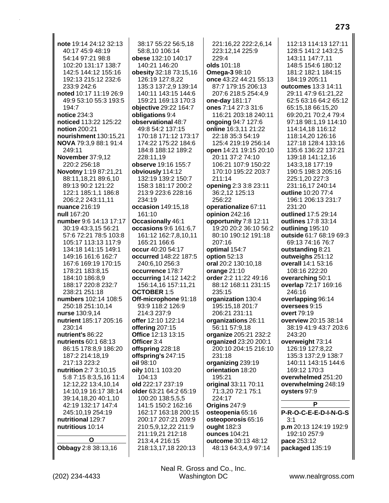note 19:14 24:12 32:13 40:17 45:9 48:19 54:14 97:21 98:8 102:20 131:17 138:7 142:5 144:12 155:16 192:13 215:12 232:6 233:9 242:6 noted 10:17 11:19 26:9 49:9 53:10 55:3 193:5 194:7 notice 234:3 noticed 113:22 125:22 notion 200:21 nourishment 130:15.21 NOVA 79:3,9 88:1 91:4 249:11 November 37:9,12 220:2 256:18 Novotny 1:19 87:21,21 88:11,18,21 89:6,10 89:13 90:2 121:22 122:1 185:1,1 186:8 206:2.2 243:11.11 nuance 216:19 null 167:20 number 9:6 14:13 17:17 30:19 43:3,15 56:21 57:6 72:21 78:5 103:8 105:17 113:13 117:9 134:18 141:15 149:1 149:16 161:6 162:7 167:6 169:19 170:15 178:21 183:8,15 184:10 186:8.9 188:17 220:8 232:7 238:21 251:18 numbers 102:14 108:5 250:18 251:10,14 nurse 130:9,14 nutrient 185:17 205:16  $230:14$ nutrient's 86:22 nutrients 60:1 68:13 86:15 178:8.9 186:20 187:2 214:18,19 217:13 223:2 nutrition 2:7 3:10,15 5:8 7:15 8:3,5,16 11:4 12:12,22 13:4,10,14 14:10,19 16:17 38:14 39:14,18,20 40:1,10 42:19 132:17 147:4 245:10,19 254:19 nutritional 129:7 nutritious 10:14  $\mathbf{o}$ Obbagy 2:8 38:13,16

38:17 55:22 56:5,18 58:8,10 106:14 obese 132:10 140:17 140:21 146:20 obesity 32:18 73:15,16 126:19 127:8,22 135:3 137:2,9 139:14 140:11 143:15 144:6 159:21 169:13 170:3 objective 29:22 164:7 obligations 9:4 observational 48:7 49:8 54:2 137:15 170:18 171:12 173:17 174:22 175:22 184:6 184:8 188:12 189:2 228:11.19 observe 19:16 155:7 obviously 114:12 132:19 139:2 150:7 158:3 181:17 200:2 213:9 223:6 228:16 234:19 occasion 149:15,18 161:10 **Occasionally 46:1 occasions** 9:6 161:6.7 161:12 162:7,8,10,11 165:21 166:6 occur 40:20 54:17 occurred 148:22 187:5 240:6.10 256:3 occurrence 178:7 **occurring 14:12 142:2** 156:14,16 157:11,21 **OCTOBER 1:5** Off-microphone 91:18 93:9 118:2 126:9 214:3 237:9 offer 12:10 122:14 offering 207:15 Office 12:13 13:15 Officer 3:4 offspring 228:18 offspring's 247:15 **oil** 98:10 oily 101:1 103:20 104:13 old 222:17 237:19 older 63:21 64:2 65:19 100:20 138:5,5,5 141:5 150:2 162:16 162:17 163:18 200:15 200:17 207:21 209:9 210:5,9,12,22 211:9 211:19,21 212:18 213:4,4 216:15 218:13,17,18 220:13

221:16,22 222:2,6,14 223:12,14 225:9 229:4 olds 101:18 **Omega-3** 98:10 once 43:22 44:21 55:13 87:7 179:15 206:13 207:6 218:5 254:4,9 one-day 181:17 ones 7:14 27:3 31:6 116:21 203:18 240:11 ongoing 94:7 127:6 online 16:3,11 21:22 22:18 35:3 54:19 125:4 219:19 256:14 open 14:21 19:15 20:10 20:11 37:2 74:10 106:21 107:9 150:22 170:10 195:22 203:7 211:14 opening 2:3 3:8 23:11 36:2,12 125:13 256:22 operationalize 67:11 opinion  $242:16$ opportunity 7:8 12:11 19:20 20:2 36:10 56:2 80:10 190:12 191:18 207:16 optimal 154:7 option  $52:13$ oral 20:2 130:10,18 orange  $21:10$ order 2:2 11:22 49:16 88:12 168:11 231:15  $235:15$ organization 130:4 195:15,18 201:7 206:21 231:11 organizations 26:11 56:11 57:9,18 organize 205:21 232:2 organized 23:20 200:1 200:10 204:15 216:10 231:18 organizing 239:19 orientation 18:20 195:21 original 33:11 70:11 71:3,20 72:1 75:1 224:17 Origins 247:9 osteopenia 65:16 osteoporosis 65:16 ought 182:3 ounces 104:21 outcome 30:13 48:12 48:13 64:3,4,9 97:14

112:13 114:13 127:11 128:5 141:2 143:2,5 143:11 147:7,11 148:5 154:6 180:12 181:2 182:1 184:15 184:19 205:11 outcomes 13:3 14:11 29:11 47:9 61:21,22 62:5 63:16 64:2 65:12 65:15,18 66:15,20 69:20,21 70:2,4 79:4 97:18 98:1,19 114:10 114:14.18 116:12 118:14,20 126:16 127:18 128:4 133:16 135:6 136:22 137:21 139:18 141:12,16 143:3,18 177:19 190:5 198:3 205:16 225:1,20 227:3 231:16,17 240:14 outline 10:20 77:4 196:1 206:13 231:7  $231:20$ outlined 17:5 29:14 outlines 17:8 33:14 outlining 195:10 outside 61:7 68:19 69:3 69:13 74:16 76:7 outstanding 8:21 outweighs 251:12 overall 14:1 53:16 108:16 222:20 overarching 50:1 overlap 72:17 169:16 246:16 overlapping 96:14 oversees 9:15 overt 79:19 overview 20:15 38:14 38:19 41:9 43:7 203:6 243:20 overweight 73:14 126:19 127:8,22 135:3 137:2,9 138:7 140:11 143:15 144:6 169:12 170:3 overwhelmed 251:20 overwhelming 248:19 oysters 97:9 P P-R-O-C-E-E-D-I-N-G-S  $3.1$ p.m 20:13 124:19 192:9 192:10 257:9 pace 253:12 packaged 135:19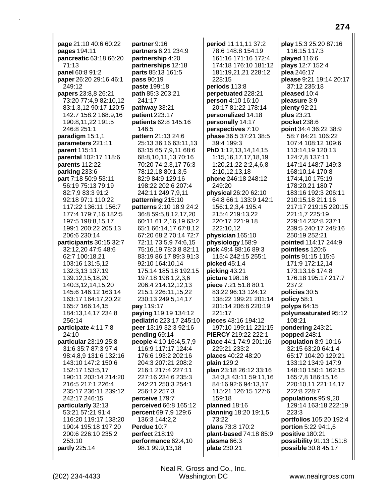**page** 21:10 40:6 60:22 **pages** 194:11 **pancreatic** 63:18 66:20 71:13 **panel** 60:8 91:2 **paper** 26:20 29:16 46:1 249:12 **papers** 23:8,8 26:21 73:20 77:4,9 82:10,12 83:1,3,12 90:17 120:5 142:7 158:2 168:9,16 190:8,11,22 191:5 246:8 251:1 **paradigm** 15:1,1 **parameters** 221:11 **parent** 115:11 **parental** 102:17 118:6 **parents** 112:22 **parking** 233:6 **part** 7:18 50:9 53:11 56:19 75:13 79:19 82:7,9 83:3 91:2 92:18 97:1 110:22 117:22 136:11 156:7 177:4 179:7,16 182:5 197:5 198:8,15,17 199:1 200:22 205:13 206:6 230:14 **participants** 30:15 32:7 32:12,20 47:5 48:6 62:7 100:18,21 103:16 131:5,12 132:3,13 137:19 139:12,15,18,20 140:3,12,14,15,20 145:6 146:12 163:14 163:17 164:17,20,22 165:7 166:14,15 184:13,14,17 234:8 256:14 **participate** 4:11 7:8 24:10 **particular** 23:19 25:8 31:6 35:7 87:3 97:4 98:4,8,9 131:6 132:16 143:10 147:2 150:6 152:17 153:5,17 190:11 203:14 214:20 216:5 217:1 226:4 235:17 236:11 239:12 242:17 246:15 **particularly** 32:13 53:21 57:21 91:4 116:20 119:17 133:20 190:4 195:18 197:20 200:6 226:10 235:2 253:10 **partly** 225:14

**partner** 9:16 **partners** 6:21 234:9 **partnership** 4:20 **partnerships** 12:18 **parts** 85:13 161:5 **pass** 90:19 **paste** 199:18 **path** 85:3 203:21 241:17 **pathway** 33:21 **patient** 223:17 **patients** 62:8 145:16 146:5 **pattern** 21:13 24:6 25:13 36:16 63:11,13 63:15 65:7,9,11 68:6 68:8,10,11,13 70:16 70:20 74:2,3,17 76:3 78:12,18 80:1,3,5 82:9 84:9 129:16 198:22 202:6 207:4 242:11 249:7,9,11 **patterning** 215:10 **patterns** 2:10 18:9 24:2 36:8 59:5,8,12,17,20 60:11 61:2,16,19 63:2 65:1 66:14,17 67:8,12 67:20 68:2 70:14 72:7 72:11 73:5,9 74:6,15 75:16,19 78:3,8 82:11 83:19 86:17 89:3 91:3 92:10 164:10,14 175:14 185:18 192:15 197:18 198:1,2,3,6 206:4 214:12,12,13 215:1 226:11,15,22 230:13 249:5,14,17 **pay** 119:17 **paying** 119:19 134:12 **pediatric** 223:17 245:10 **peer** 13:19 32:3 92:16 **pending** 69:14 **people** 4:10 16:4,5,7,9 116:9 117:17 124:4 176:6 193:2 202:16 204:3 207:21 208:2 216:1 217:4 227:11 227:16 234:6 235:3 242:21 250:3 254:1 256:12 257:3 **perceive** 179:7 **perceived** 66:8 165:12 **percent** 69:7,9 129:6 136:3 144:2,2 **Perdue** 10:7 **perfect** 218:19 **performance** 62:4,10 98:1 99:9,13,18

**period** 11:11,11 37:2 78:6 148:8 154:19 161:16 171:16 172:4 174:18 176:10 181:12 181:19,21,21 228:12 228:15 **periods** 113:8 **perpetuated** 228:21 **person** 4:10 16:10 20:17 81:22 178:14 **personalized** 14:18 **personally** 14:17 **perspectives** 7:10 **phase** 36:5 37:21 38:5 39:4 199:3 **PhD** 1:12,13,14,14,15 1:15,16,17,17,18,19 1:20,21,22 2:2,4,6,8 2:10,12,13,18 **phone** 246:18 248:12 249:20 **physical** 26:20 62:10 64:8 66:1 133:9 142:1 156:1,2,3,4 195:4 215:4 219:13,22 220:17 221:9,18 222:10,12 **physician** 165:10 **physiology** 158:9 **pick** 49:4 88:16 89:3 115:4 242:15 255:1 **picked** 45:1,4 **picking** 43:21 **picture** 198:16 **piece** 7:21 51:8 80:1 83:22 96:13 124:12 138:22 199:21 201:14 201:14 206:8 220:19 221:17 **pieces** 43:16 194:12 197:10 199:11 221:15 **PIERCY** 219:22 222:1 **place** 44:1 74:9 201:16 229:21 233:2 **places** 40:22 48:20 **plain** 129:2 **plan** 23:18 26:12 33:16 34:3,3 43:11 59:11,16 84:16 92:6 94:13,17 115:21 126:15 127:6 159:18 **planned** 18:16 **planning** 18:20 19:1,5 73:22 **plans** 73:8 170:2 **plant-based** 74:18 85:9 **plasma** 66:3 **plate** 230:21

**play** 15:3 25:20 87:16 116:15 117:3 **played** 116:6 **plays** 12:7 152:4 **plea** 246:17 **please** 9:21 19:14 20:17 37:12 235:18 **pleased** 10:4 **pleasure** 3:9 **plenty** 92:21 **plus** 23:21 **pocket** 238:6 **point** 34:4 36:22 38:9 58:7 84:21 106:22 107:4 108:12 109:6 113:14,19 120:13 124:7,8 137:11 147:14 148:7 149:3 168:10,14 170:8 174:4,10 175:19 178:20,21 180:7 183:16 192:3 206:11 210:15,18 211:16 217:17 219:15 220:15 221:1,7 225:19 229:14 232:8 237:1 239:5 240:17 248:16 250:19 252:21 **pointed** 114:17 244:9 **pointless** 120:6 **points** 91:15 115:6 171:9 172:12,14 173:13,16 174:8 176:18 195:17 217:7 237:2 **policies** 30:5 **policy** 58:1 **polyps** 64:15 **polyunsaturated** 95:12 108:21 **pondering** 243:21 **popped** 248:1 **population** 8:9 10:16 32:15 63:20 64:1,4 65:17 104:20 129:21 133:12 134:9 147:9 148:10 150:1 162:15 165:7,8 186:15,16 220:10,11 221:14,17 222:8 228:7 **populations** 95:9,20 129:14 163:18 222:19 223:3 **portfolios** 105:20 192:4 **portion** 5:22 94:1,6 **positive** 180:21 **possibility** 91:13 151:8 **possible** 30:8 45:17

Neal R. Gross and Co., Inc.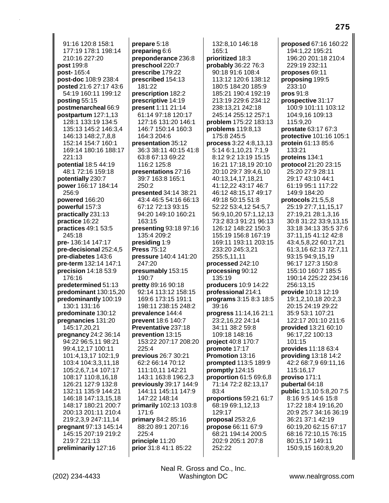91:16 120:8 158:1 177:19 178:1 198:14 210:16 227:20 **post** 199:8 **post-** 165:4 **post-doc** 108:9 238:4 **posted** 21:6 27:17 43:6 54:19 160:11 199:12 **posting** 55:15 **postmenarcheal** 66:9 **postpartum** 127:1,13 128:1 133:19 134:5 135:13 145:2 146:3,4 146:13 148:2,7,8,8 152:14 154:7 160:1 169:14 180:16 188:17 221:13 **potential** 18:5 44:19 48:1 72:16 159:18 **potentially** 230:7 **power** 166:17 184:14 256:9 **powered** 166:20 **powerful** 157:3 **practically** 231:13 **practice** 16:22 **practices** 49:1 53:5 245:18 **pre-** 136:14 147:17 **pre-decisional** 252:4,5 **pre-diabetes** 143:6 **pre-term** 132:14 147:1 **precision** 14:18 53:9 176:16 **predetermined** 51:13 **predominant** 130:15,20 **predominantly** 100:19 130:1 131:16 **predominate** 130:12 **pregnancies** 131:20 145:17,20,21 **pregnancy** 24:2 36:14 94:22 96:5,11 98:21 99:4,12,17 100:11 101:4,13,17 102:1,9 103:4 104:3,3,11,18 105:2,6,7,14 107:17 108:17 110:8,16,18 126:21 127:9 132:8 132:11 135:9 144:21 146:18 147:13,15,18 148:17 180:21 200:7 200:13 201:11 210:4 219:2,3,9 247:11,14 **pregnant** 97:13 145:14 145:15 207:19 219:2 219:7 221:13 **preliminarily** 127:16

**prepare** 5:18 **preparing** 6:6 **preponderance** 236:8 **preschool** 220:7 **prescribe** 179:22 **prescribed** 154:13 181:22 **prescription** 182:2 **prescriptive** 14:19 **present** 1:11 21:14 61:14 97:18 120:17 127:16 131:20 146:1 146:7 150:14 160:3 164:3 204:6 **presentation** 35:12 36:3 38:11 40:15 41:8 63:8 67:13 69:22 116:2 125:8 **presentations** 27:16 39:7 163:8 165:1 250:2 **presented** 34:14 38:21 43:4 46:5 54:16 66:13 67:12 72:13 93:15 94:20 149:10 160:21 163:15 **presenting** 93:18 97:16 135:4 209:2 **presiding** 1:9 **Press** 75:12 **pressure** 140:4 141:20 247:20 **presumably** 153:15 190:7 **pretty** 89:16 90:18 92:14 113:12 158:15 169:6 173:15 191:1 198:11 238:15 248:2 **prevalence** 144:4 **prevent** 18:6 140:7 **Preventative** 237:18 **prevention** 13:15 153:22 207:17 208:20  $225.4$ **previous** 26:7 30:21 62:2 66:14 70:12 111:10,11 142:21 143:1 163:8 196:2,3 **previously** 39:17 144:9 144:11 145:11 147:9 147:22 148:14 **primarily** 102:13 103:8 171:6 **primary** 84:2 85:16 88:20 89:1 207:16 225:4 **principle** 11:20 **prior** 31:8 41:1 85:22

132:8,10 146:18 165:1 **prioritized** 18:3 **probably** 36:22 76:3 90:18 91:6 108:4 113:12 120:6 138:12 180:5 184:20 185:9 185:21 190:4 192:19 213:19 229:6 234:12 238:13,21 242:18 245:14 255:12 257:1 **problem** 175:22 183:13 **problems** 119:8,13 175:8 245:5 **process** 3:22 4:8,13,13 5:14 6:1,10,21 7:1,9 8:12 9:2 13:19 15:15 16:21 17:18,19 20:10 20:10 29:7 39:4,6,10 40:13,14,17,18,21 41:12,22 43:17 46:7 46:12 48:15,17 49:17 49:18 50:15 51:8 52:22 53:4,12 54:5,7 56:9,10,20 57:1,12,13 73:2 83:3 91:21 96:13 126:12 148:22 150:3 155:19 156:8 167:19 169:11 193:11 203:15 233:20 245:3,21 255:5,11,11 **processed** 242:10 **processing** 90:12 135:19 **producers** 10:9 14:22 **professional** 214:1 **programs** 3:15 8:3 18:5 39:16 **progress** 11:14,16 21:1 23:2,16,22 24:14 34:11 38:2 59:8 109:18 148:16 **project** 40:8 170:7 **promote** 17:17 **Promotion** 13:16 **prompted** 113:5 189:9 **promptly** 124:15 **proportion** 61:5 69:6,8 71:14 72:2 82:13,17 83:4 **proportions** 59:21 61:7 68:19 69:1,12,13 129:17 **proposal** 253:2,6 **propose** 66:11 67:9 68:21 194:14 200:5 202:9 205:1 207:8 252:22

**proposed** 67:16 160:22 194:1,22 195:21 196:20 201:18 210:4 229:19 232:11 **proposes** 69:11 **proposing** 199:5 233:10 **pros** 91:8 **prospective** 31:17 100:9 101:11 103:12 104:9,16 109:13 115:9,20 **prostate** 63:17 67:3 **protective** 101:16 105:1 **protein** 61:13 85:6 133:21 **proteins** 134:1 **protocol** 21:20 23:15 25:20 27:9 28:11 29:17 43:10 44:1 61:19 95:1 117:22 149:9 184:20 **protocols** 21:5,5,8 25:19 27:7,11,15,17 27:19,21 28:1,3,16 30:8 31:22 33:9,13,15 33:18 34:13 35:5 37:6 37:11,15 41:12 42:8 43:4,5,8,22 60:17,21 61:3,16 62:13 72:7,11 93:15 94:9,15,19 96:17 127:3 150:8 155:10 160:7 185:5 190:14 225:22 234:16 256:13,15 **provide** 10:13 12:19 19:1,2,10,18 20:2,3 20:15 24:19 29:22 35:9 53:1 107:21 122:17 201:10 211:6 **provided** 13:21 60:10 96:17,22 100:13 101:15 **provides** 11:18 63:4 **providing** 13:18 14:2 42:2 68:7,9 69:11,16 115:16,17 **proviso** 171:1 **pubertal** 64:18 **public** 1:3,10 5:8,20 7:5 8:16 9:5 14:6 15:8 17:22 18:4 19:16,20 20:9 25:7 34:16 36:19 36:21 37:1 42:19 60:19,20 62:15 67:17 68:16 72:10,15 76:15 80:15,17 149:11 150:9,15 160:8,9,20

Neal R. Gross and Co., Inc.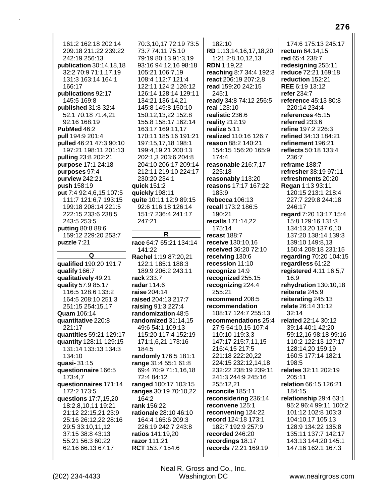161:2 162:18 202:14 209:18 211:22 239:22 242:19 256:13 publication 30:14,18,18 32:2 70:9 71:1.17.19 131:3 163:14 164:1 166:17 publications 92:17 145:5 169:8 published 31:8 32:4 52:1 70:18 71:4,21 92:16 168:19 PubMed 46:2 pull 194:9 201:4 pulled 46:21 47:3 90:10 197:21 198:11 201:13 pulling 23:8 202:21 purpose 17:1 24:18 purposes 97:4 purview 242:21 push 158:19 put 7:4 92:4,6,15 107:5 111:7 121:6,7 193:15 199:18 208:14 221:5 222:15 233:6 238:5 243:5 253:5 putting 80:8 88:6 159:12 229:20 253:7 puzzle  $7:21$ Q qualified 190:20 191:7 qualify 166:7 qualitatively 49:21 quality 57:9 85:17 116:5 128:6 133:2 164:5 208:10 251:3 251:15 254:15,17 **Quam 106:14** quantitative 220:8 221:17 quantities 59:21 129:17 quantity 128:11 129:15 131:14 133:13 134:3 134:10 quasi-31:15 questionnaire 166:5 173:4,7 questionnaires 171:14 172:2 173:5 questions 17:7,15,20 18:2,8,10,11 19:21 21:12 22:15,21 23:9 25:16 26:12,22 28:16 29:5 33:10,11,12 37:15 38:8 43:13 55:21 56:3 60:22 62:16 66:13 67:17

70:3,10,17 72:19 73:5 73:7 74:11 75:10 79:19 80:13 91:3,19 93:16 94:12,16 98:18 105:21 106:7.19 108:4 112:7 121:4 122:11 124:2 126:12 126:14 128:14 129:11 134:21 136:14.21 145:8 149:8 150:10 150:12,13,22 152:8 155:8 158:17 162:14 163:17 169:11,17 170:11 185:16 191:21 197:15,17,18 198:1 199:4,19,21 200:13 202:1,3 203:6 204:8 204:10 206:17 209:14 212:11 219:10 224:17 230:20 234:1 quick 151:2 quickly 198:11 quite 10:11 12:9 89:15 92:6 116:18 126:14 151:7 236:4 241:17 247:21  $\mathsf{R}$ race 64:7 65:21 134:14  $141.22$ 122:1 185:1 188:3 189:9 206:2 243:11

Rachel 1:19 87:20,21 rack 233:7 radar 114:6 raise 204:14 raised 204:13 217:7 raising 91:3 227:4 randomization 48:5 randomized 31:14,15 49:6 54:1 109:13 115:20 117:4 152:19 171:1,6,21 173:16 184:5 randomly 176:5 181:1 range 31:4 55:1 61:8 69:4 70:9 71:1,16,18 72:4 84:12 ranged 100:17 103:15 ranges 30:19 70:10,22  $164:2$ rank 156:22 rationale 28:10 46:10 164:4 165:6 209:3 226:19 242:7 243:8 ratios 141:19,20 razor 111:21 RCT 153:7 154:6

 $182:10$ RD 1:13,14,16,17,18,20 1:21 2:8,10,12,13 **RDN** 1:19,22 reaching 8:7 34:4 192:3 react 206:19 207:2.8 read 159:20 242:15 245:1 ready 34:8 74:12 256:5 real 123:10 realistic 236:6 reality 212:19 realize 5:11 realized 110:16 126:7 reason 88:2 140:21 154:15 156:20 165:9 174:4 reasonable 216:7,17 225:18 reasonably 113:20 reasons 17:17 167:22 183:9 **Rebecca** 106:13 recall 173:2 186:5 190:21 recalls 171:14.22 175:14 recast 188:7 **receive** 130:10.16 received 36:20 72:10 receiving 130:6 recession 11:10 recognize 14:9 recognized 255:15 recognizing  $224:4$ 255:21 recommend 208:5 recommendation 108:17 124:7 255:13 recommendations 25:4 27:5 54:10,15 107:4 110:10 119:3,3 147:17 215:7,11,15 216:4,15 217:5 221:18 222:20,22 224:15 232:12,14,18 232:22 238:19 239:11 241:3 244:9 245:16 255:12.21 reconcile 185:11 reconsidering 236:14 reconvene 125:1 reconvening 124:22 record 124:18 173:1 182:7 192:9 257:9 recorded 246:20 recordings 18:17 records 72:21 169:19

174:6 175:13 245:17 rectum 64:14,15 red 65:4 238:7 redesigning 255:11 reduce 72:21 169:18 reduction 152:21 **REE 6:19 13:12** refer 234:7 reference 45:13 80:8 220:14 234:4 references 45:15 referred 233:6 refine 197:2 226:3 refined 34:13 184:21 refinement 196:21 reflects 50:18 133:4 236:7 reframe 188:7 refresher 38:19 97:11 refreshments 20:20 Regan 1:13 93:11 120:15 213:1 218:4 227:7 229:8 244:18 246:17 regard 7:20 13:17 15:4 15:8 129:16 131:3 134:13.20 137:6.10 137:20 138:14 139:3 139:10 149:8.13 150:4 208:18 231:15 regarding 70:20 104:15 regardless 61:22 **registered** 4:11 16:5,7 16:9 rehydration 130:10,18 reiterate 245:9 reiterating 245:13 relate 26:14 31:12  $32:14$ related 22:14 30:12 39:14 40:1 42:20 59:12,16 98:18 99:16 110:2 122:13 127:17 128:14,20 159:19 160:5 177:14 182:1 198:5 relates 32:11 202:19 205:11 relation 66:15 126:21 184:15 relationship 29:4 63:1 95:2 96:4 99:11 100:2 101:12 102:8 103:3 104:10,17 105:13 128:9 134:22 135:8 135:11 137:7 142:17 143:13 144:20 145:1 147:16 162:1 167:3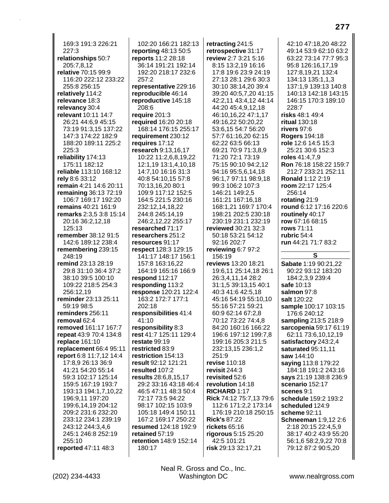| 169:3 191:3 226:21<br>227:3<br>relationships 50:7<br>205:7,8,12<br>relative 70:15 99:9<br>116:20 222:12 233:22<br>255:8 256:15<br>relatively 114:2<br>relevance 18:3<br>relevancy 30:4<br>relevant 10:11 14:7<br>26:21 44:6,9 45:15<br>73:19 91:3,15 137:22<br>147:3 174:22 182:9<br>188:20 189:11 225:2 | 102:20 166:21 182:13<br>reporting 48:13 50:5<br>reports 11:2 28:18<br>36:14 191:21 192:14<br>192:20 218:17 232:6<br>257:2<br>representative 229:16<br>reproducible 46:14<br>reproductive 145:18<br>208:6<br>require 201:3<br>required 16:20 20:18<br>168:14 176:15 255:17<br>requirement 230:12<br>requires 17:12 | retracting 241:5<br>retrospective 31:17<br>review 2:7 3:21 5:16<br>8:15 13:2,19 16:16<br>17:8 19:6 23:9 24:19<br>27:13 28:1 29:6 30:3<br>30:10 38:14,20 39:4<br>39:20 40:5,7,20 41:15<br>42:2,11 43:4,12 44:14<br>44:20 45:4,9,12,18<br>46:10,16,22 47:1,17<br>49:16,22 50:20,22<br>53:6,15 54:7 56:20<br>57:7 61:16,20 62:15<br>62:22 63:5 66:13 | 42:10 47:18,20 48:22<br>49:14 53:9 62:10 63:2<br>63:22 73:14 77:7 95:3<br>95:8 126:16,17,19<br>127:8,19,21 132:4<br>134:13 135:1,1,3<br>137:1,9 139:13 140:8<br>140:13 142:18 143:15<br>146:15 170:3 189:10<br>228:7<br>risks 48:1 49:4<br><b>ritual 130:18</b><br>rivers 97:6<br><b>Rogers 194:18</b><br>role 12:6 14:5 15:3 |
|----------------------------------------------------------------------------------------------------------------------------------------------------------------------------------------------------------------------------------------------------------------------------------------------------------|-------------------------------------------------------------------------------------------------------------------------------------------------------------------------------------------------------------------------------------------------------------------------------------------------------------------|---------------------------------------------------------------------------------------------------------------------------------------------------------------------------------------------------------------------------------------------------------------------------------------------------------------------------------------------------|-------------------------------------------------------------------------------------------------------------------------------------------------------------------------------------------------------------------------------------------------------------------------------------------------------------------------------|
| 225:3<br>reliability 174:13<br>175:11 182:12                                                                                                                                                                                                                                                             | research 9:13,16,17<br>10:22 11:2,6,8,19,22<br>12:1,19 13:1,4,10,18                                                                                                                                                                                                                                               | 69:21 70:9 71:3,8,9<br>71:20 72:1 73:19<br>75:15 90:10 94:2,12                                                                                                                                                                                                                                                                                    | 25:21 30:6 152:3<br>roles 41:4,7,9<br>Ron 76:18 158:22 159:7                                                                                                                                                                                                                                                                  |
| reliable 113:10 168:12<br>rely 8:6 33:12<br>remain 4:21 14:6 20:11<br>remaining 36:13 72:19<br>106:7 169:17 192:20                                                                                                                                                                                       | 14:7,10 16:16 31:3<br>40:8 54:10,15 57:8<br>70:13,16,20 80:1<br>109:9 117:12 152:5<br>164:5 221:5 230:16                                                                                                                                                                                                          | 94:16 95:5,6,14,18<br>96:1,7 97:11 98:9,18<br>99:3 106:2 107:3<br>146:21 149:2,5<br>161:21 167:16,18                                                                                                                                                                                                                                              | 212:7 233:21 252:11<br>Ronald 1:12 2:19<br>room 22:17 125:4<br>256:14<br>rotating 21:9<br>round 6:12 17:16 220:6                                                                                                                                                                                                              |
| remains 40:21 161:9<br>remarks 2:3,5 3:8 15:14<br>20:16 36:2,12,18<br>125:13<br>remember 38:12 91:5                                                                                                                                                                                                      | 232:12,14,18,22<br>244:8 245:14,19<br>246:2,12,22 255:17<br>researched 71:17<br>researchers 251:2                                                                                                                                                                                                                 | 168:1,21 169:7 170:4<br>198:21 202:5 230:18<br>230:19 231:1 232:19<br>reviewed 30:21 32:3<br>50:18 53:21 54:12                                                                                                                                                                                                                                    | routinely 40:17<br>row 67:16 68:15<br>rows 71:11<br>rubric $54:4$                                                                                                                                                                                                                                                             |
| 142:6 189:12 238:4<br>remembering 239:15                                                                                                                                                                                                                                                                 | resources 91:17<br>respect 128:3 129:15                                                                                                                                                                                                                                                                           | 92:16 202:7<br>reviewing 6:7 97:2                                                                                                                                                                                                                                                                                                                 | run 44:21 71:7 83:2                                                                                                                                                                                                                                                                                                           |
| 248:19                                                                                                                                                                                                                                                                                                   | 141:17 148:17 156:1                                                                                                                                                                                                                                                                                               | 156:19                                                                                                                                                                                                                                                                                                                                            | S                                                                                                                                                                                                                                                                                                                             |
| remind 23:13 28:19<br>29:8 31:10 36:4 37:2<br>38:10 39:5 100:10<br>109:22 218:5 254:3<br>256:12,19<br>reminder 23:13 25:11                                                                                                                                                                               | 157:8 163:16,22<br>164:19 165:16 166:9<br>respond 112:17<br>responding 113:2<br>response 120:21 122:4<br>163:2 172:7 177:1                                                                                                                                                                                        | reviews 13:20 18:21<br>19:6,11 25:14,18 26:1<br>26:3,4,11,14 28:2<br>31:1,5 39:13,15 40:1<br>40:3 41:6 42:5,18<br>45:16 54:19 55:10,10                                                                                                                                                                                                            | Sabate 1:19 90:21,22<br>90:22 93:12 183:20<br>184:2,3,9 239:4<br>safe 10:13<br>salmon 97:8<br>salt 120:22                                                                                                                                                                                                                     |
| 59:19 98:5<br>reminders 256:11<br><b>removal</b> 62:4<br>removed 161:17 167:7                                                                                                                                                                                                                            | 202:18<br>responsibilities 41:4<br>41:10<br>responsibility 8:3<br>rest 41:7 125:11 129:4                                                                                                                                                                                                                          | 55:16 57:21 59:21<br>60:9 62:14 67:2,8<br>70:12 73:22 74:4,8<br>84:20 160:16 166:22                                                                                                                                                                                                                                                               | sample 100:17 103:15<br>176:6 240:12<br>sampling 213:5 218:9<br>sarcopenia 59:17 61:19                                                                                                                                                                                                                                        |
| repeat 43:9 70:4 134:8<br>replace 161:10<br>replacement 66:4 95:11<br>report 6:8 11:7,12 14:4<br>17:8,9 26:13 36:9                                                                                                                                                                                       | restate 99:19<br>restricted 83:9<br>restriction 154:13<br>result 92:12 121:21                                                                                                                                                                                                                                     | 196:6 197:12 199:7,8<br>199:16 205:3 211:5<br>232:13,15 236:1,2<br>251:9<br>revise 110:18                                                                                                                                                                                                                                                         | 62:11 73:6,10,12,19<br>satisfactory 243:2,4<br>saturated 95:11,11<br>saw 144:10<br>saying 113:8 179:22                                                                                                                                                                                                                        |

(202) 234-4433 Washington DC www.nealrgross.com Neal R. Gross and Co., Inc.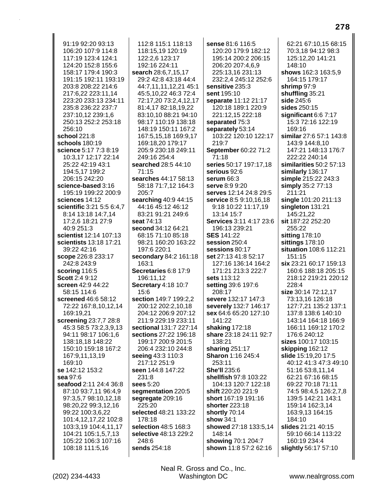91:19 92:20 93:13 106:20 107:9 114:8 117:19 123:4 124:1 124:20 152:8 155:6 158:17 179:4 190:3 191:15 192:11 193:19 203:8 208:22 214:6 217:6,22 223:11,14 223:20 233:13 234:11 235:8 236:22 237:7 237:10,12 239:1,6 250:13 252:2 253:18 256:10 school 221:8 schools 180:19 science 5:17 7:3 8:19 10:3,17 12:17 22:14 25:22 42:19 43:1 194:5,17 199:2 206:15 242:20 science-based 3:16 195:19 199:22 200:9 sciences 14:12 scientific 3:21 5:5 6:4,7 8:14 13:18 14:7,14 17:2.6 18:21 27:9 40:9 251:3 scientist 12:14 107:13 **scientists** 13:18 17:21 39:22 42:16 scope 226:8 233:17 242:8 243:9 scoring 116:5 **Scott 2:4 9:12** screen 42:9 44:22 58:15 114:6 screened 46:6 58:12 72:22 167:8,10,12,14 169:19,21 screening 23:7,7 28:8 45:3 58:5 73:2,3,9,13 94:11 98:17 106:1,6 138:18,18 148:22 150:10 159:18 167:2 167:9,11,13,19 169:10 se 142:12 153:2 sea 97:6 seafood 2:11 24:4 36:8 87:10 93:7,11 96:4,9 97:3,5,7 98:10,12,18 98:20,22 99:3,12,16 99:22 100:3,6,22 101:4,12,17,22 102:8 103:3,19 104:4,11,17 104:21 105:1,5,7,13 105:22 106:3 107:16 108:18 111:5,16

112:8 115:1 118:13 118:15,19 120:19 122:2,6 123:17 192:16 224:11 search 28:6.7.15.17 29:2 42:8 43:18 44:4 44:7,11,11,12,21 45:1 45:5,10,22 46:3 72:4 72:17,20 73:2,4,12,17 81:4,17 82:18,19,22 83:10,10 88:21 94:10 98:17 110:19 138:18 148:19 150:11 167:2 167:5,15,18 169:9,17 169:18,20 179:17 205:9 230:18 249:11 249:16 254:4 searched 28:5 44:10  $71:15$ searches 44:17 58:13 58:18 71:7,12 164:3 205:7 searching 40:9 44:15 44:16 45:12 46:12 83:21 91:21 249:6 seat 74:13 second 34:12 64:21 68:15 71:10 85:18 98:21 160:20 163:22 197:6 220:1 secondary 84:2 161:18  $163.1$ Secretaries 6:8 17:9 196:11.12 **Secretary 4:18 10:7**  $15.6$ section 149:7 199:2,2 200:12 202:2,10,18 204:12 206:9 207:12 211:9 229:19 233:11 sectional 131:7 227:14 sections 27:22 196:18 199:17 200:9 201:5 206:4 232:10 244:8 seeing 43:3 110:3 217:12 251:9 seen 144:8 147:22 231:8 sees 5:20 segmentation 220:5 segregate 209:16 225:20 selected 48:21 133:22 178:18 selection 48:5 168:3 selective 48:13 229:2 248:6 sends 254:18

sense 81:6 116:5 120:20 179:9 182:12 195:14 200:2 206:15 206:20 207:4,6,9 225:13.16 231:13 232:2,4 245:12 252:6 sensitive 235:3 sent 195:10 separate 11:12 21:17 120:18 189:1 220:9 221:12,15 222:18 separated 75:3 separately 53:14 103:22 120:10 122:17  $219.7$ September 60:22 71:2  $71:18$ series 50:17 197:17,18 serious 92:6 serum 66:3 serve 8:9 9:20 serves 12:14 24:8 29:5 service 8:5 9:10,16,18 9:18 10:22 11:17,19 13:14 15:7 Services 3:11 4:17 23:6 196:13 239:21 **SES 141:22** session 250:4 sessions 80:17 set 27:13 41:8 52:17 127:16 136:14 164:2 171:21 213:3 222:7 **sets** 113:12 setting 39:6 197:6 208:17 severe 132:17 147:3 severely 132:7 146:17 sex 64:6 65:20 127:10 141:22 shaking 172:18 share 23:18 24:11 92:7 138:21 sharing 251:17 **Sharon 1:16 245:4** 253:11 **She'll 235:6** shellfish 97:8 103:22 104:13 120:7 122:18 shift 220:20 221:9 short 167:19 191:16 shorter 223:18 shortly 70:14 show 34:1 showed 27:18 133:5,14 148:14 showing 70:1 204:7 shown 11:8 57:2 62:16

62:21 67:10.15 68:15 70:3,18 94:12 98:3 125:12,20 141:21 148:10 shows 162:3 163:5,9 164:15 179:17 shrimp 97:9 shuffling 35:21 side 245:6 sides 250:15 significant  $6:67:17$ 15:3 72:16 122:19 169:16 similar 27:6 57:1 143:8 143:9 144:8,10 147:21 148:13 176:7 222:22 240:14 similarities 50:2 57:13 similarly 136:17 **simple** 215:22 243:3 simply 35:2 77:13 211:21 single 101:20 211:13 singleton  $131:21$ 145:21.22 sit 187:22 252:20 255:22 sitting 178:10 sittings  $178:10$ situation 108:6 112:21  $151.15$ six 23:21 60:17 159:13 160:6 188:18 205:15 218:12 219:21 220:12  $228:4$ size 30:14 72:12,17 73:13,16 126:18 127:7,21 135:2 137:1 137:8 138:6 140:10 143:14 164:18 166:9 166:11 169:12 170:2 176:6 240:12 sizes 100:17 103:15 skipping 162:12 slide 15:19,20 17:5 40:12 41:3 47:3 49:10 51:16 53:8,11,14 62:21 67:16 68:15 69:22 70:18 71:11 74:5 98:4,5 126:2,7,8 139:5 142:21 143:1 159:14 162:3,14 163:9,13 164:15 184:10 slides 21:21 40:15 59:10 66:14 113:22 160:19 234:4 slightly 56:17 57:10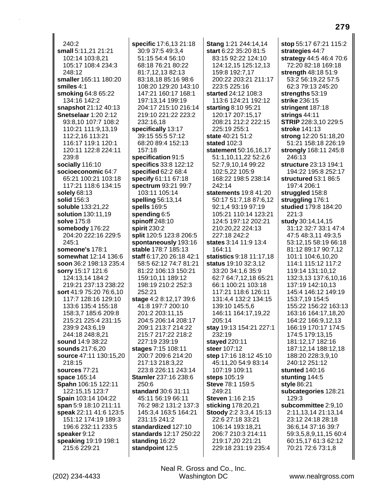$240:2$ small 5:11,21 21:21 102:14 103:8,21 105:17 108:4 234:3 248:12 smaller 165:11 180:20 smiles  $4:1$ smoking 64:8 65:22 134:16 142:2 snapshot 21:12 40:13 Snetselaar 1:20 2:12 93:8,10 107:7 108:2 110:21 111:9,13,19 112:2,16 113:21 116:17 119:1 120:1 120:11 122:8 224:11 239:8 socially 116:10 socioeconomic 64:7 65:21 100:21 103:18 117:21 118:6 134:15 solely 68:13 solid 156:3 soluble 133:21,22 solution 130:11.19 solve 175:8 somebody 176:22 204:20 222:16 229:5 245:1 someone's 178:1 somewhat 12:14 136:6 soon 36:2 198:13 235:4 sorry 15:17 121:6 124:13,14 184:2 219:21 237:13 238:22 sort 41:9 75:20 76:6,10 117:7 128:16 129:10 133:6 135:4 155:18 158:3.7 185:6 209:8 215:21 225:4 231:15 239:9 243:6,19 244:18 248:8,21 sound 14:9 38:22 sounds 217:6.20 source 47:11 130:15,20 218:15 sources 77:21 space 165:14 Spahn 106:15 122:11 122:15,15 123:7 Spain 103:14 104:22 span 5:9 18:10 211:11 speak 22:11 41:6 123:5 151:12 174:19 189:3 196:6 232:11 233:5 speaker 9:12 speaking 19:19 198:1 215:6 229:21

specific 17:6,13 21:18 30:9 37:5 49:3,4 51:15 54:4 56:10 68:18 76:21 80:22 81:7.12.13 82:13 83:18.18 85:16 98:6 108:20 129:20 143:10 147:21 160:17 168:1 197:13.14 199:19 204:17 215:10 216:14 219:10 221:22 223:2 232:16,18 specifically 13:17 39:15 55:5 57:12 68:20 89:4 152:13 157:18 specification 91:5 specifics 33:8 122:12 specified 62:2 68:4 **specify** 61:11 67:18 spectrum 93:21 99:7 103:11 105:14 spelling 56:13,14 spells 169:5 spending  $6:5$ spinoff 248:10 spirit 230:2 split 120:5 123:8 206:5 spontaneously 193:16 stable 178:7 185:13 staff 6:17.20 26:18 42:1 58:5 62:12 74:7 81:21 81:22 106:13 150:21 159:10,11 189:12 198:19 210:2 252:3 252:21 stage 4:2 8:12,17 39:6 41:8 197:7 200:10 201:2 203:11,15 204:5 206:14 208:17 209:1 213:7 214:22 215:7 217:22 218:2 227:19 239:19 stages 7:15 108:11 200:7 209:6 214:20 217:13 218:3,22 223:8 226:11 243:14 Stamler 237:16 238:6 250:6 standard 30:6 31:11 45:11 56:19 66:11 76:2 98:2 131:2 137:3 145:3,4 163:5 164:21 231:15 241:2 standardized 127:10 standards 12:17 250:22 standing 16:22 standpoint 12:5

Stang 1:21 244:14,14 start 6:22 35:20 81:5 83:15 92:22 124:10 124:12,15 125:12,13 159:8 192:7.17 200:22 203:21 211:17 223:5 225:16 started 24:12 108:3 113:6 124:21 192:12 starting 8:10 95:21 120:17 207:15,17 208:21 212:2 222:15 225:19 255:1 state 40:21 51:2 stated 102:3 statement 50:16,16,17 51:1,10,11,22 52:2,6 52:7,9,10,14 99:22 102:5,22 105:9 168:22 198:5 238:14 242:14 statements 19:8 41:20 50:17 51:7,18 87:6,12 92:1,4 93:19 97:19 105:21 110:14 123:21 124:5 197:12 202:21 210:20.22 224:13 227:18 242:2 **states** 3:14 11:9 13:4 164:11 statistics 9:18 11:17.18 status 19:10 32:3.12 33:20 34:1,6 35:9 62:7 64:7,12,18 65:21 66:1 100:21 103:18 117:21 118:6 126:11 131:4,4 132:2 134:15 139:10 145:5,6 146:11 164:17,19,22 205:14 stay 19:13 154:21 227:1 232:19 stayed 220:11 steer 107:12 step 17:16 18:12 45:10 45:11,20 54:9 83:14 107:19 109:11 steps 105:19 Steve 78:1 159:5 249:21 Steven 1:16 2:15 sticking 178:20,21 Stoody 2:2 3:3,4 15:13 22:6 27:18 33:21 106:14 193:18,21 206:7 210:3 214:11 219:17,20 221:21 229:18 231:19 235:4

stop 55:17 67:21 115:2 strategies 44:7 strategy 44:5 46:4 70:6 72:20 82:18 169:18 strength 48:18 51:9 53:2 56:19,22 57:5 62:3 79:13 245:20 strengths 53:19 strike 236:15 stringent 187:18 strings  $44:11$ **STRIP** 228:3,10 229:5 stroke 141:13 strong 12:20 51:18,20 51:21 158:18 226:19 strongly 168:11 245:8 246:13 structure 23:13 194:1 194:22 195:8 252:17 structured  $53:186:5$ 197:4 206:1 struggled 158:8 struggling 176:1 studied 179:8 184:20 221:3 study 30:14.14.15 31:12 32:7 33:1 47:4 47:5 48:3,11 49:3,5 53:12,15 58:19 66:18 81:12 89:17 90:7,12 101:1 104:6.10.20 114:1 115:12 117:2 119:14 131:10,12 132:3,13 137:6,10,16 137:19 142:10,13 145:4 146:12 149:19 153:7,19 154:5 155:22 156:22 163:13 163:16 164:17,18,20 164:22 166:9.12.13 166:19 170:17 174:5 174:5 179:13,15 181:12,17 182:16 187:12,14 188:12,18 188:20 228:3,9,10 240:12 251:12 stunted 140:16 stunting 144:5 style 86:21 subcategories 128:21 129:3 subcommittee 2:9,10 2:11,13,14 21:13,14 23:12 24:18 28:18 36:6,14 37:16 39:7 59:3,5,8,9,11,15 60:4 60:15,17 61:3 62:12 70:21 72:6 73:1,8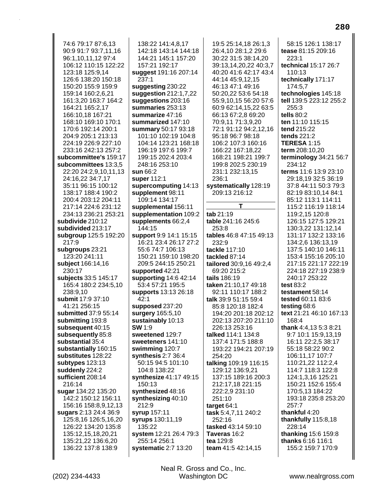74:6 79:17 87:6.13 90:9 91:7 93:7,11,16 96:1,10,11,12 97:4 106:12 110:15 122:22 123:18 125:9.14 126:6 138:20 150:18 150:20 155:9 159:9 159:14 160:2,6,21 161:3,20 163:7 164:2 164:21 165:2,17 166:10,18 167:21 168:10 169:10 170:1 170:6 192:14 200:1 204:9 205:1 213:13 224:19 226:9 227:10 233:16 242:13 257:2 subcommittee's 159:17 subcommittees 13:3.5 22:20 24:2,9,10,11,13 24:16,22 34:7,17 35:11 96:15 100:12 138:17 188:4 190:2 200:4 203:12 204:11 217:14 224:6 231:12 234:13 236:21 253:21 subdivide 210:12 subdivided 213:17 subgroup 125:5 192:20 217:9 subgroups 23:21 123:20 241:11 subject 166:14,16 230:17 **subjects** 33:5 145:17 165:4 180:2 234:5.10 238:9.10 submit 17:9 37:10 41:21 256:15 submitted 37:9 55:14 submitting 193:8 subsequent 40:15 subsequently 85:8 substantial 35:4 substantially 160:15 substitutes 128:22 subtypes 123:13 suddenly 224:2 sufficient 208:14 216:14 sugar 134:22 135:20 142:2 150:12 156:11 156:16 158:8,9,12,13 sugars 2:13 24:4 36:9 125:8,16 126:5,16,20 126:22 134:20 135:8 135:12,15,18,20,21 135:21,22 136:6,20 136:22 137:8 138:9

138:22 141:4.8.17 142:18 143:14 144:18 144:21 145:1 157:20 157:21 192:17 suggest 191:16 207:14  $237:1$ suggesting 230:22 suggestion  $212:1,7,22$ suggestions 203:16 summaries 253:13 summarize 47:16 summarized 147:10 summary 50:17 93:18 101:10 102:19 104:8 104:14 123:21 168:18 196:19 197:6 199:7 199:15 202:4 203:4 248:16 253:10 sun 66:2 super 112:1 supercomputing 14:13 supplement 98:11 109:14 134:17 supplemental 156:11 supplementation 109:2 supplements 66:2.4  $144:15$ support 9:9 14:1 15:15 16:21 23:4 26:17 27:2 55:6 74:7 106:13 150:21 159:10 198:20 209:5 244:15 250:21 supported 42:21 supporting  $14:6$  42:14 53:4 57:21 195:5 supports 13:13 26:18  $42:1$ supposed 237:20 surgery 165:5,10 sustainably 10:13 **SW** 1:9 sweetened 129:7 sweeteners 141:10 swimming 120:7 synthesis  $2:736:4$ 50:15 94:5 101:10 104:8 138:22 synthesize 41:17 49:15 150:13 synthesized 48:16 synthesizing 40:10 212:9 syrup 157:11 syrups 130:11,19 135:22 system 12:21 26:4 79:3 255:14 256:1 systematic 2:7 13:20

> Neal R. Gross and Co., Inc. Washington DC

19:5 25:14,18 26:1,3 26:4,10 28:1,2 29:6 30:22 31:5 38:14,20 39:13,14,20,22 40:3,7 40:20 41:6 42:17 43:4 44:14 45:9,12,15 46:13 47:1 49:16 50:20,22 53:6 54:18 55:9,10,15 56:20 57:6 60:9 62:14,15,22 63:5 66:13 67:2,8 69:20 70:9,11 71:3,9,20 72:1 91:12 94:2,12,16 95:18 96:7 98:18 106:2 107:3 160:16 166:22 167:18,22 168:21 198:21 199:7 199:8 202:5 230:19 231:1 232:13,15 236:1 systematically 128:19 209:13 216:12 T tab 21:19 table 241:16 245:6 253:8 tables 46:8 47:15 49:13  $232:9$ tackle 117:10 tackled 87:14 tailored 30:9,16 49:2,4 69:20 215:2 tails 186:19 taken 21:10.17 49:18 92:11 110:17 188:2 talk 39:9 51:15 59:4 85:8 120:18 182:4 194:20 201:18 202:12 202:13 207:20 211:10 226:13 253:16 talked 114:1 134:8 137:4 171:5 188:8 193:22 194:21 207:19 254:20 talking 109:19 116:15 129:12 136:9,21 137:15 189:16 200:3 212:17,18 221:15 222:2,9 231:10 251:10 target  $64:1$ task 5:4,7,11 240:2 252:16 tasked 43:14 59:10 Taveras 16:2 tea 129:8 team 41:5 42:14.15

58:15 126:1 138:17 tease 81:15 209:16 223:1 technical 15:17 26:7 110:13 technically 171:17 174:5,7 technologies 145:18 tell 139:5 223:12 255:2  $255:3$ tells  $80:2$ ten 11:10 115:15 tend 215:22 tends 221:2 **TERESA 1:15** term 208:10,20 terminology 34:21 56:7 234:12 terms 11:6 13:9 23:10 29:18,19 32:5 36:19 37:8 44:11 50:3 79:3 82:19 83:10.14 84:1 85:12 113:1 114:11 115:2 116:19 118:14 119:2.15 120:8 126:15 127:5 129:21 130:3.22 131:12.14 131:17 132:2 133:16 134:2,6 136:13,19 137:5 140:10 146:11 153:4 155:16 205:10 217:15 221:17 222:19 224:18 227:19 238:9 240:17 253:22 test 83:2 testament 58:14 tested 60:11 83:6 testing 68:6 text 21:21 46:10 167:13 168:4 thank 4:4,13 5:3 8:21 9:7 10:1 15:9,13,19 16:11 22:2,5 38:17 55:18 58:22 90:2 106:11,17 107:7 110:21,22 112:2,4 114:7 118:3 122:8 124:1,3,16 125:21 150:21 152:6 155:4 170:5,13 184:22 193:18 235:8 253:20 257:7 thankful 4:20 thankfully 115:8,18 228:14 thanking 15:6 159:8 thanks 6:16 116:1 155:2 159:7 170:9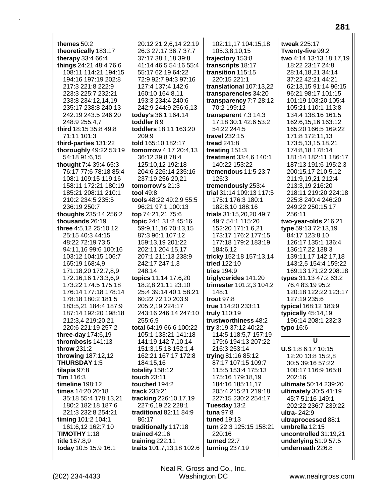themes  $50:2$ theoretically 183:17 therapy  $33:466:4$ things 24:21 48:4 76:6 108:11 114:21 194:15 194:16 197:19 202:8 217:3 221:8 222:9 223:3 225:7 232:21 233:8 234:12,14,19 235:17 238:8 240:13 242:19 243:5 246:20 248:9 255:4,7 third 18:15 35:8 49:8 71:11 101:3 third-parties 131:22 thoroughly 49:22 53:19 54:18 91:6,15 thought 7:4 39:4 65:3 76:17 77:6 78:18 85:4 108:1 109:15 119:16 158:11 172:21 180:19 185:21 208:11 210:1 210:2 234:5 235:5 236:19 250:7 thoughts 235:14 256:2 thousands 26:19 three 4:5.12 25:10.12 25:15 40:3 44:15 48:22 72:19 73:5 94:11.16 99:6 100:16 103:12 104:15 106:7 165:19 168:4,9 171:18,20 172:7,8,9 172:16,16 173:3,6,9 173:22 174:5 175:18 176:14 177:18 178:14 178:18 180:2 181:5 183:5,21 184:4 187:9 187:14 192:20 198:18 212:3.4 219:20.21 220:6 221:19 257:2 three-day 174:6,19 thrombosis 141:13 throw 231:2 throwing 187:12,12 **THURSDAY 1:5** tilapia 97:8 Tim 116:3 timeline  $198:12$ times 14:20 20:18 35:18 55:4 178:13,21 180:2 182:18 187:6 221:3 232:8 254:21 timing 101:2 104:1 161:6,12 162:7,10 TIMOTHY 1:18 title 167:8,9 today 10:5 15:9 16:1

20:12 21:2,6,14 22:19 26:3 27:17 36:7 37:7 37:17 38:1,18 39:8 41:14 46:5 54:16 55:4 55:17 62:19 64:22 72:9 92:7 94:3 97:16 127:4 137:4 142:6 160:10 164:8,11 193:3 234:4 240:6 242:9 244:9 256:6,13 today's 36:1 164:14 toddler 8:9 toddlers 18:11 163:20 209:9 told 165:10 182:17 tomorrow 4:17 20:4,13 36:12 39:8 78:4 125:10,12 192:18 204:6 226:14 235:16 237:19 256:20,21 tomorrow's 21:3 tool 49:8 tools 48:22 49:2.9 55:5 96:21 97:1 100:13 top 74:21,21 75:6 topic 24:1 31:2 45:16 59:9,11,16 70:13,15 87:3 96:1 107:12 159:13,19 201:22 202:11 204:15,17 207:1 211:13 238:9 242:17 247:1,3 248:14 topics 11:14 17:6,20 18:2.8 21:11 23:10 25:4 39:14 40:1 58:21 60:22 72:10 203:9 205:2,19 224:17 243:16 246:14 247:10 255:6.9 total 64:19 66:6 100:22 105:1 133:21 141:18 141:19 142:7,10,14 151:3,15,18 152:1,4 162:21 167:17 172:8 184:15,16 totality 158:12 touch 23:11 touched 194:2 track 233:21 tracking 226:10,17,19 227:6,19,22 228:1 traditional 82:11 84:9 86:17 traditionally 117:18 trained 42:16 training  $222:11$ traits 101:7,13,18 102:6

> Neal R. Gross and Co., Inc. Washington DC

102:11,17 104:15,18 105:3,8,10,15 trajectory 153:8 transcripts 18:17 transition 115:15 220:15 221:1 translational 107:13,22 transparencies 34:20 transparency 7:7 28:12 70:2 199:12 transparent  $7:3$  14:3 17:18 30:1 42:6 53:2 54:22 244:5 travel 232:15 tread 241:8 treating 151:3 treatment 33:4,6 140:1 140:22 153:22 tremendous 11:5 23:7 126:3 tremendously 253:4 trial 31:14 109:13 117:5 175:1 176:3 180:1 182:8,10 188:16 trials 31:15,20,20 49:7 49:7 54:1 115:20 152:20 171:1,6,21 173:17 176:2 177:15 177:18 179:2 183:19 184:6.12 tricky 152:18 157:13,14 tried 122:10 tries 194:9 triglycerides 141:20 trimester 101:2,3 104:2  $148:1$ **trout 97:8** true 114:20 233:11 truly 110:19 trustworthiness 48:2 try 3:19 37:12 40:22 114:5 118:5,7 157:19 179:6 194:13 207:22 216:3 253:14 trying 81:16 85:12 87:17 107:15 109:7 115:5 153:4 175:13 175:16 179:18,19 184:16 185:11.17 205:4 215:21 219:18 227:15 230:2 254:17 Tuesday 13:2 tuna 97:8 tuned 19:13 turn 22:3 125:15 158:21 220:16 turned 22:7 turning  $237:19$ 

tweak 225:17 Twenty-five 99:2 two 4:14 13:13 18:17,19 18:22 23:17 24:8 28:14.18.21 34:14 37:22 42:21 44:21 62:13.15 91:14 96:15 96:21 98:17 101:15 101:19 103:20 105:4 105:21 110:1 113:8 134:4 138:16 161:5 162:6, 15, 16 163: 12 165:20 166:5 169:22 171:8 172:11.13 173:5,13,15,18,21 174:8,18 178:14 181:14 182:11 186:17 187:13 191:6 195:2.3 200:15,17 210:5,12 211:9,19,21 212:4 213:3,19 216:20 218:11 219:20 224:18 225:8 240:4 246:20 249:22 250:15,17 256:11 two-vear-olds 216:21 type 59:13 72:13,19 84:17 123:8,10 126:17 135:1 136:4 136:17.22 138:3 139:11.17 142:17.18 143:2.5 154:4 159:22 169:13 171:22 208:18 **types** 31:13 47:2 63:2 76:4 83:19 95:2 120:18 122:22 123:17 127:19 235:6 typical 168:12 183:9 typically  $45:14.19$ 196:14 208:1 232:3 typo 16:6  $\mathbf U$ U.S 1:8 6:17 10:15 12:20 13:8 15:2,8 30:5 39:16 57:22 100:17 116:9 165:8 202:16 ultimate 50:14 239:20 ultimately 30:5 41:19 45:7 51:16 149:1 202:22 236:7 239:22 ultra-242:9 ultraprocessed 88:1 umbrella 12:15 uncontrolled 31:19,21

underlying 51:9 57:5

underneath 226:8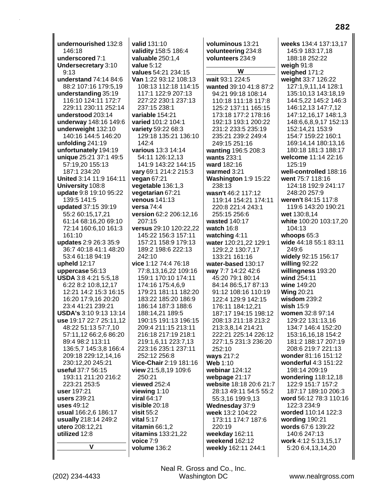**undernourished** 132:8 146:18 **underscored** 7:1 **Undersecretary** 3:10 9:13 **understand** 74:14 84:6 88:2 107:16 179:5,19 **understanding** 35:19 116:10 124:11 172:7 229:11 230:11 252:14 **understood** 203:14 **underway** 148:16 149:6 **underweight** 132:10 140:16 144:5 146:20 **unfolding** 241:19 **unfortunately** 194:19 **unique** 25:21 37:1 49:5 57:19,20 155:13 187:1 234:20 **United** 3:14 11:9 164:11 **University** 108:8 **update** 9:8 19:10 95:22 139:5 141:5 **updated** 37:15 39:19 55:2 60:15,17,21 61:14 68:16,20 69:10 72:14 160:6,10 161:3 161:10 **updates** 2:9 26:3 35:9 36:7 40:18 41:1 48:20 53:4 61:18 94:19 **upheld** 12:17 **uppercase** 56:13 **USDA** 3:8 4:21 5:5,18 6:22 8:2 10:8,12,17 12:21 14:2 15:3 16:15 16:20 17:9,16 20:20 23:4 41:21 239:21 **USDA's** 3:10 9:13 13:14 **use** 19:17 22:7 25:11,12 48:22 51:13 57:7,10 57:11,12 66:2,6 86:20 89:4 98:2 113:11 136:5,7 145:3,8 166:4 209:18 229:12,14,16 230:12,20 245:21 **useful** 37:7 56:15 193:11 211:20 216:2 223:21 253:5 **user** 197:21 **users** 239:21 **uses** 49:12 **usual** 166:2,6 186:17 **usually** 218:14 249:2 **utero** 208:12,21 **utilized** 12:8 **V**

**valid** 131:10 **validity** 158:5 186:4 **valuable** 250:1,4 **value** 5:12 **values** 54:21 234:15 **Van** 1:22 93:12 108:13 108:13 112:18 114:15 117:1 122:9 207:13 227:22 230:1 237:13 237:15 238:1 **variable** 154:21 **varied** 101:2 104:1 **variety** 59:22 68:3 129:18 135:21 136:10  $142.4$ **various** 13:3 14:14 54:11 126:12,13 141:9 143:22 144:15 **vary** 69:1 214:2 215:3 **vegan** 67:21 **vegetable** 136:1,3 **vegetarian** 67:21 **venous** 141:13 **versa** 74:4 **version** 62:2 206:12,16 207:15 **versus** 29:10 120:22,22 145:22 156:3 157:11 157:21 158:9 179:13 189:2 198:6 222:13  $242:10$ **vice** 1:12 74:4 76:18 77:8,13,16,22 109:16 159:1 170:10 174:11 174:16 175:4,6,9 179:21 181:11 182:20 183:22 185:20 186:9 186:14 187:3 188:6 188:14,21 189:5 190:15 191:13 196:15 209:4 211:15 213:11 216:18 217:19 218:1 219:1,6,11 223:7,13 223:16 235:1 237:11 252:12 256:8 **Vice-Chair** 2:19 181:16 **view** 21:5,8,19 109:6 250:21 **viewed** 252:4 **viewing** 1:10 **viral** 64:17 **visible** 20:18 **visit** 55:2 **vital** 5:17 **vitamin** 66:1,2 **vitamins** 133:21,22 **voice** 7:9 **volume** 136:2

**voluminous** 13:21 **volunteering** 234:8 **volunteers** 234:9 **W wait** 93:1 224:5 **wanted** 39:10 41:8 87:2 94:21 99:18 108:14 110:18 111:18 117:8 125:2 137:11 165:15 173:18 177:2 178:16 192:13 193:1 200:22 231:2 233:5 235:19 235:21 239:2 249:4 249:15 251:16 **wanting** 196:5 208:3 **wants** 233:1 **ward** 182:16 **warmed** 3:21 **Washington** 1:9 15:22 238:13 **wasn't** 46:2 117:12 119:14 154:21 174:11 220:8 221:4 243:1 255:15 256:6 **wasted** 140:17 **watch** 16:8 **watching** 4:11 **water** 120:21,22 129:1 129:2,2 130:7,17 133:21 161:16 **water-based** 130:17 **way** 7:7 14:22 42:6 45:20 79:1 80:14 84:14 86:5,17 87:13 91:12 108:16 110:19 122:4 129:9 142:15 176:11 184:12,21 187:17 194:15 198:12 208:13 211:18 213:2 213:3,8,14 214:21 222:21 225:14 226:12 227:1,5 231:3 236:20 252:10 **ways** 217:2 **Web** 1:10 **webinar** 124:12 **webpage** 21:17 **website** 18:18 20:6 21:7 28:13 49:11 54:5 55:2 55:3,16 199:9,13 **Wednesday** 37:9 **week** 13:2 104:22 173:11 174:7 187:6 220:19 **weekday** 162:11 **weekend** 162:12 **weekly** 162:11 244:1

**weeks** 134:4 137:13,17 145:9 183:17,18 188:18 252:22 **weigh** 91:8 **weighed** 171:2 **weight** 33:7 126:22 127:1,9,11,14 128:1 135:10,13 143:18,19 144:5,22 145:2 146:3 146:12,13 147:7,12 147:12,16,17 148:1,3 148:6,6,8,9,17 152:13 152:14,21 153:9 154:7 159:22 160:1 169:14,14 180:13,16 180:18 181:3 188:17 **welcome** 11:14 22:16 125:19 **well-controlled** 188:16 **went** 75:7 118:16 124:18 192:9 241:17 248:20 257:9 **weren't** 84:15 117:8 119:6 143:20 190:21 **wet** 130:8,14 **white** 100:20 103:17,20 104:13 **whoops** 65:3 **wide** 44:18 55:1 83:11 249:6 **widely** 92:15 156:17 **willing** 92:22 **willingness** 193:20 **wind** 254:11 **wine** 149:20 **Wing** 20:21 **wisdom** 239:2 **wish** 15:9 **women** 32:8 97:14 129:22 131:13,16 134:7 146:4 152:20 153:16,16,18 154:2 181:2 188:17 207:19 208:6 219:7 221:13 **wonder** 81:16 151:12 **wonderful** 4:3 151:22 198:14 209:19 **wondering** 118:12,18 122:9 151:7 157:2 187:17 189:10 206:3 **word** 56:12 78:3 110:16 122:3 234:9 **worded** 110:14 122:3 **wording** 190:21 **words** 67:6 139:22 140:6 247:13 **work** 4:12 5:13,15,17 5:20 6:4,13,14,20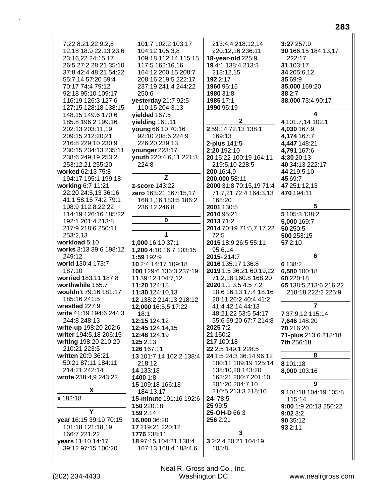| 7:22 8:21,22 9:2,8      | 101:7 102:2 103:17      | 213:4,4 218:12,14       | 3:27 257:9            |
|-------------------------|-------------------------|-------------------------|-----------------------|
| 12:18 18:9 22:13 23:6   |                         |                         |                       |
|                         | 104:12 105:3,8          | 220:12,16 236:11        | 30 166:15 184:13,17   |
| 23:16,22 24:15,17       | 109:18 112:14 115:15    | 18-year-old 225:9       | 222:17                |
| 26:5 27:2 28:21 35:10   | 117:5 162:16,16         | 19 4:1 138:4 213:3      | 31 103:17             |
| 37:8 42:4 48:21 54:22   | 164:12 200:15 208:7     | 218:12,15               | 34 205:6,12           |
| 55:7,14 57:20 59:4      | 208:16 219:5 222:17     | 192 2:17                | 35 69:9               |
| 70:17 74:4 79:12        | 237:19 241:4 244:22     | 1960 95:15              | 35,000 169:20         |
| 92:18 95:10 109:17      | 250:6                   | 1980 31:8               | 38 2:7                |
| 116:19 126:3 127:6      | yesterday 21:7 92:5     | 1985 17:1               | 38,000 73:4 90:17     |
| 127:15 128:18 138:15    | 110:15 204:3,13         | 1990 95:19              |                       |
|                         |                         |                         | 4                     |
| 148:15 149:6 170:6      | yielded 167:5           | $\mathbf 2$             |                       |
| 185:8 196:2 199:16      | yielding 161:11         |                         | 4 101:7,14 102:1      |
| 202:13 203:11,19        | young 66:10 70:16       | 259:14 72:13 138:1      | 4,030 167:9           |
| 209:15 212:20,21        | 92:10 208:6 224:9       | 169:13                  | 4,174 167:7           |
| 216:8 229:10 230:9      | 226:20 239:13           | 2-plus 141:5            | 4,447 148:21          |
| 230:15 234:13 235:11    | younger 223:17          | 2:20 192:10             | 4,791 167:6           |
| 238:6 249:19 253:2      | youth 220:4,6,11 221:3  | 20 15:22 100:19 164:11  | 4:30 20:13            |
|                         |                         |                         |                       |
| 253:12,21 255:20        | 224:8                   | 219:5,10 228:5          | 40 34:13 222:17       |
| worked 62:13 75:8       |                         | 200 16:4,9              | 44 219:5,10           |
| 194:17 195:1 199:18     | Z                       | 200,000 58:11           | 45 69:7               |
| working 6:7 11:21       | z-score 143:22          | 2000 31:8 70:15,19 71:4 | 47 251:12,13          |
| 22:20 24:5,13 36:16     | zero 163:21 167:15,17   | 71:7,21 72:4 164:3,13   | 470 194:11            |
| 41:1 58:15 74:2 79:1    | 168:1,16 183:5 186:2    | 168:20                  |                       |
| 108:9 112:8,22,22       | 236:12 246:8            | 2001 130:5              | 5                     |
| 114:19 126:16 185:22    |                         | 2010 95:21              | 5 105:3 138:2         |
| 192:1 201:4 213:8       | 0                       | 2013 71:2               | 5,000 169:7           |
| 217:9 218:6 250:11      |                         |                         |                       |
|                         |                         | 2014 70:19 71:5,7,17,22 | 50 250:5              |
| 253:2,13                | 1                       | 72:5                    | 500 253:15            |
| workload 5:10           | 1,000 16:10 37:1        | 2015 18:9 26:5 55:11    | 57 2:10               |
| works 3:13 39:6 198:12  | 1,200 4:10 16:7 103:15  | 95:6,14                 |                       |
| 249:12                  | 1:59 192:9              | 2015-214:7              | 6                     |
| world 130:4 173:7       | 10 2:4 14:17 109:18     | 2016 135:17 136:8       | 6 138:2               |
| 187:10                  | 100 129:6 136:3 237:19  | 2019 1:5 36:21 60:19,22 | 6,580 100:18          |
| worried 183:11 187:8    | 11 39:12 104:7,12       | 71:2,18 160:8 168:20    | 60 220:18             |
| worthwhile 155:7        |                         |                         |                       |
|                         | 11:20 124:18            | 2020 1:1 3:5 4:5 7:2    | 65 138:5 213:6 216:22 |
| wouldn't 79:16 181:17   | 11:30 124:10,13         | 10:6 16:13 17:4 18:16   | 218:18 222:2 225:9    |
| 185:16 241:5            | 12 138:2 214:13 218:12  | 20:11 26:2 40:4 41:2    |                       |
| wrestled 227:9          | 12,000 16:5,5 17:22     | 41:4 42:14 44:13        | 7                     |
| write 41:19 194:6 244:3 | 18:1                    | 48:21,22 53:5 54:17     | 7 37:9,12 115:14      |
| 244:8 248:13            | 12:15 124:12            | 55:6 59:20 67:7 214:8   | 7,646 148:20          |
| write-up 198:20 202:6   | 12:45 124:14,15         | 2025 7:2                | 70 216:20             |
| writer 194:5,18 206:15  | 12:48 124:19            | 21 150:2                | 71-plus 213:6 218:18  |
| writing 198:20 210:20   | 125 2:13                | 217 100:18              | 7th 256:18            |
| 210:21 223:5            |                         |                         |                       |
|                         | 126 167:11              | 22 2:5 149:1 228:5      |                       |
| written 20:9 36:21      | 13 101:7,14 102:2 138:4 | 24 1:5 24:3 36:14 96:12 | 8                     |
| 50:21 87:11 184:11      | 218:12                  | 100:11 109:19 125:14    | 8 101:18              |
| 214:21 242:14           | 14 133:18               | 138:10,20 143:20        | 8,000 103:16          |
| wrote 238:4,9 243:22    | 1400 1:8                | 163:21 200:7 201:10     |                       |
|                         | 15 109:18 166:13        | 201:20 204:7,10         | 9                     |
| X                       | 184:13,17               | 210:5 213:3 218:10      | 9 101:18 104:19 105:8 |
| x 182:18                | 15-minute 191:16 192:6  | $24 - 78:5$             | 115:14                |
|                         |                         | 25 99:5                 |                       |
| Y                       | 150 220:18              |                         | 9:00 1:9 20:13 256:22 |
|                         | 159 2:14                | 25-OH-D 66:3            | 9:023:2               |
| year 16:15 39:19 70:15  | 16,000 36:20            | 256 2:21                | 90 35:12              |
| 101:18 121:18,19        | 17 219:21 220:12        |                         | 93 2:11               |
| 166:7 221:22            | 1776 238:11             | 3                       |                       |
| years 11:10 14:17       | 18 97:15 104:21 138:4   | 3 2:2,4 20:21 104:19    |                       |
| 39:12 97:15 100:20      | 167:13 168:4 183:4,6    | 105:8                   |                       |
|                         |                         |                         |                       |
|                         |                         |                         |                       |